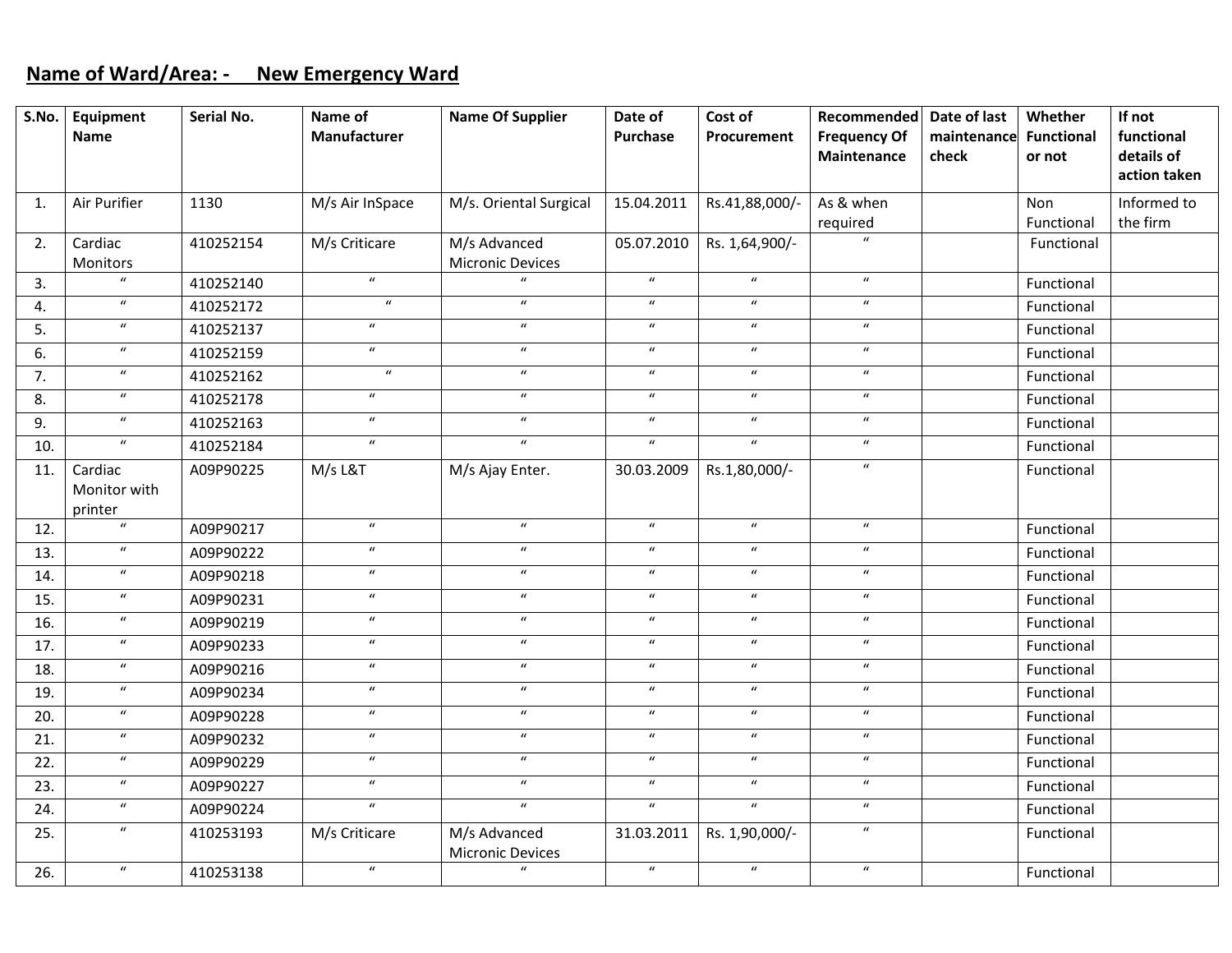### **Name of Ward/Area: ‐ New Emergency Ward**

| S.No.             | Equipment                   | Serial No. | Name of             | <b>Name Of Supplier</b>                 | Date of          | Cost of          | Recommended         | Date of last | Whether           | If not       |
|-------------------|-----------------------------|------------|---------------------|-----------------------------------------|------------------|------------------|---------------------|--------------|-------------------|--------------|
|                   | <b>Name</b>                 |            | <b>Manufacturer</b> |                                         | <b>Purchase</b>  | Procurement      | <b>Frequency Of</b> | maintenance  | <b>Functional</b> | functional   |
|                   |                             |            |                     |                                         |                  |                  | Maintenance         | check        | or not            | details of   |
|                   |                             |            |                     |                                         |                  |                  |                     |              |                   | action taken |
| $\mathbf{1}$ .    | Air Purifier                | 1130       | M/s Air InSpace     | M/s. Oriental Surgical                  | 15.04.2011       | Rs.41,88,000/-   | As & when           |              | Non               | Informed to  |
|                   |                             |            |                     |                                         |                  |                  | required            |              | Functional        | the firm     |
| 2.                | Cardiac<br>Monitors         | 410252154  | M/s Criticare       | M/s Advanced<br><b>Micronic Devices</b> | 05.07.2010       | Rs. 1,64,900/-   |                     |              | Functional        |              |
| 3.                | $\overline{u}$              | 410252140  | $\overline{u}$      | $\mathbf{u}$                            | $\boldsymbol{u}$ | $\boldsymbol{u}$ | $\boldsymbol{u}$    |              | Functional        |              |
| 4.                | $\boldsymbol{u}$            | 410252172  | $\boldsymbol{u}$    | $\boldsymbol{\mathcal{U}}$              | $\boldsymbol{u}$ | $\boldsymbol{u}$ | $\boldsymbol{u}$    |              | Functional        |              |
| 5.                | $\boldsymbol{\mathcal{U}}$  | 410252137  | $\boldsymbol{u}$    | $\boldsymbol{u}$                        | $\boldsymbol{u}$ | $\boldsymbol{u}$ | $\boldsymbol{u}$    |              | Functional        |              |
| 6.                | $\boldsymbol{\mathcal{U}}$  | 410252159  | $\overline{u}$      | $\boldsymbol{\mathcal{U}}$              | $\boldsymbol{u}$ | $\boldsymbol{u}$ | $\boldsymbol{u}$    |              | Functional        |              |
| 7.                | $\boldsymbol{u}$            | 410252162  | $\boldsymbol{u}$    | $\boldsymbol{u}$                        | $\boldsymbol{u}$ | $\boldsymbol{u}$ | $\boldsymbol{u}$    |              | Functional        |              |
| 8.                | $\boldsymbol{u}$            | 410252178  | $\boldsymbol{u}$    | $\boldsymbol{\mathcal{U}}$              | $\boldsymbol{u}$ | $\boldsymbol{u}$ | $\boldsymbol{u}$    |              | Functional        |              |
| 9.                | $\boldsymbol{u}$            | 410252163  | $\boldsymbol{u}$    | $\boldsymbol{\mathcal{U}}$              | $\boldsymbol{u}$ | $\boldsymbol{u}$ | $\boldsymbol{u}$    |              | Functional        |              |
| 10.               | $\boldsymbol{\mathcal{U}}$  | 410252184  | $\boldsymbol{u}$    | $\boldsymbol{u}$                        | $\boldsymbol{u}$ | $\boldsymbol{u}$ | $\boldsymbol{u}$    |              | Functional        |              |
| 11.               | Cardiac                     | A09P90225  | M/s L&T             | M/s Ajay Enter.                         | 30.03.2009       | Rs.1,80,000/-    | $\boldsymbol{u}$    |              | Functional        |              |
|                   | Monitor with                |            |                     |                                         |                  |                  |                     |              |                   |              |
| 12.               | printer<br>$\boldsymbol{u}$ | A09P90217  | $\overline{u}$      | $\boldsymbol{u}$                        | $\boldsymbol{u}$ | $\overline{u}$   | $\boldsymbol{u}$    |              | Functional        |              |
| 13.               | $\boldsymbol{u}$            |            | $\boldsymbol{u}$    | $\boldsymbol{u}$                        | $\overline{u}$   | $\boldsymbol{u}$ | $\boldsymbol{u}$    |              |                   |              |
|                   | $\boldsymbol{u}$            | A09P90222  | $\overline{u}$      | $\overline{u}$                          | $\overline{u}$   | $\overline{u}$   | $\overline{u}$      |              | Functional        |              |
| 14.               | $\boldsymbol{u}$            | A09P90218  | $\boldsymbol{u}$    | $\boldsymbol{\mathcal{U}}$              | $\boldsymbol{u}$ | $\boldsymbol{u}$ | $\boldsymbol{u}$    |              | Functional        |              |
| 15.               | $\boldsymbol{\mathcal{U}}$  | A09P90231  | $\boldsymbol{u}$    | $\boldsymbol{u}$                        | $\overline{u}$   | $\boldsymbol{u}$ | $\boldsymbol{u}$    |              | Functional        |              |
| 16.               |                             | A09P90219  | $\overline{u}$      | $\overline{u}$                          | $\overline{u}$   |                  | $\overline{u}$      |              | Functional        |              |
| $\overline{17}$ . | $\boldsymbol{u}$            | A09P90233  |                     |                                         |                  | $\overline{u}$   |                     |              | Functional        |              |
| 18.               | $\boldsymbol{u}$            | A09P90216  | $\overline{u}$      | $\overline{u}$                          | $\boldsymbol{u}$ | $\overline{u}$   | $\overline{u}$      |              | Functional        |              |
| 19.               | $\boldsymbol{u}$            | A09P90234  | $\boldsymbol{u}$    | $\boldsymbol{u}$                        | $\boldsymbol{u}$ | $\boldsymbol{u}$ | $\boldsymbol{u}$    |              | Functional        |              |
| 20.               | $\boldsymbol{u}$            | A09P90228  | $\boldsymbol{u}$    | $\boldsymbol{u}$                        | $\boldsymbol{u}$ | $\boldsymbol{u}$ | $\boldsymbol{u}$    |              | Functional        |              |
| 21.               | $\overline{u}$              | A09P90232  | $\overline{u}$      | $\overline{u}$                          | $\overline{u}$   | $\overline{u}$   | $\overline{u}$      |              | Functional        |              |
| 22.               | $\boldsymbol{u}$            | A09P90229  | $\boldsymbol{u}$    | $\boldsymbol{u}$                        | $\boldsymbol{u}$ | $\boldsymbol{u}$ | $\boldsymbol{u}$    |              | Functional        |              |
| 23.               | $\boldsymbol{u}$            | A09P90227  | $\boldsymbol{u}$    | $\boldsymbol{u}$                        | $\boldsymbol{u}$ | $\boldsymbol{u}$ | $\boldsymbol{u}$    |              | Functional        |              |
| 24.               | $\boldsymbol{u}$            | A09P90224  | $\overline{u}$      | $\boldsymbol{u}$                        | $\boldsymbol{u}$ | $\boldsymbol{u}$ | $\boldsymbol{u}$    |              | Functional        |              |
| 25.               | $\boldsymbol{\mathcal{U}}$  | 410253193  | M/s Criticare       | M/s Advanced<br><b>Micronic Devices</b> | 31.03.2011       | Rs. 1,90,000/-   | $\boldsymbol{u}$    |              | Functional        |              |
| 26.               | $\boldsymbol{u}$            | 410253138  | $\boldsymbol{u}$    | $\boldsymbol{u}$                        | $\boldsymbol{u}$ | $\boldsymbol{u}$ | $\boldsymbol{u}$    |              | Functional        |              |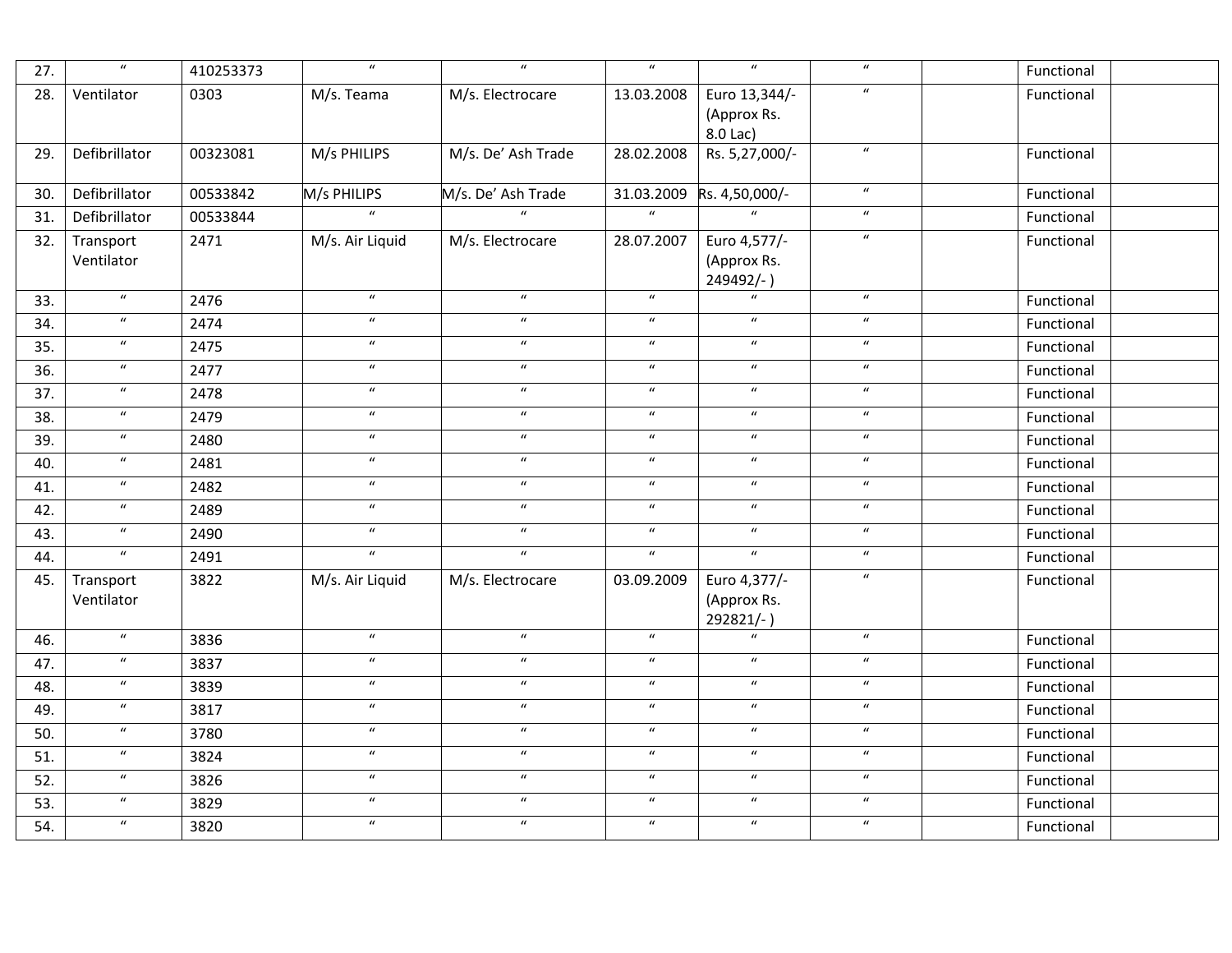| 27. | $\overline{u}$          | 410253373 | $\overline{u}$   | $\boldsymbol{\mathcal{U}}$ | $\overline{u}$   | $\overline{u}$                           | $\overline{u}$             | Functional |
|-----|-------------------------|-----------|------------------|----------------------------|------------------|------------------------------------------|----------------------------|------------|
| 28. | Ventilator              | 0303      | M/s. Teama       | M/s. Electrocare           | 13.03.2008       | Euro 13,344/-<br>(Approx Rs.<br>8.0 Lac) | $\boldsymbol{u}$           | Functional |
| 29. | Defibrillator           | 00323081  | M/s PHILIPS      | M/s. De' Ash Trade         | 28.02.2008       | Rs. 5,27,000/-                           | $\boldsymbol{u}$           | Functional |
| 30. | Defibrillator           | 00533842  | M/s PHILIPS      | M/s. De' Ash Trade         | 31.03.2009       | Rs. 4,50,000/-                           | $\boldsymbol{u}$           | Functional |
| 31. | Defibrillator           | 00533844  | $\overline{u}$   |                            | $\boldsymbol{u}$ |                                          | $\boldsymbol{u}$           | Functional |
| 32. | Transport<br>Ventilator | 2471      | M/s. Air Liquid  | M/s. Electrocare           | 28.07.2007       | Euro 4,577/-<br>(Approx Rs.<br>249492/-) | $\boldsymbol{u}$           | Functional |
| 33. | $\boldsymbol{u}$        | 2476      | $\boldsymbol{u}$ | $\boldsymbol{u}$           | $\boldsymbol{u}$ | $\boldsymbol{u}$                         | $\boldsymbol{u}$           | Functional |
| 34. | $\boldsymbol{u}$        | 2474      | $\boldsymbol{u}$ | $\boldsymbol{u}$           | $\boldsymbol{u}$ | $\boldsymbol{u}$                         | $\boldsymbol{u}$           | Functional |
| 35. | $\boldsymbol{u}$        | 2475      | $\boldsymbol{u}$ | $\boldsymbol{u}$           | $\boldsymbol{u}$ | $\boldsymbol{u}$                         | $\boldsymbol{\mathcal{U}}$ | Functional |
| 36. | $\boldsymbol{u}$        | 2477      | $\boldsymbol{u}$ | $\boldsymbol{u}$           | $\boldsymbol{u}$ | $\boldsymbol{u}$                         | $\boldsymbol{u}$           | Functional |
| 37. | $\boldsymbol{u}$        | 2478      | $\overline{u}$   | $\boldsymbol{u}$           | $\overline{u}$   | $\boldsymbol{u}$                         | $\boldsymbol{u}$           | Functional |
| 38. | $\boldsymbol{u}$        | 2479      | $\boldsymbol{u}$ | $\boldsymbol{u}$           | $\boldsymbol{u}$ | $\boldsymbol{u}$                         | $\boldsymbol{\mathcal{U}}$ | Functional |
| 39. | $\boldsymbol{u}$        | 2480      | $\boldsymbol{u}$ | $\boldsymbol{u}$           | $\boldsymbol{u}$ | $\boldsymbol{u}$                         | $\boldsymbol{u}$           | Functional |
| 40. | $\boldsymbol{u}$        | 2481      | $\boldsymbol{u}$ | $\boldsymbol{u}$           | $\boldsymbol{u}$ | $\boldsymbol{u}$                         | $\boldsymbol{u}$           | Functional |
| 41. | $\boldsymbol{u}$        | 2482      | $\boldsymbol{u}$ | $\boldsymbol{u}$           | $\boldsymbol{u}$ | $\boldsymbol{u}$                         | $\boldsymbol{u}$           | Functional |
| 42. | $\boldsymbol{u}$        | 2489      | $\boldsymbol{u}$ | $\boldsymbol{u}$           | $\boldsymbol{u}$ | $\boldsymbol{u}$                         | $\boldsymbol{u}$           | Functional |
| 43. | $\boldsymbol{u}$        | 2490      | $\boldsymbol{u}$ | $\boldsymbol{u}$           | $\boldsymbol{u}$ | $\boldsymbol{u}$                         | $\boldsymbol{u}$           | Functional |
| 44. | $\boldsymbol{u}$        | 2491      | $\overline{u}$   | $\boldsymbol{u}$           | $\boldsymbol{u}$ | $\boldsymbol{u}$                         | $\boldsymbol{u}$           | Functional |
| 45. | Transport<br>Ventilator | 3822      | M/s. Air Liquid  | M/s. Electrocare           | 03.09.2009       | Euro 4,377/-<br>(Approx Rs.<br>292821/-) | $\boldsymbol{u}$           | Functional |
| 46. | $\boldsymbol{u}$        | 3836      | $\boldsymbol{u}$ | $\boldsymbol{u}$           | $\boldsymbol{u}$ | $\boldsymbol{u}$                         | $\boldsymbol{u}$           | Functional |
| 47. | $\boldsymbol{u}$        | 3837      | $\boldsymbol{u}$ | $\boldsymbol{u}$           | $\boldsymbol{u}$ | $\boldsymbol{u}$                         | $\boldsymbol{u}$           | Functional |
| 48. | $\boldsymbol{u}$        | 3839      | $\boldsymbol{u}$ | $\boldsymbol{u}$           | $\boldsymbol{u}$ | $\boldsymbol{u}$                         | $\boldsymbol{u}$           | Functional |
| 49. | $\boldsymbol{u}$        | 3817      | $\boldsymbol{u}$ | $\boldsymbol{u}$           | $\boldsymbol{u}$ | $\boldsymbol{u}$                         | $\boldsymbol{u}$           | Functional |
| 50. | $\boldsymbol{u}$        | 3780      | $\boldsymbol{u}$ | $\boldsymbol{u}$           | $\boldsymbol{u}$ | $\boldsymbol{u}$                         | $\boldsymbol{u}$           | Functional |
| 51. | $\boldsymbol{u}$        | 3824      | $\boldsymbol{u}$ | $\boldsymbol{u}$           | $\boldsymbol{u}$ | $\boldsymbol{u}$                         | $\boldsymbol{u}$           | Functional |
| 52. | $\boldsymbol{u}$        | 3826      | $\boldsymbol{u}$ | $\boldsymbol{u}$           | $\boldsymbol{u}$ | $\boldsymbol{u}$                         | $\boldsymbol{u}$           | Functional |
| 53. | $\boldsymbol{u}$        | 3829      | $\boldsymbol{u}$ | $\boldsymbol{u}$           | $\boldsymbol{u}$ | $\boldsymbol{u}$                         | $\boldsymbol{u}$           | Functional |
| 54. | $\boldsymbol{u}$        | 3820      | $\boldsymbol{u}$ | $\boldsymbol{u}$           | $\boldsymbol{u}$ | $\boldsymbol{u}$                         | $\boldsymbol{u}$           | Functional |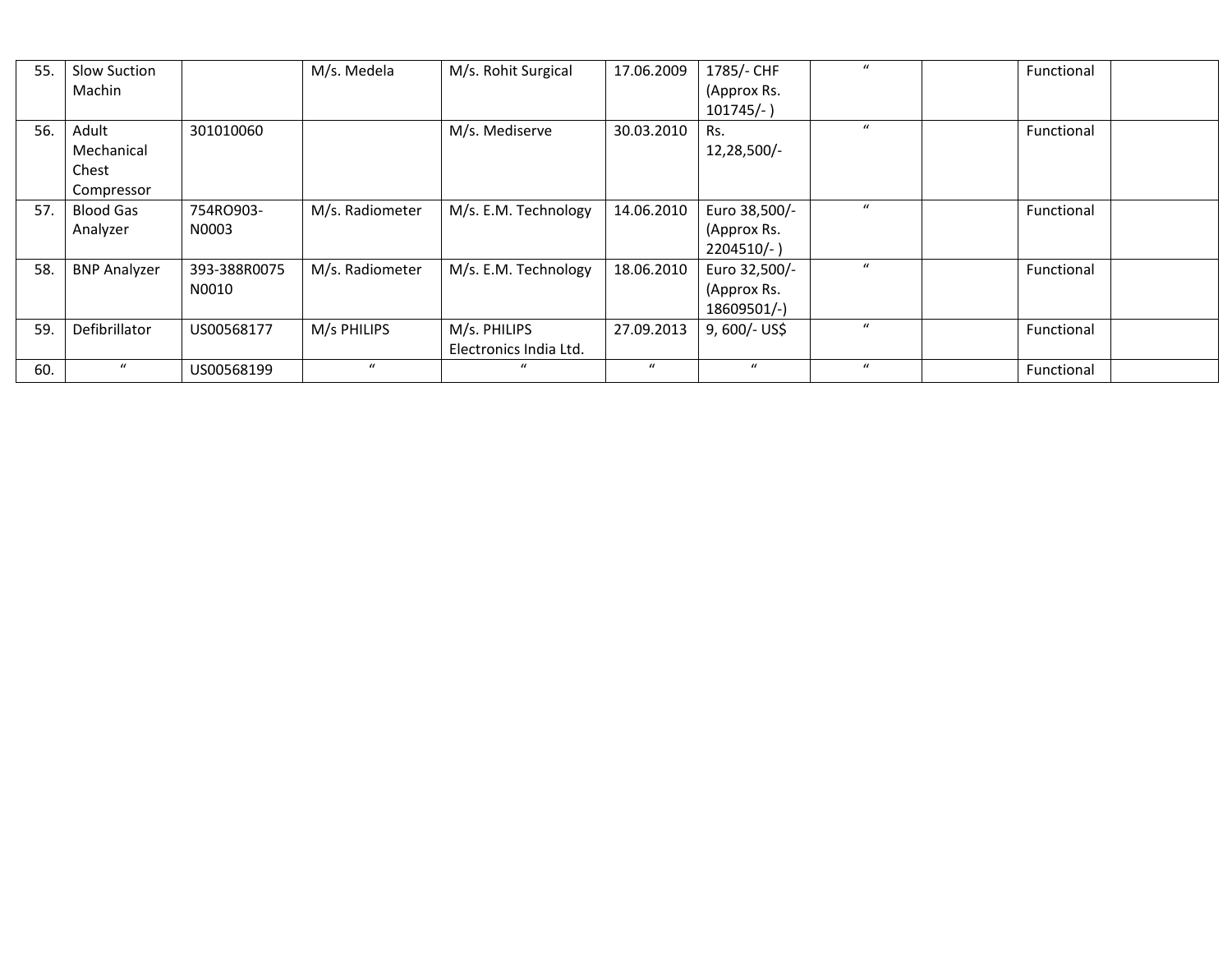| 55. | Slow Suction<br>Machin                     |                       | M/s. Medela     | M/s. Rohit Surgical                    | 17.06.2009       | 1785/- CHF<br>(Approx Rs.<br>$101745/-$ )     | $\mathbf{u}$     | Functional |
|-----|--------------------------------------------|-----------------------|-----------------|----------------------------------------|------------------|-----------------------------------------------|------------------|------------|
| 56. | Adult<br>Mechanical<br>Chest<br>Compressor | 301010060             |                 | M/s. Mediserve                         | 30.03.2010       | Rs.<br>12,28,500/-                            | $\mathbf{u}$     | Functional |
| 57. | Blood Gas<br>Analyzer                      | 754RO903-<br>N0003    | M/s. Radiometer | M/s. E.M. Technology                   | 14.06.2010       | Euro 38,500/-<br>(Approx Rs.<br>$2204510/-$ ) | $\boldsymbol{u}$ | Functional |
| 58. | <b>BNP Analyzer</b>                        | 393-388R0075<br>N0010 | M/s. Radiometer | M/s. E.M. Technology                   | 18.06.2010       | Euro 32,500/-<br>(Approx Rs.<br>18609501/-)   | $\boldsymbol{u}$ | Functional |
| 59. | Defibrillator                              | US00568177            | M/s PHILIPS     | M/s. PHILIPS<br>Electronics India Ltd. | 27.09.2013       | 9, 600/- US\$                                 | $\mathbf{u}$     | Functional |
| 60. | $\mathbf{u}$                               | US00568199            | $\mathbf{u}$    | $\mathcal{U}$                          | $\boldsymbol{u}$ | $\mathbf{u}$                                  | $\mathbf{u}$     | Functional |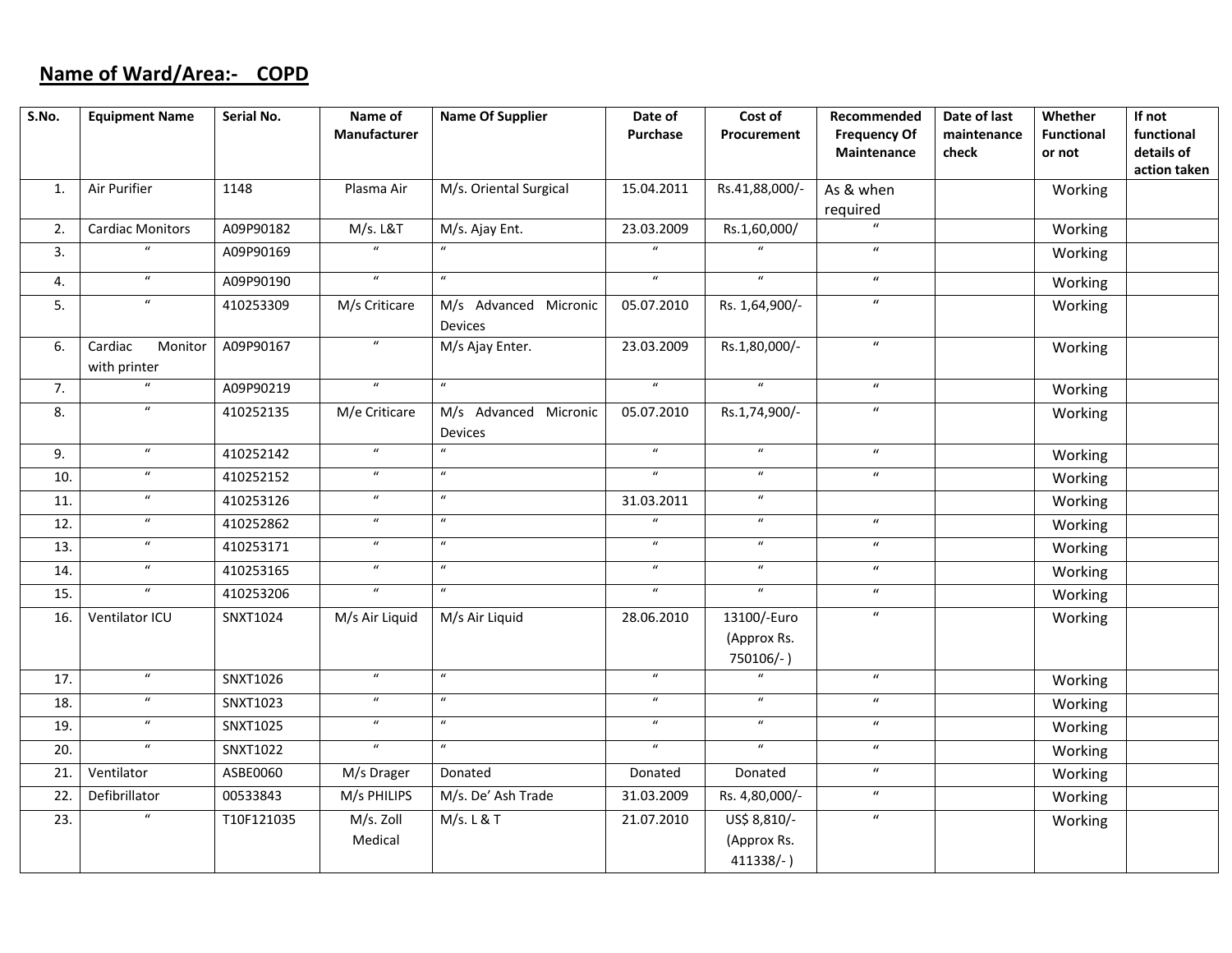## **Name of Ward/Area:‐ COPD**

| S.No. | <b>Equipment Name</b>              | Serial No.      | Name of<br><b>Manufacturer</b>     | <b>Name Of Supplier</b>                 | Date of<br>Purchase        | Cost of<br>Procurement                      | Recommended<br><b>Frequency Of</b><br>Maintenance | Date of last<br>maintenance<br>check | Whether<br><b>Functional</b><br>or not | If not<br>functional<br>details of<br>action taken |
|-------|------------------------------------|-----------------|------------------------------------|-----------------------------------------|----------------------------|---------------------------------------------|---------------------------------------------------|--------------------------------------|----------------------------------------|----------------------------------------------------|
| 1.    | Air Purifier                       | 1148            | Plasma Air                         | M/s. Oriental Surgical                  | 15.04.2011                 | Rs.41,88,000/-                              | As & when<br>required                             |                                      | Working                                |                                                    |
| 2.    | <b>Cardiac Monitors</b>            | A09P90182       | M/s. L&T                           | M/s. Ajay Ent.                          | 23.03.2009                 | Rs.1,60,000/                                | $\boldsymbol{u}$                                  |                                      | Working                                |                                                    |
| 3.    | $\boldsymbol{u}$                   | A09P90169       | $\boldsymbol{u}$                   | $\boldsymbol{\mathcal{U}}$              | $\boldsymbol{\mathcal{U}}$ | $\boldsymbol{u}$                            | $\boldsymbol{u}$                                  |                                      | Working                                |                                                    |
| 4.    | $\overline{u}$                     | A09P90190       | $\overline{u}$                     | $\boldsymbol{u}$                        | $\boldsymbol{\mathcal{U}}$ | $\overline{u}$                              | $\boldsymbol{u}$                                  |                                      | Working                                |                                                    |
| 5.    | $\boldsymbol{u}$                   | 410253309       | M/s Criticare                      | M/s Advanced Micronic<br><b>Devices</b> | 05.07.2010                 | Rs. 1,64,900/-                              | $\boldsymbol{u}$                                  |                                      | Working                                |                                                    |
| 6.    | Cardiac<br>Monitor<br>with printer | A09P90167       | $\boldsymbol{u}$                   | M/s Ajay Enter.                         | 23.03.2009                 | Rs.1,80,000/-                               | $\boldsymbol{u}$                                  |                                      | Working                                |                                                    |
| 7.    | ū                                  | A09P90219       | $\overline{u}$                     | $\overline{u}$                          | $\overline{u}$             | $\overline{u}$                              | $\boldsymbol{u}$                                  |                                      | Working                                |                                                    |
| 8.    | $\overline{u}$                     | 410252135       | M/e Criticare                      | M/s Advanced Micronic<br>Devices        | 05.07.2010                 | Rs.1,74,900/-                               | $\boldsymbol{u}$                                  |                                      | Working                                |                                                    |
| 9.    | $\boldsymbol{u}$                   | 410252142       | $\boldsymbol{\mathcal{U}}$         | $\boldsymbol{u}$                        | $\boldsymbol{u}$           | $\overline{u}$                              | $\boldsymbol{u}$                                  |                                      | Working                                |                                                    |
| 10.   | $\boldsymbol{u}$                   | 410252152       | $\boldsymbol{u}$                   | $\boldsymbol{u}$                        | $\boldsymbol{\mathcal{U}}$ | $\boldsymbol{\mathcal{U}}$                  | $\boldsymbol{u}$                                  |                                      | Working                                |                                                    |
| 11.   | $\boldsymbol{u}$                   | 410253126       | $\boldsymbol{u}$                   | $\boldsymbol{u}$                        | 31.03.2011                 | $\boldsymbol{u}$                            |                                                   |                                      | Working                                |                                                    |
| 12.   | $\boldsymbol{u}$                   | 410252862       | $\boldsymbol{u}$                   | $\boldsymbol{u}$                        | $\boldsymbol{\mathcal{U}}$ | $\boldsymbol{u}$                            | $\boldsymbol{u}$                                  |                                      | Working                                |                                                    |
| 13.   | $\overline{u}$                     | 410253171       | $\boldsymbol{u}$                   | $\overline{u}$                          | $\boldsymbol{u}$           | $\boldsymbol{u}$                            | $\overline{u}$                                    |                                      | Working                                |                                                    |
| 14.   | $\boldsymbol{u}$                   | 410253165       | $\boldsymbol{u}$                   | $\boldsymbol{u}$                        | $\boldsymbol{u}$           | $\boldsymbol{\mathcal{U}}$                  | $\boldsymbol{u}$                                  |                                      | Working                                |                                                    |
| 15.   | $\overline{u}$                     | 410253206       | $\overline{u}$                     | $\overline{u}$                          | $\boldsymbol{u}$           | $\overline{u}$                              | $\boldsymbol{u}$                                  |                                      | Working                                |                                                    |
| 16.   | Ventilator ICU                     | SNXT1024        | M/s Air Liquid                     | M/s Air Liquid                          | 28.06.2010                 | 13100/-Euro<br>(Approx Rs.<br>750106/-)     | $\boldsymbol{u}$                                  |                                      | Working                                |                                                    |
| 17.   | $\overline{u}$                     | SNXT1026        | $\boldsymbol{u}$                   | $\boldsymbol{u}$                        | $\boldsymbol{\mathcal{U}}$ |                                             | $\boldsymbol{u}$                                  |                                      | Working                                |                                                    |
| 18.   | $\boldsymbol{u}$                   | SNXT1023        | $\boldsymbol{u}$                   | $\boldsymbol{u}$                        | $\boldsymbol{u}$           | $\boldsymbol{u}$                            | $\boldsymbol{u}$                                  |                                      | Working                                |                                                    |
| 19.   | $\overline{u}$                     | <b>SNXT1025</b> | $\overline{u}$                     | $\overline{u}$                          | $\overline{u}$             | $\overline{u}$                              | $\overline{u}$                                    |                                      | Working                                |                                                    |
| 20.   | $\overline{u}$                     | SNXT1022        | $\overline{u}$                     | $\boldsymbol{u}$                        | $\boldsymbol{u}$           | $\overline{u}$                              | $\boldsymbol{u}$                                  |                                      | Working                                |                                                    |
| 21.   | Ventilator                         | ASBE0060        | M/s Drager                         | Donated                                 | Donated                    | Donated                                     | $\boldsymbol{u}$                                  |                                      | Working                                |                                                    |
| 22.   | Defibrillator                      | 00533843        | M/s PHILIPS                        | M/s. De' Ash Trade                      | 31.03.2009                 | Rs. 4,80,000/-                              | $\boldsymbol{u}$                                  |                                      | Working                                |                                                    |
| 23.   | $\boldsymbol{u}$                   | T10F121035      | $\overline{M/s}$ . Zoll<br>Medical | M/s. L & T                              | 21.07.2010                 | US\$ 8,810/-<br>(Approx Rs.<br>$411338/-$ ) | $\boldsymbol{u}$                                  |                                      | Working                                |                                                    |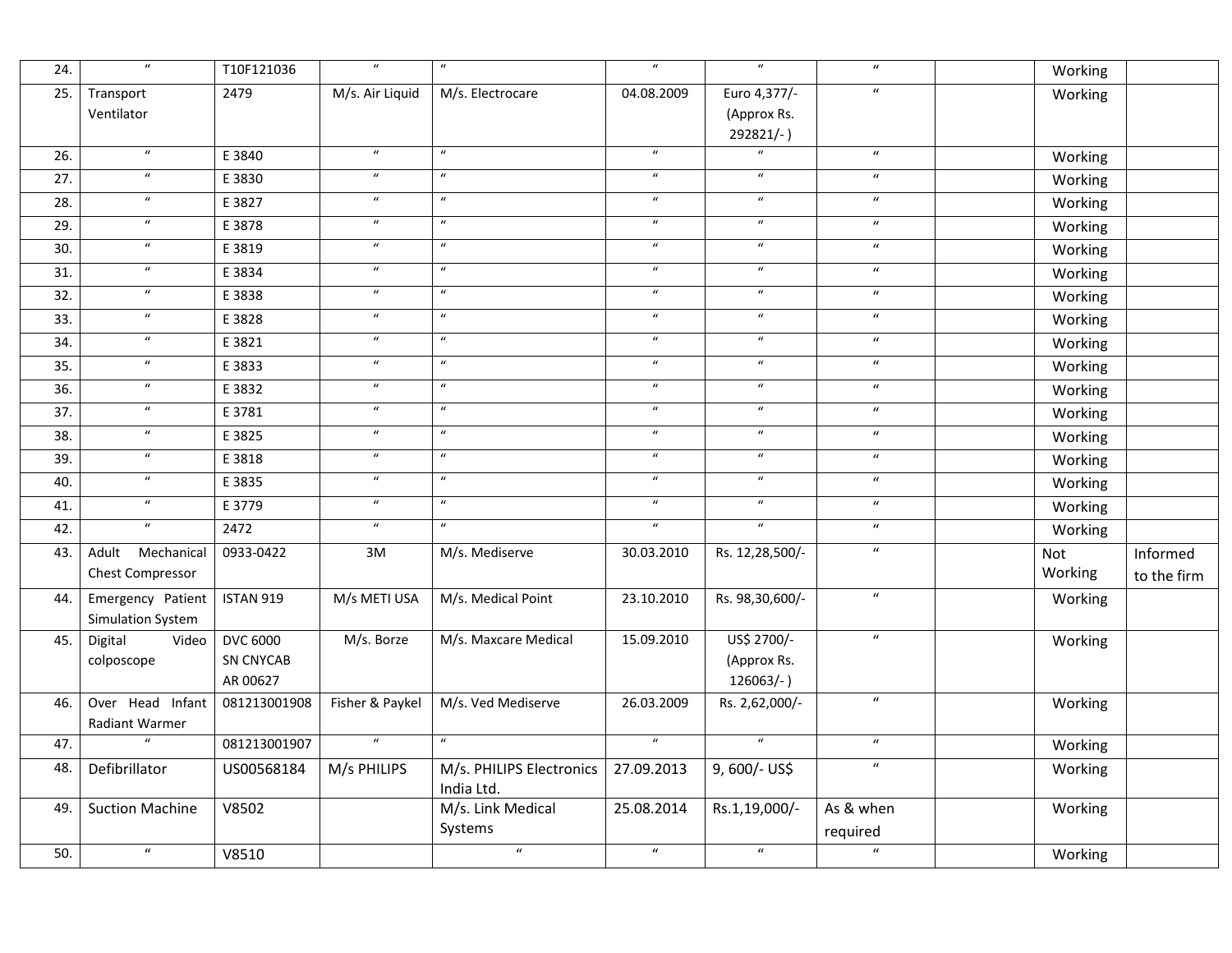| 24. | $\overline{u}$                              | T10F121036                               | $\overline{u}$             | $\boldsymbol{u}$                       | $\overline{u}$             | $\overline{u}$                             | $\boldsymbol{u}$      | Working        |                                |
|-----|---------------------------------------------|------------------------------------------|----------------------------|----------------------------------------|----------------------------|--------------------------------------------|-----------------------|----------------|--------------------------------|
| 25. | Transport<br>Ventilator                     | 2479                                     | M/s. Air Liquid            | M/s. Electrocare                       | 04.08.2009                 | Euro 4,377/-<br>(Approx Rs.<br>292821/-)   | $\boldsymbol{u}$      | Working        |                                |
| 26. | $\overline{u}$                              | E 3840                                   | $\boldsymbol{u}$           | $\boldsymbol{u}$                       | $\overline{u}$             | $\overline{u}$                             | $\boldsymbol{u}$      | Working        |                                |
| 27. | $\boldsymbol{u}$                            | E 3830                                   | $\boldsymbol{u}$           | $\boldsymbol{u}$                       | $\boldsymbol{\mathcal{U}}$ | $\overline{u}$                             | $\boldsymbol{u}$      | Working        |                                |
| 28. | $\boldsymbol{u}$                            | E 3827                                   | $\boldsymbol{u}$           | $\boldsymbol{u}$                       | $\boldsymbol{u}$           | $\overline{u}$                             | $\boldsymbol{u}$      | Working        |                                |
| 29. | $\boldsymbol{u}$                            | E 3878                                   | $\boldsymbol{\mathcal{U}}$ | $\boldsymbol{u}$                       | $\boldsymbol{u}$           | $\boldsymbol{u}$                           | $\boldsymbol{u}$      | Working        |                                |
| 30. | $\boldsymbol{u}$                            | E 3819                                   | $\boldsymbol{u}$           | $\overline{u}$                         | $\overline{u}$             | $\overline{u}$                             | $\overline{u}$        | Working        |                                |
| 31. | $\overline{u}$                              | E 3834                                   | $\boldsymbol{u}$           | $\overline{u}$                         | $\overline{u}$             | $\overline{u}$                             | $\boldsymbol{u}$      | Working        |                                |
| 32. | $\overline{u}$                              | E 3838                                   | $\boldsymbol{u}$           | $\boldsymbol{u}$                       | $\boldsymbol{u}$           | $\overline{u}$                             | $\boldsymbol{u}$      | Working        |                                |
| 33. | $\overline{u}$                              | E 3828                                   | $\boldsymbol{u}$           | $\overline{u}$                         | $\overline{u}$             | $\overline{u}$                             | $\overline{u}$        | Working        |                                |
| 34. | $\boldsymbol{u}$                            | E 3821                                   | $\boldsymbol{u}$           | $\boldsymbol{\mathcal{U}}$             | $\pmb{\mathcal{U}}$        | $\boldsymbol{u}$                           | $\boldsymbol{u}$      | Working        |                                |
| 35. | $\boldsymbol{u}$                            | E 3833                                   | $\boldsymbol{u}$           | $\boldsymbol{u}$                       | $\overline{u}$             | $\overline{u}$                             | $\boldsymbol{u}$      | Working        |                                |
| 36. | $\boldsymbol{u}$                            | E 3832                                   | $\boldsymbol{u}$           | $\boldsymbol{\mathcal{U}}$             | $\boldsymbol{u}$           | $\boldsymbol{u}$                           | $\boldsymbol{u}$      | Working        |                                |
| 37. | $\boldsymbol{u}$                            | E 3781                                   | $\boldsymbol{u}$           | $\boldsymbol{u}$                       | $\boldsymbol{u}$           | $\boldsymbol{u}$                           | $\boldsymbol{u}$      | Working        |                                |
| 38. | $\overline{u}$                              | E 3825                                   | $\overline{u}$             | $\overline{u}$                         | $\overline{u}$             | $\overline{u}$                             | $\boldsymbol{u}$      | Working        |                                |
| 39. | $\boldsymbol{u}$                            | E 3818                                   | $\boldsymbol{u}$           | $\boldsymbol{\mathcal{U}}$             | $\boldsymbol{u}$           | $\boldsymbol{u}$                           | $\boldsymbol{u}$      | Working        |                                |
| 40. | $\boldsymbol{u}$                            | E 3835                                   | $\boldsymbol{u}$           | $\boldsymbol{u}$                       | $\boldsymbol{u}$           | $\overline{u}$                             | $\overline{u}$        | Working        |                                |
| 41. | $\boldsymbol{u}$                            | E 3779                                   | $\boldsymbol{u}$           | $\boldsymbol{u}$                       | $\boldsymbol{u}$           | $\boldsymbol{u}$                           | $\boldsymbol{u}$      | Working        |                                |
| 42. | $\boldsymbol{u}$                            | 2472                                     | $\boldsymbol{\mathcal{U}}$ | $\boldsymbol{u}$                       | $\overline{u}$             | $\overline{u}$                             | $\boldsymbol{u}$      | Working        |                                |
| 43. | Adult Mechanical<br><b>Chest Compressor</b> | 0933-0422                                | 3M                         | M/s. Mediserve                         | 30.03.2010                 | Rs. 12,28,500/-                            | $\boldsymbol{u}$      | Not<br>Working | <b>Informed</b><br>to the firm |
| 44. | Emergency Patient<br>Simulation System      | ISTAN 919                                | M/s METI USA               | M/s. Medical Point                     | 23.10.2010                 | Rs. 98,30,600/-                            | $\boldsymbol{u}$      | Working        |                                |
| 45. | Digital<br>Video<br>colposcope              | <b>DVC 6000</b><br>SN CNYCAB<br>AR 00627 | M/s. Borze                 | M/s. Maxcare Medical                   | 15.09.2010                 | US\$ 2700/-<br>(Approx Rs.<br>$126063/-$ ) | $\boldsymbol{u}$      | Working        |                                |
| 46. | Over Head Infant<br>Radiant Warmer          | 081213001908                             | Fisher & Paykel            | M/s. Ved Mediserve                     | 26.03.2009                 | Rs. 2,62,000/-                             | $\overline{u}$        | Working        |                                |
| 47. | $\overline{u}$                              | 081213001907                             | $\boldsymbol{u}$           | $\boldsymbol{u}$                       | $\overline{u}$             | $\mathbf{u}$                               | $\boldsymbol{u}$      | Working        |                                |
| 48. | Defibrillator                               | US00568184                               | M/s PHILIPS                | M/s. PHILIPS Electronics<br>India Ltd. | 27.09.2013                 | 9,600/- US\$                               | $\overline{u}$        | Working        |                                |
| 49. | <b>Suction Machine</b>                      | V8502                                    |                            | M/s. Link Medical<br>Systems           | 25.08.2014                 | Rs.1,19,000/-                              | As & when<br>required | Working        |                                |
| 50. | $\boldsymbol{u}$                            | V8510                                    |                            | $\boldsymbol{u}$                       | $\overline{u}$             | $\overline{u}$                             | $\overline{u}$        | Working        |                                |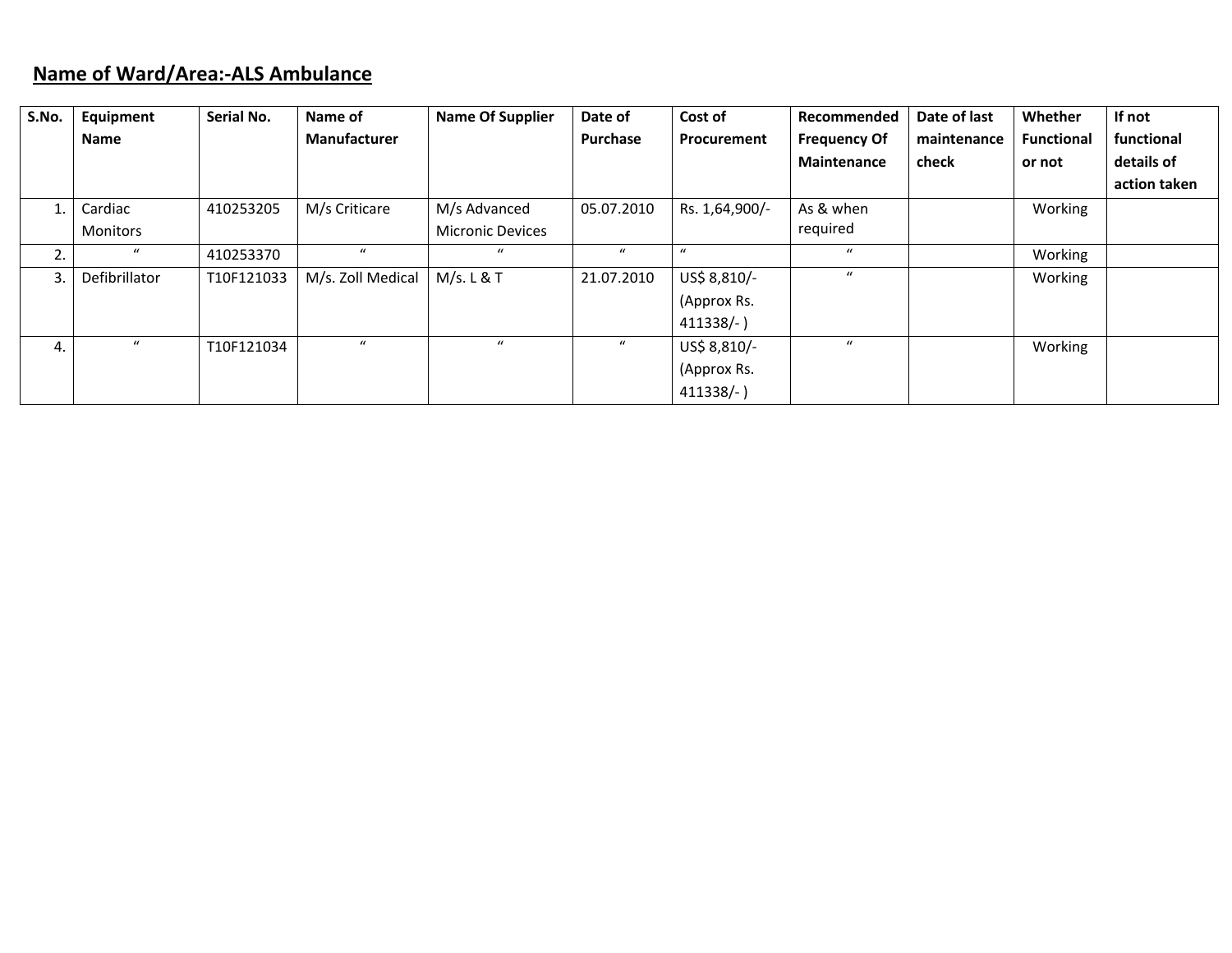### **Name of Ward/Area:‐ALS Ambulance**

| S.No. | Equipment        | Serial No. | Name of             | <b>Name Of Supplier</b> | Date of          | Cost of          | Recommended         | Date of last | Whether           | If not       |
|-------|------------------|------------|---------------------|-------------------------|------------------|------------------|---------------------|--------------|-------------------|--------------|
|       | <b>Name</b>      |            | <b>Manufacturer</b> |                         | Purchase         | Procurement      | <b>Frequency Of</b> | maintenance  | <b>Functional</b> | functional   |
|       |                  |            |                     |                         |                  |                  | Maintenance         | check        | or not            | details of   |
|       |                  |            |                     |                         |                  |                  |                     |              |                   | action taken |
|       | Cardiac          | 410253205  | M/s Criticare       | M/s Advanced            | 05.07.2010       | Rs. 1,64,900/-   | As & when           |              | Working           |              |
|       | Monitors         |            |                     | <b>Micronic Devices</b> |                  |                  | required            |              |                   |              |
| 2.    | $\boldsymbol{u}$ | 410253370  | $\boldsymbol{u}$    | $\boldsymbol{u}$        | $\boldsymbol{u}$ | $\boldsymbol{u}$ | $\boldsymbol{u}$    |              | Working           |              |
| 3.    | Defibrillator    | T10F121033 | M/s. Zoll Medical   | M/s. L & T              | 21.07.2010       | US\$ 8,810/-     | $\mathbf{u}$        |              | Working           |              |
|       |                  |            |                     |                         |                  | (Approx Rs.      |                     |              |                   |              |
|       |                  |            |                     |                         |                  | $411338/-$       |                     |              |                   |              |
| 4.    | $\boldsymbol{u}$ | T10F121034 | $\boldsymbol{u}$    | $\mathbf{u}$            | $\boldsymbol{u}$ | US\$ 8,810/-     | $\boldsymbol{u}$    |              | Working           |              |
|       |                  |            |                     |                         |                  | (Approx Rs.      |                     |              |                   |              |
|       |                  |            |                     |                         |                  | $411338/-$       |                     |              |                   |              |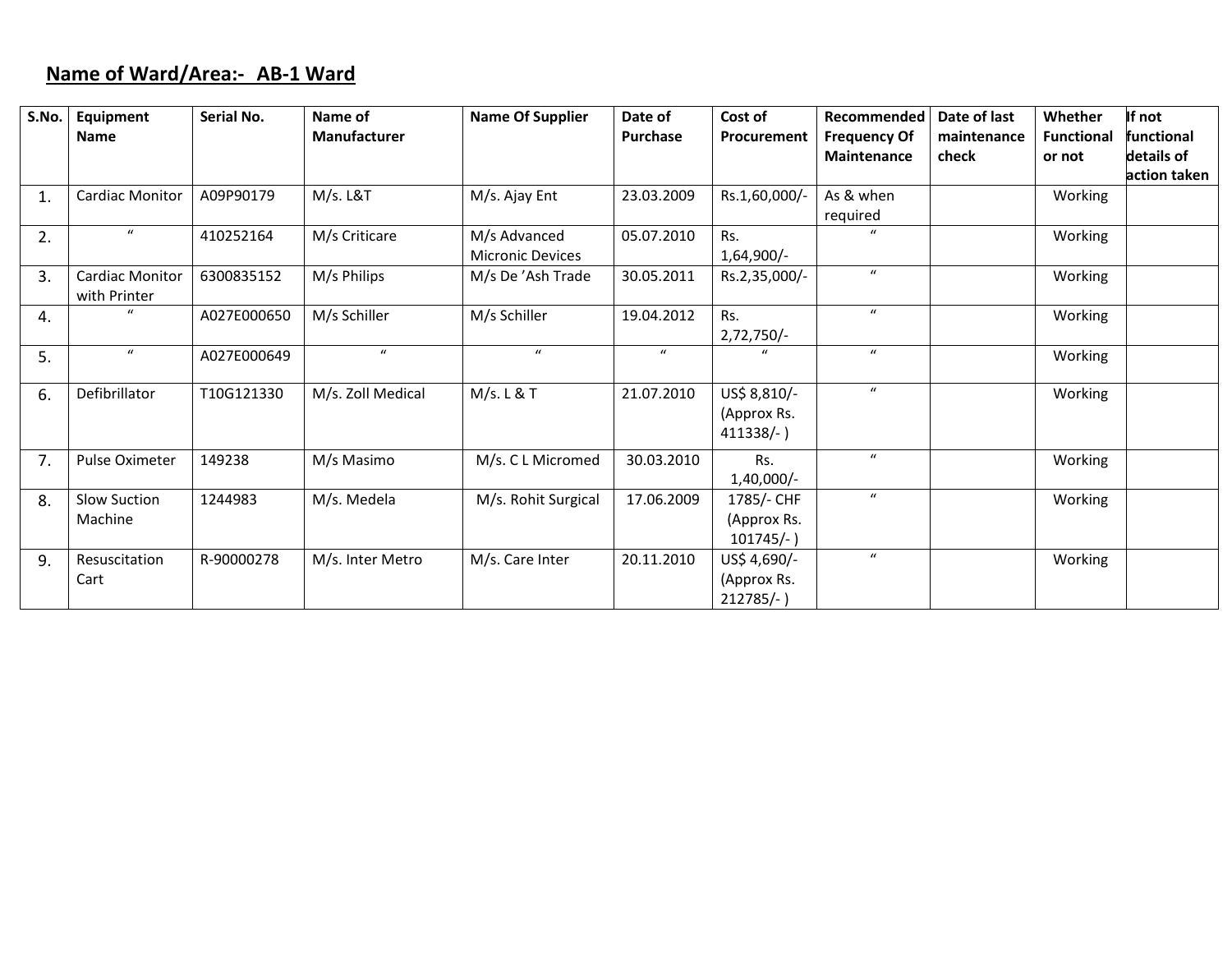## **Name of Ward/Area:‐ AB‐1 Ward**

| S.No. | Equipment              | Serial No.  | Name of           | <b>Name Of Supplier</b> | Date of          | Cost of       | Recommended         | Date of last | Whether           | If not       |
|-------|------------------------|-------------|-------------------|-------------------------|------------------|---------------|---------------------|--------------|-------------------|--------------|
|       | <b>Name</b>            |             | Manufacturer      |                         | Purchase         | Procurement   | <b>Frequency Of</b> | maintenance  | <b>Functional</b> | functional   |
|       |                        |             |                   |                         |                  |               | <b>Maintenance</b>  | check        | or not            | details of   |
|       |                        |             |                   |                         |                  |               |                     |              |                   | action taken |
| 1.    | Cardiac Monitor        | A09P90179   | M/s. L&T          | M/s. Ajay Ent           | 23.03.2009       | Rs.1,60,000/- | As & when           |              | Working           |              |
|       |                        |             |                   |                         |                  |               | required            |              |                   |              |
| 2.    | $\boldsymbol{u}$       | 410252164   | M/s Criticare     | M/s Advanced            | 05.07.2010       | Rs.           | $\overline{ }$      |              | Working           |              |
|       |                        |             |                   | <b>Micronic Devices</b> |                  | $1,64,900/-$  |                     |              |                   |              |
| 3.    | <b>Cardiac Monitor</b> | 6300835152  | M/s Philips       | M/s De 'Ash Trade       | 30.05.2011       | Rs.2,35,000/- | $\boldsymbol{u}$    |              | Working           |              |
|       | with Printer           |             |                   |                         |                  |               |                     |              |                   |              |
| 4.    |                        | A027E000650 | M/s Schiller      | M/s Schiller            | 19.04.2012       | Rs.           | $\boldsymbol{u}$    |              | Working           |              |
|       |                        |             |                   |                         |                  | $2,72,750/-$  |                     |              |                   |              |
| 5.    | $\boldsymbol{u}$       | A027E000649 | $\boldsymbol{u}$  | $\boldsymbol{u}$        | $\boldsymbol{u}$ |               | $\boldsymbol{u}$    |              | Working           |              |
|       |                        |             |                   |                         |                  |               |                     |              |                   |              |
| 6.    | Defibrillator          | T10G121330  | M/s. Zoll Medical | M/s. L & T              | 21.07.2010       | US\$ 8,810/-  | $\boldsymbol{u}$    |              | Working           |              |
|       |                        |             |                   |                         |                  | (Approx Rs.   |                     |              |                   |              |
|       |                        |             |                   |                         |                  | $411338/-$ )  |                     |              |                   |              |
| 7.    | Pulse Oximeter         | 149238      | M/s Masimo        | M/s. C L Micromed       | 30.03.2010       | Rs.           | $\boldsymbol{u}$    |              | Working           |              |
|       |                        |             |                   |                         |                  | $1,40,000/-$  |                     |              |                   |              |
| 8.    | Slow Suction           | 1244983     | M/s. Medela       | M/s. Rohit Surgical     | 17.06.2009       | 1785/- CHF    | $\boldsymbol{u}$    |              | Working           |              |
|       | Machine                |             |                   |                         |                  | (Approx Rs.   |                     |              |                   |              |
|       |                        |             |                   |                         |                  | $101745/-$ )  |                     |              |                   |              |
| 9.    | Resuscitation          | R-90000278  | M/s. Inter Metro  | M/s. Care Inter         | 20.11.2010       | US\$ 4,690/-  | $\boldsymbol{u}$    |              | Working           |              |
|       | Cart                   |             |                   |                         |                  | (Approx Rs.   |                     |              |                   |              |
|       |                        |             |                   |                         |                  | $212785/-$ )  |                     |              |                   |              |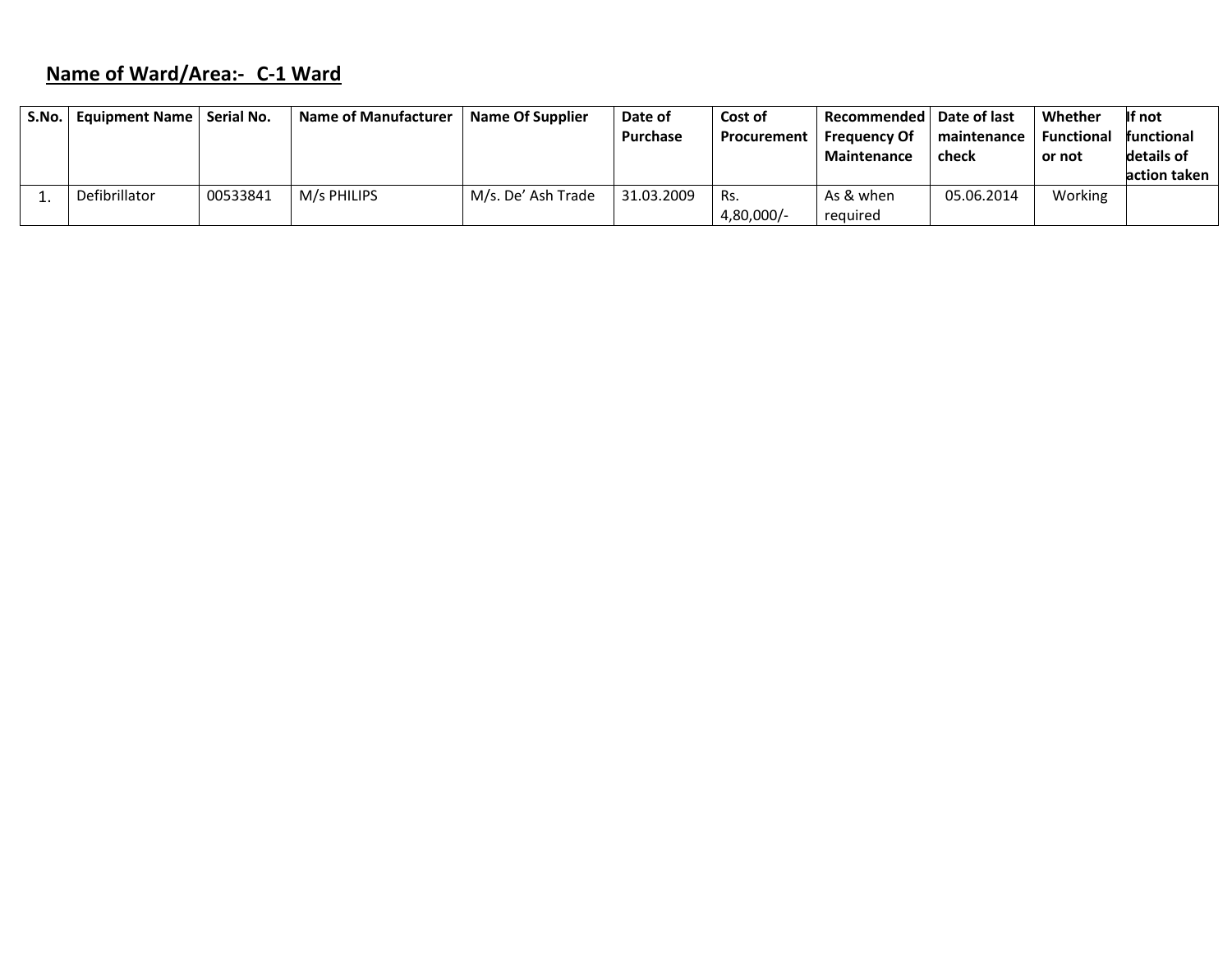# **Name of Ward/Area:‐ C‐1 Ward**

| S.No. | Equipment Name   Serial No. |          | <b>Name of Manufacturer</b> | Name Of Supplier   | Date of    | Cost of      | Recommended   Date of last |             | Whether           | If not       |
|-------|-----------------------------|----------|-----------------------------|--------------------|------------|--------------|----------------------------|-------------|-------------------|--------------|
|       |                             |          |                             |                    | Purchase   | Procurement  | <b>Frequency Of</b>        | maintenance | <b>Functional</b> | functional   |
|       |                             |          |                             |                    |            |              | <b>Maintenance</b>         | check       | or not            | details of   |
|       |                             |          |                             |                    |            |              |                            |             |                   | action taken |
|       | Defibrillator               | 00533841 | M/s PHILIPS                 | M/s. De' Ash Trade | 31.03.2009 | Rs.          | As & when                  | 05.06.2014  | Working           |              |
|       |                             |          |                             |                    |            | $4,80,000/-$ | required                   |             |                   |              |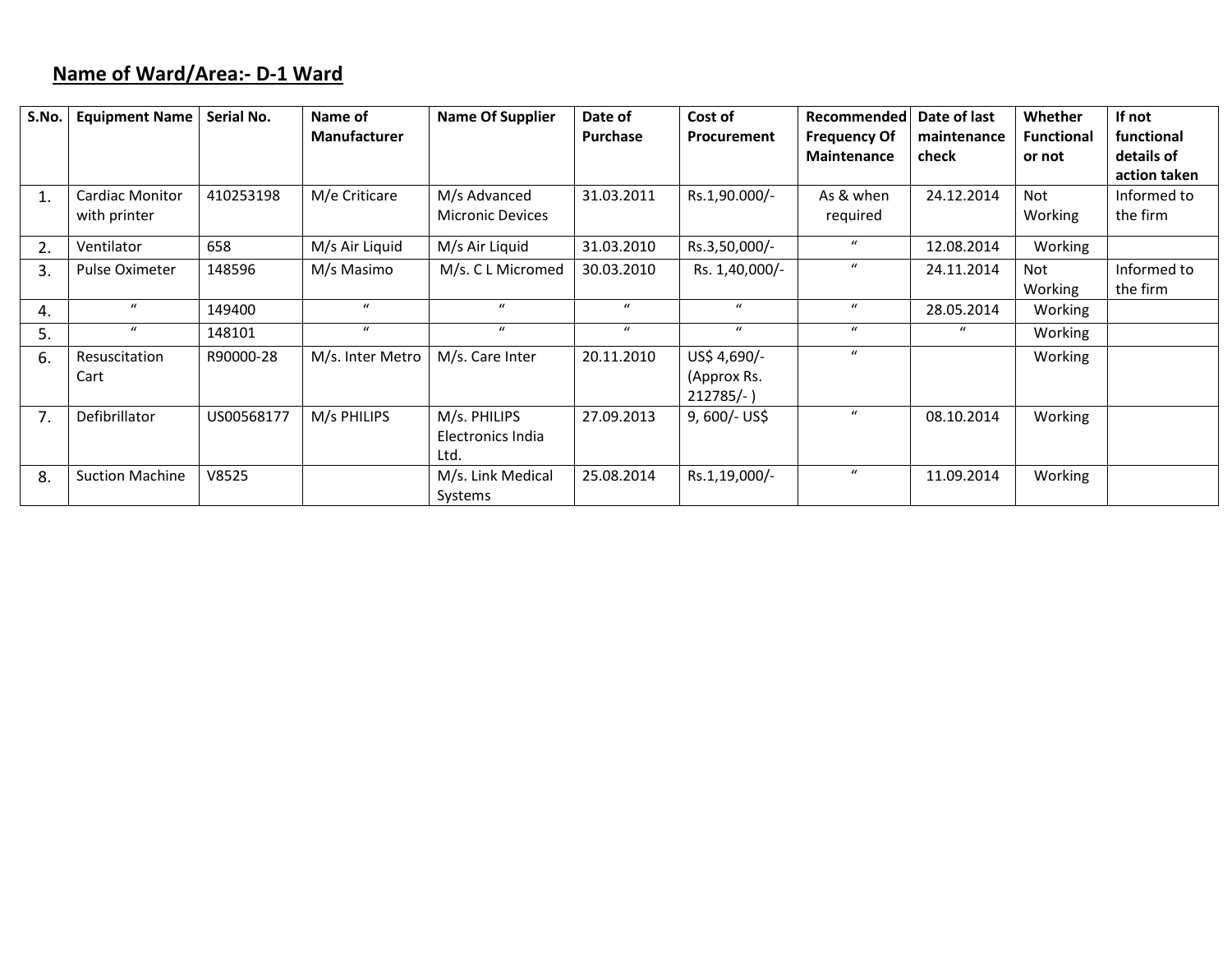# **Name of Ward/Area:‐ D‐1 Ward**

| S.No. | <b>Equipment Name</b>                  | Serial No. | Name of<br><b>Manufacturer</b> | <b>Name Of Supplier</b>                   | Date of<br><b>Purchase</b> | Cost of<br>Procurement                    | Recommended<br><b>Frequency Of</b> | Date of last<br>maintenance | <b>Whether</b><br><b>Functional</b> | If not<br>functional       |
|-------|----------------------------------------|------------|--------------------------------|-------------------------------------------|----------------------------|-------------------------------------------|------------------------------------|-----------------------------|-------------------------------------|----------------------------|
|       |                                        |            |                                |                                           |                            |                                           | <b>Maintenance</b>                 | check                       | or not                              | details of<br>action taken |
| 1.    | <b>Cardiac Monitor</b><br>with printer | 410253198  | M/e Criticare                  | M/s Advanced<br><b>Micronic Devices</b>   | 31.03.2011                 | Rs.1,90.000/-                             | As & when<br>required              | 24.12.2014                  | <b>Not</b><br>Working               | Informed to<br>the firm    |
| 2.    | Ventilator                             | 658        | M/s Air Liquid                 | M/s Air Liquid                            | 31.03.2010                 | Rs.3,50,000/-                             | $\boldsymbol{u}$                   | 12.08.2014                  | Working                             |                            |
| 3.    | Pulse Oximeter                         | 148596     | M/s Masimo                     | M/s. C L Micromed                         | 30.03.2010                 | Rs. 1,40,000/-                            | $\boldsymbol{u}$                   | 24.11.2014                  | <b>Not</b><br>Working               | Informed to<br>the firm    |
| 4.    | $\mathbf{u}$                           | 149400     | $\mathbf{u}$                   | $\mathbf{u}$                              | $\alpha$                   | $\mathbf{u}$                              | $\mathbf{u}$                       | 28.05.2014                  | Working                             |                            |
| 5.    | $\boldsymbol{u}$                       | 148101     | $\boldsymbol{u}$               | $\boldsymbol{u}$                          | $\mathbf{u}$               | $\mathbf{u}$                              | $\boldsymbol{u}$                   | $\bf{u}$                    | Working                             |                            |
| 6.    | Resuscitation<br>Cart                  | R90000-28  | M/s. Inter Metro               | M/s. Care Inter                           | 20.11.2010                 | US\$ 4,690/-<br>(Approx Rs.<br>$212785/-$ | $\boldsymbol{u}$                   |                             | Working                             |                            |
| 7.    | Defibrillator                          | US00568177 | M/s PHILIPS                    | M/s. PHILIPS<br>Electronics India<br>Ltd. | 27.09.2013                 | $9,600/-$ US\$                            | $\mathbf u$                        | 08.10.2014                  | Working                             |                            |
| 8.    | <b>Suction Machine</b>                 | V8525      |                                | M/s. Link Medical<br>Systems              | 25.08.2014                 | Rs.1,19,000/-                             | $\boldsymbol{u}$                   | 11.09.2014                  | Working                             |                            |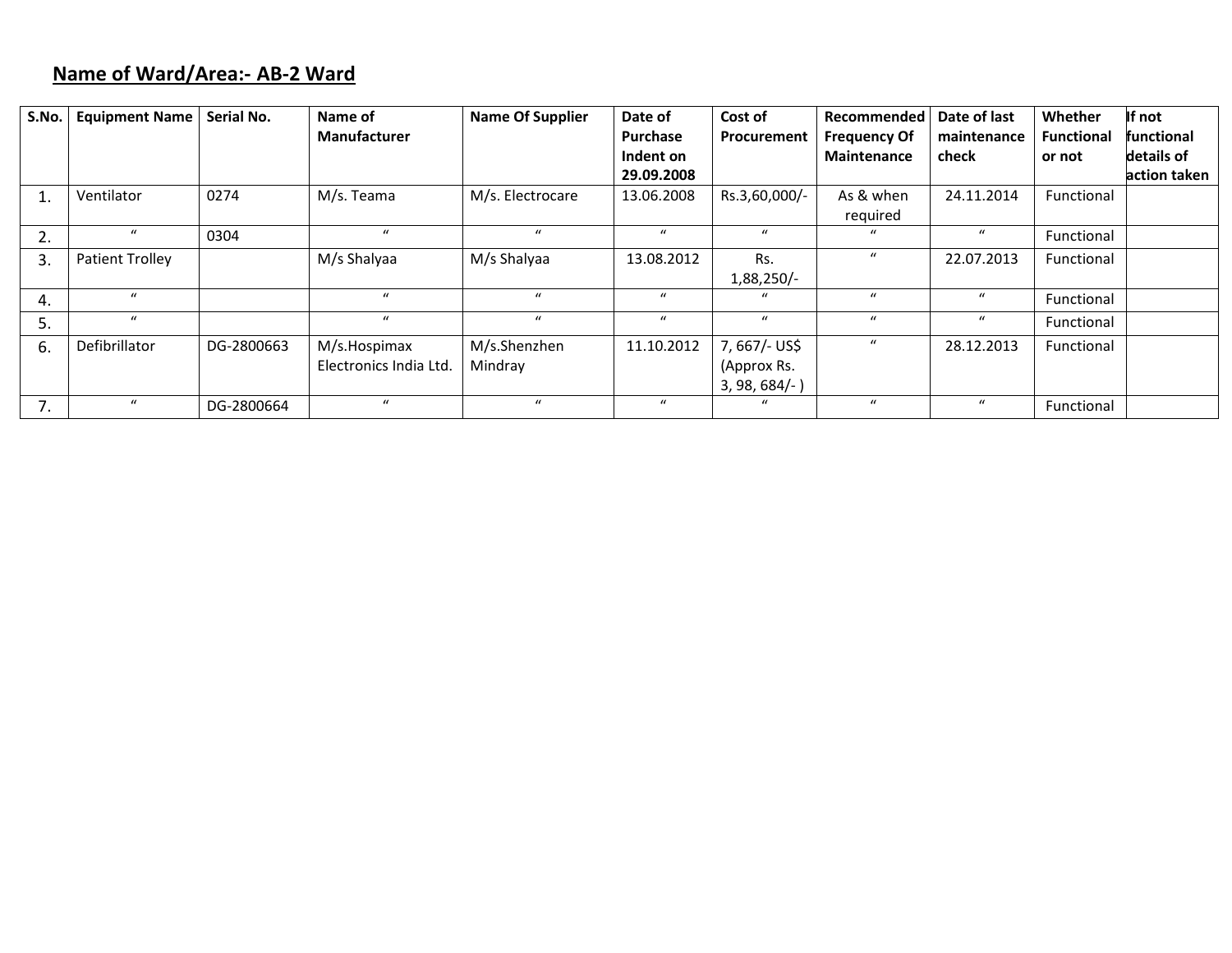## **Name of Ward/Area:‐ AB‐2 Ward**

| S.No. | <b>Equipment Name</b> | Serial No. | Name of                | <b>Name Of Supplier</b> | Date of          | Cost of          | Recommended         | Date of last     | Whether           | If not       |
|-------|-----------------------|------------|------------------------|-------------------------|------------------|------------------|---------------------|------------------|-------------------|--------------|
|       |                       |            | Manufacturer           |                         | Purchase         | Procurement      | <b>Frequency Of</b> | maintenance      | <b>Functional</b> | functional   |
|       |                       |            |                        |                         | Indent on        |                  | <b>Maintenance</b>  | check            | or not            | details of   |
|       |                       |            |                        |                         | 29.09.2008       |                  |                     |                  |                   | action taken |
|       | Ventilator            | 0274       | M/s. Teama             | M/s. Electrocare        | 13.06.2008       | Rs.3,60,000/-    | As & when           | 24.11.2014       | Functional        |              |
|       |                       |            |                        |                         |                  |                  | required            |                  |                   |              |
| 2.    | $\mathbf{u}$          | 0304       | $\mathbf{u}$           | $\mathbf{u}$            | $\boldsymbol{u}$ | $\boldsymbol{u}$ | $\mathbf{u}$        | $\boldsymbol{u}$ | Functional        |              |
| 3.    | Patient Trolley       |            | M/s Shalyaa            | M/s Shalyaa             | 13.08.2012       | Rs.              | $\boldsymbol{u}$    | 22.07.2013       | Functional        |              |
|       |                       |            |                        |                         |                  | $1,88,250/-$     |                     |                  |                   |              |
| 4.    | $\mathbf{u}$          |            | $\mu$                  | $\mathbf{u}$            | $\mathbf{u}$     | $\bf{u}$         | $\boldsymbol{u}$    | $\mathbf u$      | Functional        |              |
| 5.    | $\mathbf{u}$          |            | $\mathbf{u}$           | $\boldsymbol{u}$        | $\boldsymbol{u}$ | $\boldsymbol{u}$ | $\mathbf{u}$        | $\mathbf{u}$     | Functional        |              |
| -6.   | Defibrillator         | DG-2800663 | M/s.Hospimax           | M/s.Shenzhen            | 11.10.2012       | 7, 667/- US\$    | $\boldsymbol{u}$    | 28.12.2013       | Functional        |              |
|       |                       |            | Electronics India Ltd. | Mindray                 |                  | (Approx Rs.      |                     |                  |                   |              |
|       |                       |            |                        |                         |                  | $3, 98, 684/-$   |                     |                  |                   |              |
| 7.    | $\boldsymbol{u}$      | DG-2800664 | $\mathbf{u}$           | $\mathbf{u}$            | $\boldsymbol{u}$ | $\boldsymbol{u}$ | $\mathbf{u}$        | $\mathbf{u}$     | Functional        |              |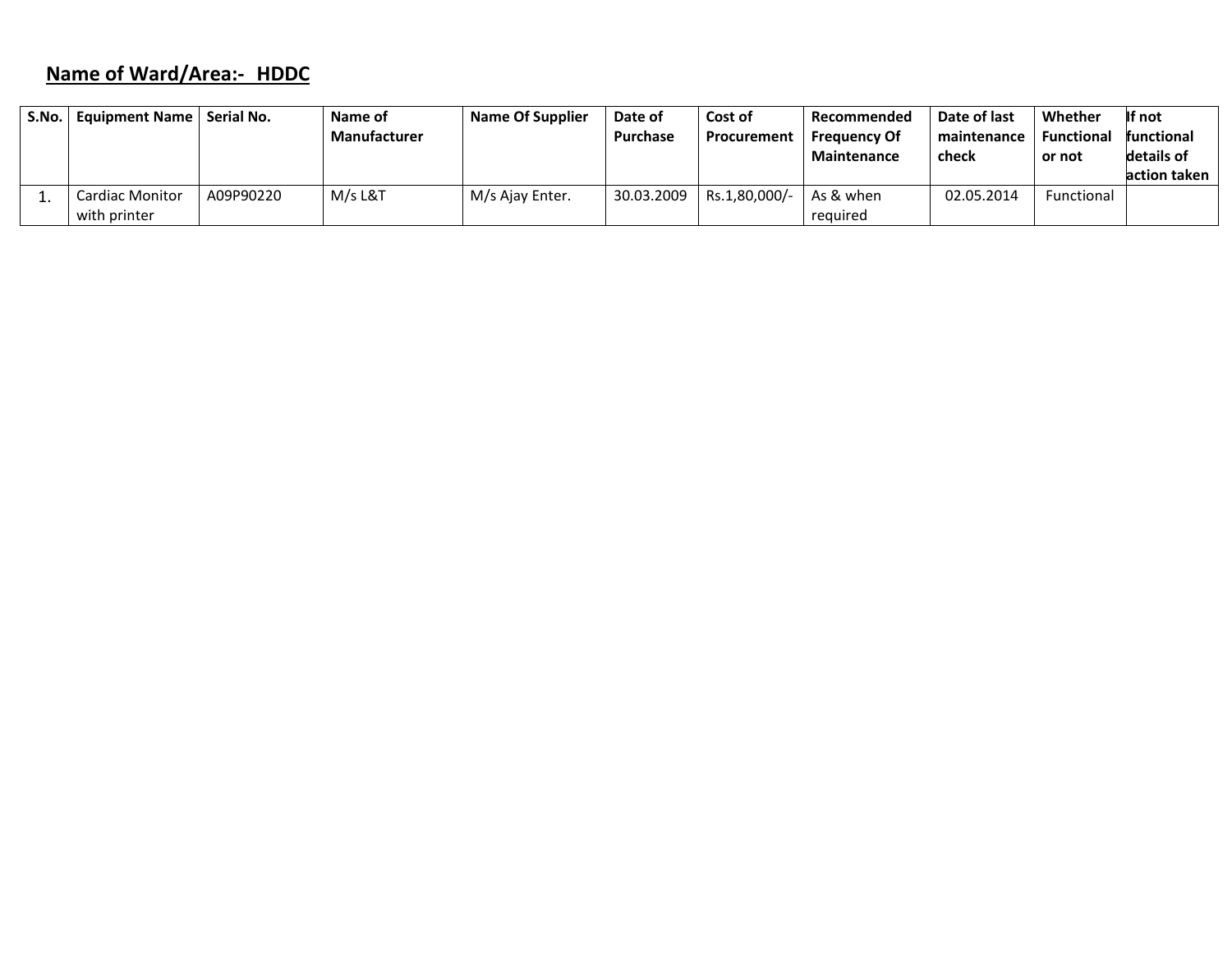# **Name of Ward/Area:‐ HDDC**

| S.No. l | Equipment Name   Serial No. |           | Name of<br><b>Manufacturer</b> | <b>Name Of Supplier</b> | Date of<br><b>Purchase</b> | Cost of<br>Procurement | Recommended<br><b>Frequency Of</b> | Date of last<br>maintenance | Whether<br><b>Functional</b> | If not<br>functional |
|---------|-----------------------------|-----------|--------------------------------|-------------------------|----------------------------|------------------------|------------------------------------|-----------------------------|------------------------------|----------------------|
|         |                             |           |                                |                         |                            |                        | <b>Maintenance</b>                 | check                       | or not                       | details of           |
|         |                             |           |                                |                         |                            |                        |                                    |                             |                              | action taken         |
|         | Cardiac Monitor             | A09P90220 | M/s L&T                        | M/s Ajay Enter.         | 30.03.2009                 | Rs.1,80,000/-          | As & when                          | 02.05.2014                  | Functional                   |                      |
|         | with printer                |           |                                |                         |                            |                        | reguired                           |                             |                              |                      |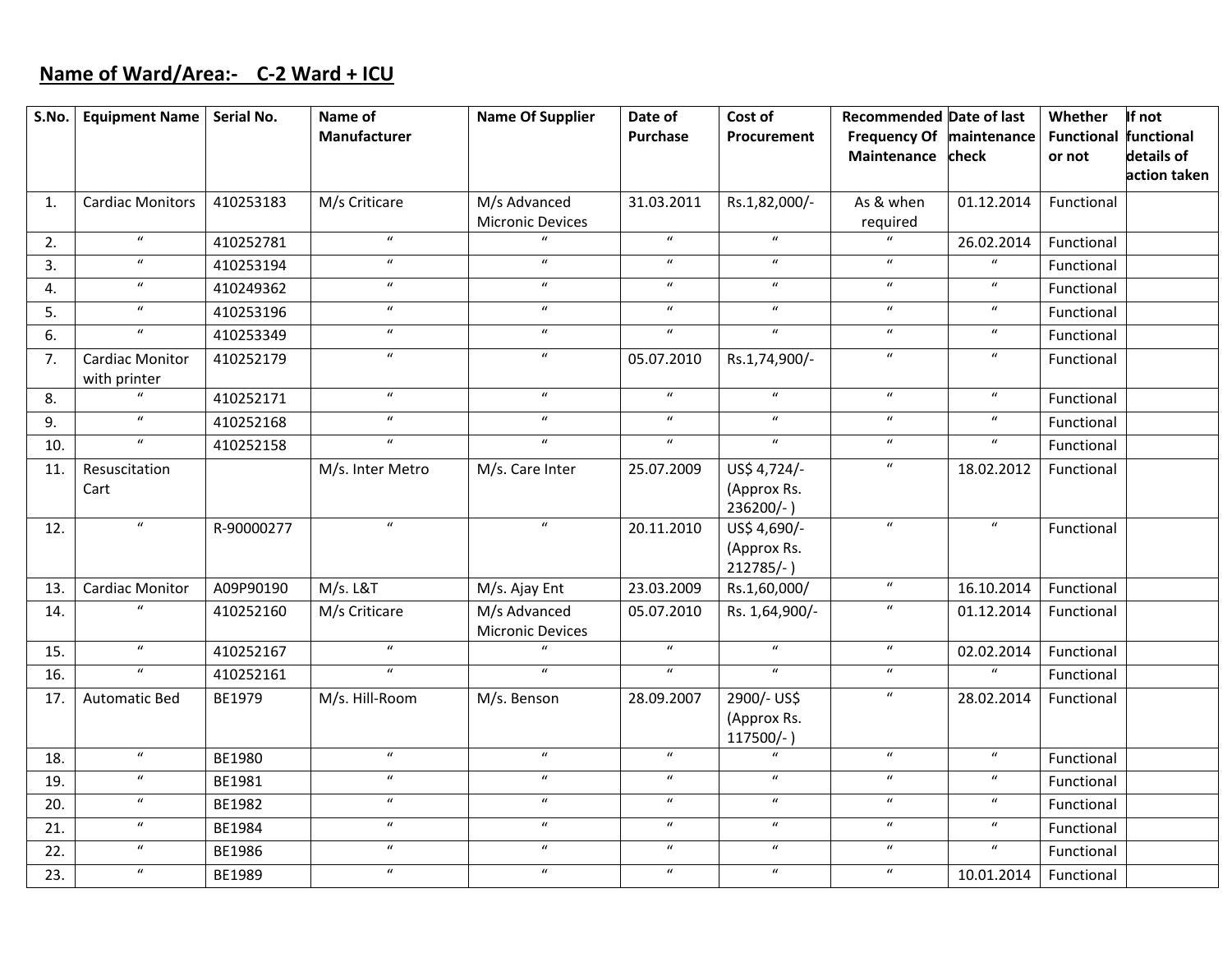## **Name of Ward/Area:‐ C‐2 Ward <sup>+</sup> ICU**

| S.No. | Equipment Name   Serial No.            |            | Name of<br>Manufacturer    | <b>Name Of Supplier</b>                 | Date of<br><b>Purchase</b> | Cost of<br>Procurement                      | <b>Recommended Date of last</b><br>Frequency Of maintenance |                            | Whether<br><b>Functional functional</b> | If not       |
|-------|----------------------------------------|------------|----------------------------|-----------------------------------------|----------------------------|---------------------------------------------|-------------------------------------------------------------|----------------------------|-----------------------------------------|--------------|
|       |                                        |            |                            |                                         |                            |                                             | Maintenance check                                           |                            | or not                                  | details of   |
|       |                                        |            |                            |                                         |                            |                                             |                                                             |                            |                                         | action taken |
| 1.    | <b>Cardiac Monitors</b>                | 410253183  | M/s Criticare              | M/s Advanced                            | 31.03.2011                 | Rs.1,82,000/-                               | As & when                                                   | 01.12.2014                 | Functional                              |              |
|       |                                        |            |                            | Micronic Devices                        |                            |                                             | required                                                    |                            |                                         |              |
| 2.    | $\boldsymbol{u}$                       | 410252781  | $\boldsymbol{u}$           |                                         | $\boldsymbol{u}$           | $\boldsymbol{u}$                            | $\boldsymbol{u}$                                            | 26.02.2014                 | Functional                              |              |
| 3.    | $\boldsymbol{u}$                       | 410253194  | $\boldsymbol{u}$           | $\boldsymbol{u}$                        | $\boldsymbol{u}$           | $\boldsymbol{u}$                            | $\boldsymbol{u}$                                            | $\boldsymbol{u}$           | Functional                              |              |
| 4.    | $\boldsymbol{u}$                       | 410249362  | $\boldsymbol{u}$           | $\boldsymbol{u}$                        | $\boldsymbol{u}$           | $\boldsymbol{u}$                            | $\boldsymbol{u}$                                            | $\boldsymbol{u}$           | Functional                              |              |
| 5.    | $\boldsymbol{u}$                       | 410253196  | $\boldsymbol{\mathcal{U}}$ | $\boldsymbol{u}$                        | $\boldsymbol{u}$           | $\boldsymbol{u}$                            | $\boldsymbol{u}$                                            | $\boldsymbol{\mathcal{U}}$ | Functional                              |              |
| 6.    | $\boldsymbol{u}$                       | 410253349  | $\boldsymbol{u}$           | $\boldsymbol{u}$                        | $\boldsymbol{u}$           | $\boldsymbol{u}$                            | $\boldsymbol{u}$                                            | $\boldsymbol{u}$           | Functional                              |              |
| 7.    | <b>Cardiac Monitor</b><br>with printer | 410252179  | $\boldsymbol{u}$           | $\boldsymbol{u}$                        | 05.07.2010                 | Rs.1,74,900/-                               | $\boldsymbol{u}$                                            | $\boldsymbol{u}$           | Functional                              |              |
| 8.    | $\overline{u}$                         | 410252171  | $\overline{u}$             | $\overline{u}$                          | $\overline{u}$             | $\overline{u}$                              | $\overline{u}$                                              | $\boldsymbol{u}$           | Functional                              |              |
| 9.    | $\overline{u}$                         | 410252168  | $\overline{u}$             | $\overline{u}$                          | $\overline{u}$             | $\overline{u}$                              | $\boldsymbol{u}$                                            | $\boldsymbol{u}$           | Functional                              |              |
| 10.   | $\boldsymbol{u}$                       | 410252158  | $\boldsymbol{u}$           | $\boldsymbol{u}$                        | $\boldsymbol{u}$           | $\boldsymbol{u}$                            | $\boldsymbol{u}$                                            | $\boldsymbol{\mathcal{U}}$ | Functional                              |              |
| 11.   | Resuscitation<br>Cart                  |            | M/s. Inter Metro           | M/s. Care Inter                         | 25.07.2009                 | US\$ 4,724/-<br>(Approx Rs.<br>$236200/-$ ) | $\boldsymbol{u}$                                            | 18.02.2012                 | Functional                              |              |
| 12.   | $\boldsymbol{u}$                       | R-90000277 | $\boldsymbol{\mathcal{U}}$ | $\boldsymbol{u}$                        | 20.11.2010                 | US\$ 4,690/-<br>(Approx Rs.<br>$212785/-$ ) | $\boldsymbol{u}$                                            | $\boldsymbol{u}$           | Functional                              |              |
| 13.   | <b>Cardiac Monitor</b>                 | A09P90190  | M/s. L&T                   | M/s. Ajay Ent                           | 23.03.2009                 | Rs.1,60,000/                                | $\boldsymbol{u}$                                            | 16.10.2014                 | Functional                              |              |
| 14.   | $\boldsymbol{u}$                       | 410252160  | M/s Criticare              | M/s Advanced<br><b>Micronic Devices</b> | 05.07.2010                 | Rs. 1,64,900/-                              | $\boldsymbol{u}$                                            | 01.12.2014                 | Functional                              |              |
| 15.   | $\boldsymbol{u}$                       | 410252167  | $\boldsymbol{u}$           |                                         | $\boldsymbol{u}$           | $\boldsymbol{u}$                            | $\boldsymbol{u}$                                            | 02.02.2014                 | Functional                              |              |
| 16.   | $\boldsymbol{u}$                       | 410252161  | $\boldsymbol{u}$           | $\boldsymbol{u}$                        | $\boldsymbol{u}$           | $\boldsymbol{u}$                            | $\boldsymbol{u}$                                            | $\boldsymbol{u}$           | Functional                              |              |
| 17.   | <b>Automatic Bed</b>                   | BE1979     | M/s. Hill-Room             | M/s. Benson                             | 28.09.2007                 | 2900/- US\$<br>(Approx Rs.<br>$117500/-$    | $\boldsymbol{u}$                                            | 28.02.2014                 | Functional                              |              |
| 18.   | $\boldsymbol{u}$                       | BE1980     | $\boldsymbol{u}$           | $\boldsymbol{u}$                        | $\boldsymbol{u}$           | $\boldsymbol{u}$                            | $\boldsymbol{u}$                                            | $\boldsymbol{u}$           | Functional                              |              |
| 19.   | $\boldsymbol{u}$                       | BE1981     | $\boldsymbol{u}$           | $\boldsymbol{u}$                        | $\boldsymbol{u}$           | $\boldsymbol{u}$                            | $\boldsymbol{u}$                                            | $\boldsymbol{u}$           | Functional                              |              |
| 20.   | $\boldsymbol{u}$                       | BE1982     | $\boldsymbol{u}$           | $\boldsymbol{u}$                        | $\boldsymbol{u}$           | $\boldsymbol{u}$                            | $\boldsymbol{u}$                                            | $\boldsymbol{u}$           | Functional                              |              |
| 21.   | $\boldsymbol{u}$                       | BE1984     | $\boldsymbol{u}$           | $\boldsymbol{u}$                        | $\boldsymbol{u}$           | $\boldsymbol{u}$                            | $\boldsymbol{u}$                                            | $\boldsymbol{u}$           | Functional                              |              |
| 22.   | $\boldsymbol{u}$                       | BE1986     | $\boldsymbol{u}$           | $\boldsymbol{u}$                        | $\boldsymbol{u}$           | $\boldsymbol{u}$                            | $\boldsymbol{u}$                                            | $\boldsymbol{u}$           | Functional                              |              |
| 23.   | $\boldsymbol{u}$                       | BE1989     | $\boldsymbol{u}$           | $\boldsymbol{u}$                        | $\boldsymbol{u}$           | $\boldsymbol{u}$                            | $\boldsymbol{u}$                                            | 10.01.2014                 | Functional                              |              |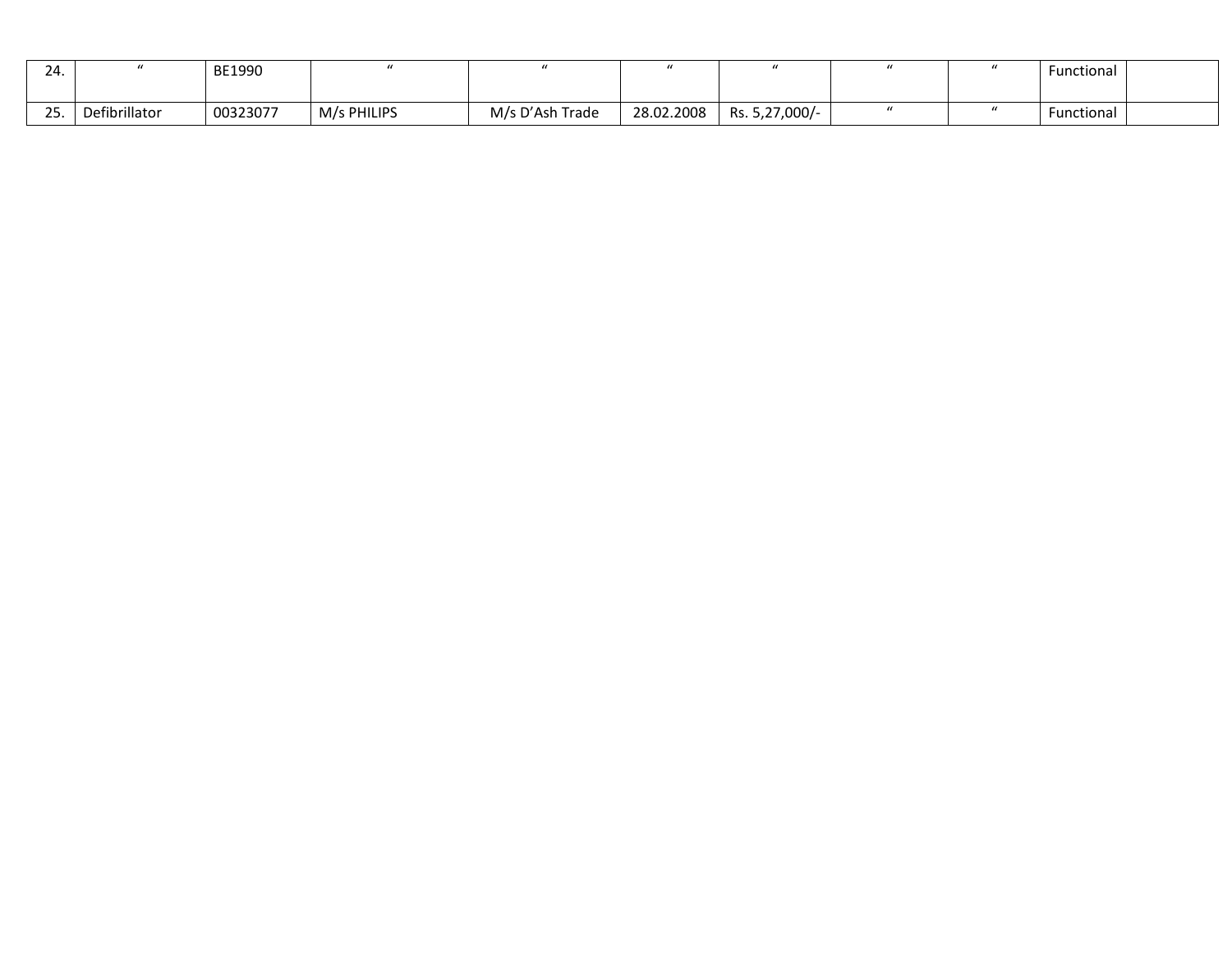| 24.                   |               | BE1990   |             |                 |            |                |  | Functional |  |
|-----------------------|---------------|----------|-------------|-----------------|------------|----------------|--|------------|--|
| $\sim$ $\sim$<br>، پے | Defibrillator | 00323077 | M/s PHILIPS | M/s D'Ash Trade | 28.02.2008 | Rs. 5,27,000/- |  | Functional |  |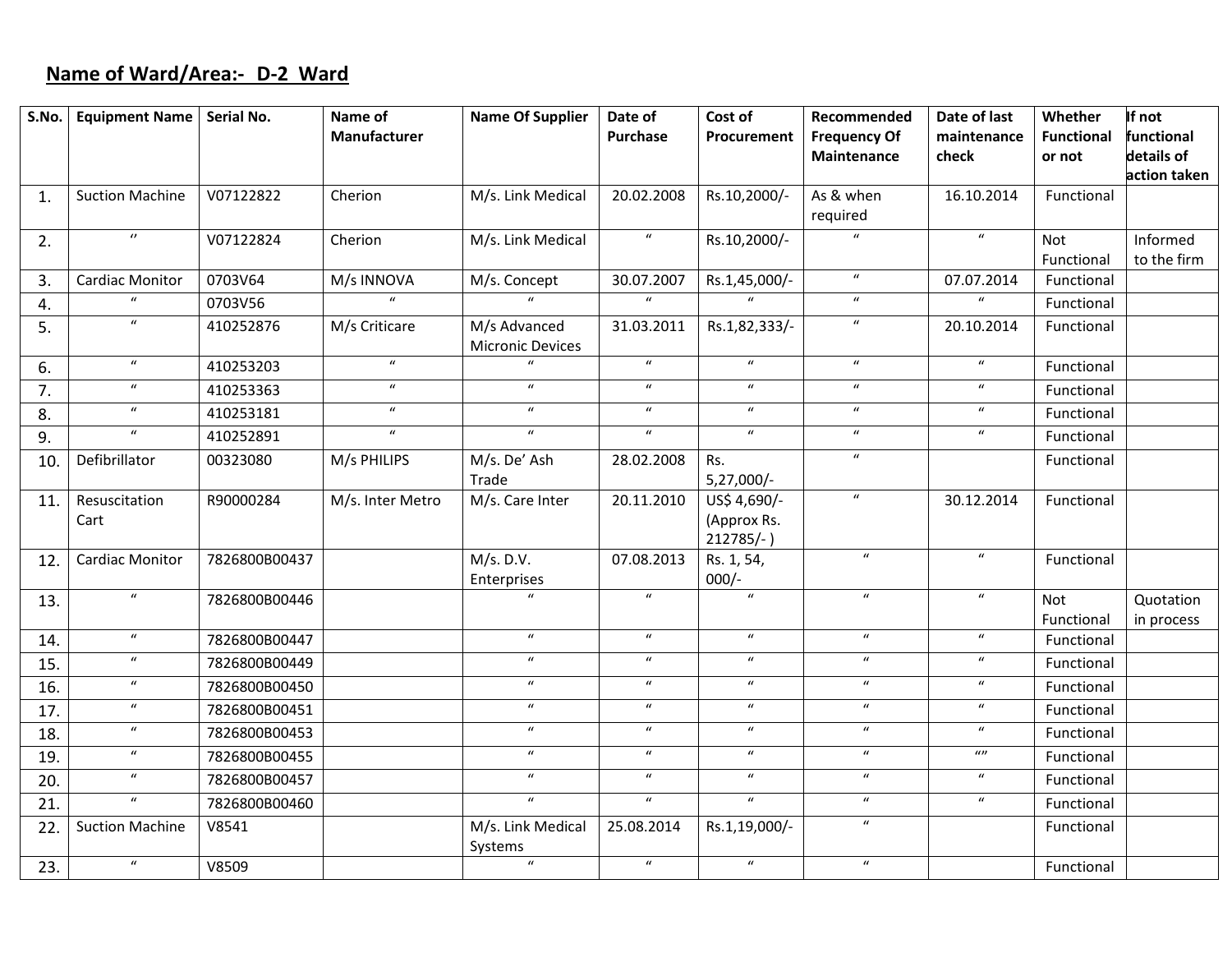# **Name of Ward/Area:‐ D‐2 Ward**

| S.No.          | <b>Equipment Name</b>  | Serial No.    | Name of             | <b>Name Of Supplier</b>                 | Date of          | Cost of                     | Recommended                  | Date of last     | Whether                  | If not       |
|----------------|------------------------|---------------|---------------------|-----------------------------------------|------------------|-----------------------------|------------------------------|------------------|--------------------------|--------------|
|                |                        |               | <b>Manufacturer</b> |                                         | <b>Purchase</b>  | Procurement                 | <b>Frequency Of</b>          | maintenance      | <b>Functional</b>        | functional   |
|                |                        |               |                     |                                         |                  |                             | Maintenance                  | check            | or not                   | details of   |
|                |                        |               |                     |                                         |                  |                             |                              |                  |                          | action taken |
| $\mathbf{1}$ . | <b>Suction Machine</b> | V07122822     | Cherion             | M/s. Link Medical                       | 20.02.2008       | Rs.10,2000/-                | As & when                    | 16.10.2014       | Functional               |              |
|                | $\boldsymbol{\theta}$  |               |                     |                                         | $\boldsymbol{u}$ |                             | required<br>$\boldsymbol{u}$ | $\boldsymbol{u}$ |                          |              |
| 2.             |                        | V07122824     | Cherion             | M/s. Link Medical                       |                  | Rs.10,2000/-                |                              |                  | Not                      | Informed     |
|                | Cardiac Monitor        | 0703V64       | M/s INNOVA          | M/s. Concept                            | 30.07.2007       | Rs.1,45,000/-               | $\boldsymbol{u}$             | 07.07.2014       | Functional<br>Functional | to the firm  |
| 3.             | $\mathbf{u}$           | 0703V56       | $\overline{u}$      | $\mathbf{u}$                            | $\boldsymbol{u}$ | $\mathbf{u}$                | $\boldsymbol{u}$             | $\boldsymbol{u}$ | Functional               |              |
| 4.             | $\boldsymbol{u}$       |               |                     |                                         |                  |                             | $\boldsymbol{u}$             |                  |                          |              |
| 5.             |                        | 410252876     | M/s Criticare       | M/s Advanced<br><b>Micronic Devices</b> | 31.03.2011       | Rs.1,82,333/-               |                              | 20.10.2014       | Functional               |              |
| 6.             | $\boldsymbol{u}$       | 410253203     | $\boldsymbol{u}$    |                                         | $\boldsymbol{u}$ | $\boldsymbol{u}$            | $\boldsymbol{u}$             | $\boldsymbol{u}$ | Functional               |              |
|                | $\boldsymbol{u}$       | 410253363     | $\boldsymbol{u}$    | $\boldsymbol{u}$                        | $\boldsymbol{u}$ | $\boldsymbol{u}$            | $\boldsymbol{u}$             | $\boldsymbol{u}$ | Functional               |              |
| 7.             | $\boldsymbol{u}$       |               | $\boldsymbol{u}$    | $\boldsymbol{u}$                        | $\boldsymbol{u}$ | $\boldsymbol{u}$            | $\boldsymbol{u}$             | $\boldsymbol{u}$ |                          |              |
| 8.             | $\overline{u}$         | 410253181     | $\overline{u}$      | $\boldsymbol{u}$                        | $\overline{u}$   | $\overline{u}$              | $\boldsymbol{u}$             | $\boldsymbol{u}$ | Functional               |              |
| 9.             |                        | 410252891     |                     |                                         |                  |                             |                              |                  | Functional               |              |
| 10.            | Defibrillator          | 00323080      | M/s PHILIPS         | M/s. De' Ash                            | 28.02.2008       | Rs.                         | $\boldsymbol{u}$             |                  | Functional               |              |
|                |                        |               |                     | Trade                                   |                  | $5,27,000/-$                | $\boldsymbol{u}$             |                  |                          |              |
| 11.            | Resuscitation          | R90000284     | M/s. Inter Metro    | M/s. Care Inter                         | 20.11.2010       | US\$ 4,690/-                |                              | 30.12.2014       | Functional               |              |
|                | Cart                   |               |                     |                                         |                  | (Approx Rs.<br>$212785/-$ ) |                              |                  |                          |              |
| 12.            | Cardiac Monitor        | 7826800B00437 |                     | M/s. D.V.                               | 07.08.2013       | Rs. 1, 54,                  | $\boldsymbol{u}$             | $\boldsymbol{u}$ | Functional               |              |
|                |                        |               |                     | Enterprises                             |                  | $000/-$                     |                              |                  |                          |              |
| 13.            | $\boldsymbol{u}$       | 7826800B00446 |                     |                                         | $\overline{u}$   | $\overline{u}$              | $\boldsymbol{u}$             | $\boldsymbol{u}$ | <b>Not</b>               | Quotation    |
|                |                        |               |                     |                                         |                  |                             |                              |                  | Functional               | in process   |
| 14.            | $\boldsymbol{u}$       | 7826800B00447 |                     | $\boldsymbol{u}$                        | $\boldsymbol{u}$ | $\boldsymbol{u}$            | $\boldsymbol{\mathcal{U}}$   | $\boldsymbol{u}$ | Functional               |              |
| 15.            | $\boldsymbol{u}$       | 7826800B00449 |                     | $\boldsymbol{u}$                        | $\boldsymbol{u}$ | $\boldsymbol{u}$            | $\boldsymbol{u}$             | $\boldsymbol{u}$ | Functional               |              |
| 16.            | $\boldsymbol{u}$       | 7826800B00450 |                     | $\boldsymbol{u}$                        | $\boldsymbol{u}$ | $\boldsymbol{u}$            | $\boldsymbol{u}$             | $\boldsymbol{u}$ | Functional               |              |
| 17.            | $\boldsymbol{u}$       | 7826800B00451 |                     | $\boldsymbol{u}$                        | $\boldsymbol{u}$ | $\boldsymbol{u}$            | $\boldsymbol{u}$             | $\boldsymbol{u}$ | Functional               |              |
| 18.            | $\boldsymbol{u}$       | 7826800B00453 |                     | $\boldsymbol{u}$                        | $\boldsymbol{u}$ | $\boldsymbol{u}$            | $\boldsymbol{u}$             | $\boldsymbol{u}$ | Functional               |              |
| 19.            | $\boldsymbol{u}$       | 7826800B00455 |                     | $\boldsymbol{u}$                        | $\boldsymbol{u}$ | $\boldsymbol{u}$            | $\boldsymbol{u}$             | $\omega$         | Functional               |              |
| 20.            | $\boldsymbol{u}$       | 7826800B00457 |                     | $\boldsymbol{u}$                        | $\boldsymbol{u}$ | $\boldsymbol{u}$            | $\boldsymbol{u}$             | $\boldsymbol{u}$ | Functional               |              |
| 21.            | $\boldsymbol{u}$       | 7826800B00460 |                     | $\boldsymbol{u}$                        | $\boldsymbol{u}$ | $\boldsymbol{u}$            | $\boldsymbol{u}$             | $\boldsymbol{u}$ | Functional               |              |
| 22.            | <b>Suction Machine</b> | V8541         |                     | M/s. Link Medical                       | 25.08.2014       | Rs.1,19,000/-               | $\boldsymbol{u}$             |                  | Functional               |              |
|                |                        |               |                     | Systems                                 |                  |                             |                              |                  |                          |              |
| 23.            | $\boldsymbol{u}$       | V8509         |                     | $\boldsymbol{u}$                        | $\boldsymbol{u}$ | $\boldsymbol{u}$            | $\boldsymbol{u}$             |                  | Functional               |              |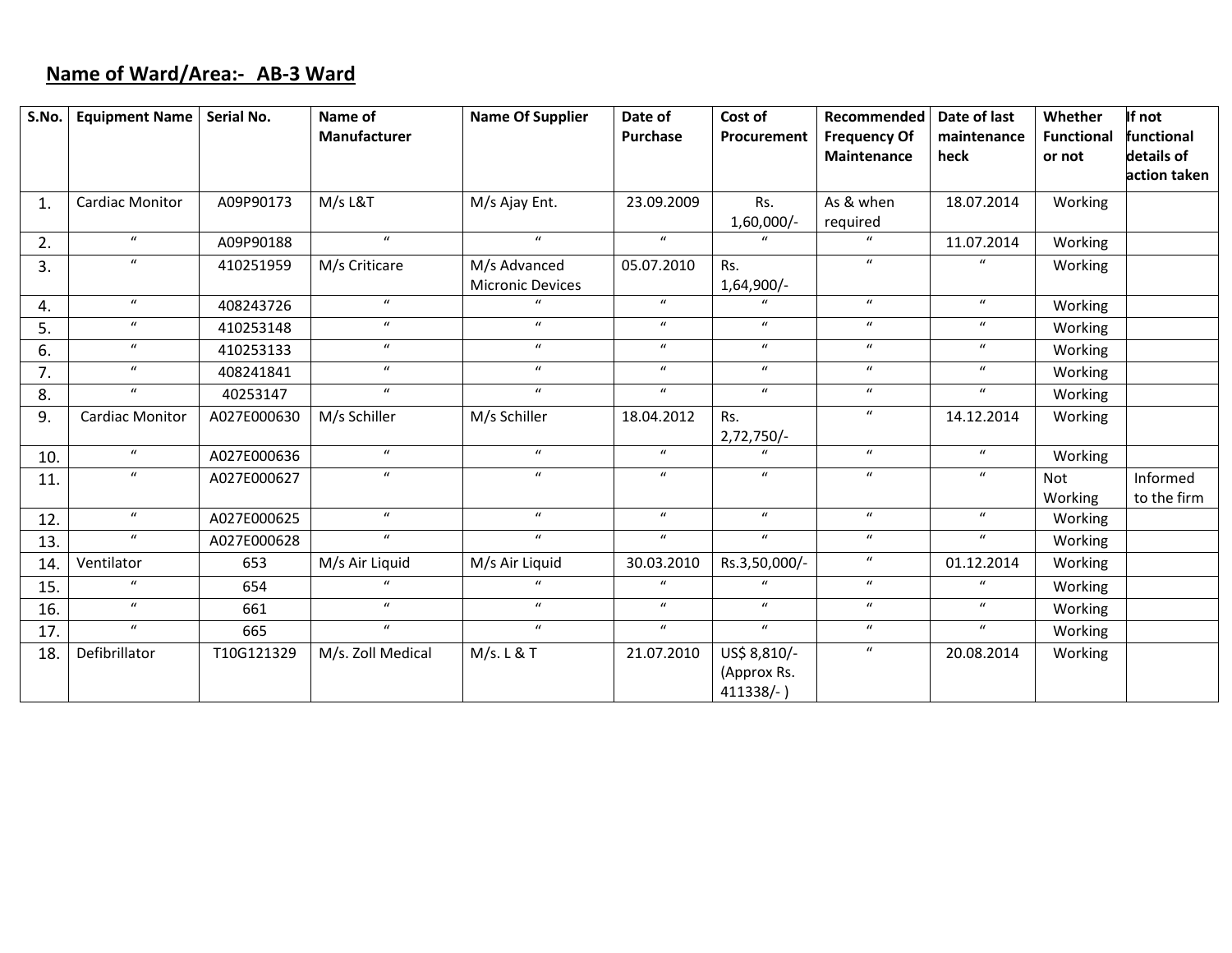## **Name of Ward/Area:‐ AB‐3 Ward**

| S.No. | <b>Equipment Name</b>  | Serial No.  | Name of<br>Manufacturer | <b>Name Of Supplier</b>          | Date of<br><b>Purchase</b> | Cost of<br>Procurement                   | Recommended<br><b>Frequency Of</b><br>Maintenance | Date of last<br>maintenance<br>heck | Whether<br><b>Functional</b><br>or not | If not<br>functional<br>details of |
|-------|------------------------|-------------|-------------------------|----------------------------------|----------------------------|------------------------------------------|---------------------------------------------------|-------------------------------------|----------------------------------------|------------------------------------|
|       |                        |             |                         |                                  |                            |                                          |                                                   |                                     |                                        | action taken                       |
| 1.    | <b>Cardiac Monitor</b> | A09P90173   | M/s L&T                 | M/s Ajay Ent.                    | 23.09.2009                 | Rs.<br>$1,60,000/-$                      | As & when<br>required                             | 18.07.2014                          | Working                                |                                    |
| 2.    | $\boldsymbol{u}$       | A09P90188   | $\mathbf{u}$            | $\boldsymbol{u}$                 | $\boldsymbol{u}$           |                                          | $\mathbf{u}$                                      | 11.07.2014                          | Working                                |                                    |
| 3.    | $\boldsymbol{u}$       | 410251959   | M/s Criticare           | M/s Advanced<br>Micronic Devices | 05.07.2010                 | Rs.<br>1,64,900/-                        | $\boldsymbol{u}$                                  | $\boldsymbol{u}$                    | Working                                |                                    |
| 4.    | $\boldsymbol{u}$       | 408243726   | $\overline{u}$          |                                  | $\boldsymbol{u}$           |                                          | $\overline{u}$                                    | $\boldsymbol{u}$                    | Working                                |                                    |
| 5.    | $\boldsymbol{u}$       | 410253148   | $\boldsymbol{u}$        | $\boldsymbol{u}$                 | $\boldsymbol{u}$           | $\boldsymbol{u}$                         | $\boldsymbol{u}$                                  | $\boldsymbol{u}$                    | Working                                |                                    |
| 6.    | $\boldsymbol{u}$       | 410253133   | $\boldsymbol{u}$        | $\boldsymbol{u}$                 | $\boldsymbol{u}$           | $\boldsymbol{u}$                         | $\boldsymbol{u}$                                  | $\boldsymbol{u}$                    | Working                                |                                    |
| 7.    | $\boldsymbol{u}$       | 408241841   | $\boldsymbol{u}$        | $\boldsymbol{u}$                 | $\mathbf{u}$               | $\boldsymbol{u}$                         | $\boldsymbol{u}$                                  | $\boldsymbol{u}$                    | Working                                |                                    |
| 8.    | $\boldsymbol{u}$       | 40253147    | $\boldsymbol{u}$        | $\boldsymbol{u}$                 | $\boldsymbol{u}$           | $\boldsymbol{u}$                         | $\boldsymbol{u}$                                  | $\boldsymbol{u}$                    | Working                                |                                    |
| 9.    | Cardiac Monitor        | A027E000630 | M/s Schiller            | M/s Schiller                     | 18.04.2012                 | Rs.<br>$2,72,750/-$                      | $\boldsymbol{u}$                                  | 14.12.2014                          | Working                                |                                    |
| 10.   | $\boldsymbol{u}$       | A027E000636 | $\boldsymbol{u}$        | $\boldsymbol{u}$                 | $\boldsymbol{u}$           | $\mathbf{u}$                             | $\boldsymbol{u}$                                  | $\boldsymbol{u}$                    | Working                                |                                    |
| 11.   | $\boldsymbol{u}$       | A027E000627 | $\mathbf{u}$            | $\boldsymbol{u}$                 | $\boldsymbol{u}$           | $\boldsymbol{u}$                         | $\boldsymbol{u}$                                  | $\boldsymbol{u}$                    | <b>Not</b><br>Working                  | Informed<br>to the firm            |
| 12.   | $\boldsymbol{u}$       | A027E000625 | $\boldsymbol{u}$        | $\boldsymbol{u}$                 | $\boldsymbol{u}$           | $\boldsymbol{u}$                         | $\boldsymbol{u}$                                  | $\boldsymbol{u}$                    | Working                                |                                    |
| 13.   | $\boldsymbol{u}$       | A027E000628 | $\boldsymbol{u}$        | $\boldsymbol{u}$                 | $\mathbf{u}$               | $\boldsymbol{u}$                         | $\boldsymbol{u}$                                  | $\boldsymbol{u}$                    | Working                                |                                    |
| 14.   | Ventilator             | 653         | M/s Air Liquid          | M/s Air Liquid                   | 30.03.2010                 | Rs.3,50,000/-                            | $\boldsymbol{u}$                                  | 01.12.2014                          | Working                                |                                    |
| 15.   | $\boldsymbol{u}$       | 654         | $\boldsymbol{u}$        | $\boldsymbol{u}$                 | $\boldsymbol{u}$           | $\boldsymbol{u}$                         | $\boldsymbol{u}$                                  | $\boldsymbol{u}$                    | Working                                |                                    |
| 16.   | $\boldsymbol{u}$       | 661         | $\mathbf{u}$            | $\boldsymbol{u}$                 | $\boldsymbol{u}$           | $\boldsymbol{u}$                         | $\boldsymbol{u}$                                  | $\boldsymbol{u}$                    | Working                                |                                    |
| 17.   | $\boldsymbol{u}$       | 665         | $\boldsymbol{u}$        | $\boldsymbol{u}$                 | $\boldsymbol{u}$           | $\boldsymbol{u}$                         | $\boldsymbol{u}$                                  | $\boldsymbol{u}$                    | Working                                |                                    |
| 18.   | Defibrillator          | T10G121329  | M/s. Zoll Medical       | M/s. L & T                       | 21.07.2010                 | US\$ 8,810/-<br>(Approx Rs.<br>411338/-) | $\boldsymbol{u}$                                  | 20.08.2014                          | Working                                |                                    |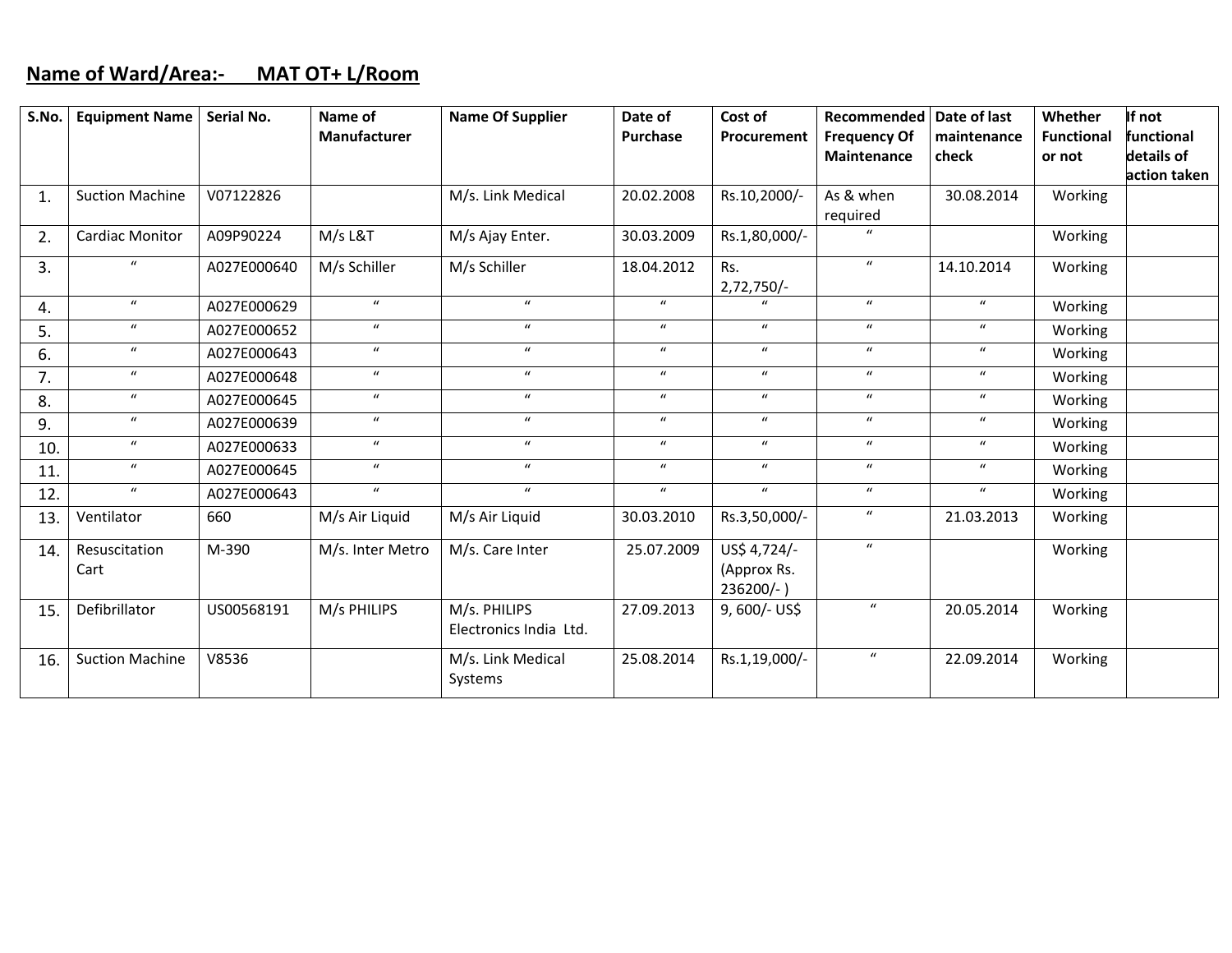### **Name of Ward/Area:‐ MAT OT+ L/Room**

| S.No. | <b>Equipment Name</b>  | Serial No.  | Name of          | <b>Name Of Supplier</b>                | Date of          | Cost of          | Recommended                  | Date of last     | Whether    | If not       |
|-------|------------------------|-------------|------------------|----------------------------------------|------------------|------------------|------------------------------|------------------|------------|--------------|
|       |                        |             | Manufacturer     |                                        | <b>Purchase</b>  | Procurement      | <b>Frequency Of</b>          | maintenance      | Functional | functional   |
|       |                        |             |                  |                                        |                  |                  | Maintenance                  | check            | or not     | details of   |
|       |                        |             |                  |                                        |                  |                  |                              |                  |            | action taken |
| 1.    | <b>Suction Machine</b> | V07122826   |                  | M/s. Link Medical                      | 20.02.2008       | Rs.10,2000/-     | As & when                    | 30.08.2014       | Working    |              |
|       |                        |             |                  |                                        |                  |                  | required<br>$\boldsymbol{u}$ |                  |            |              |
| 2.    | <b>Cardiac Monitor</b> | A09P90224   | M/s L&T          | M/s Ajay Enter.                        | 30.03.2009       | Rs.1,80,000/-    |                              |                  | Working    |              |
| 3.    | $\boldsymbol{u}$       | A027E000640 | M/s Schiller     | M/s Schiller                           | 18.04.2012       | Rs.              | $\boldsymbol{u}$             | 14.10.2014       | Working    |              |
|       |                        |             |                  |                                        |                  | $2,72,750/-$     |                              |                  |            |              |
| 4.    | $\boldsymbol{u}$       | A027E000629 | $\boldsymbol{u}$ | $\mathbf{u}$                           | $\boldsymbol{u}$ | $\mathbf{u}$     | $\boldsymbol{u}$             | $\boldsymbol{u}$ | Working    |              |
| 5.    | $\boldsymbol{u}$       | A027E000652 | $\boldsymbol{u}$ | $\boldsymbol{u}$                       | $\boldsymbol{u}$ | $\boldsymbol{u}$ | $\boldsymbol{u}$             | $\boldsymbol{u}$ | Working    |              |
| 6.    | $\boldsymbol{u}$       | A027E000643 | $\boldsymbol{u}$ | $\boldsymbol{u}$                       | $\boldsymbol{u}$ | $\boldsymbol{u}$ | $\boldsymbol{u}$             | $\boldsymbol{u}$ | Working    |              |
| 7.    | $\boldsymbol{u}$       | A027E000648 | $\boldsymbol{u}$ | $\boldsymbol{u}$                       | $\boldsymbol{u}$ | $\boldsymbol{u}$ | $\boldsymbol{u}$             | $\boldsymbol{u}$ | Working    |              |
| 8.    | $\boldsymbol{u}$       | A027E000645 | $\boldsymbol{u}$ | $\boldsymbol{u}$                       | $\boldsymbol{u}$ | $\boldsymbol{u}$ | $\boldsymbol{u}$             | $\boldsymbol{u}$ | Working    |              |
| 9.    | $\boldsymbol{u}$       | A027E000639 | $\boldsymbol{u}$ | $\boldsymbol{u}$                       | $\boldsymbol{u}$ | $\boldsymbol{u}$ | $\boldsymbol{u}$             | $\boldsymbol{u}$ | Working    |              |
| 10.   | $\boldsymbol{u}$       | A027E000633 | $\boldsymbol{u}$ | $\boldsymbol{u}$                       | $\boldsymbol{u}$ | $\boldsymbol{u}$ | $\boldsymbol{u}$             | $\boldsymbol{u}$ | Working    |              |
| 11.   | $\boldsymbol{u}$       | A027E000645 | $\boldsymbol{u}$ | $\mathbf{u}$                           | $\boldsymbol{u}$ | $\boldsymbol{u}$ | $\boldsymbol{u}$             | $\boldsymbol{u}$ | Working    |              |
| 12.   | $\boldsymbol{u}$       | A027E000643 | $\boldsymbol{u}$ | $\mathbf{u}$                           | $\boldsymbol{u}$ | $\boldsymbol{u}$ | $\boldsymbol{u}$             | $\boldsymbol{u}$ | Working    |              |
| 13.   | Ventilator             | 660         | M/s Air Liquid   | M/s Air Liquid                         | 30.03.2010       | Rs.3,50,000/-    | $\boldsymbol{u}$             | 21.03.2013       | Working    |              |
| 14.   | Resuscitation          | M-390       | M/s. Inter Metro | M/s. Care Inter                        | 25.07.2009       | US\$ 4,724/-     | $\boldsymbol{u}$             |                  | Working    |              |
|       | Cart                   |             |                  |                                        |                  | (Approx Rs.      |                              |                  |            |              |
|       |                        |             |                  |                                        |                  | 236200/-)        | $\boldsymbol{u}$             |                  |            |              |
| 15.   | Defibrillator          | US00568191  | M/s PHILIPS      | M/s. PHILIPS<br>Electronics India Ltd. | 27.09.2013       | 9,600/- US\$     |                              | 20.05.2014       | Working    |              |
|       |                        |             |                  |                                        |                  |                  |                              |                  |            |              |
| 16.   | <b>Suction Machine</b> | V8536       |                  | M/s. Link Medical                      | 25.08.2014       | Rs.1,19,000/-    | $\boldsymbol{u}$             | 22.09.2014       | Working    |              |
|       |                        |             |                  | Systems                                |                  |                  |                              |                  |            |              |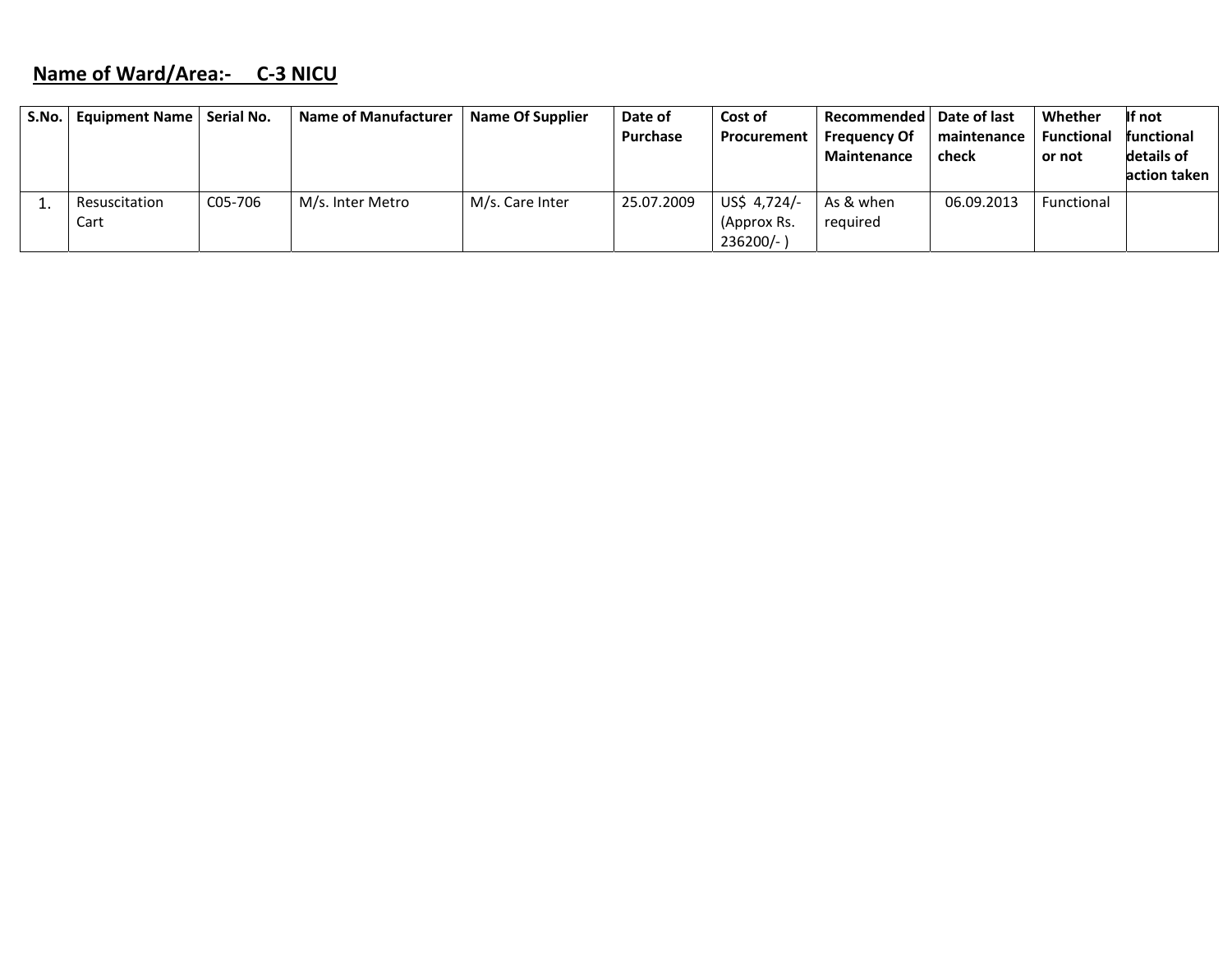# **Name of Ward/Area:‐ C‐3 NICU**

| S.No. | Equipment Name   Serial No. |         | Name of Manufacturer | Name Of Supplier | Date of<br>Purchase | Cost of<br>Procurement | Recommended   Date of last<br><b>Frequency Of</b> | maintenance | Whether<br><b>Functional</b> | If not<br>functional |
|-------|-----------------------------|---------|----------------------|------------------|---------------------|------------------------|---------------------------------------------------|-------------|------------------------------|----------------------|
|       |                             |         |                      |                  |                     |                        | <b>Maintenance</b>                                | check       | or not                       | details of           |
|       |                             |         |                      |                  |                     |                        |                                                   |             |                              | action taken         |
|       | Resuscitation               | C05-706 | M/s. Inter Metro     | M/s. Care Inter  | 25.07.2009          | US\$ 4,724/-           | As & when                                         | 06.09.2013  | Functional                   |                      |
|       | Cart                        |         |                      |                  |                     | (Approx Rs.            | required                                          |             |                              |                      |
|       |                             |         |                      |                  |                     | $236200/-$ )           |                                                   |             |                              |                      |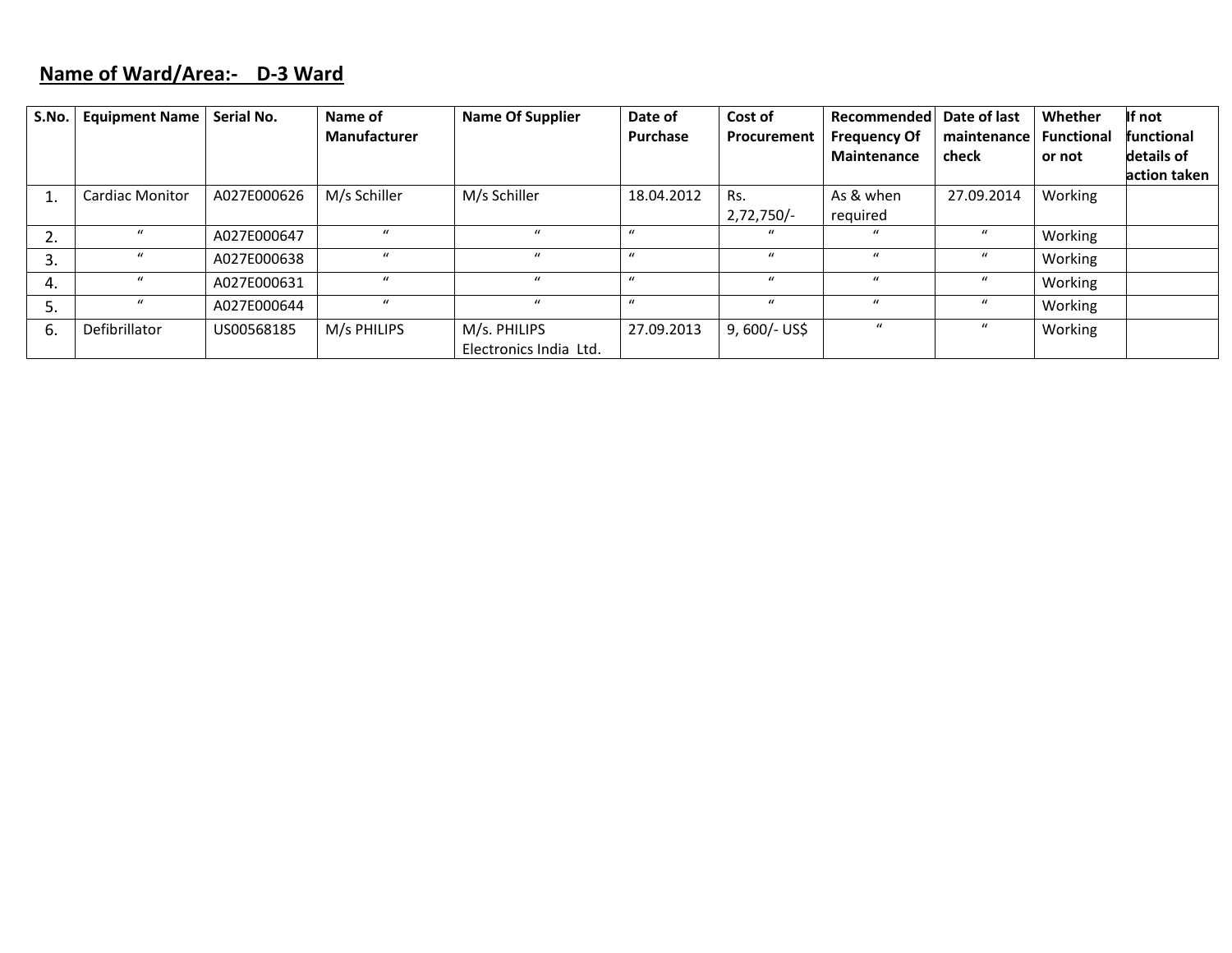### **Name of Ward/Area:‐ D‐3 Ward**

| S.No. | <b>Equipment Name</b>  | Serial No.  | Name of             | <b>Name Of Supplier</b> | Date of      | Cost of        | Recommended         | Date of last     | Whether           | If not            |
|-------|------------------------|-------------|---------------------|-------------------------|--------------|----------------|---------------------|------------------|-------------------|-------------------|
|       |                        |             | <b>Manufacturer</b> |                         | Purchase     | Procurement    | <b>Frequency Of</b> | maintenance      | <b>Functional</b> | <b>functional</b> |
|       |                        |             |                     |                         |              |                | Maintenance         | check            | or not            | details of        |
|       |                        |             |                     |                         |              |                |                     |                  |                   | action taken      |
|       | <b>Cardiac Monitor</b> | A027E000626 | M/s Schiller        | M/s Schiller            | 18.04.2012   | Rs.            | As & when           | 27.09.2014       | Working           |                   |
|       |                        |             |                     |                         |              | $2,72,750/-$   | required            |                  |                   |                   |
| 2.    |                        | A027E000647 | $\mathcal{U}$       |                         |              |                | $\mathbf u$         | $\mathcal{U}$    | Working           |                   |
| 3.    |                        | A027E000638 | $\mathbf{u}$        | $\mathbf{u}$            | $\bf{u}$     | $\mathbf{u}$   | $\mathbf{u}$        | $\mathcal{U}$    | Working           |                   |
| 4.    |                        | A027E000631 | $\bf{u}$            | $\mathbf{u}$            | $\prime$     | $\mathbf{u}$   | $\mathbf{u}$        | $\bf{u}$         | Working           |                   |
| 5.    | $\mathcal{U}$          | A027E000644 | $\mathbf{u}$        | $\mathbf{u}$            | $\mathbf{u}$ | $\bf{u}$       | $\boldsymbol{u}$    | $\boldsymbol{u}$ | Working           |                   |
| 6.    | Defibrillator          | US00568185  | M/s PHILIPS         | M/s. PHILIPS            | 27.09.2013   | $9,600/-$ US\$ | $\mathcal{U}$       | $\mathcal{U}$    | Working           |                   |
|       |                        |             |                     | Electronics India Ltd.  |              |                |                     |                  |                   |                   |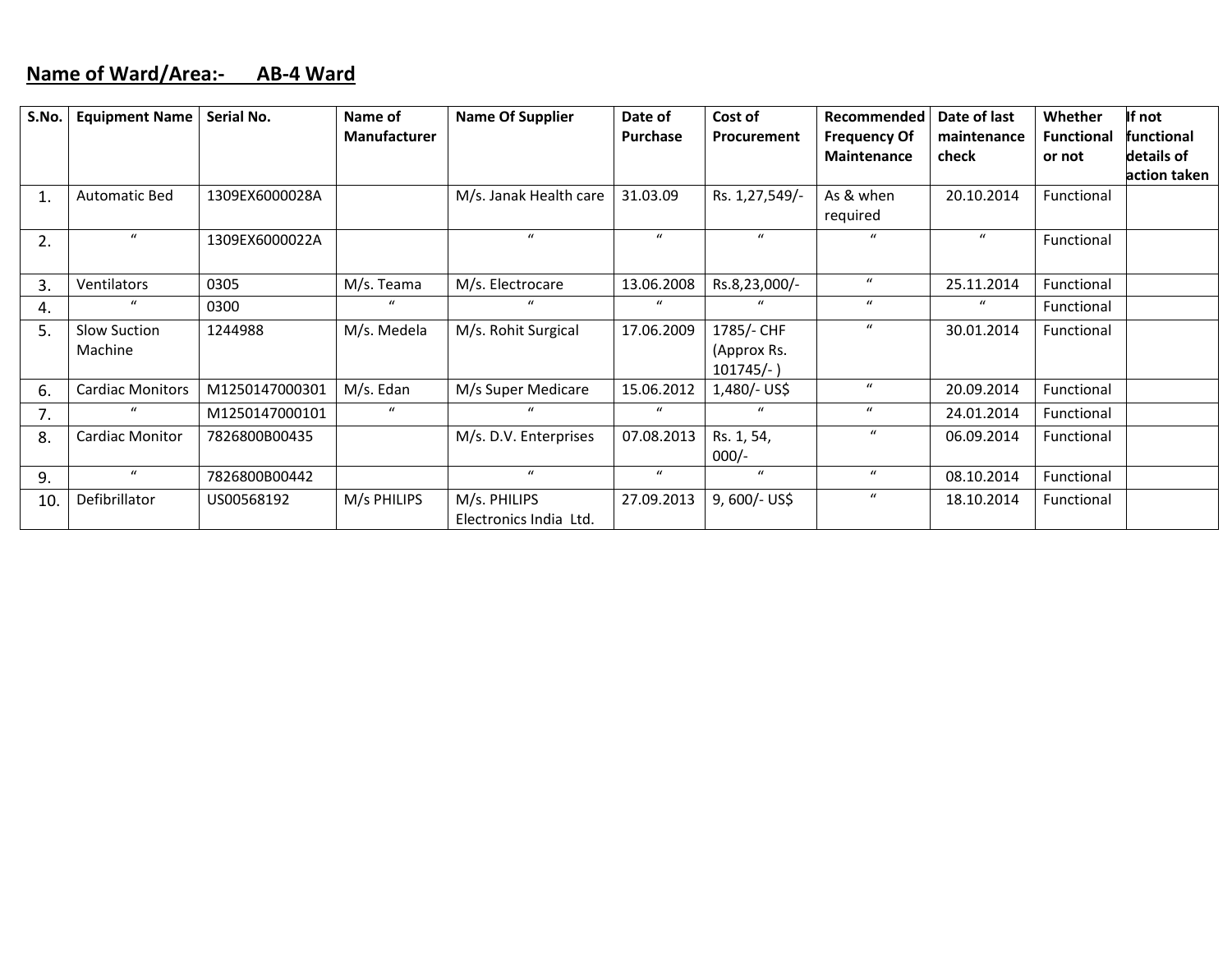#### **Name of Ward/Area:‐ AB‐4 Ward**

| S.No.       | <b>Equipment Name</b>   | Serial No.     | Name of             | <b>Name Of Supplier</b> | Date of          | Cost of        | Recommended           | Date of last     | Whether           | If not       |
|-------------|-------------------------|----------------|---------------------|-------------------------|------------------|----------------|-----------------------|------------------|-------------------|--------------|
|             |                         |                | <b>Manufacturer</b> |                         | Purchase         | Procurement    | <b>Frequency Of</b>   | maintenance      | <b>Functional</b> | functional   |
|             |                         |                |                     |                         |                  |                | <b>Maintenance</b>    | check            | or not            | details of   |
|             |                         |                |                     |                         |                  |                |                       |                  |                   | action taken |
| $\mathbf 1$ | <b>Automatic Bed</b>    | 1309EX6000028A |                     | M/s. Janak Health care  | 31.03.09         | Rs. 1,27,549/- | As & when<br>required | 20.10.2014       | Functional        |              |
|             | $\boldsymbol{u}$        |                |                     | $\mathbf{u}$            | $\boldsymbol{u}$ | $\bf{u}$       | $\boldsymbol{u}$      | $\boldsymbol{u}$ |                   |              |
| 2.          |                         | 1309EX6000022A |                     |                         |                  |                |                       |                  | Functional        |              |
| 3.          | Ventilators             | 0305           | M/s. Teama          | M/s. Electrocare        | 13.06.2008       | Rs.8,23,000/-  | $\bf{u}$              | 25.11.2014       | Functional        |              |
| 4.          | $\mathbf{u}$            | 0300           | $\mathbf{u}$        |                         | $\mathbf{u}$     | $\mathbf{u}$   | $\mathbf{u}$          |                  | Functional        |              |
| 5.          | Slow Suction            | 1244988        | M/s. Medela         | M/s. Rohit Surgical     | 17.06.2009       | 1785/- CHF     | $\mu$                 | 30.01.2014       | Functional        |              |
|             | Machine                 |                |                     |                         |                  | (Approx Rs.    |                       |                  |                   |              |
|             |                         |                |                     |                         |                  | $101745/-$ )   |                       |                  |                   |              |
| 6.          | <b>Cardiac Monitors</b> | M1250147000301 | M/s. Edan           | M/s Super Medicare      | 15.06.2012       | 1,480/- US\$   | $\boldsymbol{u}$      | 20.09.2014       | Functional        |              |
| 7.          | $\mathbf{u}$            | M1250147000101 | $\mu$               | $\mathbf{u}$            | $\boldsymbol{u}$ | $\bf{u}$       | $\boldsymbol{u}$      | 24.01.2014       | Functional        |              |
| 8.          | <b>Cardiac Monitor</b>  | 7826800B00435  |                     | M/s. D.V. Enterprises   | 07.08.2013       | Rs. 1, 54,     | $\boldsymbol{u}$      | 06.09.2014       | Functional        |              |
|             |                         |                |                     |                         |                  | $000/-$        |                       |                  |                   |              |
| 9.          | $\boldsymbol{u}$        | 7826800B00442  |                     | $\mathbf{u}$            | $\boldsymbol{u}$ | $\mathbf{u}$   | $\boldsymbol{u}$      | 08.10.2014       | Functional        |              |
| 10.         | Defibrillator           | US00568192     | M/s PHILIPS         | M/s. PHILIPS            | 27.09.2013       | $9,600/-$ US\$ | $\boldsymbol{u}$      | 18.10.2014       | Functional        |              |
|             |                         |                |                     | Electronics India Ltd.  |                  |                |                       |                  |                   |              |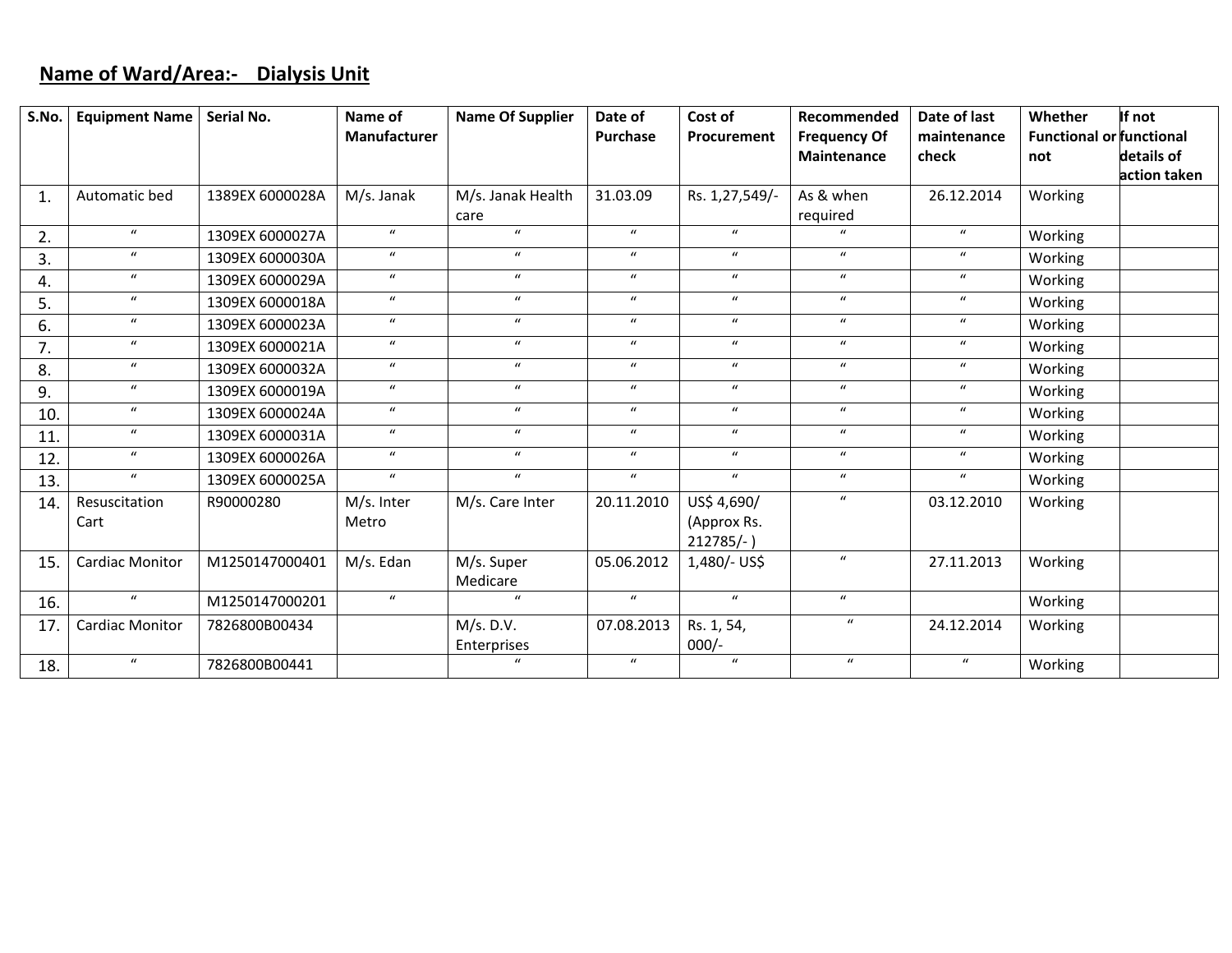## **Name of Ward/Area:‐ Dialysis Unit**

| S.No.        | <b>Equipment Name</b>  | Serial No.      | Name of          | <b>Name Of Supplier</b> | Date of          | Cost of          | Recommended         | Date of last     | Whether                         | If not       |
|--------------|------------------------|-----------------|------------------|-------------------------|------------------|------------------|---------------------|------------------|---------------------------------|--------------|
|              |                        |                 | Manufacturer     |                         | Purchase         | Procurement      | <b>Frequency Of</b> | maintenance      | <b>Functional or functional</b> |              |
|              |                        |                 |                  |                         |                  |                  | Maintenance         | check            | not                             | details of   |
|              |                        |                 |                  |                         |                  |                  |                     |                  |                                 | action taken |
| $\mathbf{1}$ | Automatic bed          | 1389EX 6000028A | M/s. Janak       | M/s. Janak Health       | 31.03.09         | Rs. 1,27,549/-   | As & when           | 26.12.2014       | Working                         |              |
|              |                        |                 |                  | care                    |                  |                  | required            |                  |                                 |              |
| 2.           | $\boldsymbol{u}$       | 1309EX 6000027A | $\mathbf{u}$     | $\mathbf{u}$            | $\boldsymbol{u}$ | $\mathbf{u}$     | $\mathbf{u}$        | $\mathbf{u}$     | Working                         |              |
| 3.           | $\boldsymbol{u}$       | 1309EX 6000030A | $\boldsymbol{u}$ | $\boldsymbol{u}$        | $\boldsymbol{u}$ | $\boldsymbol{u}$ | $\boldsymbol{u}$    | $\boldsymbol{u}$ | Working                         |              |
| 4.           | $\boldsymbol{u}$       | 1309EX 6000029A | $\boldsymbol{u}$ | $\boldsymbol{u}$        | $\boldsymbol{u}$ | $\boldsymbol{u}$ | $\boldsymbol{u}$    | $\boldsymbol{u}$ | Working                         |              |
| 5.           | $\boldsymbol{u}$       | 1309EX 6000018A | $\boldsymbol{u}$ | $\boldsymbol{u}$        | $\boldsymbol{u}$ | $\boldsymbol{u}$ | $\boldsymbol{u}$    | $\mathbf{u}$     | Working                         |              |
| 6.           | $\boldsymbol{u}$       | 1309EX 6000023A | $\boldsymbol{u}$ | $\boldsymbol{u}$        | $\boldsymbol{u}$ | $\boldsymbol{u}$ | $\boldsymbol{u}$    | $\mathbf{u}$     | Working                         |              |
| 7.           | $\boldsymbol{u}$       | 1309EX 6000021A | $\boldsymbol{u}$ | $\boldsymbol{u}$        | $\mathbf{u}$     | $\boldsymbol{u}$ | $\boldsymbol{u}$    | $\mathbf{u}$     | Working                         |              |
| 8.           | $\boldsymbol{u}$       | 1309EX 6000032A | $\boldsymbol{u}$ | $\boldsymbol{u}$        | $\boldsymbol{u}$ | $\boldsymbol{u}$ | $\boldsymbol{u}$    | $\boldsymbol{u}$ | Working                         |              |
| 9.           | $\boldsymbol{u}$       | 1309EX 6000019A | $\boldsymbol{u}$ | $\boldsymbol{u}$        | $\boldsymbol{u}$ | $\boldsymbol{u}$ | $\boldsymbol{u}$    | $\boldsymbol{u}$ | Working                         |              |
| 10.          | $\boldsymbol{u}$       | 1309EX 6000024A | $\boldsymbol{u}$ | $\boldsymbol{u}$        | $\boldsymbol{u}$ | $\boldsymbol{u}$ | $\boldsymbol{u}$    | $\boldsymbol{u}$ | Working                         |              |
| 11.          | $\boldsymbol{u}$       | 1309EX 6000031A | $\boldsymbol{u}$ | $\boldsymbol{u}$        | $\mathbf{u}$     | $\boldsymbol{u}$ | $\boldsymbol{u}$    | $\boldsymbol{u}$ | Working                         |              |
| 12.          | $\boldsymbol{u}$       | 1309EX 6000026A | $\boldsymbol{u}$ | $\boldsymbol{u}$        | $\boldsymbol{u}$ | $\boldsymbol{u}$ | $\boldsymbol{u}$    | $\boldsymbol{u}$ | Working                         |              |
| 13.          | $\boldsymbol{u}$       | 1309EX 6000025A | $\boldsymbol{u}$ | $\boldsymbol{u}$        | $\boldsymbol{u}$ | $\boldsymbol{u}$ | $\boldsymbol{u}$    | $\boldsymbol{u}$ | Working                         |              |
| 14.          | Resuscitation          | R90000280       | M/s. Inter       | M/s. Care Inter         | 20.11.2010       | US\$ 4,690/      | $\boldsymbol{u}$    | 03.12.2010       | Working                         |              |
|              | Cart                   |                 | Metro            |                         |                  | (Approx Rs.      |                     |                  |                                 |              |
|              |                        |                 |                  |                         |                  | $212785/-$ )     |                     |                  |                                 |              |
| 15.          | <b>Cardiac Monitor</b> | M1250147000401  | M/s. Edan        | M/s. Super              | 05.06.2012       | 1,480/- US\$     | $\boldsymbol{u}$    | 27.11.2013       | Working                         |              |
|              |                        |                 |                  | Medicare                |                  |                  |                     |                  |                                 |              |
| 16.          | $\boldsymbol{u}$       | M1250147000201  | $\boldsymbol{u}$ | $\mathbf{u}$            | $\mathbf{u}$     | $\boldsymbol{u}$ | $\boldsymbol{u}$    |                  | Working                         |              |
| 17.          | <b>Cardiac Monitor</b> | 7826800B00434   |                  | M/s. D.V.               | 07.08.2013       | Rs. 1, 54,       | $\boldsymbol{u}$    | 24.12.2014       | Working                         |              |
|              |                        |                 |                  | Enterprises             |                  | $000/-$          |                     |                  |                                 |              |
| 18.          | $\boldsymbol{u}$       | 7826800B00441   |                  | $\mathbf{u}$            | $\mathbf{u}$     | $\boldsymbol{u}$ | $\boldsymbol{u}$    | $\boldsymbol{u}$ | Working                         |              |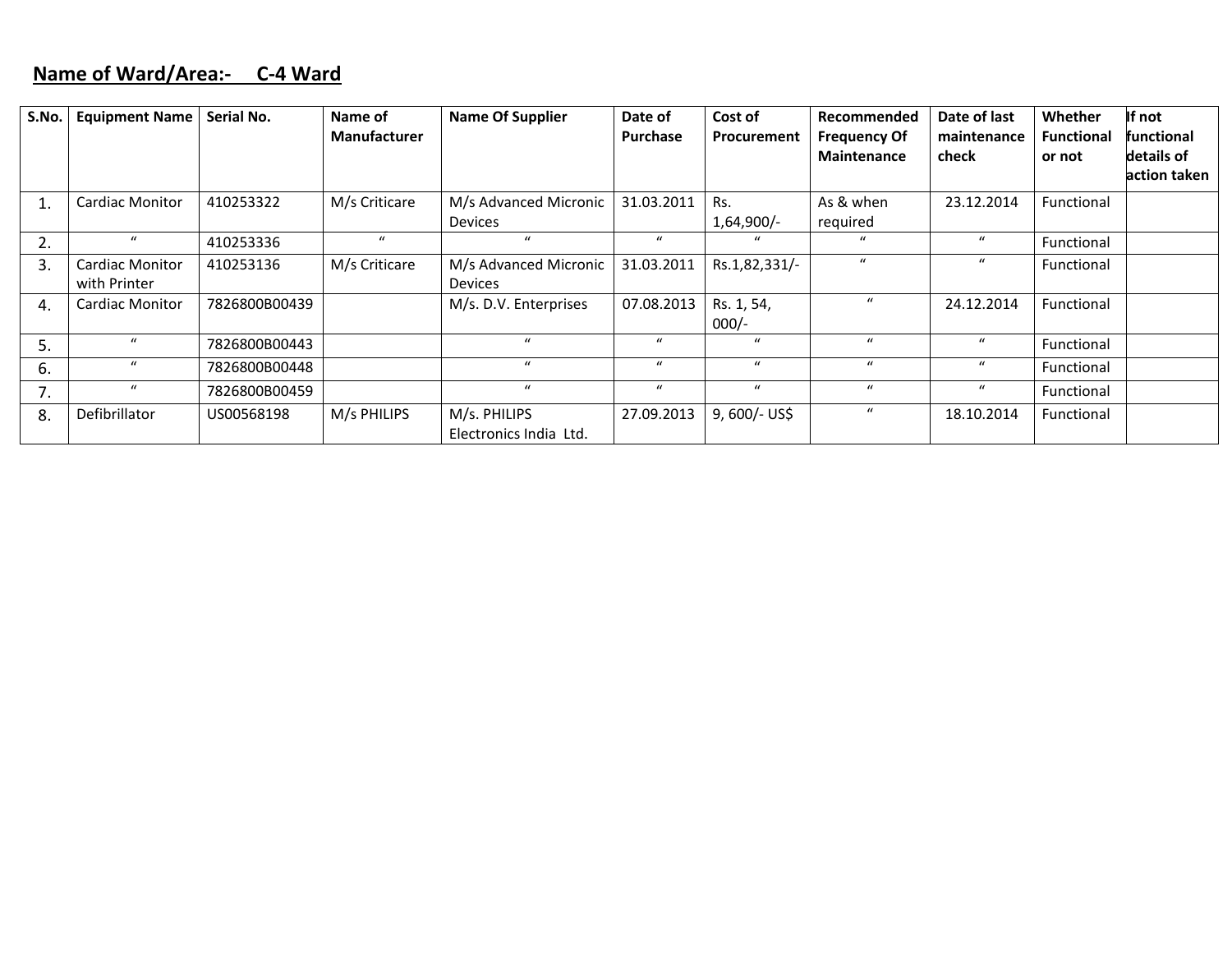## **Name of Ward/Area:‐ C‐4 Ward**

| S.No. | <b>Equipment Name</b>           | Serial No.    | Name of<br><b>Manufacturer</b> | <b>Name Of Supplier</b>                 | Date of<br><b>Purchase</b> | Cost of<br>Procurement | Recommended<br><b>Frequency Of</b><br><b>Maintenance</b> | Date of last<br>maintenance<br>check | Whether<br><b>Functional</b><br>or not | If not<br>functional<br>details of<br>action taken |
|-------|---------------------------------|---------------|--------------------------------|-----------------------------------------|----------------------------|------------------------|----------------------------------------------------------|--------------------------------------|----------------------------------------|----------------------------------------------------|
|       | <b>Cardiac Monitor</b>          | 410253322     | M/s Criticare                  | M/s Advanced Micronic<br><b>Devices</b> | 31.03.2011                 | Rs.<br>$1,64,900/-$    | As & when<br>required                                    | 23.12.2014                           | Functional                             |                                                    |
| 2.    | $\mathbf{u}$                    | 410253336     | $\boldsymbol{u}$               | $\mathbf{u}$                            | $\boldsymbol{u}$           | $\boldsymbol{u}$       | $\mathbf{u}$                                             | $\boldsymbol{u}$                     | Functional                             |                                                    |
| 3.    | Cardiac Monitor<br>with Printer | 410253136     | M/s Criticare                  | M/s Advanced Micronic<br><b>Devices</b> | 31.03.2011                 | Rs.1,82,331/-          | $\mathbf{u}$                                             | $\mathbf{u}$                         | Functional                             |                                                    |
| 4.    | <b>Cardiac Monitor</b>          | 7826800B00439 |                                | M/s. D.V. Enterprises                   | 07.08.2013                 | Rs. 1, 54,<br>$000/-$  | $\boldsymbol{u}$                                         | 24.12.2014                           | Functional                             |                                                    |
| 5.    | $\boldsymbol{u}$                | 7826800B00443 |                                | $\mathbf{u}$                            | $\boldsymbol{u}$           | $\boldsymbol{u}$       | $\mathbf{u}$                                             | $\bf{u}$                             | Functional                             |                                                    |
| 6.    | $\boldsymbol{u}$                | 7826800B00448 |                                | $\mathbf{u}$                            | $\mu$                      | $\boldsymbol{u}$       | $\mathbf{u}$                                             | $\boldsymbol{u}$                     | Functional                             |                                                    |
| 7.    | $\boldsymbol{u}$                | 7826800B00459 |                                | $\boldsymbol{u}$                        | $\bf{u}$                   | $\boldsymbol{u}$       | $\boldsymbol{u}$                                         | $\mathbf u$                          | Functional                             |                                                    |
| 8.    | Defibrillator                   | US00568198    | M/s PHILIPS                    | M/s. PHILIPS<br>Electronics India Ltd.  | 27.09.2013                 | $9,600/-$ US\$         | $\mathbf u$                                              | 18.10.2014                           | Functional                             |                                                    |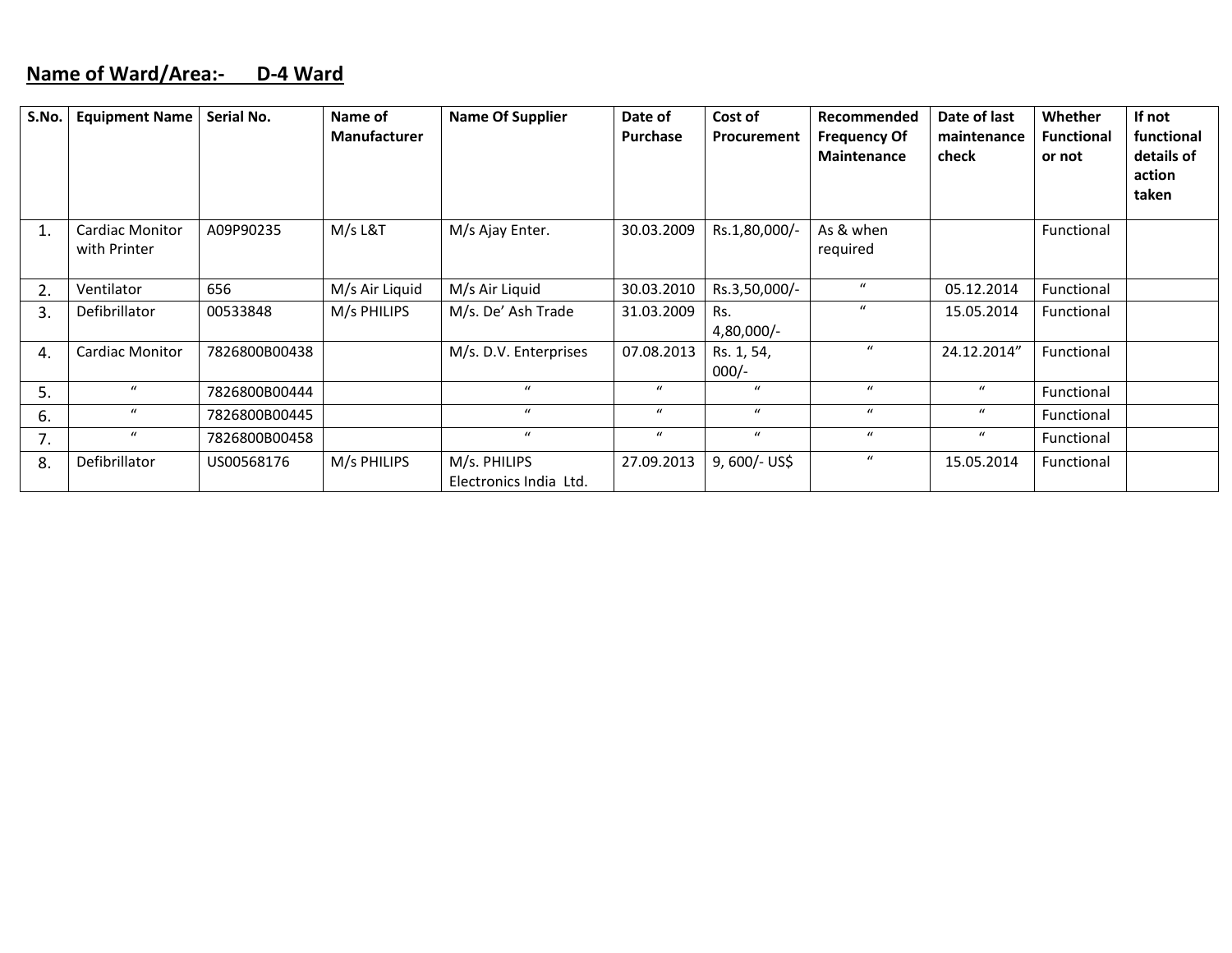#### **Name of Ward/Area:‐ D‐4 Ward**

| S.No. | <b>Equipment Name</b>                  | Serial No.    | Name of<br>Manufacturer | <b>Name Of Supplier</b>                | Date of<br><b>Purchase</b> | Cost of<br>Procurement | Recommended<br><b>Frequency Of</b><br><b>Maintenance</b> | Date of last<br>maintenance<br>check | <b>Whether</b><br><b>Functional</b><br>or not | If not<br>functional<br>details of<br>action<br>taken |
|-------|----------------------------------------|---------------|-------------------------|----------------------------------------|----------------------------|------------------------|----------------------------------------------------------|--------------------------------------|-----------------------------------------------|-------------------------------------------------------|
| 1.    | <b>Cardiac Monitor</b><br>with Printer | A09P90235     | M/s L&T                 | M/s Ajay Enter.                        | 30.03.2009                 | Rs.1,80,000/-          | As & when<br>required                                    |                                      | Functional                                    |                                                       |
| 2.    | Ventilator                             | 656           | M/s Air Liquid          | M/s Air Liquid                         | 30.03.2010                 | Rs.3,50,000/-          | $\boldsymbol{u}$                                         | 05.12.2014                           | Functional                                    |                                                       |
| 3.    | Defibrillator                          | 00533848      | M/s PHILIPS             | M/s. De' Ash Trade                     | 31.03.2009                 | Rs.<br>$4,80,000/-$    | $\mathcal{U}$                                            | 15.05.2014                           | Functional                                    |                                                       |
| 4.    | <b>Cardiac Monitor</b>                 | 7826800B00438 |                         | M/s. D.V. Enterprises                  | 07.08.2013                 | Rs. 1, 54,<br>$000/-$  | $\mathbf{u}$                                             | 24.12.2014"                          | Functional                                    |                                                       |
| 5.    | $\boldsymbol{u}$                       | 7826800B00444 |                         | $\mathbf{u}$                           | $\boldsymbol{u}$           | $\boldsymbol{u}$       | $\boldsymbol{u}$                                         | $\boldsymbol{u}$                     | Functional                                    |                                                       |
| 6.    | $\boldsymbol{u}$                       | 7826800B00445 |                         | $\mathbf{u}$                           | $\boldsymbol{u}$           | $\boldsymbol{u}$       | $\boldsymbol{u}$                                         | $\boldsymbol{u}$                     | Functional                                    |                                                       |
| 7.    | $\boldsymbol{u}$                       | 7826800B00458 |                         | $\boldsymbol{u}$                       | $\mathbf{u}$               | $\boldsymbol{u}$       | $\boldsymbol{u}$                                         | $\boldsymbol{u}$                     | Functional                                    |                                                       |
| 8.    | Defibrillator                          | US00568176    | M/s PHILIPS             | M/s. PHILIPS<br>Electronics India Ltd. | 27.09.2013                 | $9,600/-$ US\$         | $\boldsymbol{u}$                                         | 15.05.2014                           | Functional                                    |                                                       |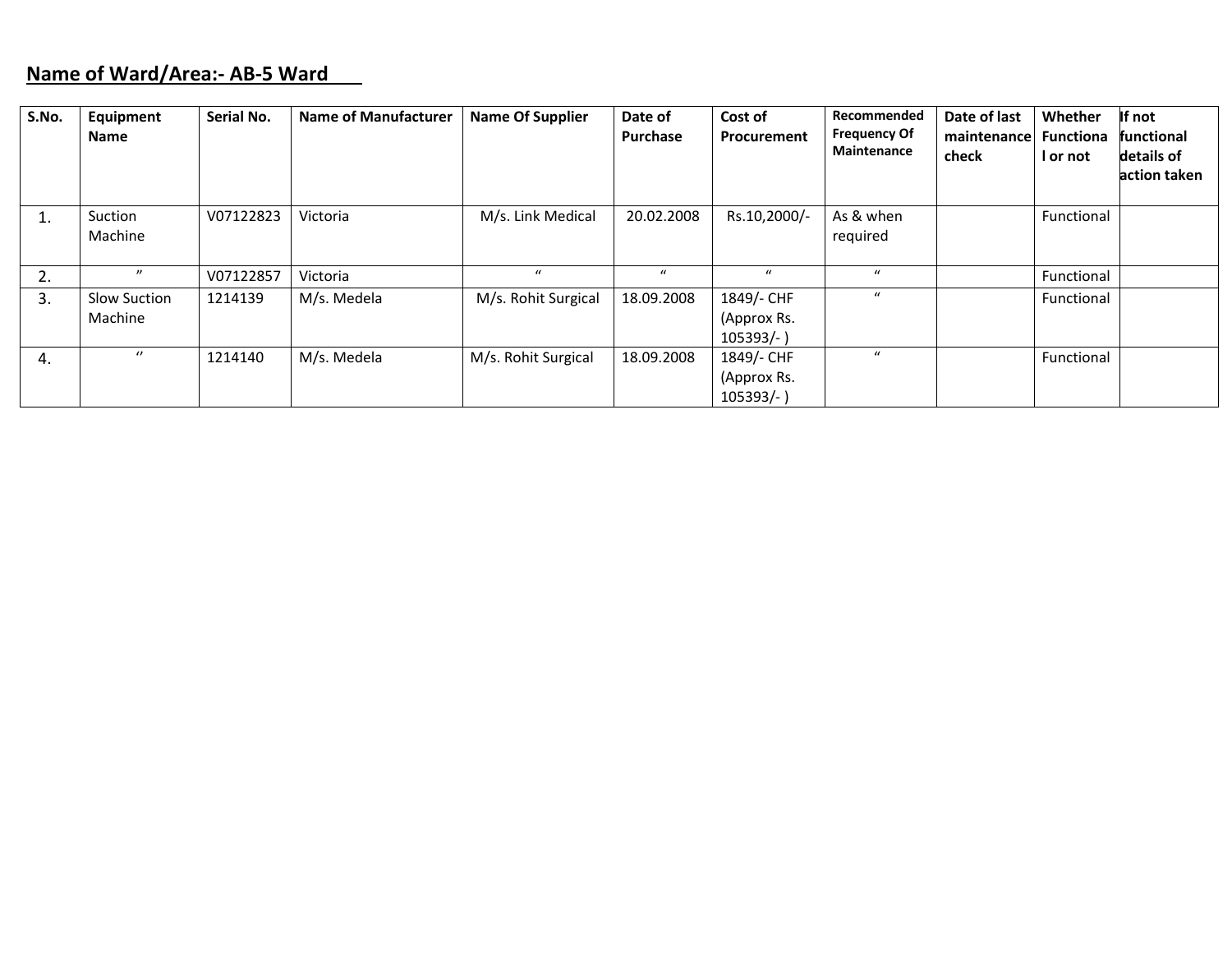#### **Name of Ward/Area:‐ AB‐5 Ward**

| S.No. | Equipment<br><b>Name</b> | Serial No. | <b>Name of Manufacturer</b> | <b>Name Of Supplier</b> | Date of<br>Purchase | Cost of<br>Procurement                  | Recommended<br><b>Frequency Of</b><br>Maintenance | Date of last<br>maintenance<br>check | Whether<br><b>Functiona</b><br>I or not | If not<br>functional<br>details of<br>action taken |
|-------|--------------------------|------------|-----------------------------|-------------------------|---------------------|-----------------------------------------|---------------------------------------------------|--------------------------------------|-----------------------------------------|----------------------------------------------------|
| ı.    | Suction<br>Machine       | V07122823  | Victoria                    | M/s. Link Medical       | 20.02.2008          | Rs.10,2000/-                            | As & when<br>required                             |                                      | Functional                              |                                                    |
| 2.    | $^{\prime\prime}$        | V07122857  | Victoria                    | $\mathbf{u}$            | $\mathbf{u}$        | $\bf{u}$                                | $\boldsymbol{u}$                                  |                                      | Functional                              |                                                    |
| 3.    | Slow Suction<br>Machine  | 1214139    | M/s. Medela                 | M/s. Rohit Surgical     | 18.09.2008          | 1849/- CHF<br>(Approx Rs.<br>$105393/-$ | $\mathcal{U}$                                     |                                      | Functional                              |                                                    |
| 4.    | $\theta$                 | 1214140    | M/s. Medela                 | M/s. Rohit Surgical     | 18.09.2008          | 1849/- CHF<br>(Approx Rs.<br>$105393/-$ | $\mathcal{U}$                                     |                                      | Functional                              |                                                    |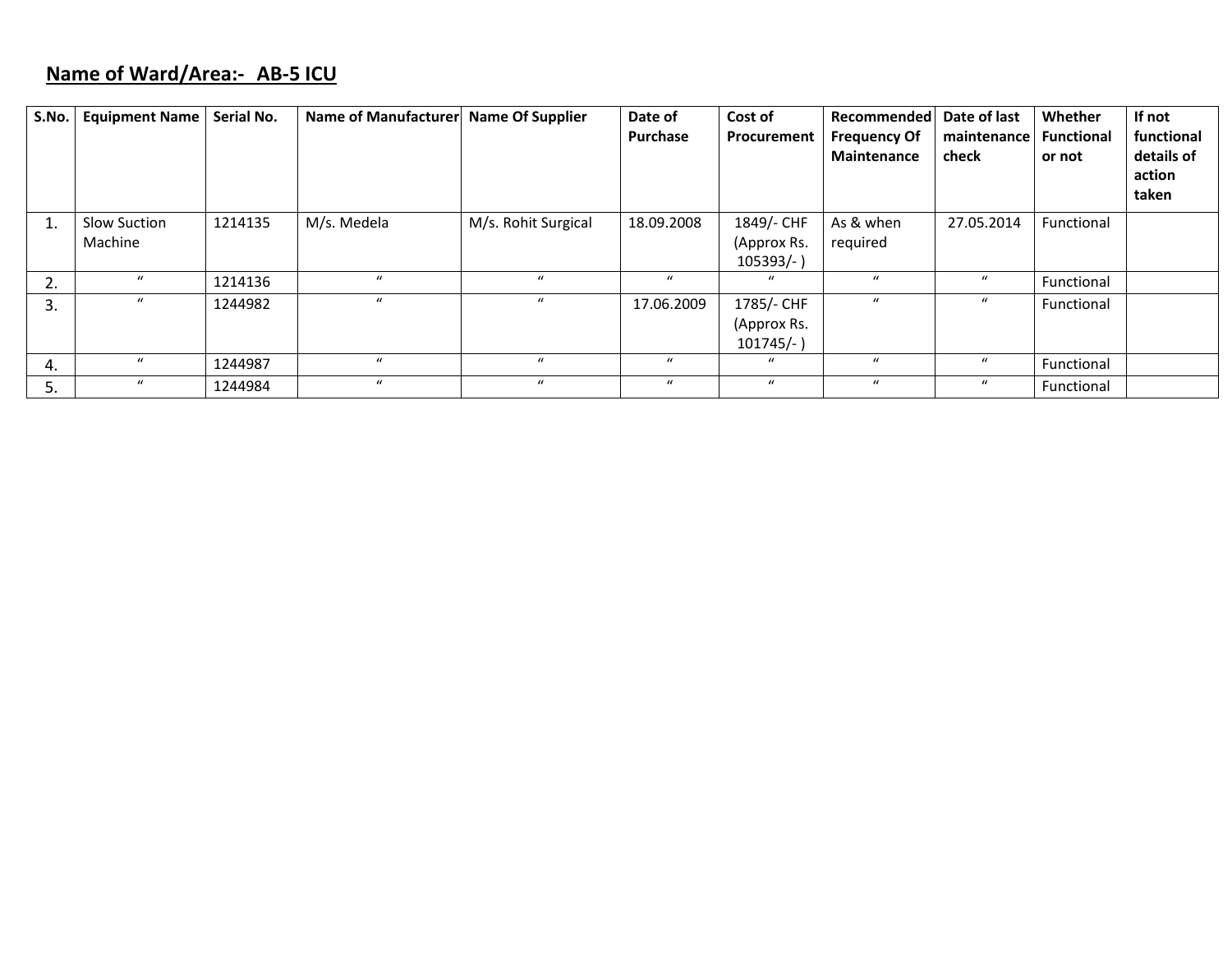# **Name of Ward/Area:‐ AB‐5 ICU**

| S.No. | <b>Equipment Name</b>   | Serial No. | Name of Manufacturer | <b>Name Of Supplier</b> | Date of<br>Purchase | Cost of<br>Procurement                    | <b>Recommended</b><br><b>Frequency Of</b><br>Maintenance | Date of last<br>maintenance<br>check | Whether<br><b>Functional</b><br>or not | If not<br>functional<br>details of<br>action<br>taken |
|-------|-------------------------|------------|----------------------|-------------------------|---------------------|-------------------------------------------|----------------------------------------------------------|--------------------------------------|----------------------------------------|-------------------------------------------------------|
| 1.    | Slow Suction<br>Machine | 1214135    | M/s. Medela          | M/s. Rohit Surgical     | 18.09.2008          | 1849/- CHF<br>(Approx Rs.<br>105393/-     | As & when<br>required                                    | 27.05.2014                           | Functional                             |                                                       |
| 2.    | $\bf{u}$                | 1214136    | $\mathbf{u}$         | $\bf{u}$                | $\bf{u}$            | $\mathcal{U}$                             | $\boldsymbol{u}$                                         | $\boldsymbol{u}$                     | Functional                             |                                                       |
| 3.    | $\boldsymbol{u}$        | 1244982    | $\boldsymbol{u}$     | $\boldsymbol{u}$        | 17.06.2009          | 1785/- CHF<br>(Approx Rs.<br>$101745/-$ ) | $\mu$                                                    | $\boldsymbol{u}$                     | Functional                             |                                                       |
| 4.    | $\boldsymbol{u}$        | 1244987    | $\mathbf{u}$         | $\mathcal{U}$           | $\bf{u}$            | $\mathbf{u}$                              | $\mathbf{u}$                                             | $\boldsymbol{u}$                     | Functional                             |                                                       |
| 5.    | $\boldsymbol{u}$        | 1244984    | $\boldsymbol{u}$     | $\mathbf{u}$            | $\bf{u}$            | $\boldsymbol{u}$                          | $\boldsymbol{u}$                                         | $\boldsymbol{u}$                     | Functional                             |                                                       |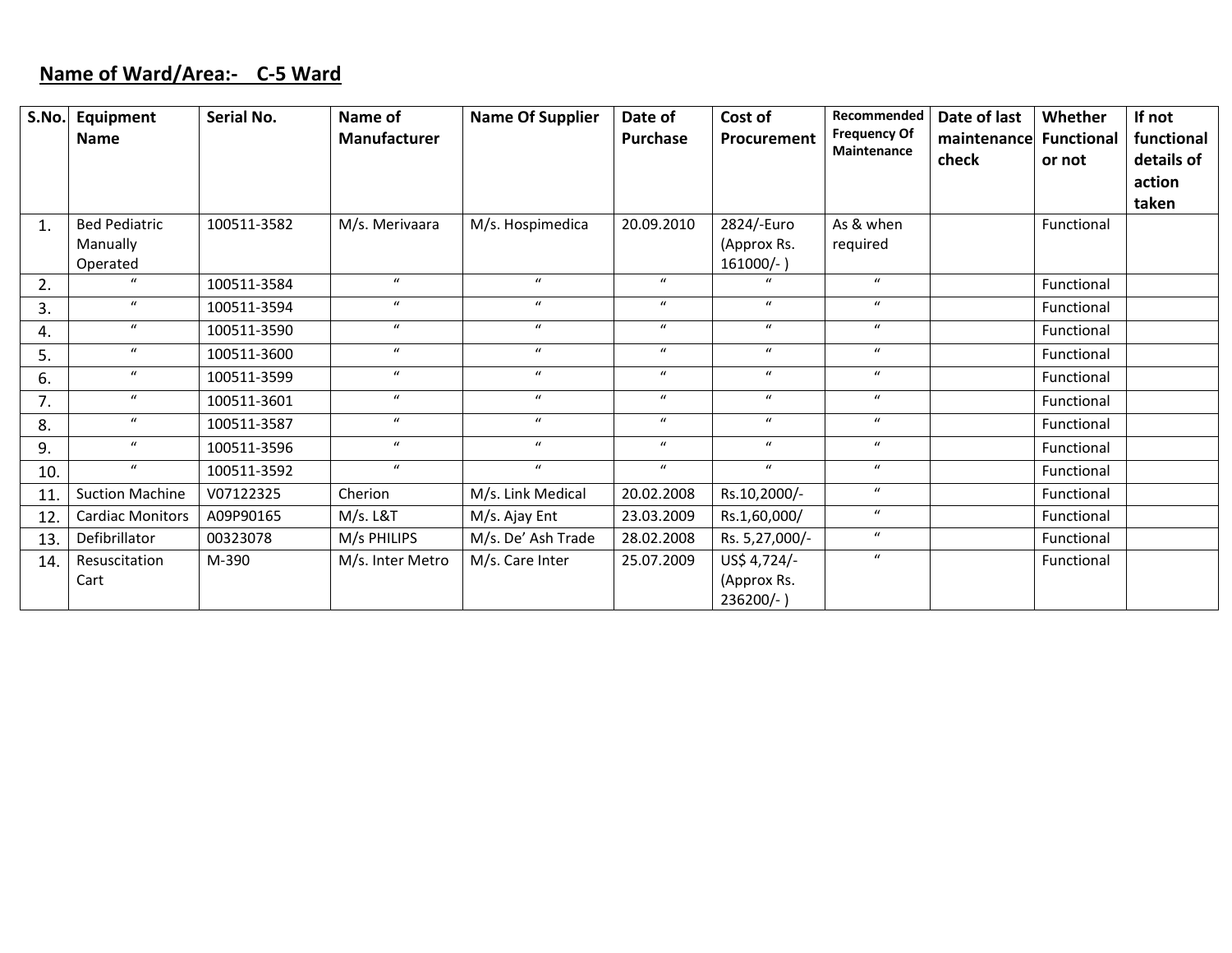# **Name of Ward/Area:‐ C‐5 Ward**

| S.No. | Equipment               | Serial No.  | Name of             | <b>Name Of Supplier</b> | Date of          | Cost of          | Recommended                        | Date of last | Whether           | If not     |
|-------|-------------------------|-------------|---------------------|-------------------------|------------------|------------------|------------------------------------|--------------|-------------------|------------|
|       | Name                    |             | <b>Manufacturer</b> |                         | <b>Purchase</b>  | Procurement      | <b>Frequency Of</b><br>Maintenance | maintenance  | <b>Functional</b> | functional |
|       |                         |             |                     |                         |                  |                  |                                    | check        | or not            | details of |
|       |                         |             |                     |                         |                  |                  |                                    |              |                   | action     |
|       |                         |             |                     |                         |                  |                  |                                    |              |                   | taken      |
| 1.    | <b>Bed Pediatric</b>    | 100511-3582 | M/s. Merivaara      | M/s. Hospimedica        | 20.09.2010       | 2824/-Euro       | As & when                          |              | Functional        |            |
|       | Manually                |             |                     |                         |                  | (Approx Rs.      | required                           |              |                   |            |
|       | Operated                |             |                     |                         |                  | $161000/-$ )     |                                    |              |                   |            |
| 2.    | $\boldsymbol{u}$        | 100511-3584 | $\boldsymbol{u}$    | $\boldsymbol{u}$        | $\boldsymbol{u}$ | $\mathbf{u}$     | $\boldsymbol{u}$                   |              | Functional        |            |
| 3.    | $\boldsymbol{u}$        | 100511-3594 | $\boldsymbol{u}$    | $\boldsymbol{u}$        | $\boldsymbol{u}$ | $\boldsymbol{u}$ | $\boldsymbol{u}$                   |              | Functional        |            |
| 4.    | $\boldsymbol{u}$        | 100511-3590 | $\mathbf{u}$        | $\boldsymbol{u}$        | $\boldsymbol{u}$ | $\boldsymbol{u}$ | $\boldsymbol{u}$                   |              | Functional        |            |
| 5.    | $\boldsymbol{u}$        | 100511-3600 | $\boldsymbol{u}$    | $\boldsymbol{u}$        | $\boldsymbol{u}$ | $\boldsymbol{u}$ | $\boldsymbol{u}$                   |              | Functional        |            |
| 6.    | $\boldsymbol{u}$        | 100511-3599 | $\boldsymbol{u}$    | $\boldsymbol{u}$        | $\boldsymbol{u}$ | $\boldsymbol{u}$ | $\boldsymbol{u}$                   |              | Functional        |            |
| 7.    | $\boldsymbol{u}$        | 100511-3601 | $\boldsymbol{u}$    | $\boldsymbol{u}$        | $\boldsymbol{u}$ | $\boldsymbol{u}$ | $\boldsymbol{u}$                   |              | Functional        |            |
| 8.    | $\boldsymbol{u}$        | 100511-3587 | $\boldsymbol{u}$    | $\boldsymbol{u}$        | $\boldsymbol{u}$ | $\boldsymbol{u}$ | $\boldsymbol{u}$                   |              | Functional        |            |
| 9.    | $\boldsymbol{u}$        | 100511-3596 | $\boldsymbol{u}$    | $\boldsymbol{u}$        | $\boldsymbol{u}$ | $\boldsymbol{u}$ | $\boldsymbol{u}$                   |              | Functional        |            |
| 10.   | $\boldsymbol{u}$        | 100511-3592 | $\boldsymbol{u}$    | $\boldsymbol{u}$        | $\boldsymbol{u}$ | $\boldsymbol{u}$ | $\boldsymbol{u}$                   |              | Functional        |            |
| 11.   | <b>Suction Machine</b>  | V07122325   | Cherion             | M/s. Link Medical       | 20.02.2008       | Rs.10,2000/-     | $\boldsymbol{u}$                   |              | Functional        |            |
| 12.   | <b>Cardiac Monitors</b> | A09P90165   | $M/s.$ L&T          | M/s. Ajay Ent           | 23.03.2009       | Rs.1,60,000/     | $\boldsymbol{u}$                   |              | Functional        |            |
| 13.   | Defibrillator           | 00323078    | M/s PHILIPS         | M/s. De' Ash Trade      | 28.02.2008       | Rs. 5,27,000/-   | $\boldsymbol{u}$                   |              | Functional        |            |
| 14.   | Resuscitation           | M-390       | M/s. Inter Metro    | M/s. Care Inter         | 25.07.2009       | US\$ 4,724/-     | $\boldsymbol{u}$                   |              | Functional        |            |
|       | Cart                    |             |                     |                         |                  | (Approx Rs.      |                                    |              |                   |            |
|       |                         |             |                     |                         |                  | 236200/-)        |                                    |              |                   |            |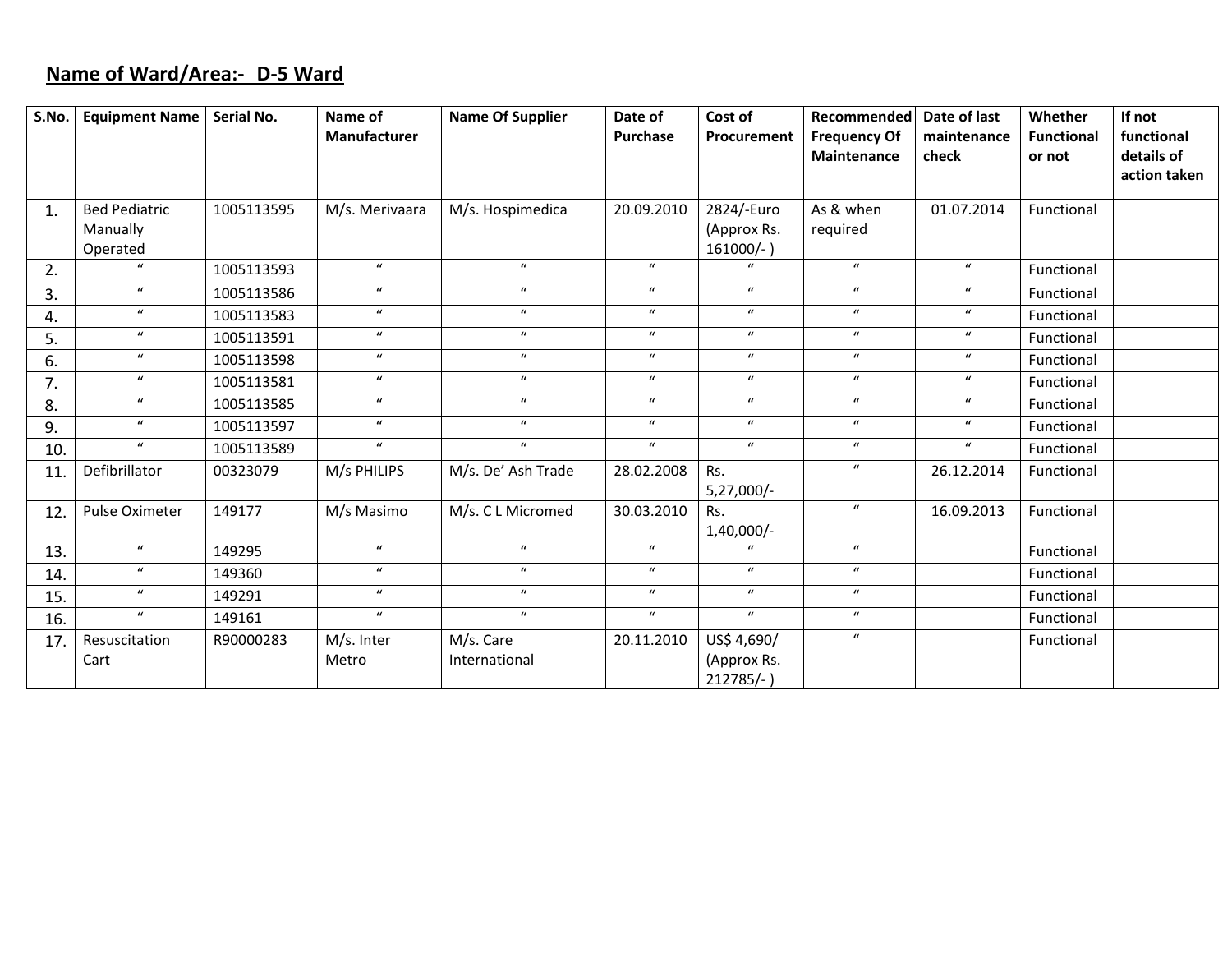# **Name of Ward/Area:‐ D‐5 Ward**

| S.No. | Equipment Name   Serial No.                  |            | Name of<br>Manufacturer | <b>Name Of Supplier</b>    | Date of<br><b>Purchase</b> | Cost of<br>Procurement                     | Recommended<br><b>Frequency Of</b><br>Maintenance | Date of last<br>maintenance<br>check | Whether<br><b>Functional</b><br>or not | If not<br>functional<br>details of<br>action taken |
|-------|----------------------------------------------|------------|-------------------------|----------------------------|----------------------------|--------------------------------------------|---------------------------------------------------|--------------------------------------|----------------------------------------|----------------------------------------------------|
| 1.    | <b>Bed Pediatric</b><br>Manually<br>Operated | 1005113595 | M/s. Merivaara          | M/s. Hospimedica           | 20.09.2010                 | 2824/-Euro<br>(Approx Rs.<br>$161000/-$ )  | As & when<br>required                             | 01.07.2014                           | Functional                             |                                                    |
| 2.    | $\mathbf{u}$                                 | 1005113593 | $\mathbf{u}$            | $\mathbf{u}$               | $\mathbf{u}$               |                                            | $\boldsymbol{u}$                                  | $\boldsymbol{u}$                     | Functional                             |                                                    |
| 3.    | $\boldsymbol{u}$                             | 1005113586 | $\boldsymbol{u}$        | $\boldsymbol{u}$           | $\boldsymbol{u}$           | $\boldsymbol{u}$                           | $\boldsymbol{u}$                                  | $\boldsymbol{u}$                     | Functional                             |                                                    |
| 4.    | $\boldsymbol{u}$                             | 1005113583 | $\boldsymbol{u}$        | $\boldsymbol{u}$           | $\boldsymbol{u}$           | $\boldsymbol{u}$                           | $\boldsymbol{u}$                                  | $\boldsymbol{u}$                     | Functional                             |                                                    |
| 5.    | $\boldsymbol{u}$                             | 1005113591 | $\boldsymbol{u}$        | $\boldsymbol{u}$           | $\boldsymbol{u}$           | $\boldsymbol{u}$                           | $\boldsymbol{u}$                                  | $\boldsymbol{u}$                     | Functional                             |                                                    |
| 6.    | $\boldsymbol{u}$                             | 1005113598 | $\boldsymbol{u}$        | $\boldsymbol{u}$           | $\boldsymbol{u}$           | $\boldsymbol{u}$                           | $\boldsymbol{u}$                                  | $\boldsymbol{u}$                     | Functional                             |                                                    |
| 7.    | $\boldsymbol{u}$                             | 1005113581 | $\boldsymbol{u}$        | $\boldsymbol{u}$           | $\boldsymbol{u}$           | $\boldsymbol{u}$                           | $\boldsymbol{u}$                                  | $\boldsymbol{u}$                     | Functional                             |                                                    |
| 8.    | $\boldsymbol{u}$                             | 1005113585 | $\mathbf{u}$            | $\boldsymbol{u}$           | $\boldsymbol{u}$           | $\boldsymbol{u}$                           | $\boldsymbol{u}$                                  | $\boldsymbol{u}$                     | Functional                             |                                                    |
| 9.    | $\boldsymbol{u}$                             | 1005113597 | $\boldsymbol{u}$        | $\boldsymbol{u}$           | $\boldsymbol{u}$           | $\boldsymbol{u}$                           | $\boldsymbol{u}$                                  | $\boldsymbol{u}$                     | Functional                             |                                                    |
| 10.   | $\boldsymbol{u}$                             | 1005113589 | $\boldsymbol{u}$        | $\overline{u}$             | $\boldsymbol{u}$           | $\boldsymbol{u}$                           | $\boldsymbol{u}$                                  | $\boldsymbol{u}$                     | Functional                             |                                                    |
| 11.   | Defibrillator                                | 00323079   | M/s PHILIPS             | M/s. De' Ash Trade         | 28.02.2008                 | Rs.<br>5,27,000/-                          | $\boldsymbol{u}$                                  | 26.12.2014                           | Functional                             |                                                    |
| 12.   | Pulse Oximeter                               | 149177     | M/s Masimo              | M/s. C L Micromed          | 30.03.2010                 | Rs.<br>$1,40,000/-$                        | $\boldsymbol{u}$                                  | 16.09.2013                           | Functional                             |                                                    |
| 13.   | $\boldsymbol{u}$                             | 149295     | $\boldsymbol{u}$        | $\boldsymbol{u}$           | $\boldsymbol{u}$           |                                            | $\boldsymbol{u}$                                  |                                      | Functional                             |                                                    |
| 14.   | $\boldsymbol{u}$                             | 149360     | $\boldsymbol{u}$        | $\boldsymbol{u}$           | $\boldsymbol{u}$           | $\boldsymbol{u}$                           | $\boldsymbol{u}$                                  |                                      | Functional                             |                                                    |
| 15.   | $\boldsymbol{u}$                             | 149291     | $\boldsymbol{u}$        | $\boldsymbol{u}$           | $\boldsymbol{u}$           | $\boldsymbol{u}$                           | $\boldsymbol{u}$                                  |                                      | Functional                             |                                                    |
| 16.   | $\boldsymbol{u}$                             | 149161     | $\boldsymbol{u}$        | $\boldsymbol{u}$           | $\boldsymbol{u}$           | $\boldsymbol{u}$                           | $\boldsymbol{u}$                                  |                                      | Functional                             |                                                    |
| 17.   | Resuscitation<br>Cart                        | R90000283  | M/s. Inter<br>Metro     | M/s. Care<br>International | 20.11.2010                 | US\$ 4,690/<br>(Approx Rs.<br>$212785/-$ ) | $\boldsymbol{u}$                                  |                                      | Functional                             |                                                    |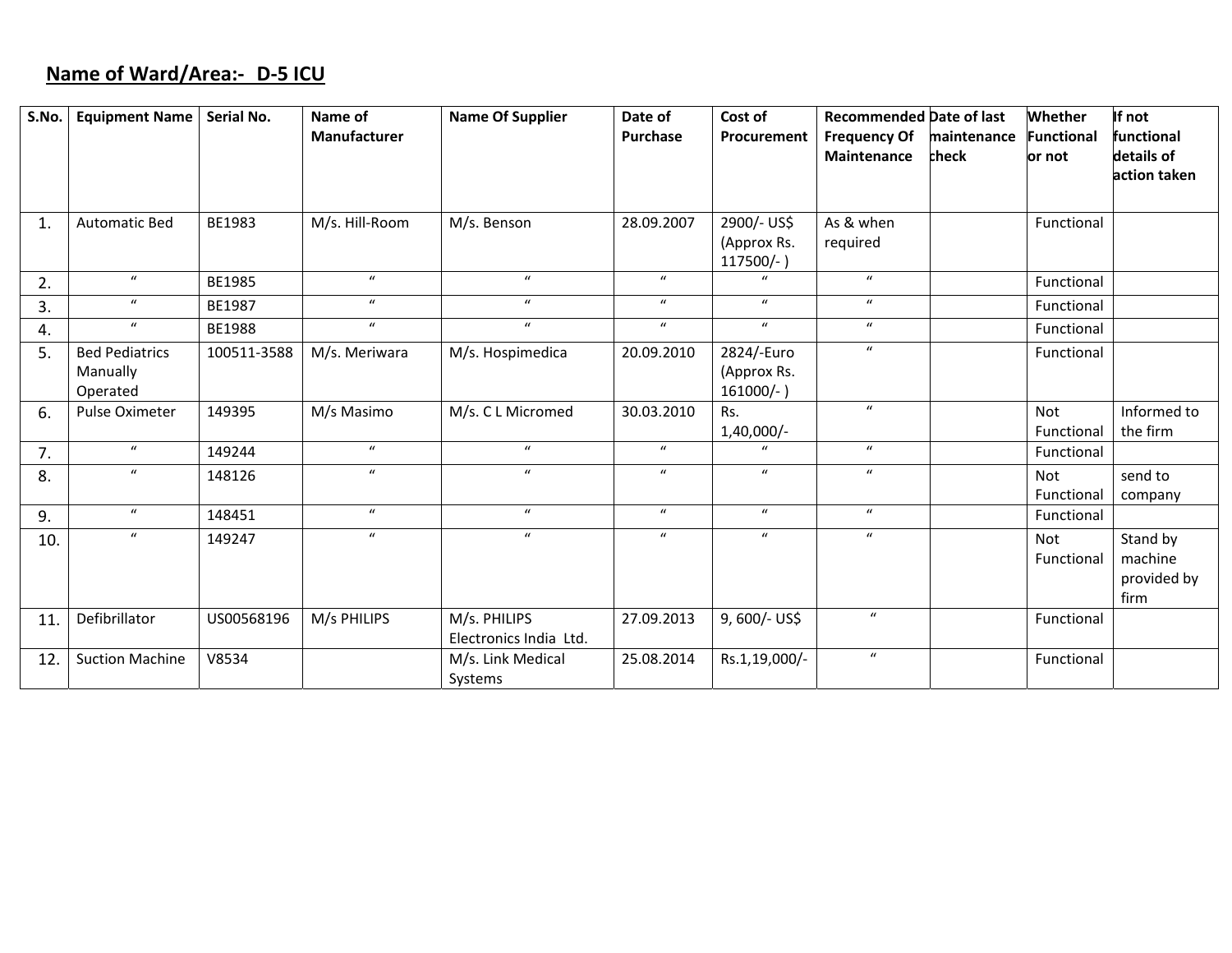# **Name of Ward/Area:‐ D‐5 ICU**

| S.No. | <b>Equipment Name</b>  | Serial No.  | Name of          | <b>Name Of Supplier</b> | Date of          | Cost of          | <b>Recommended Date of last</b> |             | Whether           | If not       |
|-------|------------------------|-------------|------------------|-------------------------|------------------|------------------|---------------------------------|-------------|-------------------|--------------|
|       |                        |             | Manufacturer     |                         | Purchase         | Procurement      | <b>Frequency Of</b>             | maintenance | <b>Functional</b> | functional   |
|       |                        |             |                  |                         |                  |                  | Maintenance                     | check       | or not            | details of   |
|       |                        |             |                  |                         |                  |                  |                                 |             |                   | action taken |
|       |                        |             |                  |                         |                  |                  |                                 |             |                   |              |
| 1.    | <b>Automatic Bed</b>   | BE1983      | M/s. Hill-Room   | M/s. Benson             | 28.09.2007       | 2900/- US\$      | As & when                       |             | Functional        |              |
|       |                        |             |                  |                         |                  | (Approx Rs.      | required                        |             |                   |              |
|       |                        |             |                  |                         |                  | $117500/-$       |                                 |             |                   |              |
| 2.    | $\boldsymbol{u}$       | BE1985      | $\boldsymbol{u}$ | $\boldsymbol{u}$        | $\boldsymbol{u}$ | $\boldsymbol{u}$ | $\boldsymbol{u}$                |             | Functional        |              |
| 3.    | $\boldsymbol{u}$       | BE1987      | $\boldsymbol{u}$ | $\boldsymbol{u}$        | $\boldsymbol{u}$ | $\boldsymbol{u}$ | $\boldsymbol{u}$                |             | Functional        |              |
| 4.    | $\boldsymbol{u}$       | BE1988      | $\boldsymbol{u}$ | $\boldsymbol{u}$        | $\boldsymbol{u}$ | $\boldsymbol{u}$ | $\boldsymbol{u}$                |             | Functional        |              |
| 5.    | <b>Bed Pediatrics</b>  | 100511-3588 | M/s. Meriwara    | M/s. Hospimedica        | 20.09.2010       | 2824/-Euro       | $\boldsymbol{u}$                |             | Functional        |              |
|       | Manually               |             |                  |                         |                  | (Approx Rs.      |                                 |             |                   |              |
|       | Operated               |             |                  |                         |                  | $161000/-$ )     |                                 |             |                   |              |
| 6.    | <b>Pulse Oximeter</b>  | 149395      | M/s Masimo       | M/s. C L Micromed       | 30.03.2010       | Rs.              | $\boldsymbol{u}$                |             | <b>Not</b>        | Informed to  |
|       |                        |             |                  |                         |                  | 1,40,000/-       |                                 |             | Functional        | the firm     |
| 7.    | $\boldsymbol{u}$       | 149244      | $\boldsymbol{u}$ | $\boldsymbol{u}$        | $\boldsymbol{u}$ | $\boldsymbol{u}$ | $\boldsymbol{u}$                |             | Functional        |              |
| 8.    | $\boldsymbol{u}$       | 148126      | $\boldsymbol{u}$ | $\boldsymbol{u}$        | $\boldsymbol{u}$ | $\boldsymbol{u}$ | $\boldsymbol{u}$                |             | Not               | send to      |
|       |                        |             |                  |                         |                  |                  |                                 |             | Functional        | company      |
| 9.    | $\boldsymbol{u}$       | 148451      | $\boldsymbol{u}$ | $\boldsymbol{u}$        | $\boldsymbol{u}$ | $\boldsymbol{u}$ | $\boldsymbol{u}$                |             | Functional        |              |
| 10.   | $\boldsymbol{u}$       | 149247      | $\boldsymbol{u}$ | $\boldsymbol{u}$        | $\boldsymbol{u}$ | $\boldsymbol{u}$ | $\boldsymbol{u}$                |             | Not               | Stand by     |
|       |                        |             |                  |                         |                  |                  |                                 |             | Functional        | machine      |
|       |                        |             |                  |                         |                  |                  |                                 |             |                   | provided by  |
|       |                        |             |                  |                         |                  |                  |                                 |             |                   | firm         |
| 11.   | Defibrillator          | US00568196  | M/s PHILIPS      | M/s. PHILIPS            | 27.09.2013       | 9, 600/- US\$    | $\boldsymbol{u}$                |             | Functional        |              |
|       |                        |             |                  | Electronics India Ltd.  |                  |                  |                                 |             |                   |              |
| 12.   | <b>Suction Machine</b> | V8534       |                  | M/s. Link Medical       | 25.08.2014       | Rs.1,19,000/-    | $\boldsymbol{u}$                |             | Functional        |              |
|       |                        |             |                  | Systems                 |                  |                  |                                 |             |                   |              |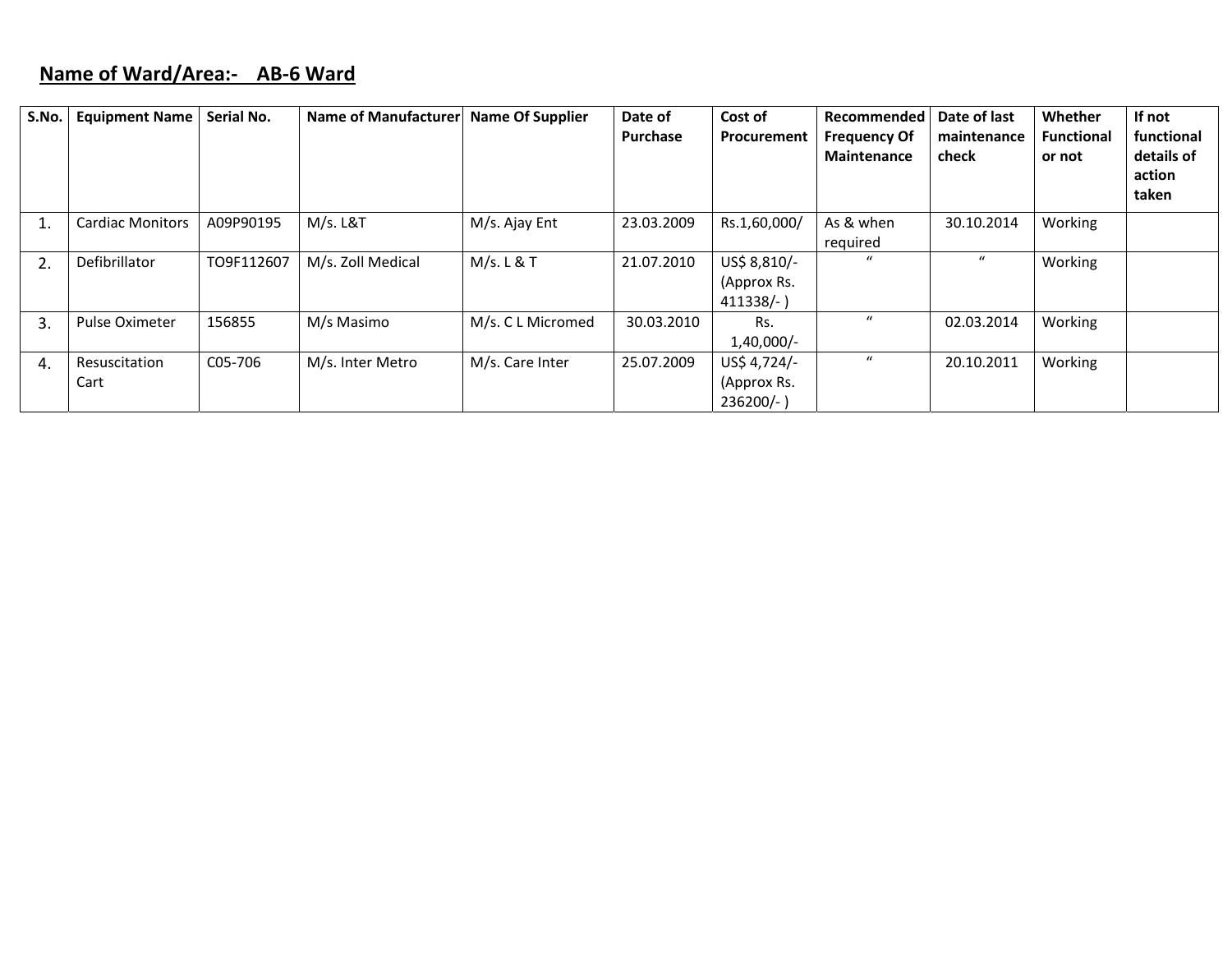## **Name of Ward/Area:‐ AB‐6 Ward**

| S.No. | <b>Equipment Name</b>   | Serial No. | Name of Manufacturer | <b>Name Of Supplier</b> | Date of<br><b>Purchase</b> | Cost of<br>Procurement                    | Recommended<br><b>Frequency Of</b><br>Maintenance | Date of last<br>maintenance<br>check | Whether<br><b>Functional</b><br>or not | If not<br>functional<br>details of<br>action<br>taken |
|-------|-------------------------|------------|----------------------|-------------------------|----------------------------|-------------------------------------------|---------------------------------------------------|--------------------------------------|----------------------------------------|-------------------------------------------------------|
|       | <b>Cardiac Monitors</b> | A09P90195  | M/s. L&T             | M/s. Ajay Ent           | 23.03.2009                 | Rs.1,60,000/                              | As & when<br>required                             | 30.10.2014                           | Working                                |                                                       |
| 2.    | Defibrillator           | TO9F112607 | M/s. Zoll Medical    | M/s. L & T              | 21.07.2010                 | US\$ 8,810/-<br>(Approx Rs.<br>$411338/-$ | $\mathbf{u}$                                      | $\boldsymbol{u}$                     | Working                                |                                                       |
| 3.    | <b>Pulse Oximeter</b>   | 156855     | M/s Masimo           | M/s. C L Micromed       | 30.03.2010                 | Rs.<br>1,40,000/-                         | $\mathcal{U}$                                     | 02.03.2014                           | Working                                |                                                       |
| 4.    | Resuscitation<br>Cart   | C05-706    | M/s. Inter Metro     | M/s. Care Inter         | 25.07.2009                 | US\$ 4,724/-<br>(Approx Rs.<br>$236200/-$ | $\bf{u}$                                          | 20.10.2011                           | Working                                |                                                       |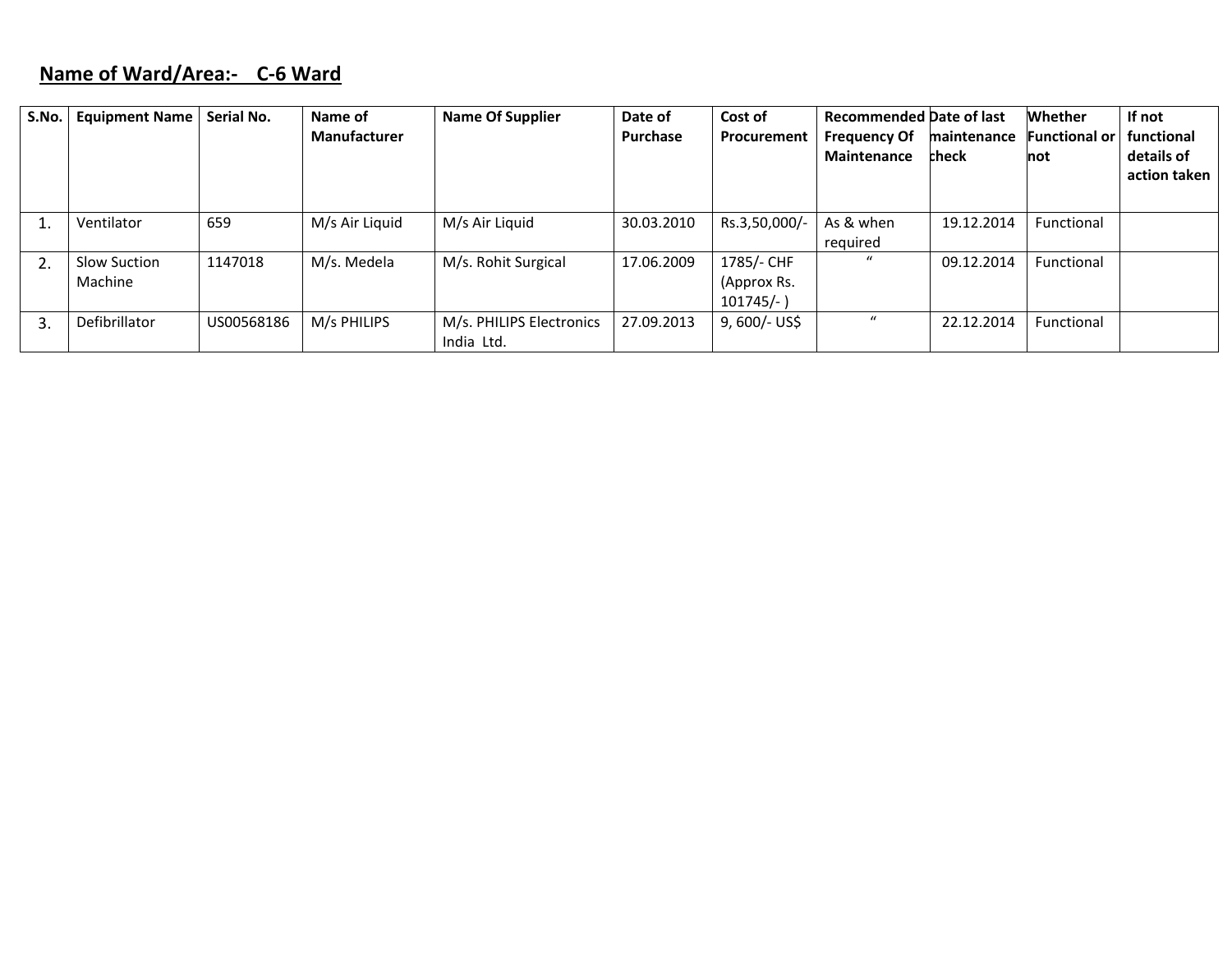# **Name of Ward/Area:‐ C‐6 Ward**

| S.No. | <b>Equipment Name</b>   | <b>Serial No.</b> | Name of<br><b>Manufacturer</b> | <b>Name Of Supplier</b>                | Date of<br><b>Purchase</b> | Cost of<br>Procurement                    | <b>Recommended Date of last</b><br><b>Frequency Of</b><br>Maintenance | maintenance<br>check | <b>Whether</b><br><b>Functional or</b><br>not | If not<br>functional<br>details of<br>action taken |
|-------|-------------------------|-------------------|--------------------------------|----------------------------------------|----------------------------|-------------------------------------------|-----------------------------------------------------------------------|----------------------|-----------------------------------------------|----------------------------------------------------|
|       | Ventilator              | 659               | M/s Air Liquid                 | M/s Air Liquid                         | 30.03.2010                 | Rs.3,50,000/-                             | As & when<br>required                                                 | 19.12.2014           | Functional                                    |                                                    |
|       | Slow Suction<br>Machine | 1147018           | M/s. Medela                    | M/s. Rohit Surgical                    | 17.06.2009                 | 1785/- CHF<br>(Approx Rs.<br>$101745/-$ ) | $\mathcal{U}$                                                         | 09.12.2014           | Functional                                    |                                                    |
| 3     | Defibrillator           | US00568186        | M/s PHILIPS                    | M/s. PHILIPS Electronics<br>India Ltd. | 27.09.2013                 | $9,600/-$ US\$                            | $\bf{u}$                                                              | 22.12.2014           | Functional                                    |                                                    |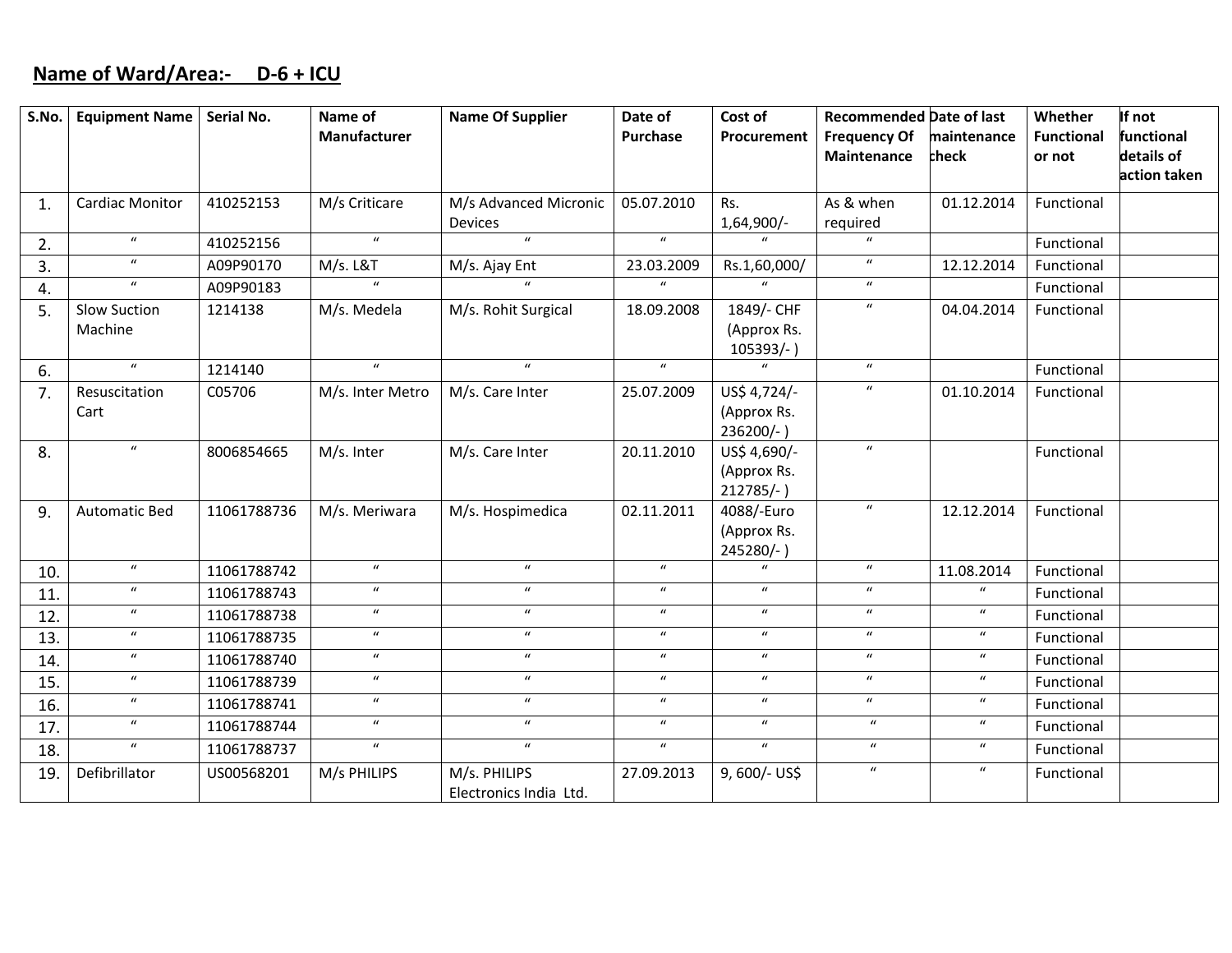# **Name of Ward/Area:‐ D‐6 <sup>+</sup> ICU**

| S.No. | <b>Equipment Name</b>  | Serial No.  | Name of             | <b>Name Of Supplier</b>    | Date of                    | Cost of                       | <b>Recommended Date of last</b> |                            | Whether           | If not       |
|-------|------------------------|-------------|---------------------|----------------------------|----------------------------|-------------------------------|---------------------------------|----------------------------|-------------------|--------------|
|       |                        |             | <b>Manufacturer</b> |                            | <b>Purchase</b>            | Procurement                   | <b>Frequency Of</b>             | maintenance                | <b>Functional</b> | functional   |
|       |                        |             |                     |                            |                            |                               | Maintenance                     | check                      | or not            | details of   |
|       |                        |             |                     |                            |                            |                               |                                 |                            |                   | action taken |
| 1.    | <b>Cardiac Monitor</b> | 410252153   | M/s Criticare       | M/s Advanced Micronic      | 05.07.2010                 | Rs.                           | As & when                       | 01.12.2014                 | Functional        |              |
|       |                        |             |                     | Devices                    |                            | 1,64,900/-                    | required                        |                            |                   |              |
| 2.    | $\boldsymbol{u}$       | 410252156   | $\boldsymbol{u}$    | $\boldsymbol{u}$           | $\boldsymbol{u}$           | $\mathbf{u}$                  | $\mathbf{u}$                    |                            | Functional        |              |
| 3.    | $\boldsymbol{u}$       | A09P90170   | M/s. L&T            | M/s. Ajay Ent              | 23.03.2009                 | Rs.1,60,000/                  | $\boldsymbol{u}$                | 12.12.2014                 | Functional        |              |
| 4.    | $\boldsymbol{u}$       | A09P90183   | $\mathbf{u}$        | $\mathbf{u}$               | $\mathbf{u}$               | $\overline{u}$                | $\boldsymbol{u}$                |                            | Functional        |              |
| 5.    | <b>Slow Suction</b>    | 1214138     | M/s. Medela         | M/s. Rohit Surgical        | 18.09.2008                 | 1849/- CHF                    | $\boldsymbol{u}$                | 04.04.2014                 | Functional        |              |
|       | Machine                |             |                     |                            |                            | (Approx Rs.                   |                                 |                            |                   |              |
|       |                        |             |                     |                            |                            | $105393/-$ )                  |                                 |                            |                   |              |
| 6.    | $\boldsymbol{u}$       | 1214140     | $\boldsymbol{u}$    | $\boldsymbol{u}$           | $\boldsymbol{u}$           | $\boldsymbol{u}$              | $\boldsymbol{u}$                |                            | Functional        |              |
| 7.    | Resuscitation          | C05706      | M/s. Inter Metro    | M/s. Care Inter            | 25.07.2009                 | US\$ 4,724/-                  | $\boldsymbol{u}$                | 01.10.2014                 | Functional        |              |
|       | Cart                   |             |                     |                            |                            | (Approx Rs.                   |                                 |                            |                   |              |
|       |                        |             |                     |                            |                            | $236200/-$ )                  |                                 |                            |                   |              |
| 8.    | $\boldsymbol{u}$       | 8006854665  | M/s. Inter          | M/s. Care Inter            | 20.11.2010                 | US\$ 4,690/-                  | $\mathbf{u}$                    |                            | Functional        |              |
|       |                        |             |                     |                            |                            | (Approx Rs.                   |                                 |                            |                   |              |
|       |                        |             |                     |                            |                            | $212785/-$                    | $\boldsymbol{u}$                |                            |                   |              |
| 9.    | <b>Automatic Bed</b>   | 11061788736 | M/s. Meriwara       | M/s. Hospimedica           | 02.11.2011                 | 4088/-Euro                    |                                 | 12.12.2014                 | Functional        |              |
|       |                        |             |                     |                            |                            | (Approx Rs.                   |                                 |                            |                   |              |
|       | $\boldsymbol{u}$       | 11061788742 | $\boldsymbol{u}$    | $\boldsymbol{u}$           | $\boldsymbol{u}$           | 245280/-)<br>$\boldsymbol{u}$ | $\boldsymbol{u}$                | 11.08.2014                 | Functional        |              |
| 10.   | $\boldsymbol{u}$       |             | $\boldsymbol{u}$    | $\boldsymbol{\mathcal{U}}$ | $\boldsymbol{u}$           | $\boldsymbol{u}$              | $\boldsymbol{u}$                | $\boldsymbol{\mathcal{U}}$ |                   |              |
| 11.   | $\boldsymbol{u}$       | 11061788743 | $\boldsymbol{u}$    | $\boldsymbol{u}$           | $\boldsymbol{u}$           | $\boldsymbol{u}$              | $\boldsymbol{u}$                | $\boldsymbol{u}$           | Functional        |              |
| 12.   | $\boldsymbol{u}$       | 11061788738 | $\boldsymbol{u}$    | $\boldsymbol{u}$           | $\boldsymbol{u}$           | $\boldsymbol{u}$              | $\boldsymbol{u}$                | $\boldsymbol{u}$           | Functional        |              |
| 13.   |                        | 11061788735 |                     |                            |                            |                               |                                 |                            | Functional        |              |
| 14.   | $\boldsymbol{u}$       | 11061788740 | $\boldsymbol{u}$    | $\boldsymbol{u}$           | $\boldsymbol{\mathcal{U}}$ | $\boldsymbol{u}$              | $\boldsymbol{u}$                | $\boldsymbol{u}$           | Functional        |              |
| 15.   | $\boldsymbol{u}$       | 11061788739 | $\boldsymbol{u}$    | $\boldsymbol{u}$           | $\boldsymbol{u}$           | $\boldsymbol{u}$              | $\boldsymbol{u}$                | $\boldsymbol{u}$           | Functional        |              |
| 16.   | $\boldsymbol{u}$       | 11061788741 | $\boldsymbol{u}$    | $\boldsymbol{u}$           | $\boldsymbol{u}$           | $\boldsymbol{u}$              | $\boldsymbol{u}$                | $\boldsymbol{u}$           | Functional        |              |
| 17.   | $\boldsymbol{u}$       | 11061788744 | $\boldsymbol{u}$    | $\boldsymbol{u}$           | $\boldsymbol{u}$           | $\boldsymbol{u}$              | $\boldsymbol{u}$                | $\boldsymbol{u}$           | Functional        |              |
| 18.   | $\overline{u}$         | 11061788737 | $\overline{u}$      | $\boldsymbol{u}$           | $\boldsymbol{u}$           | $\overline{u}$                | $\boldsymbol{u}$                | $\boldsymbol{u}$           | Functional        |              |
| 19.   | Defibrillator          | US00568201  | M/s PHILIPS         | M/s. PHILIPS               | 27.09.2013                 | 9,600/- US\$                  | $\boldsymbol{u}$                | $\boldsymbol{u}$           | Functional        |              |
|       |                        |             |                     | Electronics India Ltd.     |                            |                               |                                 |                            |                   |              |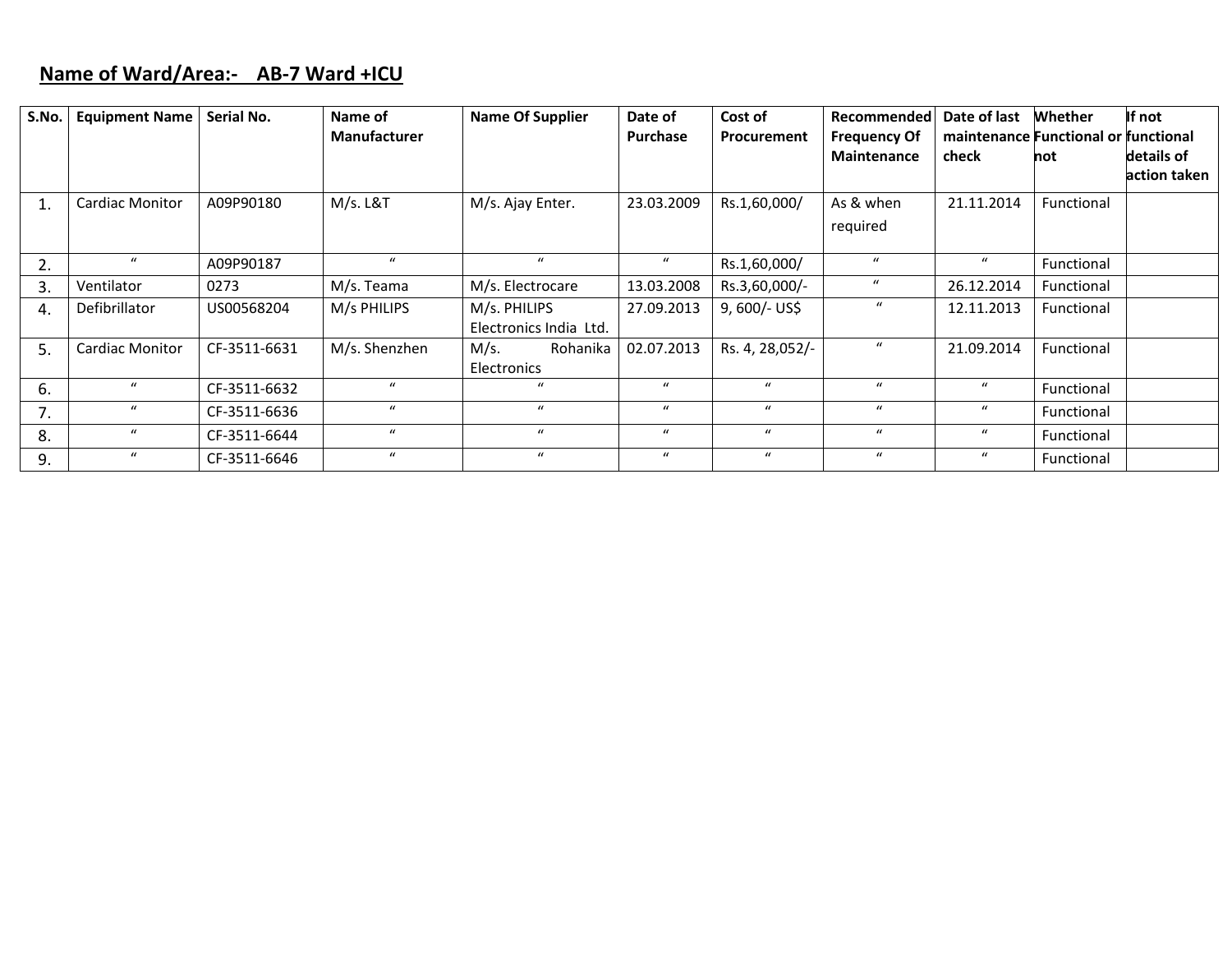### **Name of Ward/Area:‐ AB‐7 Ward +ICU**

| S.No. | <b>Equipment Name</b>  | Serial No.   | Name of<br><b>Manufacturer</b> | <b>Name Of Supplier</b>                | Date of<br><b>Purchase</b> | Cost of<br>Procurement | Recommended<br><b>Frequency Of</b><br><b>Maintenance</b> | Date of last<br>maintenance Functional or functional<br>check | Whether<br>not | If not<br>details of |
|-------|------------------------|--------------|--------------------------------|----------------------------------------|----------------------------|------------------------|----------------------------------------------------------|---------------------------------------------------------------|----------------|----------------------|
|       |                        |              |                                |                                        |                            |                        |                                                          |                                                               |                | action taken         |
|       | <b>Cardiac Monitor</b> | A09P90180    | M/s. L&T                       | M/s. Ajay Enter.                       | 23.03.2009                 | Rs.1,60,000/           | As & when<br>required                                    | 21.11.2014                                                    | Functional     |                      |
| 2.    | $\boldsymbol{u}$       | A09P90187    | $\mathbf{u}$                   | $\mathbf{u}$                           | $\boldsymbol{u}$           | Rs.1,60,000/           | $\boldsymbol{u}$                                         | $\mathbf{u}$                                                  | Functional     |                      |
| 3.    | Ventilator             | 0273         | M/s. Teama                     | M/s. Electrocare                       | 13.03.2008                 | Rs.3,60,000/-          | $\boldsymbol{u}$                                         | 26.12.2014                                                    | Functional     |                      |
| 4.    | Defibrillator          | US00568204   | M/s PHILIPS                    | M/s. PHILIPS<br>Electronics India Ltd. | 27.09.2013                 | $9,600/-$ US\$         | $\mathbf u$                                              | 12.11.2013                                                    | Functional     |                      |
| .5.   | Cardiac Monitor        | CF-3511-6631 | M/s. Shenzhen                  | M/s.<br>Rohanika<br><b>Electronics</b> | 02.07.2013                 | Rs. 4, 28,052/-        | $\boldsymbol{u}$                                         | 21.09.2014                                                    | Functional     |                      |
| 6.    | $\mathbf{u}$           | CF-3511-6632 | $\bf{u}$                       | $\bf{u}$                               | $\mathbf{u}$               | $\boldsymbol{u}$       | $\bf{u}$                                                 | $\mathbf{u}$                                                  | Functional     |                      |
| 7.    | $\mathbf{u}$           | CF-3511-6636 | $\bf{u}$                       | $\bf{u}$                               | $\boldsymbol{u}$           | $\mathbf{u}$           | $\mathbf{u}$                                             | $\mathbf{u}$                                                  | Functional     |                      |
| 8.    | $\boldsymbol{u}$       | CF-3511-6644 | $\bf{u}$                       | $\mathbf u$                            | $\boldsymbol{u}$           | $\mathbf{u}$           | $\boldsymbol{u}$                                         | $\boldsymbol{u}$                                              | Functional     |                      |
| 9.    | $\mathbf{u}$           | CF-3511-6646 | $\bf{u}$                       | $\mathbf u$                            | $\boldsymbol{u}$           | $\mathbf{u}$           | $\boldsymbol{u}$                                         | $\boldsymbol{u}$                                              | Functional     |                      |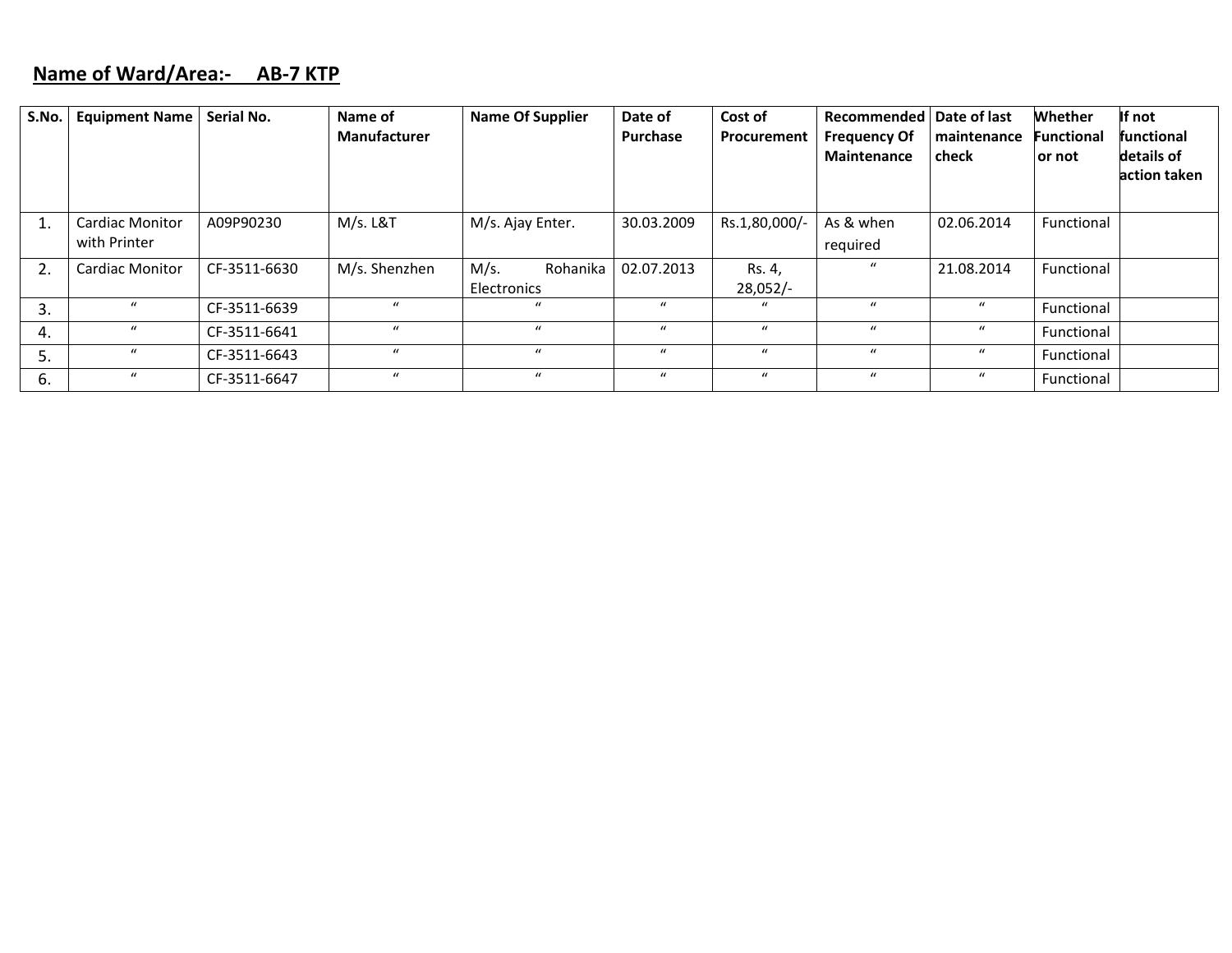#### **Name of Ward/Area:‐ AB‐7 KTP**

| S.No. | <b>Equipment Name</b>                  | Serial No.   | Name of<br><b>Manufacturer</b> | <b>Name Of Supplier</b>         | Date of<br><b>Purchase</b> | Cost of<br>Procurement | Recommended   Date of last<br><b>Frequency Of</b><br><b>Maintenance</b> | maintenance<br>check | Whether<br><b>Functional</b><br>or not | If not<br><b>functional</b><br>details of<br>action taken |
|-------|----------------------------------------|--------------|--------------------------------|---------------------------------|----------------------------|------------------------|-------------------------------------------------------------------------|----------------------|----------------------------------------|-----------------------------------------------------------|
|       | <b>Cardiac Monitor</b><br>with Printer | A09P90230    | M/s. L&T                       | M/s. Ajay Enter.                | 30.03.2009                 | Rs.1,80,000/           | As & when<br>required                                                   | 02.06.2014           | Functional                             |                                                           |
| 2.    | <b>Cardiac Monitor</b>                 | CF-3511-6630 | M/s. Shenzhen                  | M/s.<br>Rohanika<br>Electronics | 02.07.2013                 | Rs. 4,<br>$28,052/-$   | $\mathbf{u}$                                                            | 21.08.2014           | Functional                             |                                                           |
| -3.   | $\mathbf{u}$                           | CF-3511-6639 | $\mathbf{u}$                   | $\mathbf{u}$                    | $\mathbf{u}$               | $\mathcal{U}$          | $\boldsymbol{u}$                                                        | $\boldsymbol{u}$     | Functional                             |                                                           |
| 4.    | $\mathcal{U}$                          | CF-3511-6641 | $\mathbf{u}$                   | $\boldsymbol{u}$                | $\mathbf{u}$               | $\mathcal{U}$          | $\boldsymbol{u}$                                                        | $\boldsymbol{u}$     | Functional                             |                                                           |
| 5.    | $\mathcal{U}$                          | CF-3511-6643 | $\mathbf{u}$                   | $\mathbf{u}$                    | $\mathbf{u}$               | $\mathbf{u}$           | $\mathbf{u}$                                                            | $\boldsymbol{u}$     | Functional                             |                                                           |
| 6.    | $\boldsymbol{u}$                       | CF-3511-6647 | $\boldsymbol{u}$               | $\mathbf{u}$                    | $\boldsymbol{u}$           | $\bf{u}$               | $\bf{u}$                                                                | $\mathcal{U}$        | Functional                             |                                                           |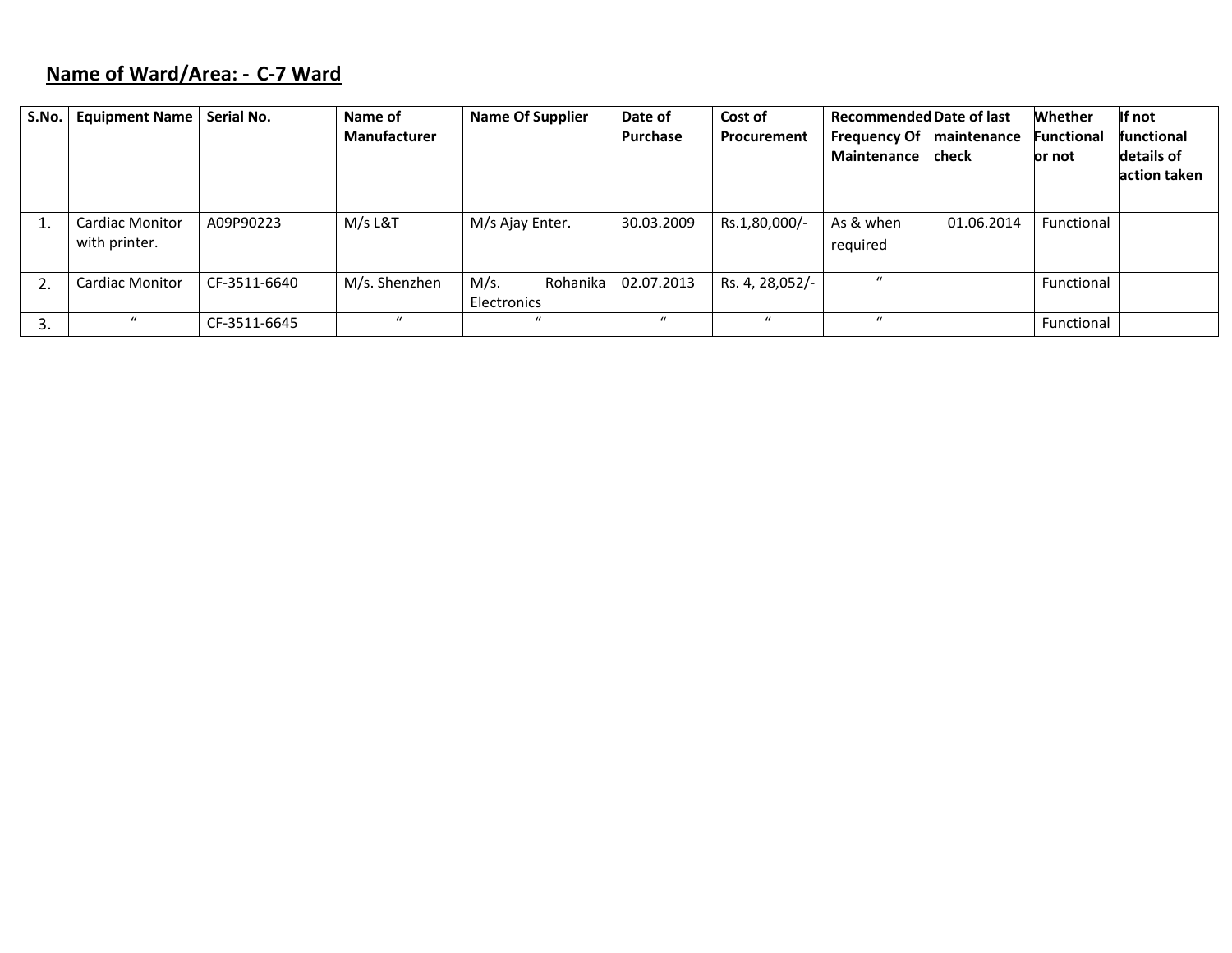# **Name of Ward/Area: ‐ C‐7 Ward**

| S.No. | <b>Equipment Name</b>                   | Serial No.   | Name of<br><b>Manufacturer</b> | <b>Name Of Supplier</b>         | Date of<br>Purchase | Cost of<br>Procurement | <b>Recommended Date of last</b><br><b>Frequency Of</b><br>Maintenance | maintenance<br>check | <b>Whether</b><br><b>Functional</b><br>or not | If not<br><b>functional</b><br>details of<br>action taken |
|-------|-----------------------------------------|--------------|--------------------------------|---------------------------------|---------------------|------------------------|-----------------------------------------------------------------------|----------------------|-----------------------------------------------|-----------------------------------------------------------|
|       | <b>Cardiac Monitor</b><br>with printer. | A09P90223    | M/s L&T                        | M/s Ajay Enter.                 | 30.03.2009          | Rs.1,80,000/-          | As & when<br>required                                                 | 01.06.2014           | Functional                                    |                                                           |
| 2.    | <b>Cardiac Monitor</b>                  | CF-3511-6640 | M/s. Shenzhen                  | M/s.<br>Rohanika<br>Electronics | 02.07.2013          | Rs. 4, 28,052/-        | $\mathbf{u}$                                                          |                      | Functional                                    |                                                           |
| 3.    | $\boldsymbol{u}$                        | CF-3511-6645 | $\mathbf{u}$                   | $\mathbf{u}$                    | $\mathbf{u}$        | $\mathcal{U}$          | $\mathbf{u}$                                                          |                      | Functional                                    |                                                           |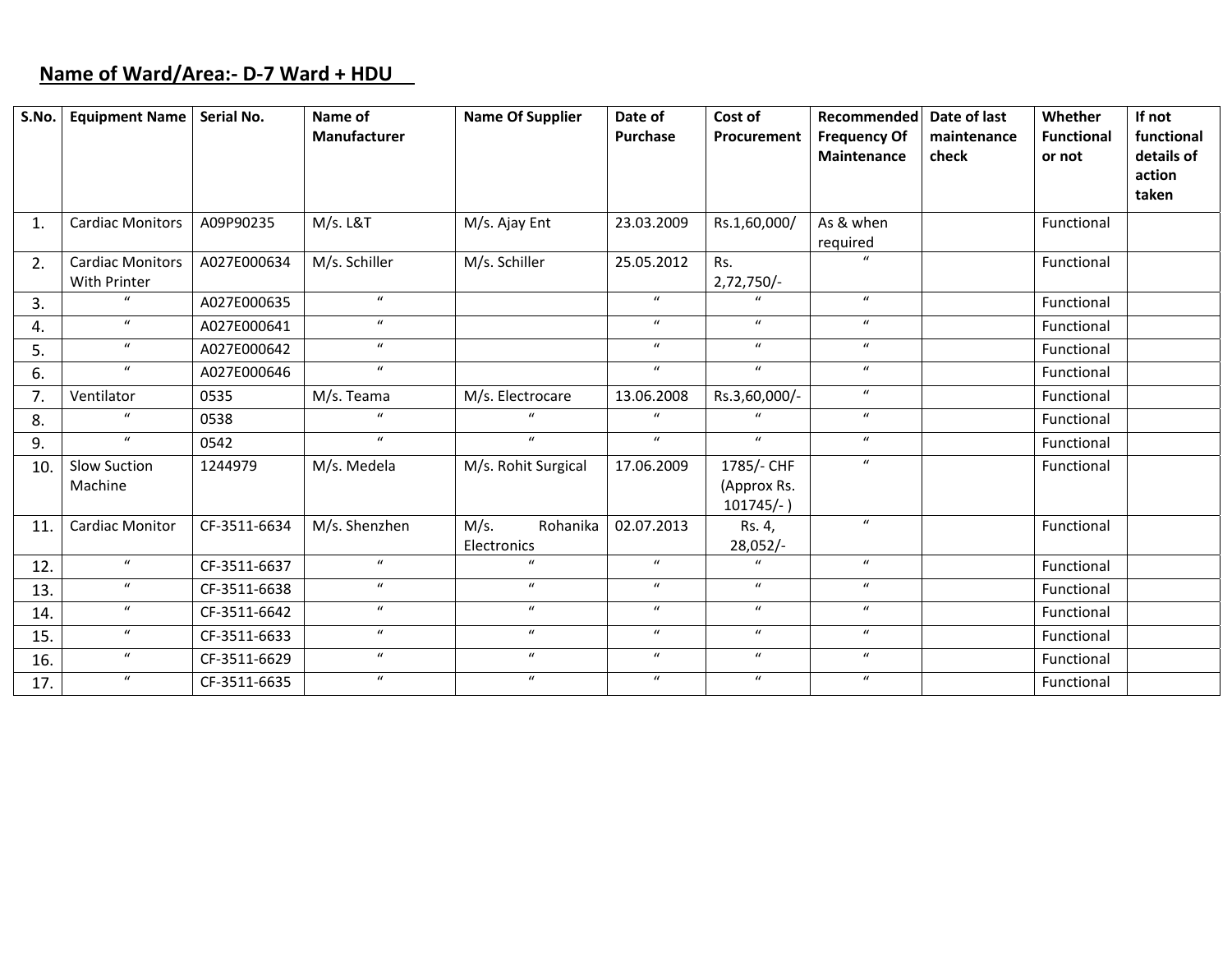# **Name of Ward/Area:‐ D‐7 Ward <sup>+</sup> HDU**

| S.No.        | <b>Equipment Name</b>                   | Serial No.   | Name of<br>Manufacturer | <b>Name Of Supplier</b>         | Date of<br>Purchase | Cost of<br>Procurement                    | Recommended<br><b>Frequency Of</b><br>Maintenance | Date of last<br>maintenance<br>check | Whether<br><b>Functional</b><br>or not | If not<br>functional<br>details of<br>action |
|--------------|-----------------------------------------|--------------|-------------------------|---------------------------------|---------------------|-------------------------------------------|---------------------------------------------------|--------------------------------------|----------------------------------------|----------------------------------------------|
|              |                                         |              |                         |                                 |                     |                                           |                                                   |                                      |                                        | taken                                        |
| $\mathbf{1}$ | <b>Cardiac Monitors</b>                 | A09P90235    | M/s. L&T                | M/s. Ajay Ent                   | 23.03.2009          | Rs.1,60,000/                              | As & when<br>required                             |                                      | Functional                             |                                              |
| 2.           | <b>Cardiac Monitors</b><br>With Printer | A027E000634  | M/s. Schiller           | M/s. Schiller                   | 25.05.2012          | Rs.<br>2,72,750/-                         | $\mathbf{u}$                                      |                                      | Functional                             |                                              |
| 3.           | $\bf{u}$                                | A027E000635  | $\boldsymbol{u}$        |                                 | $\boldsymbol{u}$    | $\mathbf{u}$                              | $\boldsymbol{u}$                                  |                                      | Functional                             |                                              |
| 4.           | $\boldsymbol{u}$                        | A027E000641  | $\boldsymbol{u}$        |                                 | $\boldsymbol{u}$    | $\boldsymbol{u}$                          | $\boldsymbol{u}$                                  |                                      | Functional                             |                                              |
| 5.           | $\boldsymbol{u}$                        | A027E000642  | $\boldsymbol{u}$        |                                 | $\boldsymbol{u}$    | $\boldsymbol{u}$                          | $\boldsymbol{u}$                                  |                                      | Functional                             |                                              |
| 6.           | $\boldsymbol{u}$                        | A027E000646  | $\boldsymbol{u}$        |                                 | $\boldsymbol{u}$    | $\boldsymbol{u}$                          | $\boldsymbol{u}$                                  |                                      | Functional                             |                                              |
| 7.           | Ventilator                              | 0535         | M/s. Teama              | M/s. Electrocare                | 13.06.2008          | Rs.3,60,000/-                             | $\boldsymbol{u}$                                  |                                      | Functional                             |                                              |
| 8.           | $\boldsymbol{u}$                        | 0538         | $\mathbf{u}$            | $\mathbf{u}$                    | $\boldsymbol{u}$    | $\boldsymbol{u}$                          | $\boldsymbol{u}$                                  |                                      | Functional                             |                                              |
| 9.           | $\boldsymbol{u}$                        | 0542         | $\boldsymbol{u}$        | $\boldsymbol{u}$                | $\boldsymbol{u}$    | $\boldsymbol{u}$                          | $\boldsymbol{u}$                                  |                                      | Functional                             |                                              |
| 10.          | Slow Suction<br>Machine                 | 1244979      | M/s. Medela             | M/s. Rohit Surgical             | 17.06.2009          | 1785/- CHF<br>(Approx Rs.<br>$101745/-$ ) | $\boldsymbol{u}$                                  |                                      | Functional                             |                                              |
| 11.          | <b>Cardiac Monitor</b>                  | CF-3511-6634 | M/s. Shenzhen           | M/s.<br>Rohanika<br>Electronics | 02.07.2013          | Rs. 4,<br>28,052/-                        | $\mathbf{u}$                                      |                                      | Functional                             |                                              |
| 12.          | $\boldsymbol{u}$                        | CF-3511-6637 | $\boldsymbol{u}$        | $\mathbf{u}$                    | $\boldsymbol{u}$    | $\boldsymbol{u}$                          | $\boldsymbol{u}$                                  |                                      | Functional                             |                                              |
| 13.          | $\boldsymbol{u}$                        | CF-3511-6638 | $\boldsymbol{u}$        | $\boldsymbol{u}$                | $\boldsymbol{u}$    | $\boldsymbol{u}$                          | $\boldsymbol{u}$                                  |                                      | Functional                             |                                              |
| 14.          | $\boldsymbol{u}$                        | CF-3511-6642 | $\boldsymbol{u}$        | $\boldsymbol{u}$                | $\boldsymbol{u}$    | $\boldsymbol{u}$                          | $\boldsymbol{u}$                                  |                                      | Functional                             |                                              |
| 15.          | $\boldsymbol{u}$                        | CF-3511-6633 | $\boldsymbol{u}$        | $\boldsymbol{u}$                | $\boldsymbol{u}$    | $\boldsymbol{u}$                          | $\boldsymbol{u}$                                  |                                      | Functional                             |                                              |
| 16.          | $\boldsymbol{u}$                        | CF-3511-6629 | $\boldsymbol{u}$        | $\boldsymbol{u}$                | $\boldsymbol{u}$    | $\boldsymbol{u}$                          | $\boldsymbol{u}$                                  |                                      | Functional                             |                                              |
| 17.          | $\boldsymbol{u}$                        | CF-3511-6635 | $\boldsymbol{u}$        | $\boldsymbol{u}$                | $\boldsymbol{u}$    | $\boldsymbol{u}$                          | $\boldsymbol{u}$                                  |                                      | Functional                             |                                              |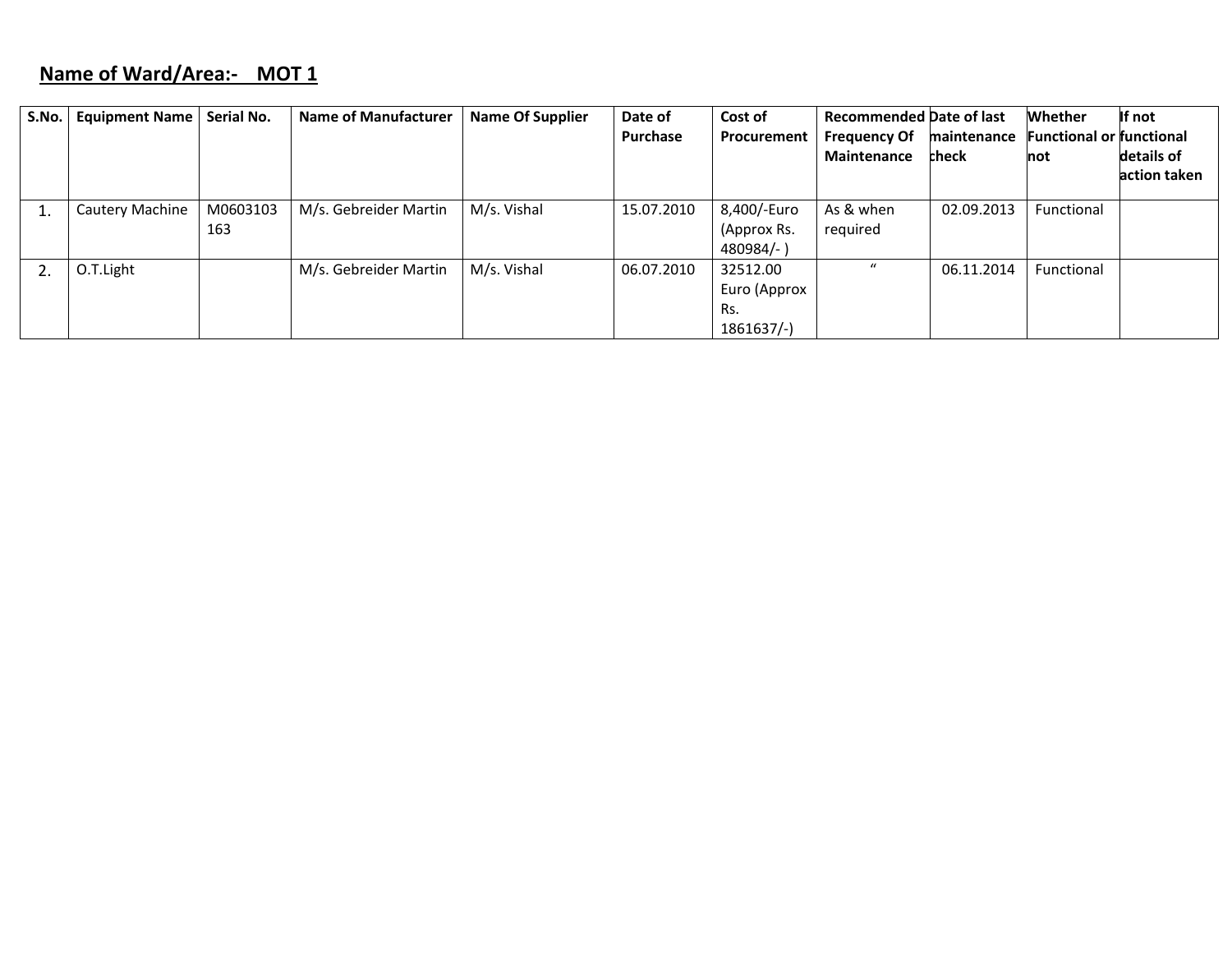## **Name of Ward/Area:‐ MOT 1**

| S.No. | <b>Equipment Name</b> | Serial No. | <b>Name of Manufacturer</b> | <b>Name Of Supplier</b> | Date of    | Cost of      | <b>Recommended Date of last</b> |             | <b>Whether</b>                  | If not       |
|-------|-----------------------|------------|-----------------------------|-------------------------|------------|--------------|---------------------------------|-------------|---------------------------------|--------------|
|       |                       |            |                             |                         | Purchase   | Procurement  | <b>Frequency Of</b>             | maintenance | <b>Functional or functional</b> |              |
|       |                       |            |                             |                         |            |              | <b>Maintenance</b>              | check       | not                             | details of   |
|       |                       |            |                             |                         |            |              |                                 |             |                                 | action taken |
|       |                       |            |                             |                         |            |              |                                 |             |                                 |              |
|       | Cautery Machine       | M0603103   | M/s. Gebreider Martin       | M/s. Vishal             | 15.07.2010 | 8,400/-Euro  | As & when                       | 02.09.2013  | Functional                      |              |
|       |                       | 163        |                             |                         |            | (Approx Rs.  | required                        |             |                                 |              |
|       |                       |            |                             |                         |            | $480984/-$ ) |                                 |             |                                 |              |
|       | O.T.Light             |            | M/s. Gebreider Martin       | M/s. Vishal             | 06.07.2010 | 32512.00     | $\boldsymbol{u}$                | 06.11.2014  | Functional                      |              |
|       |                       |            |                             |                         |            | Euro (Approx |                                 |             |                                 |              |
|       |                       |            |                             |                         |            | Rs.          |                                 |             |                                 |              |
|       |                       |            |                             |                         |            | $1861637/-$  |                                 |             |                                 |              |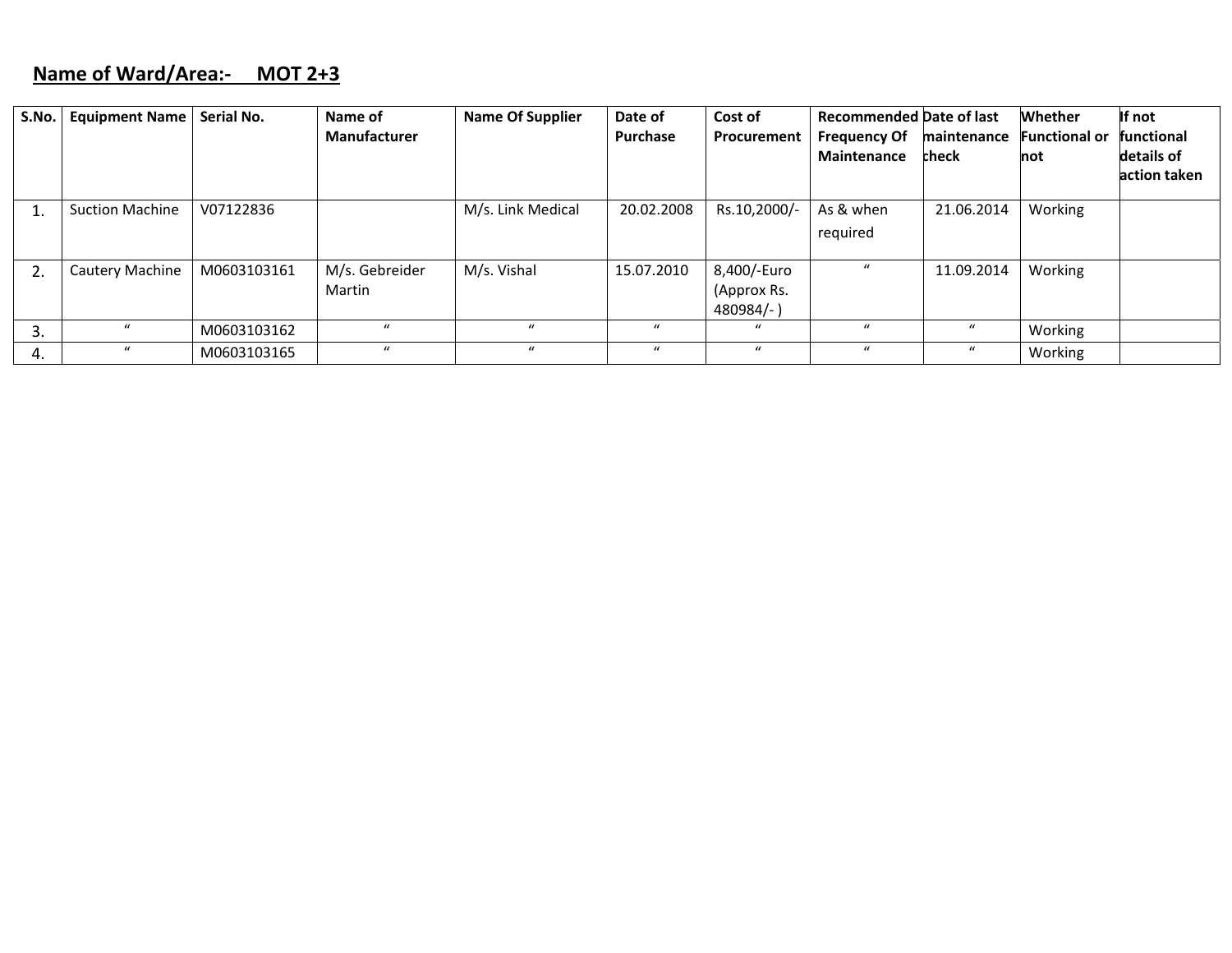### **Name of Ward/Area:‐ MOT 2+3**

| S.No. | <b>Equipment Name</b>  | Serial No.  | Name of<br>Manufacturer  | <b>Name Of Supplier</b> | Date of<br>Purchase | Cost of<br>Procurement                     | <b>Recommended Date of last</b><br><b>Frequency Of</b><br>Maintenance | maintenance<br>check | <b>Whether</b><br><b>Functional or</b><br>not | If not<br><b>functional</b><br>details of<br>action taken |
|-------|------------------------|-------------|--------------------------|-------------------------|---------------------|--------------------------------------------|-----------------------------------------------------------------------|----------------------|-----------------------------------------------|-----------------------------------------------------------|
|       | <b>Suction Machine</b> | V07122836   |                          | M/s. Link Medical       | 20.02.2008          | Rs.10,2000/-                               | As & when<br>required                                                 | 21.06.2014           | Working                                       |                                                           |
|       | Cautery Machine        | M0603103161 | M/s. Gebreider<br>Martin | M/s. Vishal             | 15.07.2010          | 8,400/-Euro<br>(Approx Rs.<br>$480984/-$ ) |                                                                       | 11.09.2014           | Working                                       |                                                           |
| .כ    | $\mathcal{U}$          | M0603103162 | $\mathcal{U}$            | $\mathcal{U}$           | $\mathcal{U}$       | $\mathbf{u}$                               |                                                                       | $\mathcal{U}$        | Working                                       |                                                           |
| 4.    | $\boldsymbol{u}$       | M0603103165 | $\boldsymbol{u}$         | $\mathbf{u}$            | $\mathcal{U}$       | $\boldsymbol{u}$                           | $\mathbf{u}$                                                          | $\mathbf u$          | Working                                       |                                                           |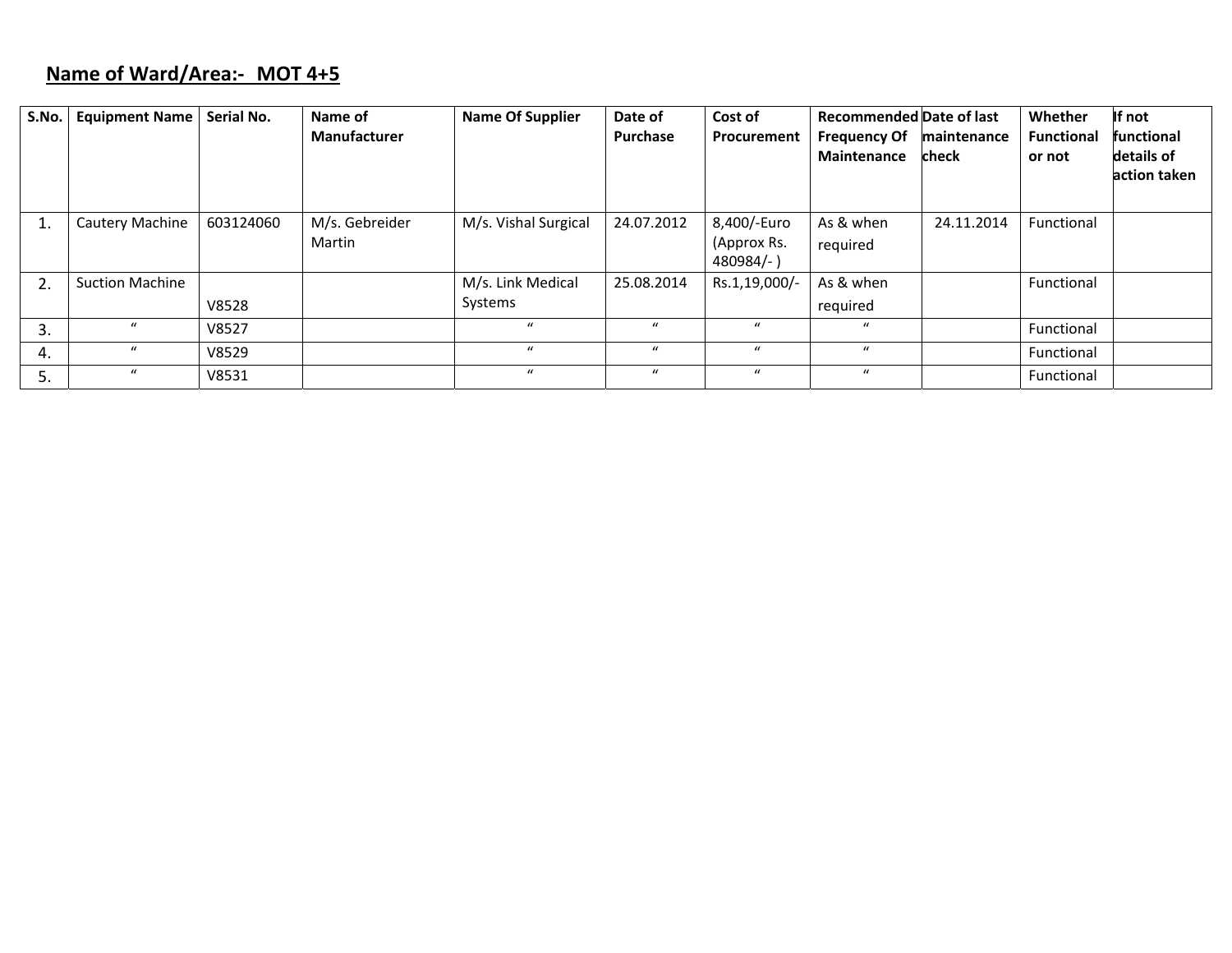# **Name of Ward/Area:‐ MOT 4+5**

| S.No. | <b>Equipment Name</b>  | Serial No. | Name of<br>Manufacturer  | <b>Name Of Supplier</b> | Date of<br><b>Purchase</b> | Cost of<br>Procurement                  | <b>Recommended Date of last</b><br><b>Frequency Of</b><br>Maintenance | maintenance<br>check | Whether<br><b>Functional</b><br>or not | If not<br>functional<br>details of<br>action taken |
|-------|------------------------|------------|--------------------------|-------------------------|----------------------------|-----------------------------------------|-----------------------------------------------------------------------|----------------------|----------------------------------------|----------------------------------------------------|
|       | Cautery Machine        | 603124060  | M/s. Gebreider<br>Martin | M/s. Vishal Surgical    | 24.07.2012                 | 8,400/-Euro<br>(Approx Rs.<br>480984/-) | As & when<br>required                                                 | 24.11.2014           | Functional                             |                                                    |
| 2.    | <b>Suction Machine</b> |            |                          | M/s. Link Medical       | 25.08.2014                 | Rs.1,19,000/-                           | As & when                                                             |                      | Functional                             |                                                    |
|       |                        | V8528      |                          | Systems                 |                            |                                         | required                                                              |                      |                                        |                                                    |
| 3.    | $\mathbf{u}$           | V8527      |                          | $\mathbf{u}$            | $\mathbf{u}$               | $\bf{u}$                                | $\mathcal{U}$                                                         |                      | Functional                             |                                                    |
| 4.    | $\boldsymbol{u}$       | V8529      |                          | $\mathbf{u}$            | $\mathbf{u}$               | $\mathbf{u}$                            | $\mathbf{u}$                                                          |                      | Functional                             |                                                    |
|       | $\boldsymbol{u}$       | V8531      |                          | $\mathbf{u}$            | $\mathbf{u}$               | $\bf{u}$                                | $\mathbf{u}$                                                          |                      | Functional                             |                                                    |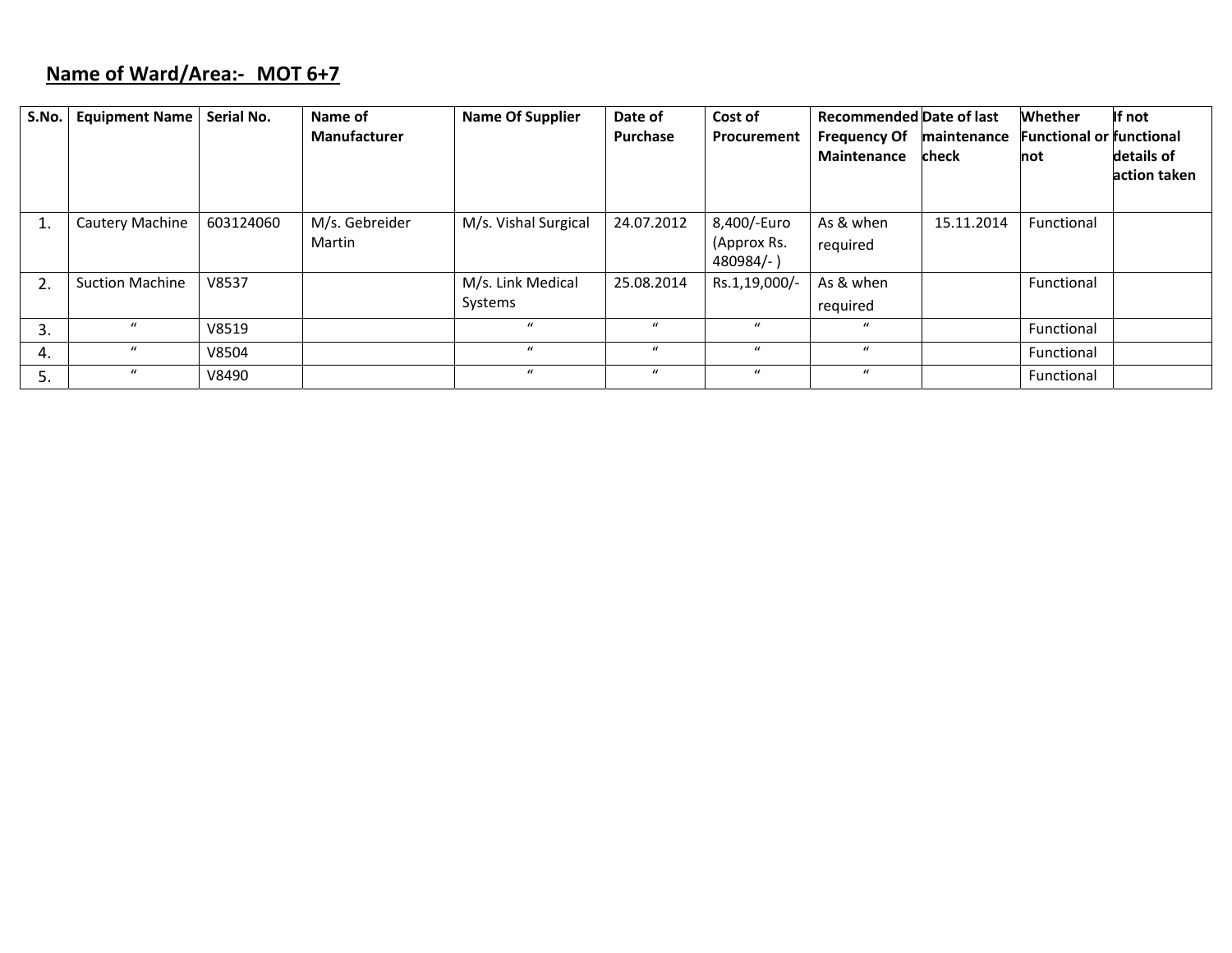# **Name of Ward/Area:‐ MOT 6+7**

| S.No. | <b>Equipment Name</b>  | Serial No. | Name of<br>Manufacturer  | <b>Name Of Supplier</b>      | Date of<br>Purchase | Cost of<br><b>Procurement</b>           | <b>Recommended Date of last</b><br><b>Frequency Of</b><br><b>Maintenance</b> | maintenance<br>check | Whether<br><b>Functional or functional</b><br>not | If not<br>details of<br>action taken |
|-------|------------------------|------------|--------------------------|------------------------------|---------------------|-----------------------------------------|------------------------------------------------------------------------------|----------------------|---------------------------------------------------|--------------------------------------|
|       | <b>Cautery Machine</b> | 603124060  | M/s. Gebreider<br>Martin | M/s. Vishal Surgical         | 24.07.2012          | 8,400/-Euro<br>(Approx Rs.<br>480984/-) | As & when<br>required                                                        | 15.11.2014           | Functional                                        |                                      |
| 2.    | <b>Suction Machine</b> | V8537      |                          | M/s. Link Medical<br>Systems | 25.08.2014          | Rs.1,19,000/-                           | As & when<br>required                                                        |                      | Functional                                        |                                      |
| 3.    | $\mathbf{u}$           | V8519      |                          | $\boldsymbol{u}$             | $\mathbf{u}$        | $\mathbf{u}$                            | $\boldsymbol{u}$                                                             |                      | Functional                                        |                                      |
| 4.    | $\mathbf{u}$           | V8504      |                          | $\mathbf{u}$                 | $\mathbf{u}$        | $\mathbf{u}$                            | $\mathbf{u}$                                                                 |                      | Functional                                        |                                      |
| 5.    | $\mathbf{u}$           | V8490      |                          | $\mathbf{u}$                 | $\mathbf{u}$        | $\bf{u}$                                | $\boldsymbol{u}$                                                             |                      | Functional                                        |                                      |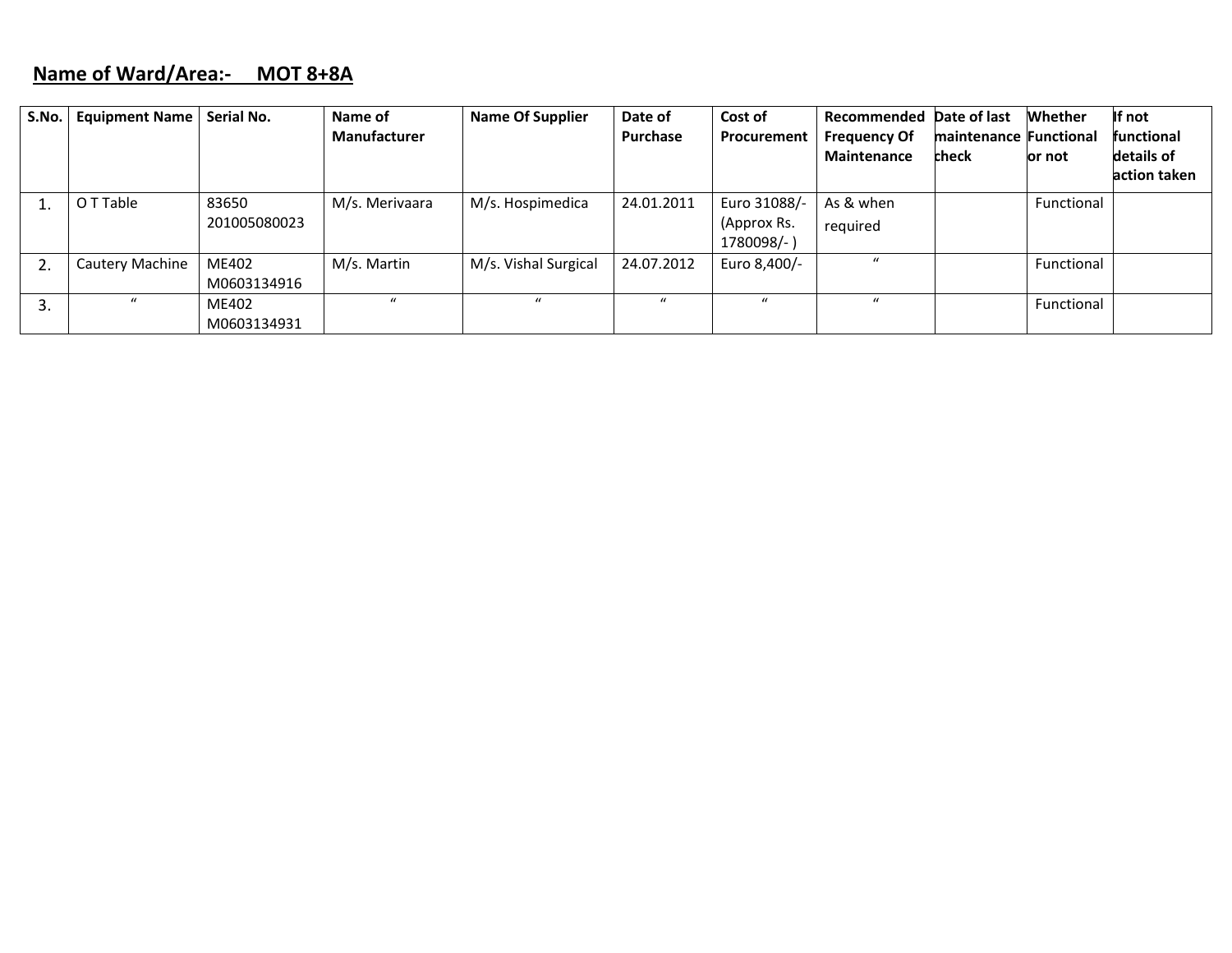### **Name of Ward/Area:‐ MOT 8+8A**

| S.No. | <b>Equipment Name</b> | Serial No.            | Name of<br>Manufacturer | <b>Name Of Supplier</b> | Date of<br>Purchase | Cost of<br>Procurement                    | Recommended Date of last<br><b>Frequency Of</b><br><b>Maintenance</b> | maintenance Functional<br>check | <b>Whether</b><br>or not | If not<br><b>functional</b><br>details of<br>action taken |
|-------|-----------------------|-----------------------|-------------------------|-------------------------|---------------------|-------------------------------------------|-----------------------------------------------------------------------|---------------------------------|--------------------------|-----------------------------------------------------------|
|       | O T Table             | 83650<br>201005080023 | M/s. Merivaara          | M/s. Hospimedica        | 24.01.2011          | Euro 31088/-<br>(Approx Rs.<br>1780098/-) | As & when<br>required                                                 |                                 | Functional               |                                                           |
| 2.    | Cautery Machine       | ME402<br>M0603134916  | M/s. Martin             | M/s. Vishal Surgical    | 24.07.2012          | Euro 8,400/-                              | $\mathbf{u}$                                                          |                                 | Functional               |                                                           |
| 3.    | $\boldsymbol{u}$      | ME402<br>M0603134931  | $\mathbf{u}$            | $\mathbf{u}$            | $\mathbf{u}$        | $\mathbf{u}$                              | $\mathbf{u}$                                                          |                                 | Functional               |                                                           |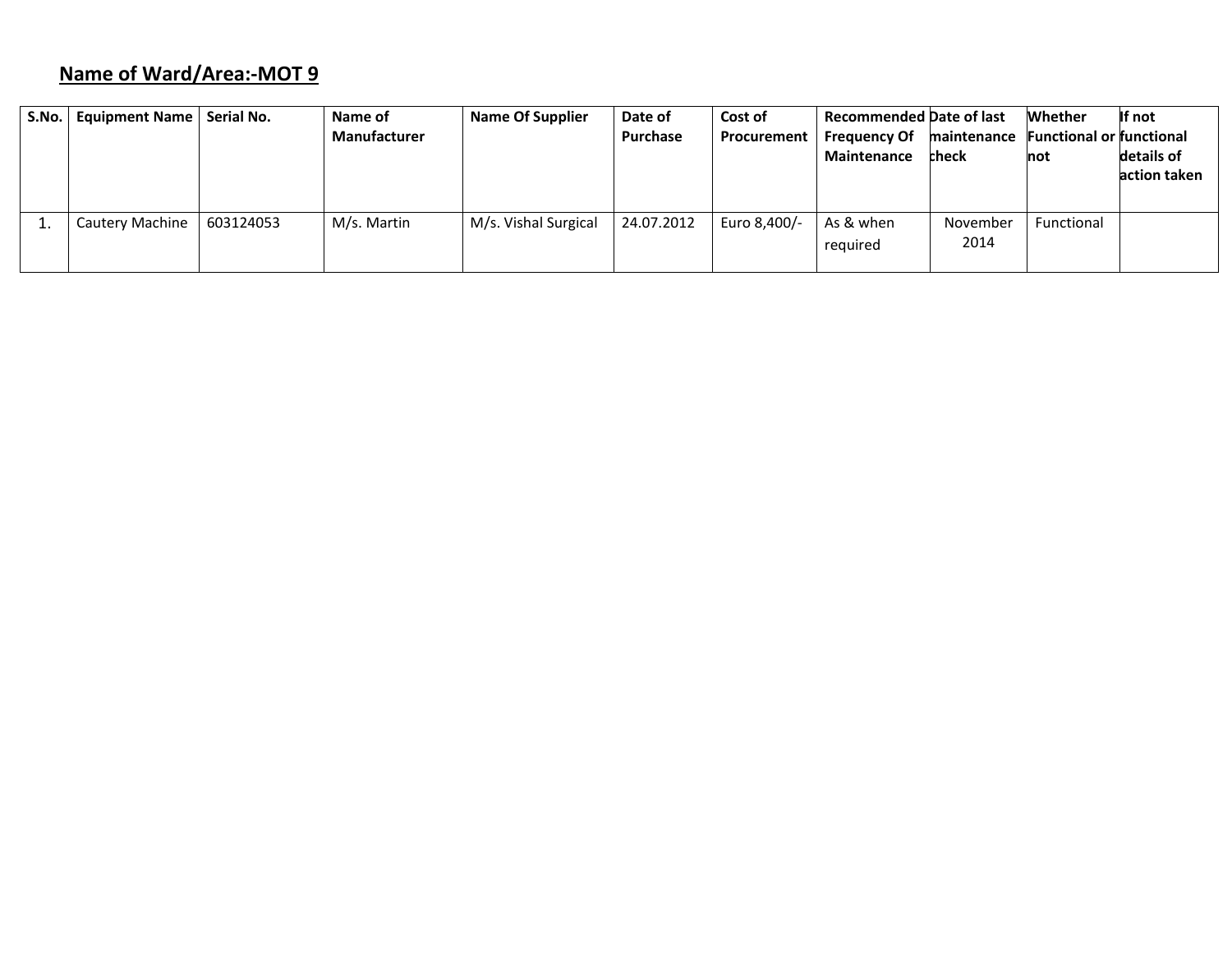# **Name of Ward/Area:‐MOT 9**

| S.No. | Equipment Name         | Serial No. | Name of<br>Manufacturer | <b>Name Of Supplier</b> | Date of<br>Purchase | Cost of<br>Procurement | <b>Recommended Date of last</b><br><b>Frequency Of</b><br><b>Maintenance</b> | maintenance<br>check | Whether<br><b>Functional or functional</b><br>not | If not<br>details of<br>action taken |
|-------|------------------------|------------|-------------------------|-------------------------|---------------------|------------------------|------------------------------------------------------------------------------|----------------------|---------------------------------------------------|--------------------------------------|
|       | <b>Cautery Machine</b> | 603124053  | M/s. Martin             | M/s. Vishal Surgical    | 24.07.2012          | Euro 8,400/-           | As & when<br>required                                                        | November<br>2014     | Functional                                        |                                      |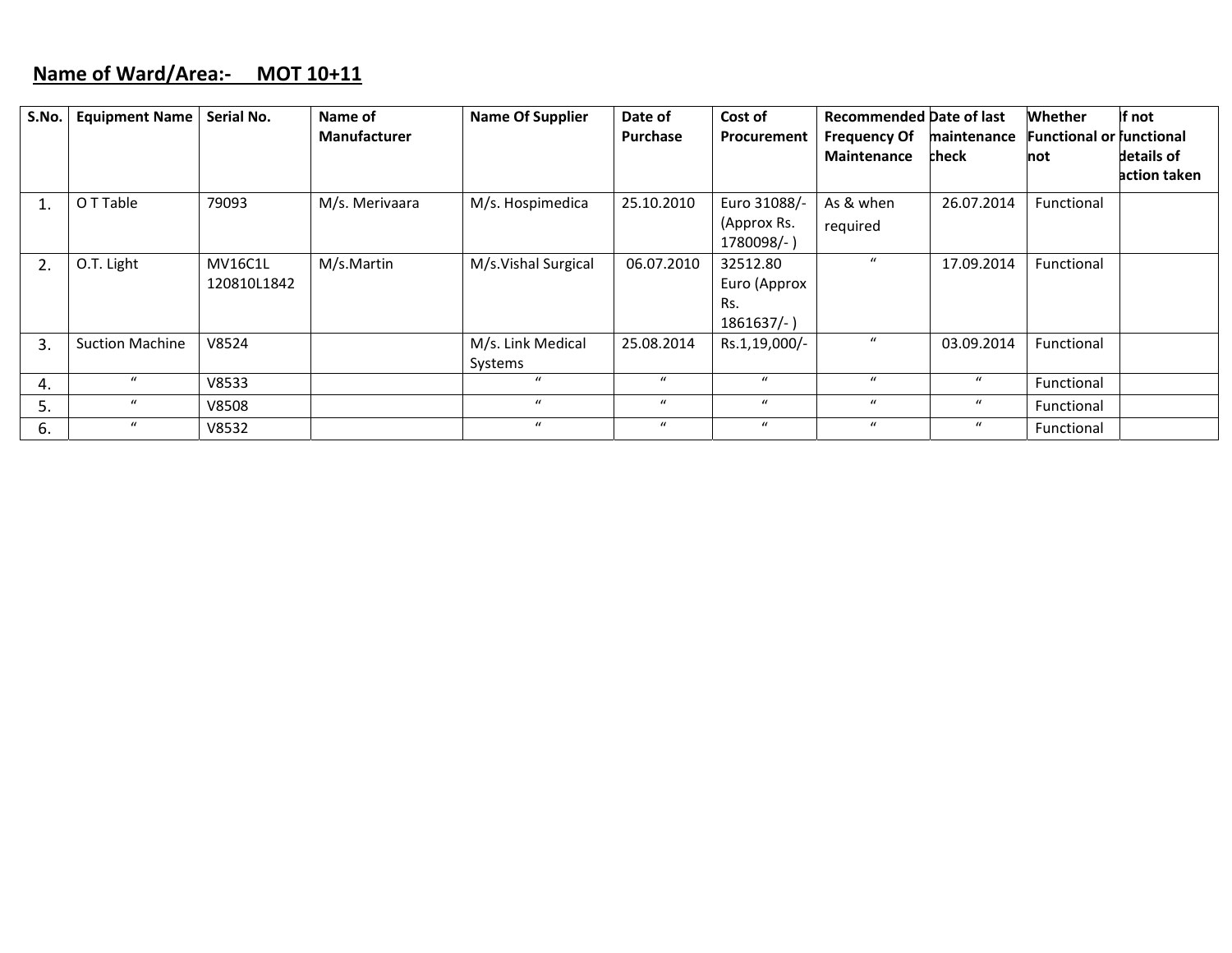#### **Name of Ward/Area:‐ MOT 10+11**

| S.No. | <b>Equipment Name</b>  | Serial No.     | Name of             | <b>Name Of Supplier</b> | Date of          | Cost of          | <b>Recommended Date of last</b>           |                      | <b>Whether</b>                         | If not       |
|-------|------------------------|----------------|---------------------|-------------------------|------------------|------------------|-------------------------------------------|----------------------|----------------------------------------|--------------|
|       |                        |                | <b>Manufacturer</b> |                         | <b>Purchase</b>  | Procurement      | <b>Frequency Of</b><br><b>Maintenance</b> | maintenance<br>check | <b>Functional or functional</b><br>not | details of   |
|       |                        |                |                     |                         |                  |                  |                                           |                      |                                        | action taken |
| 1.    | O T Table              | 79093          | M/s. Merivaara      | M/s. Hospimedica        | 25.10.2010       | Euro 31088/-     | As & when                                 | 26.07.2014           | Functional                             |              |
|       |                        |                |                     |                         |                  | (Approx Rs.      | required                                  |                      |                                        |              |
|       |                        |                |                     |                         |                  | 1780098/-)       |                                           |                      |                                        |              |
| 2.    | O.T. Light             | <b>MV16C1L</b> | M/s.Martin          | M/s.Vishal Surgical     | 06.07.2010       | 32512.80         | $\mathbf{u}$                              | 17.09.2014           | Functional                             |              |
|       |                        | 120810L1842    |                     |                         |                  | Euro (Approx     |                                           |                      |                                        |              |
|       |                        |                |                     |                         |                  | Rs.              |                                           |                      |                                        |              |
|       |                        |                |                     |                         |                  | $1861637/-$ )    |                                           |                      |                                        |              |
| 3.    | <b>Suction Machine</b> | V8524          |                     | M/s. Link Medical       | 25.08.2014       | Rs.1,19,000/-    | $\boldsymbol{u}$                          | 03.09.2014           | Functional                             |              |
|       |                        |                |                     | Systems                 |                  |                  |                                           |                      |                                        |              |
| 4.    | $\mathbf{u}$           | V8533          |                     | $\boldsymbol{u}$        | $\mathbf{u}$     | $\boldsymbol{u}$ | $\boldsymbol{u}$                          | $\mathbf{u}$         | Functional                             |              |
| 5.    | $\boldsymbol{u}$       | V8508          |                     | $\bf{u}$                | $\boldsymbol{u}$ | $\boldsymbol{u}$ | $\boldsymbol{u}$                          | $\mathbf{u}$         | Functional                             |              |
| 6.    | $\mathcal{U}$          | V8532          |                     | $\boldsymbol{u}$        | $\boldsymbol{u}$ | $\boldsymbol{u}$ | $\boldsymbol{u}$                          | $\bf{u}$             | Functional                             |              |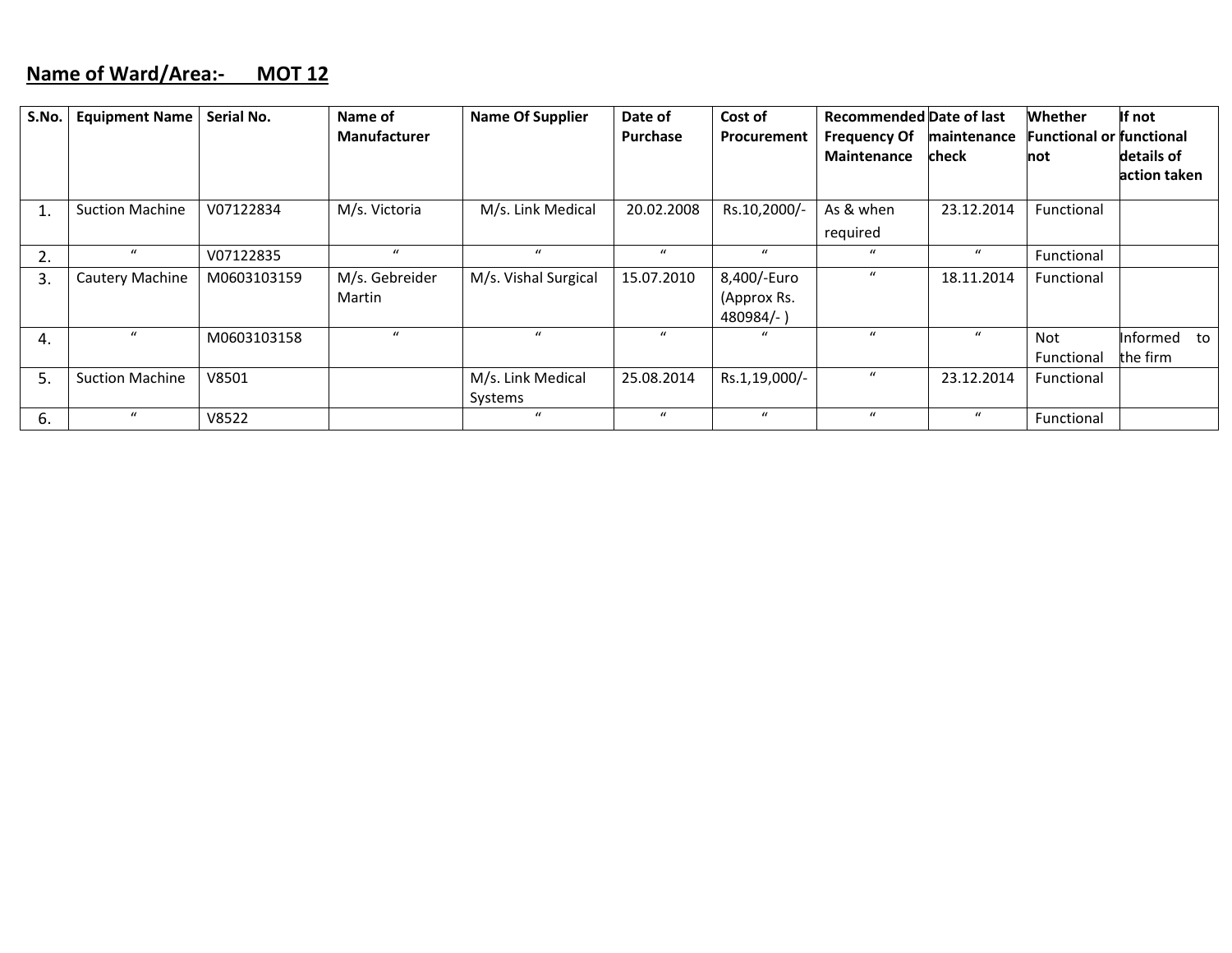#### **Name of Ward/Area:‐ MOT 12**

| S.No. | <b>Equipment Name</b>  | Serial No.  | Name of             | <b>Name Of Supplier</b> | Date of          | Cost of            | <b>Recommended Date of last</b> |                  | <b>Whether</b>                  | If not       |
|-------|------------------------|-------------|---------------------|-------------------------|------------------|--------------------|---------------------------------|------------------|---------------------------------|--------------|
|       |                        |             | <b>Manufacturer</b> |                         | <b>Purchase</b>  | <b>Procurement</b> | <b>Frequency Of</b>             | maintenance      | <b>Functional or functional</b> |              |
|       |                        |             |                     |                         |                  |                    | <b>Maintenance</b>              | <b>check</b>     | not                             | details of   |
|       |                        |             |                     |                         |                  |                    |                                 |                  |                                 | action taken |
|       | <b>Suction Machine</b> | V07122834   | M/s. Victoria       | M/s. Link Medical       | 20.02.2008       | Rs.10,2000/-       | As & when                       | 23.12.2014       | Functional                      |              |
|       |                        |             |                     |                         |                  |                    | required                        |                  |                                 |              |
| 2.    | $\mathbf{u}$           | V07122835   | $\boldsymbol{u}$    | $\bf{u}$                | $\bf{u}$         | $\boldsymbol{u}$   | $\boldsymbol{u}$                | $\boldsymbol{u}$ | Functional                      |              |
| 3.    | Cautery Machine        | M0603103159 | M/s. Gebreider      | M/s. Vishal Surgical    | 15.07.2010       | 8,400/-Euro        | $\boldsymbol{u}$                | 18.11.2014       | Functional                      |              |
|       |                        |             | Martin              |                         |                  | (Approx Rs.        |                                 |                  |                                 |              |
|       |                        |             |                     |                         |                  | 480984/-)          |                                 |                  |                                 |              |
| 4.    | $\mu$                  | M0603103158 | $\mathbf{u}$        | $\mathbf{u}$            | $\bf{u}$         | $\mathbf{u}$       | $\mathbf{u}$                    | $\mathbf{u}$     | Not                             | Informed to  |
|       |                        |             |                     |                         |                  |                    |                                 |                  | Functional                      | the firm     |
| 5.    | <b>Suction Machine</b> | V8501       |                     | M/s. Link Medical       | 25.08.2014       | Rs.1,19,000/-      | $\boldsymbol{u}$                | 23.12.2014       | Functional                      |              |
|       |                        |             |                     | Systems                 |                  |                    |                                 |                  |                                 |              |
| 6.    | $\boldsymbol{u}$       | V8522       |                     | $\boldsymbol{u}$        | $\boldsymbol{u}$ | $\boldsymbol{u}$   | $\boldsymbol{u}$                | $\boldsymbol{u}$ | Functional                      |              |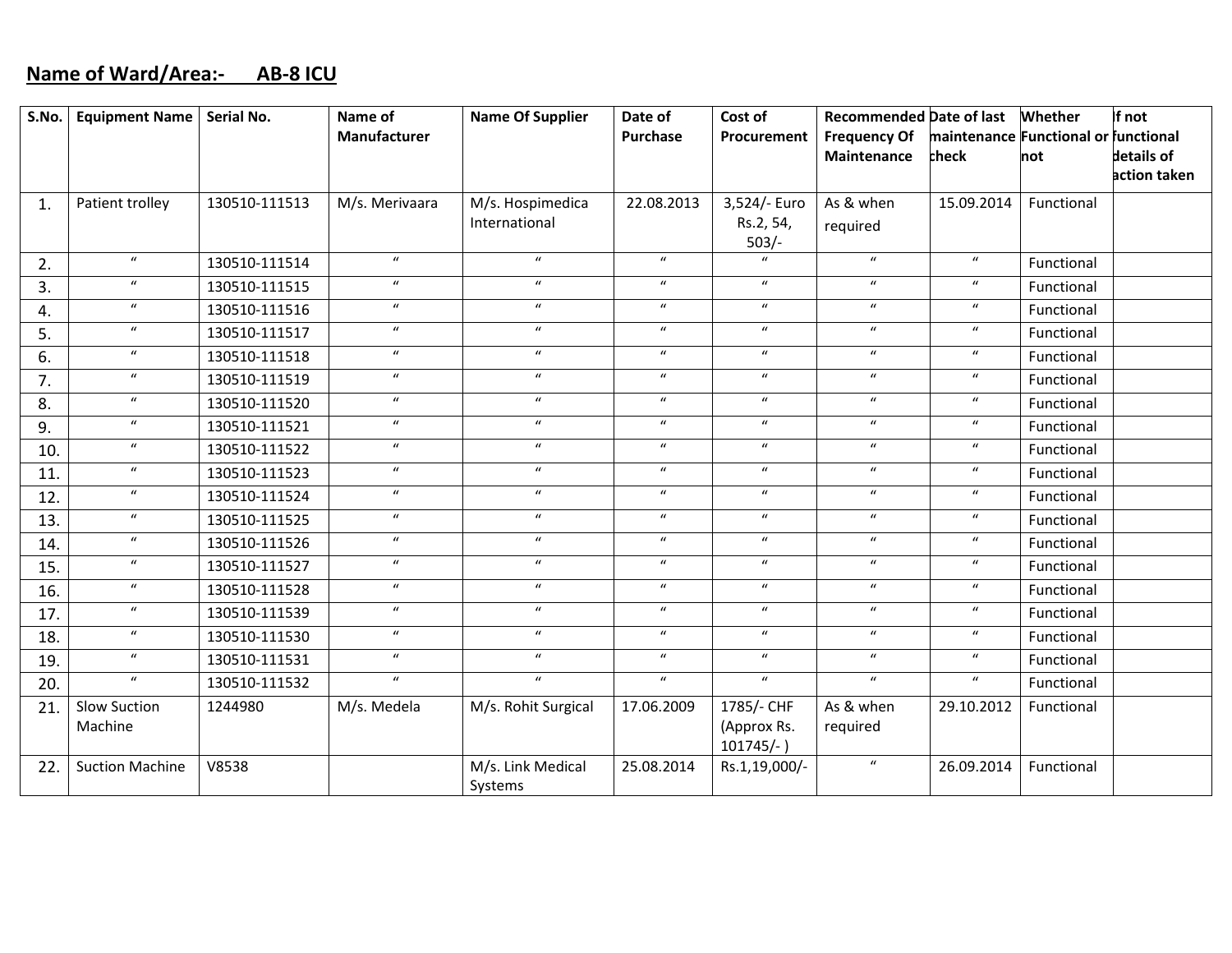### **Name of Ward/Area:‐ AB‐8 ICU**

| S.No.          | Equipment Name   Serial No. |               | Name of                    | <b>Name Of Supplier</b>      | Date of          | Cost of                     | <b>Recommended Date of last</b> |                                      | Whether    | If not       |
|----------------|-----------------------------|---------------|----------------------------|------------------------------|------------------|-----------------------------|---------------------------------|--------------------------------------|------------|--------------|
|                |                             |               | Manufacturer               |                              | Purchase         | Procurement                 | <b>Frequency Of</b>             | maintenance Functional or functional |            |              |
|                |                             |               |                            |                              |                  |                             | Maintenance                     | check                                | not        | details of   |
|                |                             |               |                            |                              |                  |                             |                                 |                                      |            | action taken |
| $\mathbf{1}$ . | Patient trolley             | 130510-111513 | M/s. Merivaara             | M/s. Hospimedica             | 22.08.2013       | 3,524/- Euro                | As & when                       | 15.09.2014                           | Functional |              |
|                |                             |               |                            | International                |                  | Rs.2, 54,<br>$503/-$        | required                        |                                      |            |              |
| 2.             | $\boldsymbol{u}$            | 130510-111514 | $\boldsymbol{u}$           | $\boldsymbol{u}$             | $\boldsymbol{u}$ | $\mathbf{u}$                | $\boldsymbol{u}$                | $\boldsymbol{u}$                     | Functional |              |
| 3.             | $\boldsymbol{u}$            | 130510-111515 | $\boldsymbol{u}$           | $\boldsymbol{u}$             | $\boldsymbol{u}$ | $\boldsymbol{u}$            | $\boldsymbol{u}$                | $\boldsymbol{u}$                     | Functional |              |
| 4.             | $\boldsymbol{u}$            | 130510-111516 | $\boldsymbol{\mathcal{U}}$ | $\boldsymbol{u}$             | $\boldsymbol{u}$ | $\boldsymbol{u}$            | $\boldsymbol{u}$                | $\boldsymbol{u}$                     | Functional |              |
| 5.             | $\boldsymbol{u}$            | 130510-111517 | $\boldsymbol{u}$           | $\boldsymbol{u}$             | $\boldsymbol{u}$ | $\boldsymbol{u}$            | $\boldsymbol{u}$                | $\boldsymbol{u}$                     | Functional |              |
| 6.             | $\boldsymbol{u}$            | 130510-111518 | $\boldsymbol{u}$           | $\boldsymbol{u}$             | $\boldsymbol{u}$ | $\boldsymbol{u}$            | $\boldsymbol{u}$                | $\boldsymbol{u}$                     | Functional |              |
| 7.             | $\boldsymbol{u}$            | 130510-111519 | $\boldsymbol{u}$           | $\boldsymbol{u}$             | $\boldsymbol{u}$ | $\boldsymbol{u}$            | $\boldsymbol{u}$                | $\boldsymbol{u}$                     | Functional |              |
| 8.             | $\boldsymbol{u}$            | 130510-111520 | $\boldsymbol{u}$           | $\boldsymbol{u}$             | $\boldsymbol{u}$ | $\boldsymbol{u}$            | $\boldsymbol{u}$                | $\boldsymbol{u}$                     | Functional |              |
| 9.             | $\boldsymbol{u}$            | 130510-111521 | $\boldsymbol{u}$           | $\boldsymbol{u}$             | $\boldsymbol{u}$ | $\boldsymbol{u}$            | $\boldsymbol{u}$                | $\boldsymbol{u}$                     | Functional |              |
| 10.            | $\boldsymbol{u}$            | 130510-111522 | $\boldsymbol{u}$           | $\boldsymbol{u}$             | $\boldsymbol{u}$ | $\boldsymbol{u}$            | $\boldsymbol{u}$                | $\boldsymbol{u}$                     | Functional |              |
| 11.            | $\boldsymbol{u}$            | 130510-111523 | $\boldsymbol{u}$           | $\boldsymbol{u}$             | $\boldsymbol{u}$ | $\boldsymbol{u}$            | $\boldsymbol{u}$                | $\boldsymbol{u}$                     | Functional |              |
| 12.            | $\boldsymbol{u}$            | 130510-111524 | $\boldsymbol{u}$           | $\boldsymbol{u}$             | $\boldsymbol{u}$ | $\boldsymbol{u}$            | $\boldsymbol{u}$                | $\boldsymbol{u}$                     | Functional |              |
| 13.            | $\boldsymbol{u}$            | 130510-111525 | $\boldsymbol{u}$           | $\boldsymbol{u}$             | $\boldsymbol{u}$ | $\boldsymbol{u}$            | $\boldsymbol{u}$                | $\boldsymbol{u}$                     | Functional |              |
| 14.            | $\boldsymbol{u}$            | 130510-111526 | $\boldsymbol{u}$           | $\boldsymbol{u}$             | $\boldsymbol{u}$ | $\boldsymbol{u}$            | $\boldsymbol{u}$                | $\boldsymbol{u}$                     | Functional |              |
| 15.            | $\boldsymbol{u}$            | 130510-111527 | $\boldsymbol{u}$           | $\boldsymbol{u}$             | $\boldsymbol{u}$ | $\boldsymbol{u}$            | $\boldsymbol{u}$                | $\boldsymbol{u}$                     | Functional |              |
| 16.            | $\boldsymbol{u}$            | 130510-111528 | $\boldsymbol{u}$           | $\boldsymbol{u}$             | $\boldsymbol{u}$ | $\boldsymbol{u}$            | $\boldsymbol{u}$                | $\boldsymbol{u}$                     | Functional |              |
| 17.            | $\boldsymbol{u}$            | 130510-111539 | $\boldsymbol{u}$           | $\boldsymbol{u}$             | $\boldsymbol{u}$ | $\boldsymbol{u}$            | $\boldsymbol{u}$                | $\boldsymbol{u}$                     | Functional |              |
| 18.            | $\boldsymbol{u}$            | 130510-111530 | $\boldsymbol{u}$           | $\boldsymbol{u}$             | $\boldsymbol{u}$ | $\boldsymbol{u}$            | $\boldsymbol{u}$                | $\boldsymbol{u}$                     | Functional |              |
| 19.            | $\boldsymbol{u}$            | 130510-111531 | $\boldsymbol{u}$           | $\boldsymbol{u}$             | $\boldsymbol{u}$ | $\boldsymbol{u}$            | $\boldsymbol{u}$                | $\boldsymbol{u}$                     | Functional |              |
| 20.            | $\boldsymbol{u}$            | 130510-111532 | $\boldsymbol{u}$           | $\boldsymbol{u}$             | $\boldsymbol{u}$ | $\boldsymbol{u}$            | $\boldsymbol{u}$                | $\boldsymbol{u}$                     | Functional |              |
| 21.            | Slow Suction                | 1244980       | M/s. Medela                | M/s. Rohit Surgical          | 17.06.2009       | 1785/- CHF                  | As & when                       | 29.10.2012                           | Functional |              |
|                | Machine                     |               |                            |                              |                  | (Approx Rs.<br>$101745/-$ ) | required                        |                                      |            |              |
| 22.            | <b>Suction Machine</b>      | V8538         |                            | M/s. Link Medical<br>Systems | 25.08.2014       | Rs.1,19,000/-               | $\boldsymbol{u}$                | 26.09.2014                           | Functional |              |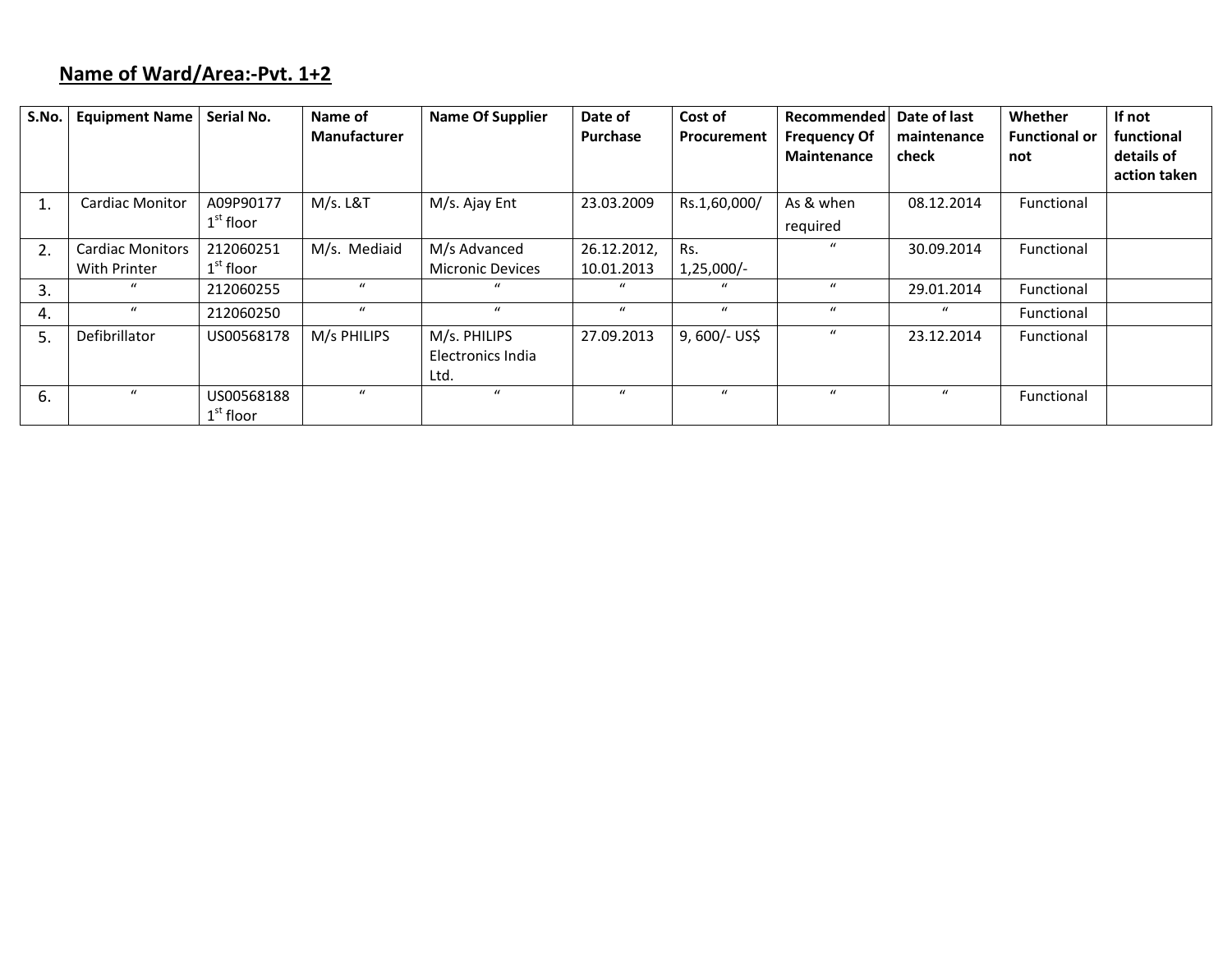# **Name of Ward/Area:‐Pvt. 1+2**

| S.No. | <b>Equipment Name</b>                   | Serial No.                         | Name of<br><b>Manufacturer</b> | <b>Name Of Supplier</b>                   | Date of<br>Purchase       | Cost of<br>Procurement | Recommended<br><b>Frequency Of</b><br>Maintenance | Date of last<br>maintenance<br>check | Whether<br><b>Functional or</b><br>not | If not<br>functional<br>details of<br>action taken |
|-------|-----------------------------------------|------------------------------------|--------------------------------|-------------------------------------------|---------------------------|------------------------|---------------------------------------------------|--------------------------------------|----------------------------------------|----------------------------------------------------|
|       | <b>Cardiac Monitor</b>                  | A09P90177<br>$1^\mathrm{st}$ floor | $M/s.$ L&T                     | M/s. Ajay Ent                             | 23.03.2009                | Rs.1,60,000/           | As & when<br>required                             | 08.12.2014                           | Functional                             |                                                    |
| 2.    | <b>Cardiac Monitors</b><br>With Printer | 212060251<br>$1st$ floor           | M/s. Mediaid                   | M/s Advanced<br><b>Micronic Devices</b>   | 26.12.2012,<br>10.01.2013 | Rs.<br>$1,25,000/-$    |                                                   | 30.09.2014                           | Functional                             |                                                    |
| 3.    | $\mathbf{u}$                            | 212060255                          | $\mathbf{u}$                   | $\mathbf{u}$                              | $\mathbf{u}$              | $\boldsymbol{u}$       | $\mathbf{u}$                                      | 29.01.2014                           | Functional                             |                                                    |
| 4.    | $\mathbf{u}$                            | 212060250                          | $\mathbf{u}$                   | $\boldsymbol{u}$                          | $\boldsymbol{u}$          | $\boldsymbol{u}$       | $\mathbf{u}$                                      | $\boldsymbol{u}$                     | Functional                             |                                                    |
| .5    | Defibrillator                           | US00568178                         | M/s PHILIPS                    | M/s. PHILIPS<br>Electronics India<br>Ltd. | 27.09.2013                | $9,600/-$ US\$         |                                                   | 23.12.2014                           | Functional                             |                                                    |
| 6.    | $\mathbf{u}$                            | US00568188<br>$1st$ floor          | $\boldsymbol{u}$               | $\mathbf{u}$                              | $\mathbf{u}$              | $\mathbf{u}$           | $\mathbf{u}$                                      | $\mathbf{u}$                         | Functional                             |                                                    |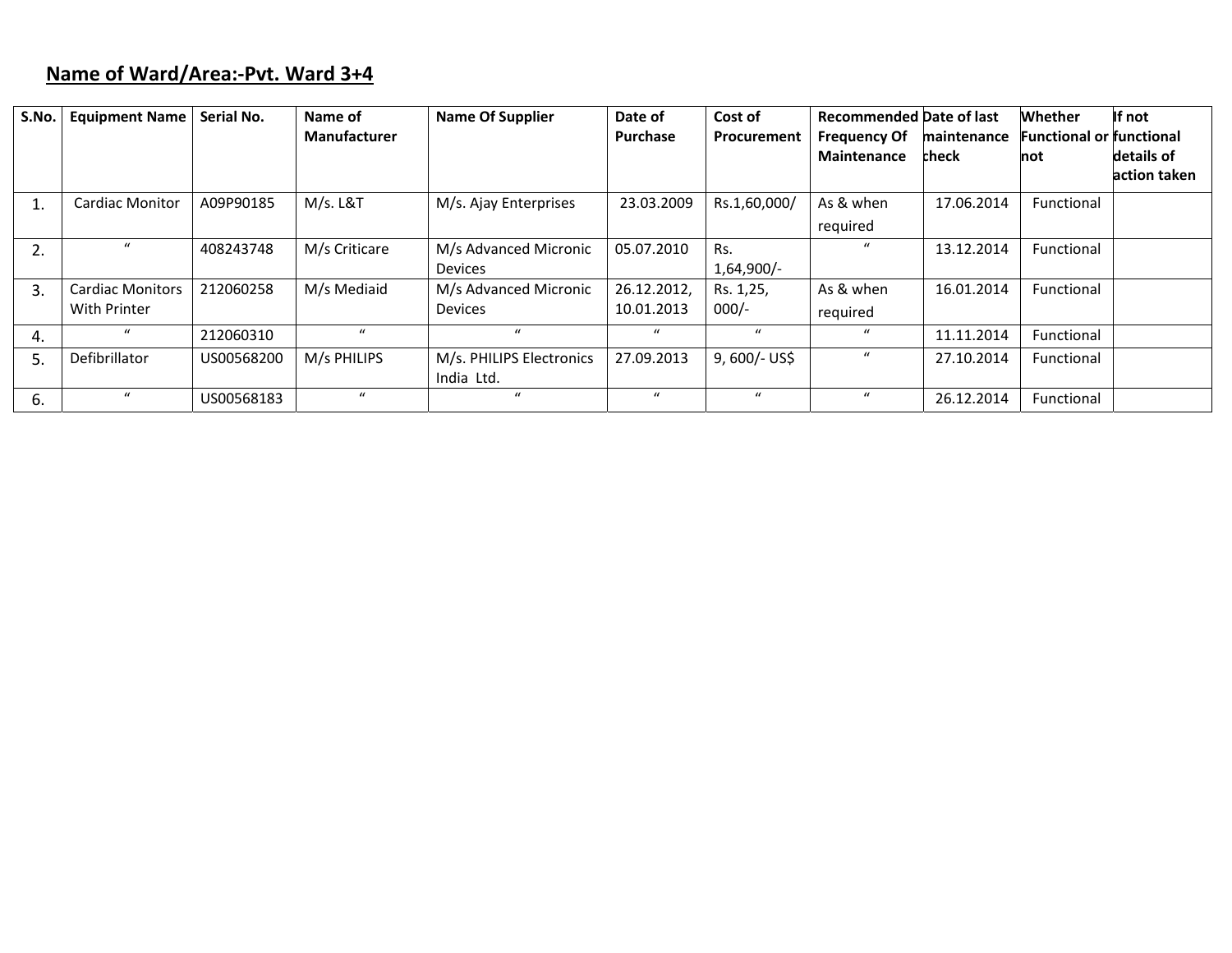# **Name of Ward/Area:‐Pvt. Ward 3+4**

| S.No. | <b>Equipment Name</b>   | Serial No. | Name of<br><b>Manufacturer</b> | <b>Name Of Supplier</b>                | Date of<br>Purchase | Cost of<br>Procurement | <b>Recommended Date of last</b><br><b>Frequency Of</b><br><b>Maintenance</b> | maintenance<br>check | Whether<br><b>Functional or functional</b><br>not | If not<br>details of |
|-------|-------------------------|------------|--------------------------------|----------------------------------------|---------------------|------------------------|------------------------------------------------------------------------------|----------------------|---------------------------------------------------|----------------------|
|       |                         |            |                                |                                        |                     |                        |                                                                              |                      |                                                   | action taken         |
| ш,    | <b>Cardiac Monitor</b>  | A09P90185  | M/s. L&T                       | M/s. Ajay Enterprises                  | 23.03.2009          | Rs.1,60,000/           | As & when                                                                    | 17.06.2014           | Functional                                        |                      |
|       |                         |            |                                |                                        |                     |                        | required                                                                     |                      |                                                   |                      |
| 2.    | $\mathbf{u}$            | 408243748  | M/s Criticare                  | M/s Advanced Micronic                  | 05.07.2010          | Rs.                    | $\mathcal{U}$                                                                | 13.12.2014           | <b>Functional</b>                                 |                      |
|       |                         |            |                                | <b>Devices</b>                         |                     | 1,64,900/-             |                                                                              |                      |                                                   |                      |
| 3.    | <b>Cardiac Monitors</b> | 212060258  | M/s Mediaid                    | M/s Advanced Micronic                  | 26.12.2012,         | Rs. 1,25,              | As & when                                                                    | 16.01.2014           | <b>Functional</b>                                 |                      |
|       | With Printer            |            |                                | <b>Devices</b>                         | 10.01.2013          | $000/-$                | required                                                                     |                      |                                                   |                      |
| 4.    | $\mathbf{u}$            | 212060310  | $\mathbf{u}$                   | $\mathcal{U}$                          | $\mathbf{u}$        | $\boldsymbol{u}$       | $\mathbf{u}$                                                                 | 11.11.2014           | <b>Functional</b>                                 |                      |
| 5.    | Defibrillator           | US00568200 | M/s PHILIPS                    | M/s. PHILIPS Electronics<br>India Ltd. | 27.09.2013          | $9,600/-$ US\$         | $\boldsymbol{u}$                                                             | 27.10.2014           | <b>Functional</b>                                 |                      |
| 6.    | $\mathbf{u}$            | US00568183 | $\mathbf{u}$                   | $\mathcal{U}$                          | $\mathbf{u}$        | $\mathbf{u}$           | $\mathbf{u}$                                                                 | 26.12.2014           | Functional                                        |                      |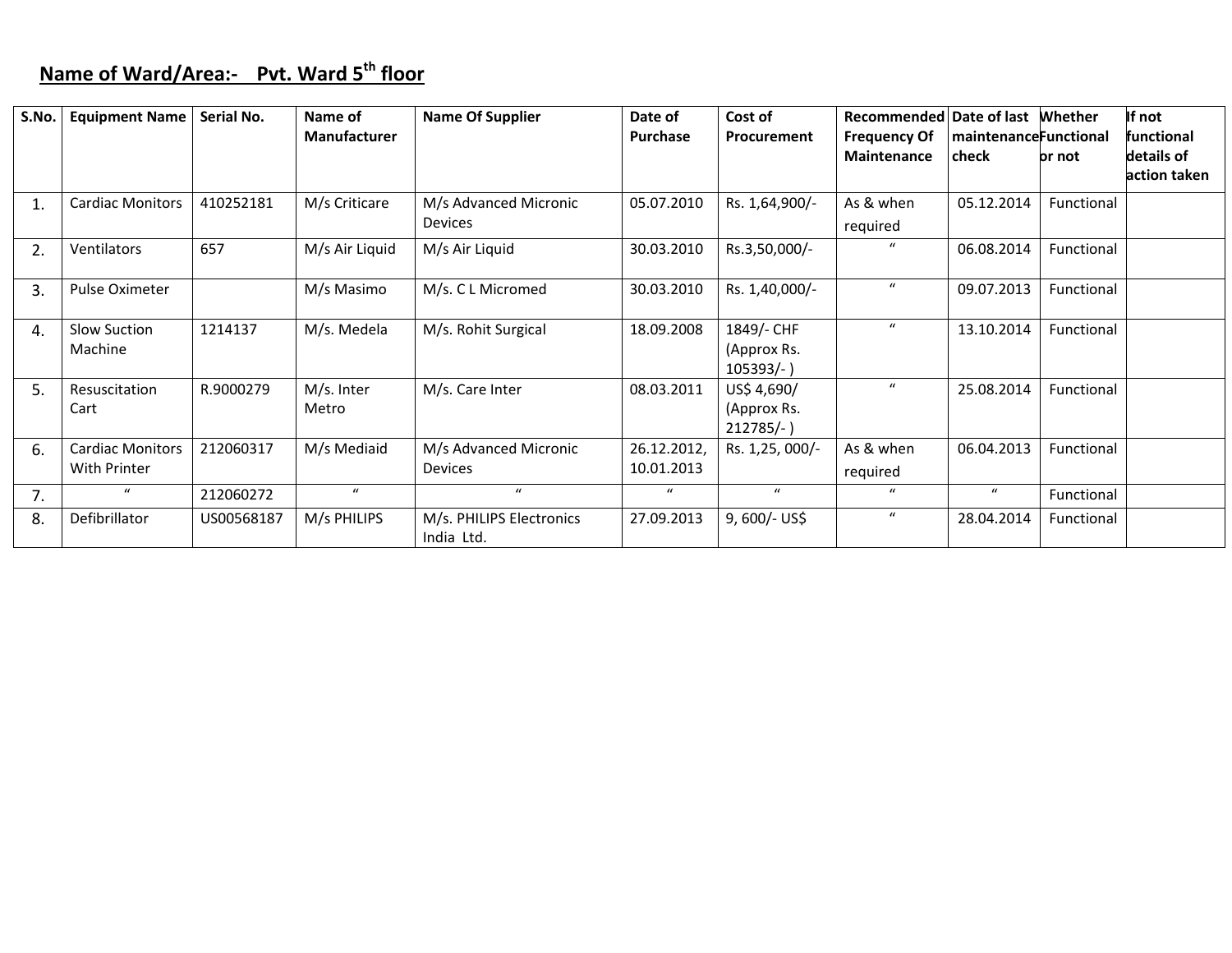# **Name of Ward/Area:‐ Pvt. Ward <sup>5</sup>th floor**

| S.No. | <b>Equipment Name</b>   | Serial No. | Name of             | <b>Name Of Supplier</b>  | Date of          | Cost of         | <b>Recommended Date of last</b> |                              | Whether    | If not       |
|-------|-------------------------|------------|---------------------|--------------------------|------------------|-----------------|---------------------------------|------------------------------|------------|--------------|
|       |                         |            | <b>Manufacturer</b> |                          | Purchase         | Procurement     | <b>Frequency Of</b>             | <b>maintenanceFunctional</b> |            | functional   |
|       |                         |            |                     |                          |                  |                 | <b>Maintenance</b>              | check                        | pr not     | details of   |
|       |                         |            |                     |                          |                  |                 |                                 |                              |            | action taken |
|       | <b>Cardiac Monitors</b> | 410252181  | M/s Criticare       | M/s Advanced Micronic    | 05.07.2010       | Rs. 1,64,900/-  | As & when                       | 05.12.2014                   | Functional |              |
|       |                         |            |                     | <b>Devices</b>           |                  |                 | required                        |                              |            |              |
| 2.    | <b>Ventilators</b>      | 657        | M/s Air Liquid      | M/s Air Liquid           | 30.03.2010       | Rs.3,50,000/-   | $\boldsymbol{u}$                | 06.08.2014                   | Functional |              |
| 3.    | Pulse Oximeter          |            | M/s Masimo          | M/s. C L Micromed        | 30.03.2010       | Rs. 1,40,000/-  | $\mathbf{u}$                    | 09.07.2013                   | Functional |              |
| 4.    | Slow Suction            | 1214137    | M/s. Medela         | M/s. Rohit Surgical      | 18.09.2008       | 1849/- CHF      | $\boldsymbol{u}$                | 13.10.2014                   | Functional |              |
|       | Machine                 |            |                     |                          |                  | (Approx Rs.     |                                 |                              |            |              |
|       |                         |            |                     |                          |                  | $105393/-$      |                                 |                              |            |              |
| 5.    | Resuscitation           | R.9000279  | M/s. Inter          | M/s. Care Inter          | 08.03.2011       | US\$ 4,690/     | $\mathbf{u}$                    | 25.08.2014                   | Functional |              |
|       | Cart                    |            | Metro               |                          |                  | (Approx Rs.     |                                 |                              |            |              |
|       |                         |            |                     |                          |                  | $212785/-$ )    |                                 |                              |            |              |
| 6.    | <b>Cardiac Monitors</b> | 212060317  | M/s Mediaid         | M/s Advanced Micronic    | 26.12.2012,      | Rs. 1,25, 000/- | As & when                       | 06.04.2013                   | Functional |              |
|       | With Printer            |            |                     | Devices                  | 10.01.2013       |                 | required                        |                              |            |              |
| 7.    | $\bf{u}$                | 212060272  | $\boldsymbol{u}$    | $\mathbf{u}$             | $\boldsymbol{u}$ | $\mathbf{u}$    | $\boldsymbol{u}$                | $\boldsymbol{u}$             | Functional |              |
| 8.    | Defibrillator           | US00568187 | M/s PHILIPS         | M/s. PHILIPS Electronics | 27.09.2013       | $9,600/-$ US\$  | $\boldsymbol{u}$                | 28.04.2014                   | Functional |              |
|       |                         |            |                     | India Ltd.               |                  |                 |                                 |                              |            |              |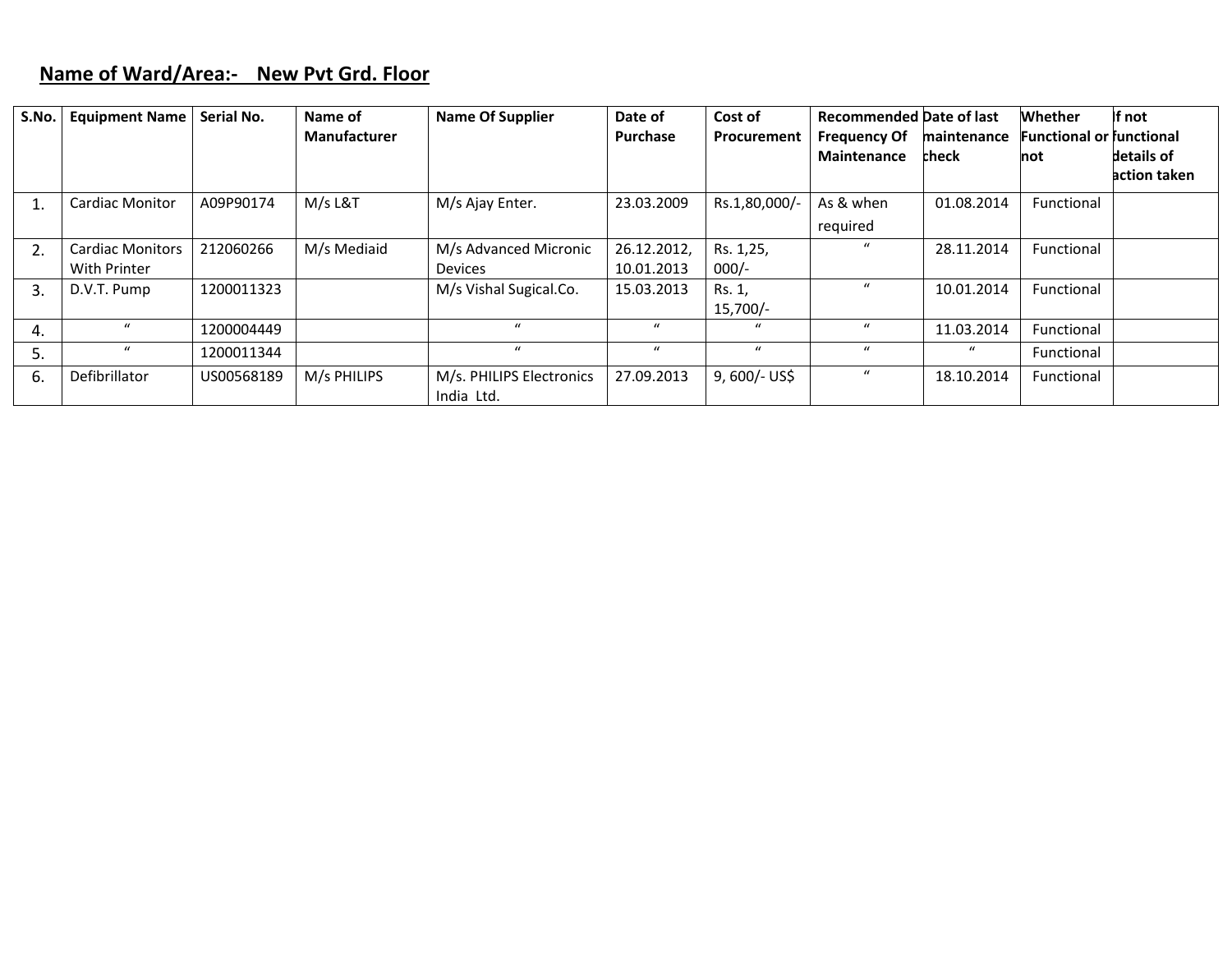## **Name of Ward/Area:‐ New Pvt Grd. Floor**

| S.No. | <b>Equipment Name</b>                   | Serial No. | Name of<br><b>Manufacturer</b> | <b>Name Of Supplier</b>                 | Date of<br>Purchase       | Cost of<br>Procurement | <b>Recommended Date of last</b><br><b>Frequency Of</b><br><b>Maintenance</b> | maintenance<br><b>check</b> | <b>Whether</b><br><b>Functional or functional</b><br>not | If not<br>details of<br>action taken |
|-------|-----------------------------------------|------------|--------------------------------|-----------------------------------------|---------------------------|------------------------|------------------------------------------------------------------------------|-----------------------------|----------------------------------------------------------|--------------------------------------|
|       | <b>Cardiac Monitor</b>                  | A09P90174  | M/s L&T                        | M/s Ajay Enter.                         | 23.03.2009                | Rs.1,80,000/-          | As & when<br>required                                                        | 01.08.2014                  | Functional                                               |                                      |
| 2.    | <b>Cardiac Monitors</b><br>With Printer | 212060266  | M/s Mediaid                    | M/s Advanced Micronic<br><b>Devices</b> | 26.12.2012,<br>10.01.2013 | Rs. 1,25,<br>$000/-$   |                                                                              | 28.11.2014                  | Functional                                               |                                      |
| 3.    | D.V.T. Pump                             | 1200011323 |                                | M/s Vishal Sugical.Co.                  | 15.03.2013                | Rs. 1,<br>$15,700/-$   | $\prime$                                                                     | 10.01.2014                  | Functional                                               |                                      |
| 4.    | $\boldsymbol{u}$                        | 1200004449 |                                | $\mathbf{u}$                            | $\mathbf{u}$              | $\mathbf{u}$           | $\prime$                                                                     | 11.03.2014                  | Functional                                               |                                      |
| 5.    | $\mathbf{u}$                            | 1200011344 |                                | $\mathbf{u}$                            | $\mathbf{u}$              | $\mathbf{u}$           | $\mathbf{u}$                                                                 | $\boldsymbol{u}$            | Functional                                               |                                      |
| 6.    | Defibrillator                           | US00568189 | M/s PHILIPS                    | M/s. PHILIPS Electronics<br>India Ltd.  | 27.09.2013                | $9,600/-$ US\$         | $\iota$                                                                      | 18.10.2014                  | Functional                                               |                                      |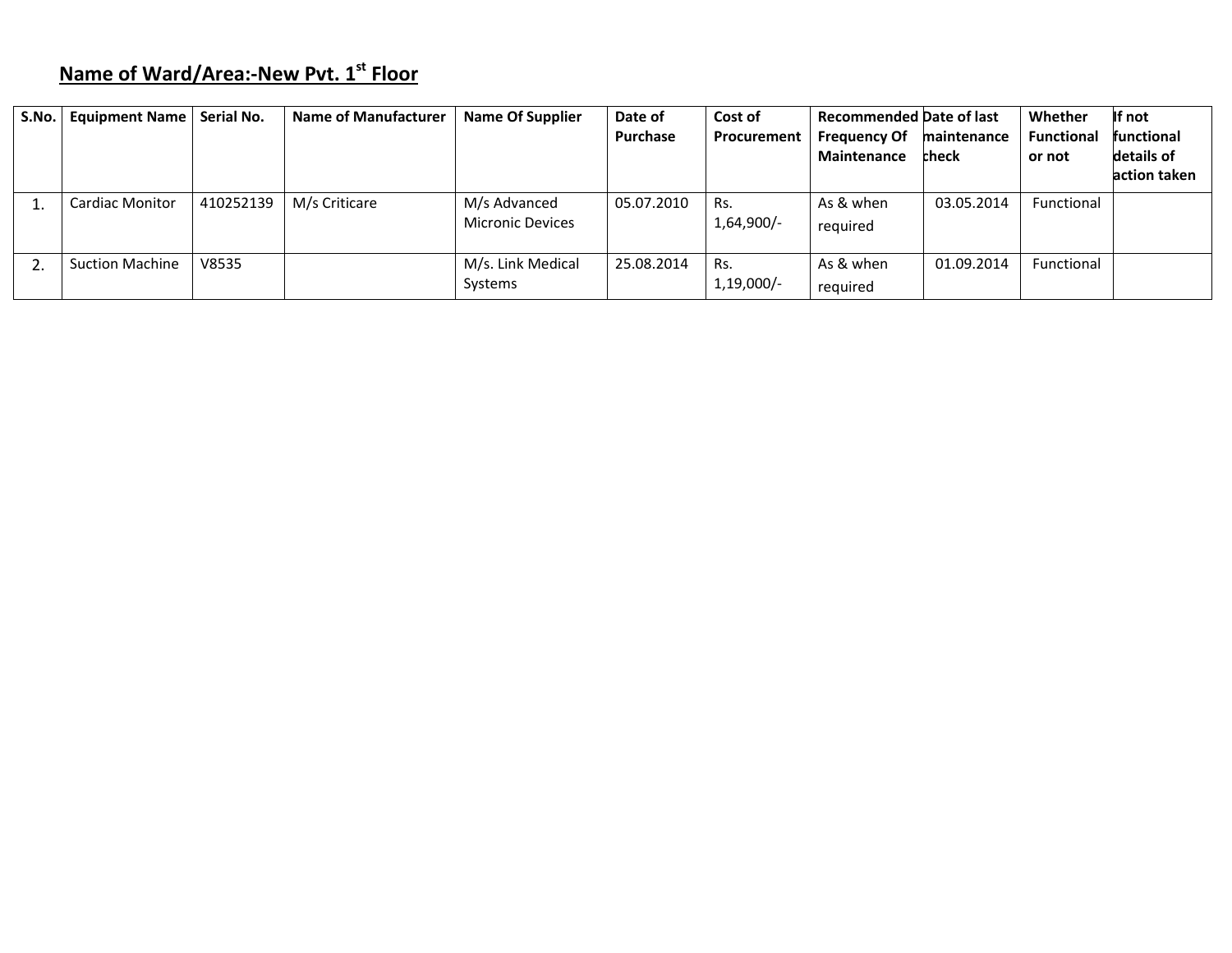# **Name of Ward/Area:‐New Pvt. <sup>1</sup>st Floor**

| S.No. | <b>Equipment Name</b>  | Serial No. | <b>Name of Manufacturer</b> | <b>Name Of Supplier</b>                 | Date of<br>Purchase | Cost of<br>Procurement | <b>Recommended Date of last</b><br><b>Frequency Of</b><br><b>Maintenance</b> | maintenance<br>check | Whether<br><b>Functional</b><br>or not | If not<br>functional<br>details of<br>action taken |
|-------|------------------------|------------|-----------------------------|-----------------------------------------|---------------------|------------------------|------------------------------------------------------------------------------|----------------------|----------------------------------------|----------------------------------------------------|
|       | <b>Cardiac Monitor</b> | 410252139  | M/s Criticare               | M/s Advanced<br><b>Micronic Devices</b> | 05.07.2010          | Rs.<br>1,64,900/-      | As & when<br>required                                                        | 03.05.2014           | <b>Functional</b>                      |                                                    |
|       | <b>Suction Machine</b> | V8535      |                             | M/s. Link Medical<br>Systems            | 25.08.2014          | Rs.<br>$1,19,000/-$    | As & when<br>required                                                        | 01.09.2014           | Functional                             |                                                    |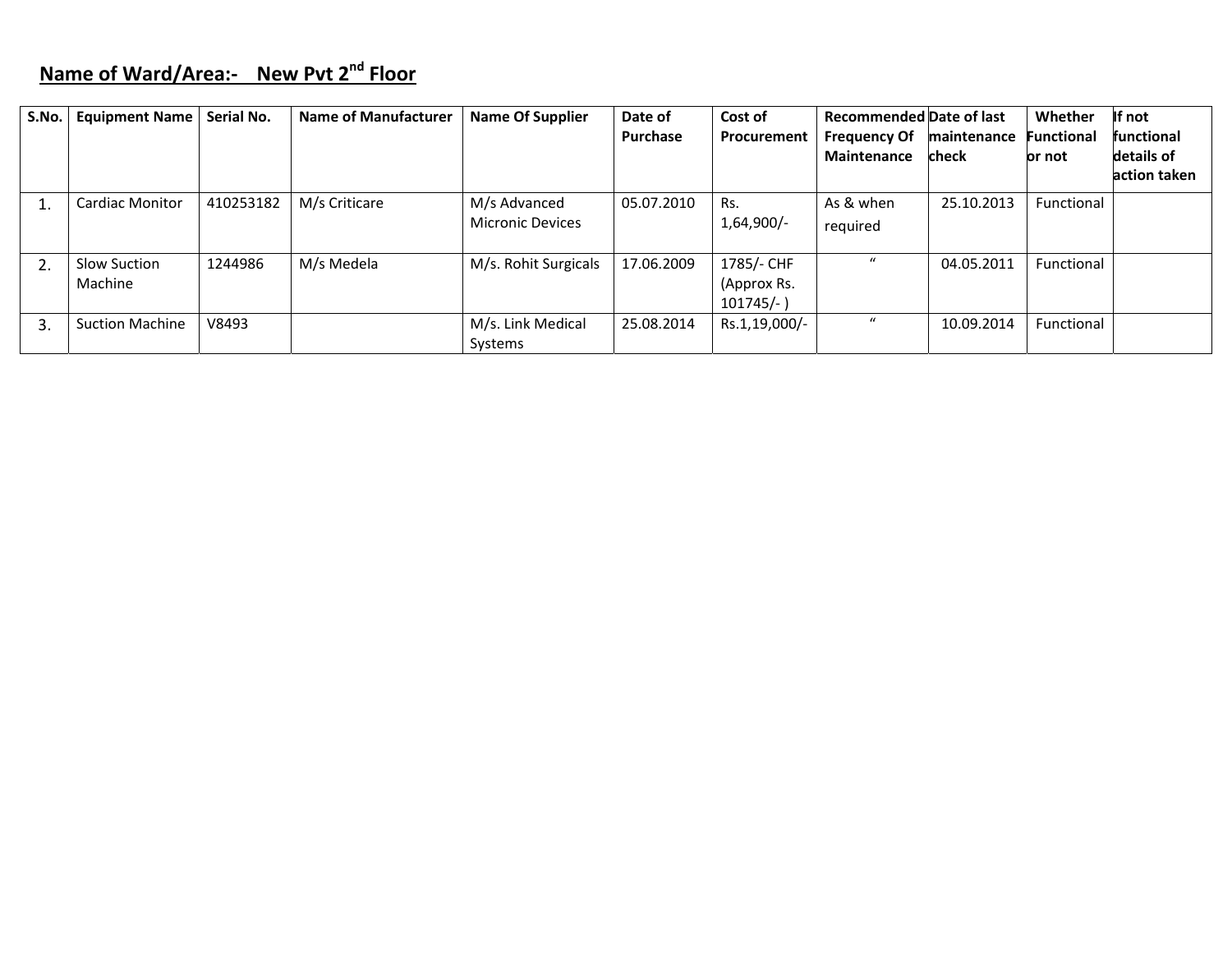# **Name of Ward/Area:‐ New Pvt <sup>2</sup>nd Floor**

| S.No. | <b>Equipment Name</b>   | Serial No. | <b>Name of Manufacturer</b> | <b>Name Of Supplier</b>                 | Date of<br><b>Purchase</b> | Cost of<br>Procurement                    | <b>Recommended Date of last</b><br><b>Frequency Of</b> | maintenance  | Whether<br><b>Functional</b> | If not<br><b>functional</b> |
|-------|-------------------------|------------|-----------------------------|-----------------------------------------|----------------------------|-------------------------------------------|--------------------------------------------------------|--------------|------------------------------|-----------------------------|
|       |                         |            |                             |                                         |                            |                                           | <b>Maintenance</b>                                     | <b>check</b> | or not                       | details of<br>action taken  |
|       | <b>Cardiac Monitor</b>  | 410253182  | M/s Criticare               | M/s Advanced<br><b>Micronic Devices</b> | 05.07.2010                 | Rs.<br>$1,64,900/-$                       | As & when<br>required                                  | 25.10.2013   | Functional                   |                             |
|       | Slow Suction<br>Machine | 1244986    | M/s Medela                  | M/s. Rohit Surgicals                    | 17.06.2009                 | 1785/- CHF<br>(Approx Rs.<br>$101745/-$ ) |                                                        | 04.05.2011   | Functional                   |                             |
| 3     | <b>Suction Machine</b>  | V8493      |                             | M/s. Link Medical<br>Systems            | 25.08.2014                 | Rs.1,19,000/-                             | $\boldsymbol{u}$                                       | 10.09.2014   | Functional                   |                             |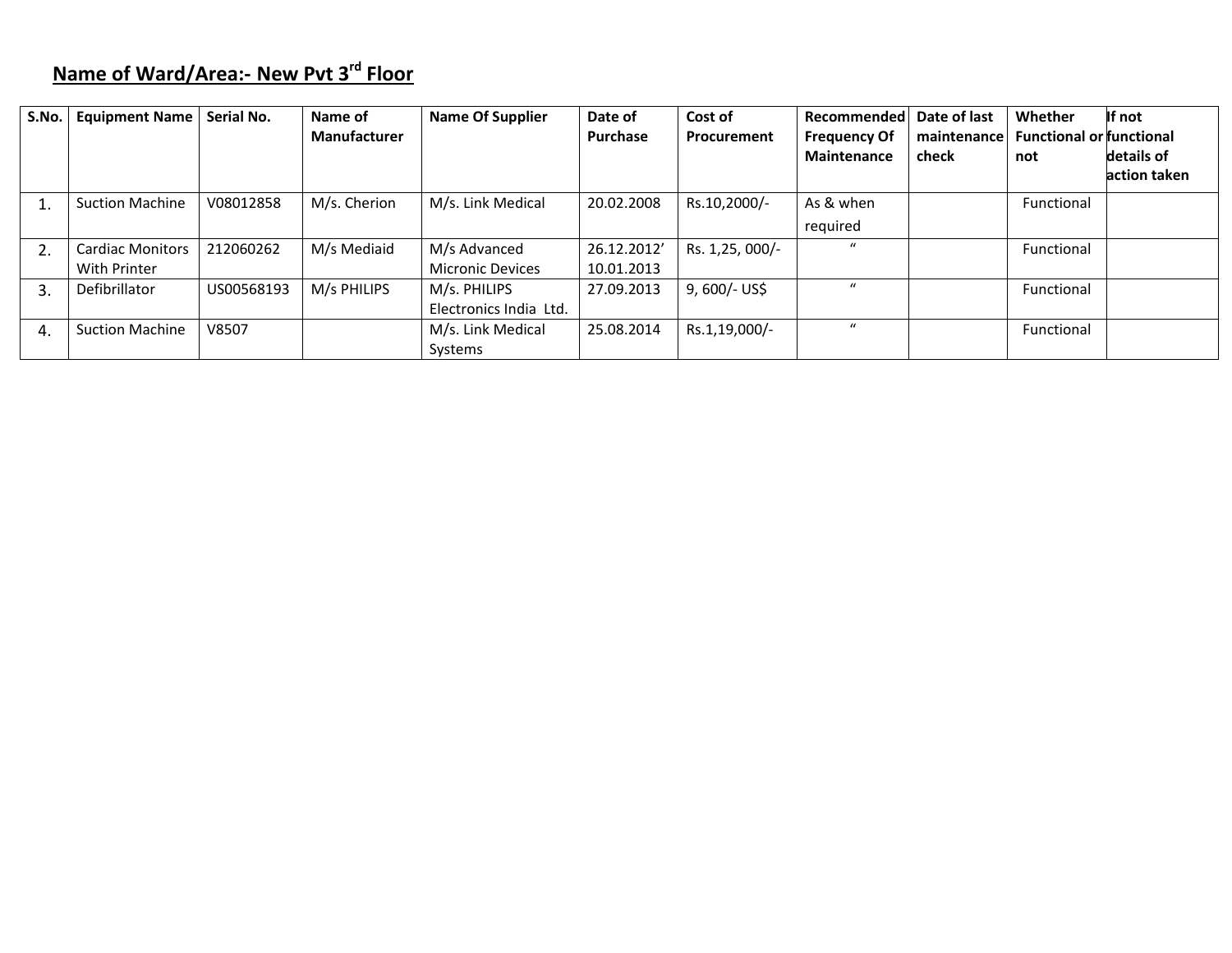# **Name of Ward/Area:‐ New Pvt <sup>3</sup>rd Floor**

| S.No. | <b>Equipment Name</b>   | Serial No. | Name of<br>Manufacturer | <b>Name Of Supplier</b> | Date of<br>Purchase | Cost of<br><b>Procurement</b> | Recommended   Date of last<br><b>Frequency Of</b><br><b>Maintenance</b> | maintenance<br>check | Whether<br><b>Functional or functional</b><br>not | If not<br>details of<br>action taken |
|-------|-------------------------|------------|-------------------------|-------------------------|---------------------|-------------------------------|-------------------------------------------------------------------------|----------------------|---------------------------------------------------|--------------------------------------|
|       |                         |            |                         |                         |                     |                               |                                                                         |                      |                                                   |                                      |
|       | <b>Suction Machine</b>  | V08012858  | M/s. Cherion            | M/s. Link Medical       | 20.02.2008          | Rs.10,2000/-                  | As & when                                                               |                      | Functional                                        |                                      |
|       |                         |            |                         |                         |                     |                               | required                                                                |                      |                                                   |                                      |
|       | <b>Cardiac Monitors</b> | 212060262  | M/s Mediaid             | M/s Advanced            | 26.12.2012'         | Rs. 1,25, 000/-               |                                                                         |                      | Functional                                        |                                      |
|       | With Printer            |            |                         | <b>Micronic Devices</b> | 10.01.2013          |                               |                                                                         |                      |                                                   |                                      |
| 3.    | <b>Defibrillator</b>    | US00568193 | M/s PHILIPS             | M/s. PHILIPS            | 27.09.2013          | $9,600/-$ US\$                |                                                                         |                      | Functional                                        |                                      |
|       |                         |            |                         | Electronics India Ltd.  |                     |                               |                                                                         |                      |                                                   |                                      |
| 4.    | <b>Suction Machine</b>  | V8507      |                         | M/s. Link Medical       | 25.08.2014          | Rs.1,19,000/-                 |                                                                         |                      | Functional                                        |                                      |
|       |                         |            |                         | Systems                 |                     |                               |                                                                         |                      |                                                   |                                      |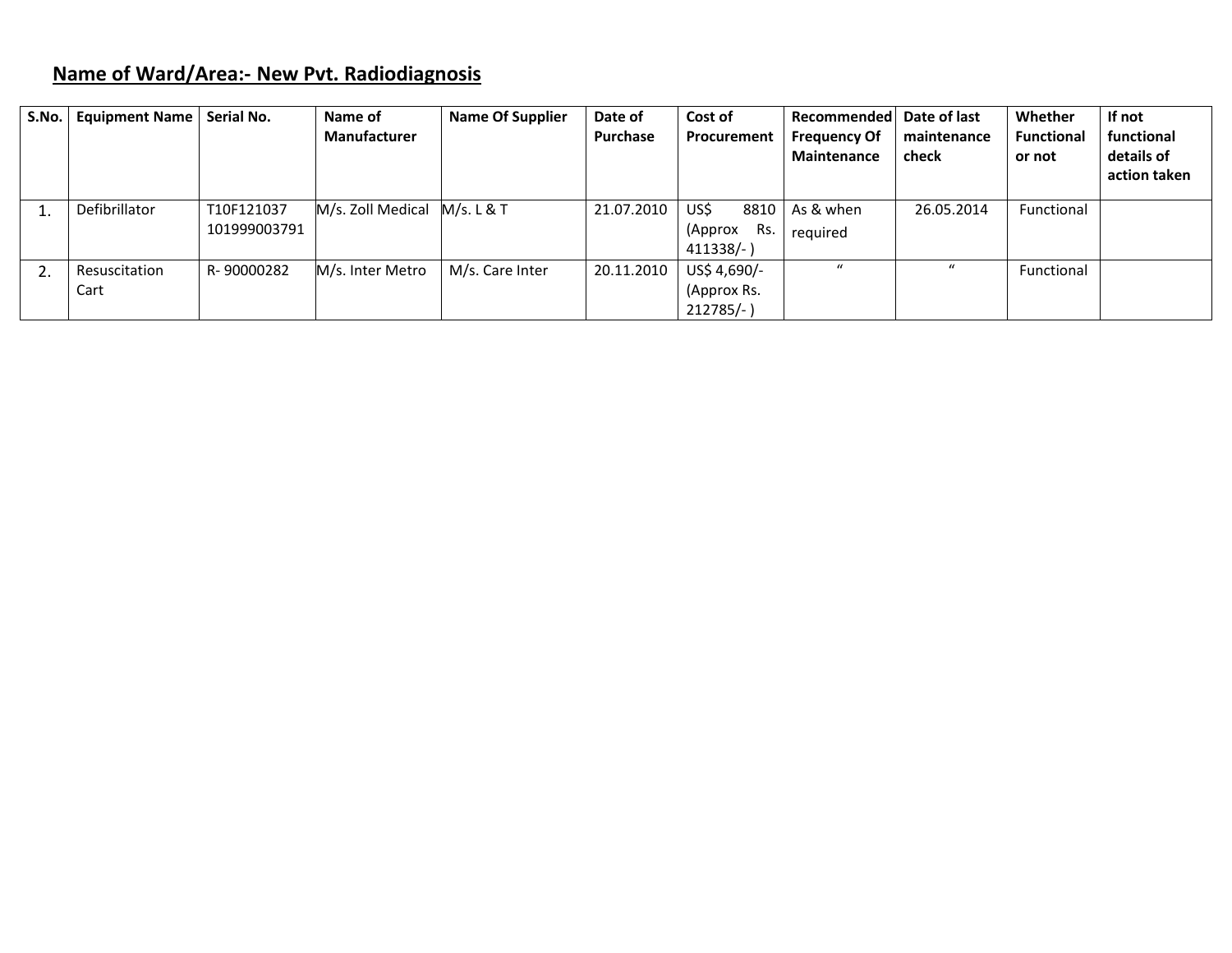# **Name of Ward/Area:‐ New Pvt. Radiodiagnosis**

| S.No. | <b>Equipment Name</b> | Serial No.   | Name of<br>Manufacturer | <b>Name Of Supplier</b> | Date of<br>Purchase | Cost of<br>Procurement | Recommended Date of last<br><b>Frequency Of</b><br><b>Maintenance</b> | maintenance<br>check | Whether<br><b>Functional</b><br>or not | If not<br>functional<br>details of<br>action taken |
|-------|-----------------------|--------------|-------------------------|-------------------------|---------------------|------------------------|-----------------------------------------------------------------------|----------------------|----------------------------------------|----------------------------------------------------|
|       |                       |              |                         |                         |                     |                        |                                                                       |                      |                                        |                                                    |
|       | Defibrillator         | T10F121037   | M/s. Zoll Medical       | M/s. L & T              | 21.07.2010          | US\$<br>8810           | As & when                                                             | 26.05.2014           | Functional                             |                                                    |
|       |                       | 101999003791 |                         |                         |                     | (Approx<br><b>Rs</b>   | required                                                              |                      |                                        |                                                    |
|       |                       |              |                         |                         |                     | 411338/-)              |                                                                       |                      |                                        |                                                    |
|       | Resuscitation         | R-90000282   | M/s. Inter Metro        | M/s. Care Inter         | 20.11.2010          | US\$ 4,690/-           | $\mathbf{u}$                                                          | $\mathbf{u}$         | Functional                             |                                                    |
|       | Cart                  |              |                         |                         |                     | (Approx Rs.            |                                                                       |                      |                                        |                                                    |
|       |                       |              |                         |                         |                     | $212785/-$             |                                                                       |                      |                                        |                                                    |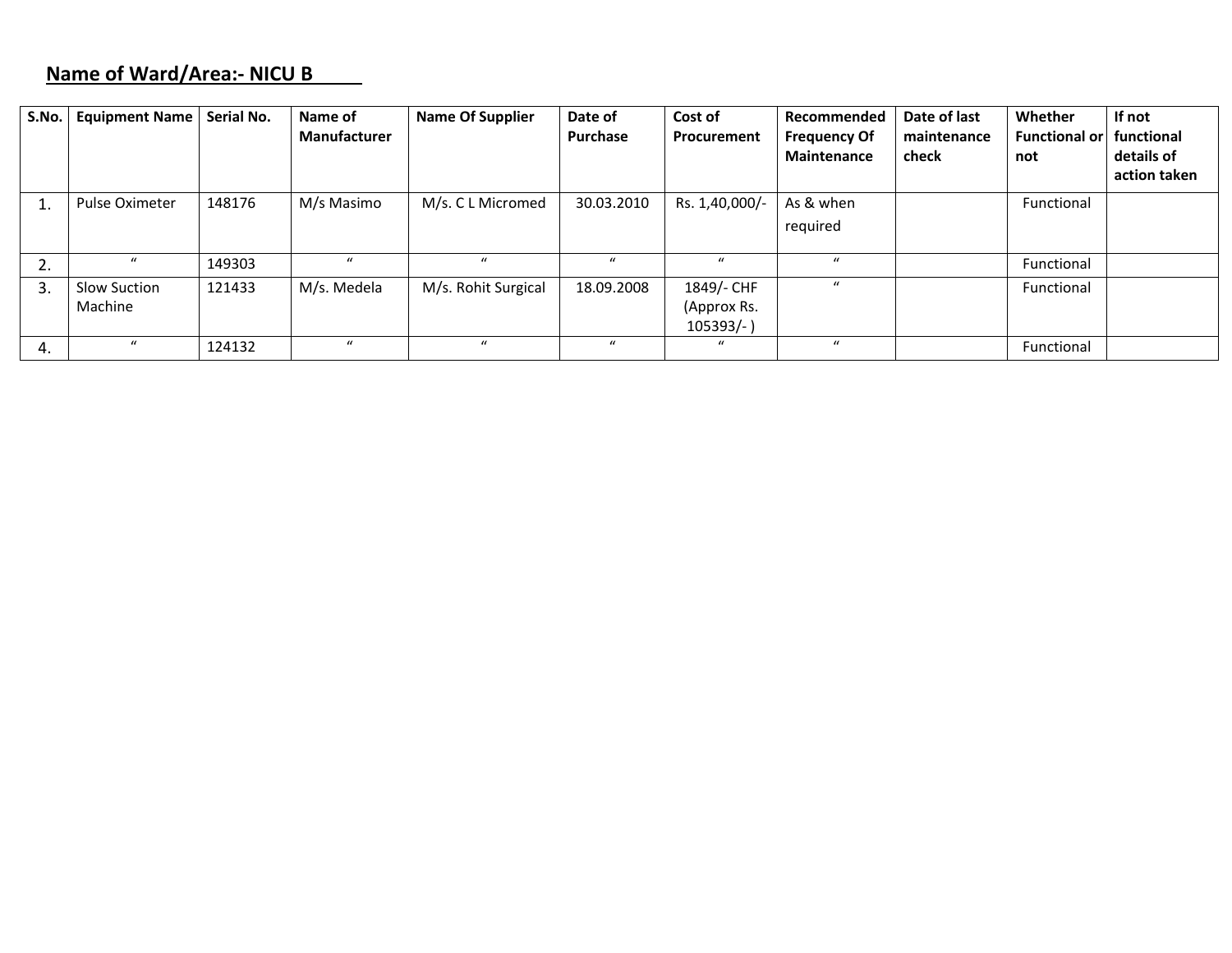### **Name of Ward/Area:‐ NICU B**

| S.No. | <b>Equipment Name</b>          | Serial No. | Name of<br><b>Manufacturer</b> | <b>Name Of Supplier</b> | Date of<br><b>Purchase</b> | Cost of<br>Procurement                    | Recommended<br><b>Frequency Of</b><br><b>Maintenance</b> | Date of last<br>maintenance<br>check | Whether<br><b>Functional or</b><br>not | If not<br>functional<br>details of<br>action taken |
|-------|--------------------------------|------------|--------------------------------|-------------------------|----------------------------|-------------------------------------------|----------------------------------------------------------|--------------------------------------|----------------------------------------|----------------------------------------------------|
|       | <b>Pulse Oximeter</b>          | 148176     | M/s Masimo                     | M/s. C L Micromed       | 30.03.2010                 | Rs. 1,40,000/-                            | As & when<br>required                                    |                                      | Functional                             |                                                    |
| 2.    | $\boldsymbol{u}$               | 149303     | $\boldsymbol{u}$               |                         |                            | $\bf{u}$                                  |                                                          |                                      | Functional                             |                                                    |
| 3.    | <b>Slow Suction</b><br>Machine | 121433     | M/s. Medela                    | M/s. Rohit Surgical     | 18.09.2008                 | 1849/- CHF<br>(Approx Rs.<br>$105393/-$ ) | $\mathbf{u}$                                             |                                      | Functional                             |                                                    |
| 4.    | $\boldsymbol{u}$               | 124132     | $\boldsymbol{u}$               | $\mathcal{U}$           | $\prime$                   | $\mathcal{U}$                             | $\mathbf{u}$                                             |                                      | Functional                             |                                                    |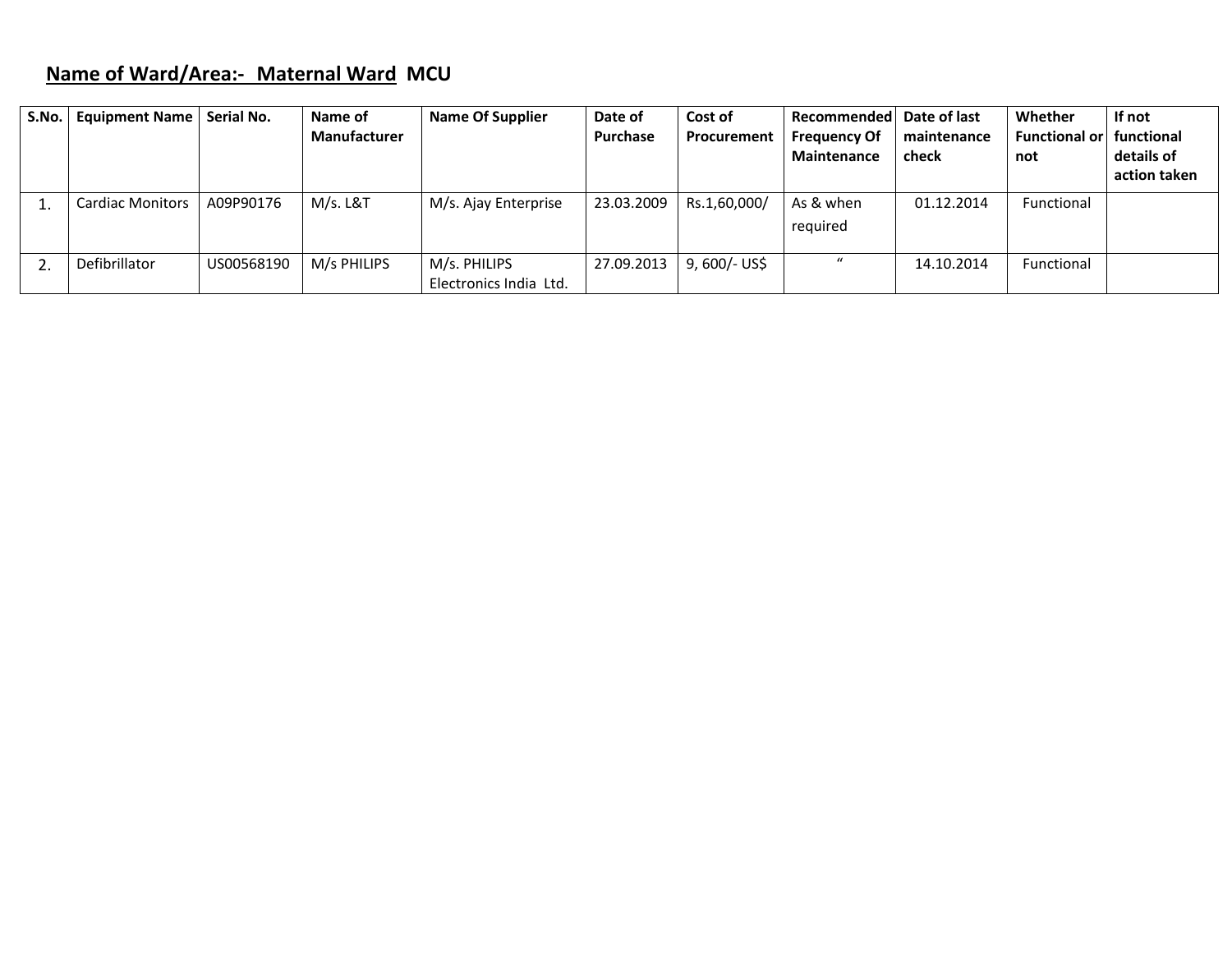# **Name of Ward/Area:‐ Maternal Ward MCU**

| S.No. | <b>Equipment Name</b>   | Serial No. | Name of<br><b>Manufacturer</b> | <b>Name Of Supplier</b>                | Date of<br>Purchase | Cost of<br>Procurement | Recommended<br><b>Frequency Of</b><br><b>Maintenance</b> | Date of last<br>maintenance<br>check | Whether<br><b>Functional or</b><br>not | If not<br>functional<br>details of<br>action taken |
|-------|-------------------------|------------|--------------------------------|----------------------------------------|---------------------|------------------------|----------------------------------------------------------|--------------------------------------|----------------------------------------|----------------------------------------------------|
|       | <b>Cardiac Monitors</b> | A09P90176  | M/s. L&T                       | M/s. Ajay Enterprise                   | 23.03.2009          | Rs.1,60,000/           | As & when<br>required                                    | 01.12.2014                           | Functional                             |                                                    |
|       | Defibrillator           | US00568190 | M/s PHILIPS                    | M/s. PHILIPS<br>Electronics India Ltd. | 27.09.2013          | 9, 600/- US\$          | $\mathcal{U}$                                            | 14.10.2014                           | Functional                             |                                                    |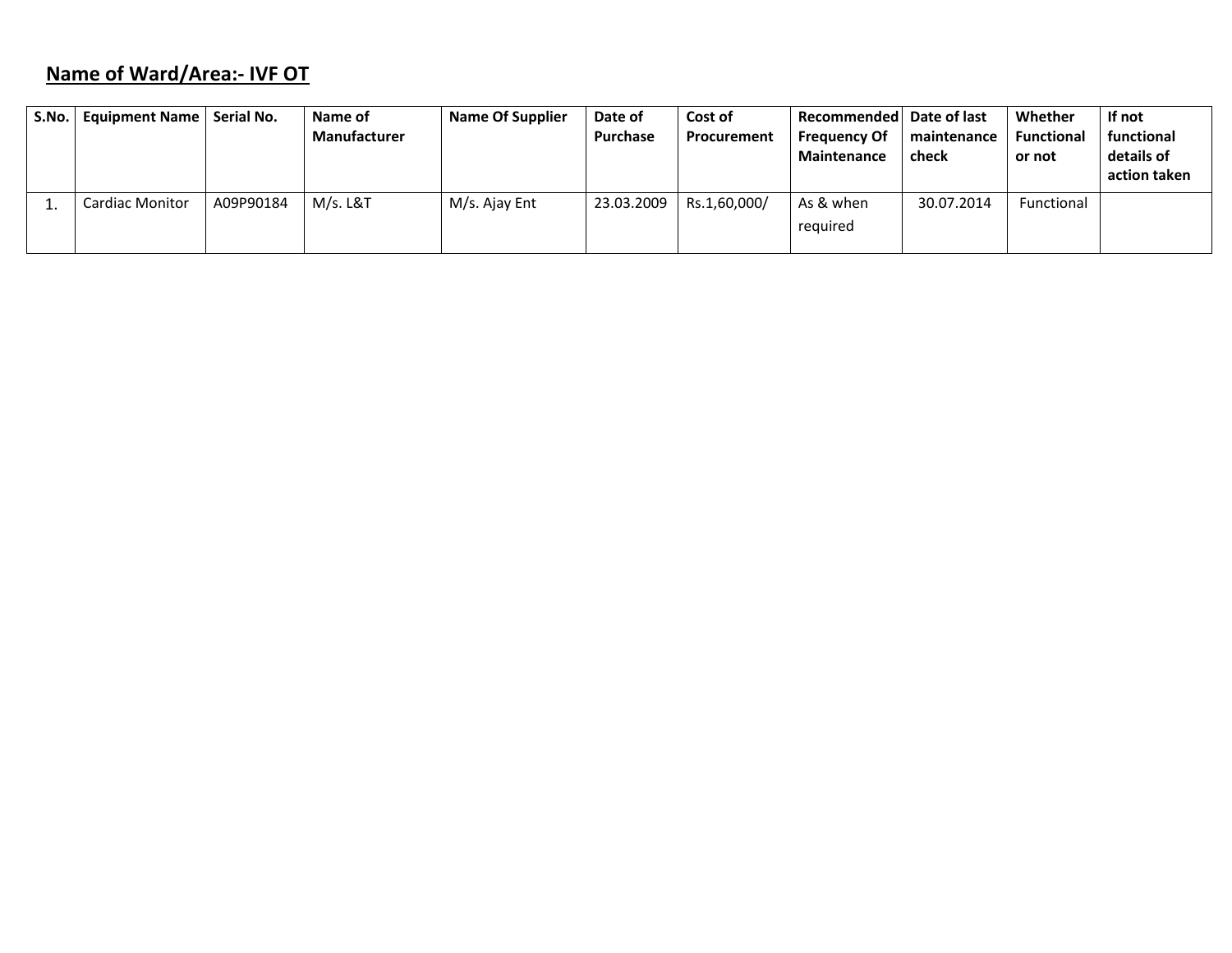# **Name of Ward/Area:‐ IVF OT**

| S.No.   Equipment Name | Serial No. | Name of<br><b>Manufacturer</b> | <b>Name Of Supplier</b> | Date of<br>Purchase | Cost of<br>Procurement | Recommended   Date of last<br><b>Frequency Of</b><br>Maintenance | maintenance<br>check | Whether<br><b>Functional</b><br>or not | If not<br>functional<br>details of<br>action taken |
|------------------------|------------|--------------------------------|-------------------------|---------------------|------------------------|------------------------------------------------------------------|----------------------|----------------------------------------|----------------------------------------------------|
| <b>Cardiac Monitor</b> | A09P90184  | M/s. L&T                       | M/s. Ajay Ent           | 23.03.2009          | Rs.1,60,000/           | As & when<br>reguired                                            | 30.07.2014           | Functional                             |                                                    |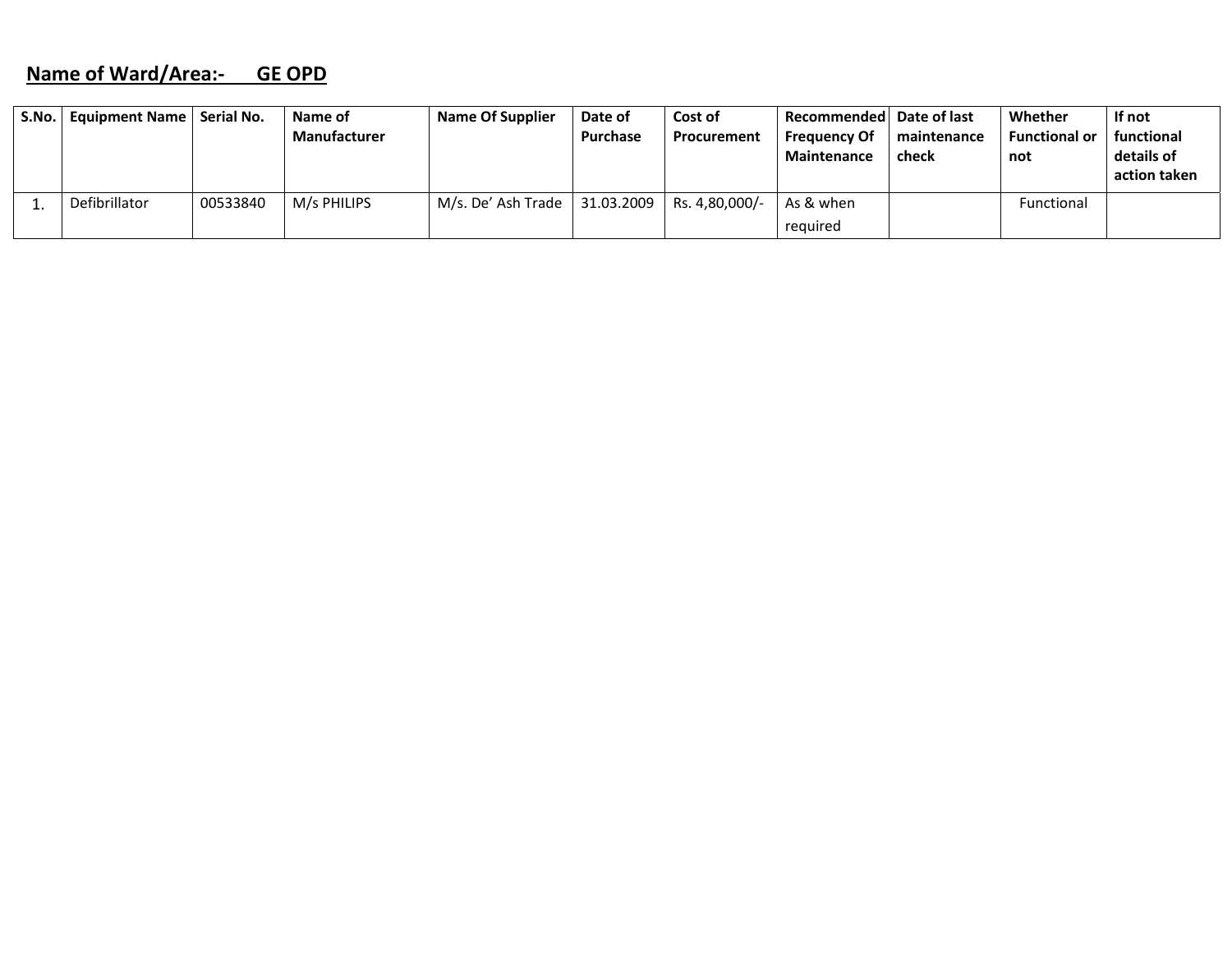#### **Name of Ward/Area:‐ GE OPD**

| S.No.   Equipment Name   Serial No. |          | Name of             | <b>Name Of Supplier</b> | Date of         | Cost of            | Recommended Date of last |             | Whether              | If not       |
|-------------------------------------|----------|---------------------|-------------------------|-----------------|--------------------|--------------------------|-------------|----------------------|--------------|
|                                     |          | <b>Manufacturer</b> |                         | <b>Purchase</b> | <b>Procurement</b> | <b>Frequency Of</b>      | maintenance | <b>Functional or</b> | functional   |
|                                     |          |                     |                         |                 |                    | <b>Maintenance</b>       | check       | not                  | details of   |
|                                     |          |                     |                         |                 |                    |                          |             |                      | action taken |
| Defibrillator                       | 00533840 | M/s PHILIPS         | M/s. De' Ash Trade      | 31.03.2009      | Rs. 4,80,000/-     | As & when                |             | Functional           |              |
|                                     |          |                     |                         |                 |                    | required                 |             |                      |              |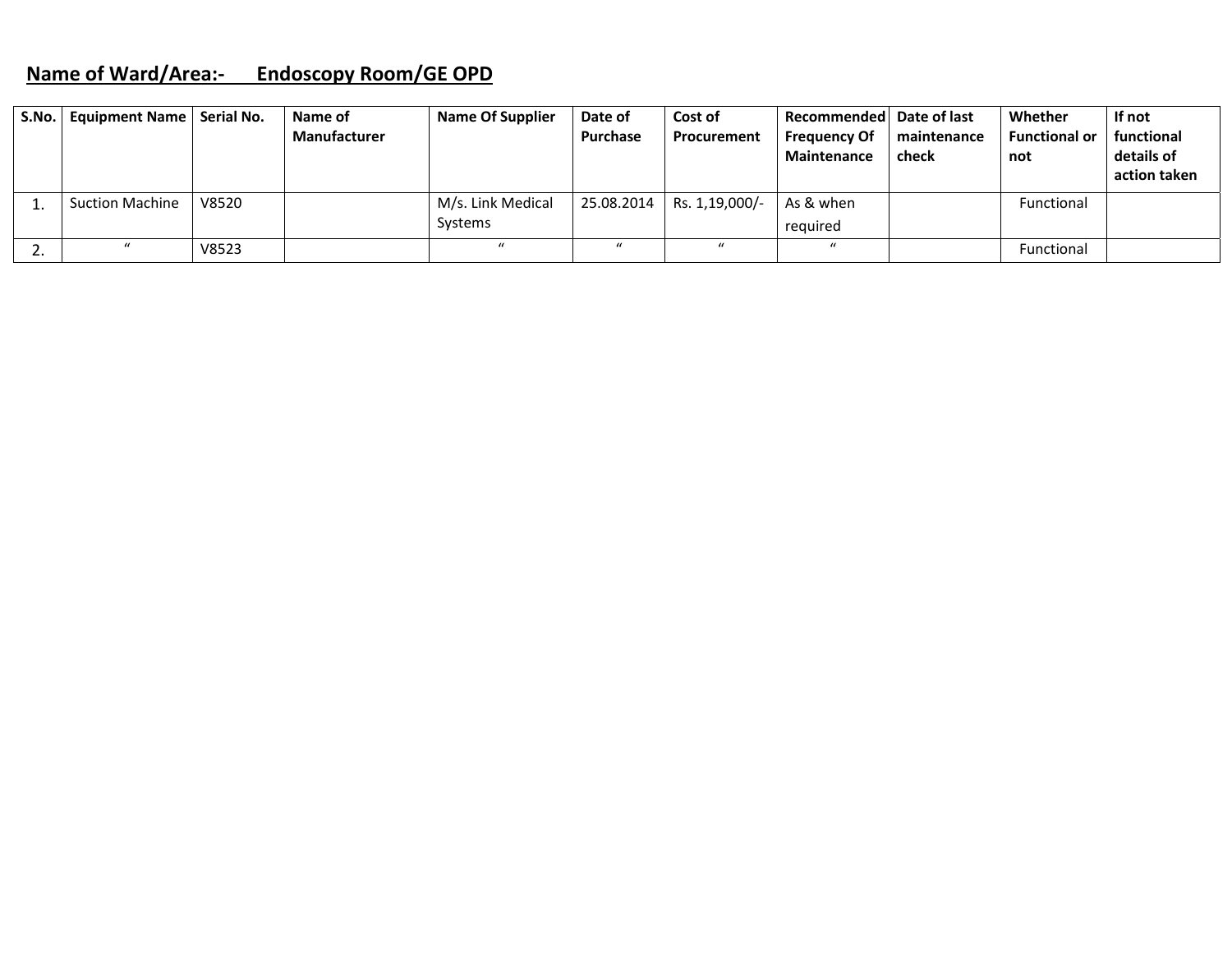## **Name of Ward/Area:‐ Endoscopy Room/GE OPD**

|     | S.No.   Equipment Name   Serial No. |       | Name of             | <b>Name Of Supplier</b> | Date of         | Cost of        | Recommended Date of last           |                      | Whether                     | If not                   |
|-----|-------------------------------------|-------|---------------------|-------------------------|-----------------|----------------|------------------------------------|----------------------|-----------------------------|--------------------------|
|     |                                     |       | <b>Manufacturer</b> |                         | <b>Purchase</b> | Procurement    | <b>Frequency Of</b><br>Maintenance | maintenance<br>check | <b>Functional or</b><br>not | functional<br>details of |
|     |                                     |       |                     |                         |                 |                |                                    |                      |                             | action taken             |
|     | <b>Suction Machine</b>              | V8520 |                     | M/s. Link Medical       | 25.08.2014      | Rs. 1,19,000/- | As & when                          |                      | <b>Functional</b>           |                          |
|     |                                     |       |                     | <b>Systems</b>          |                 |                | required                           |                      |                             |                          |
| ـ ـ |                                     | V8523 |                     | $\mathcal{U}$           | $\mathbf{u}$    | $\mathbf{u}$   | $\mathbf{u}$                       |                      | Functional                  |                          |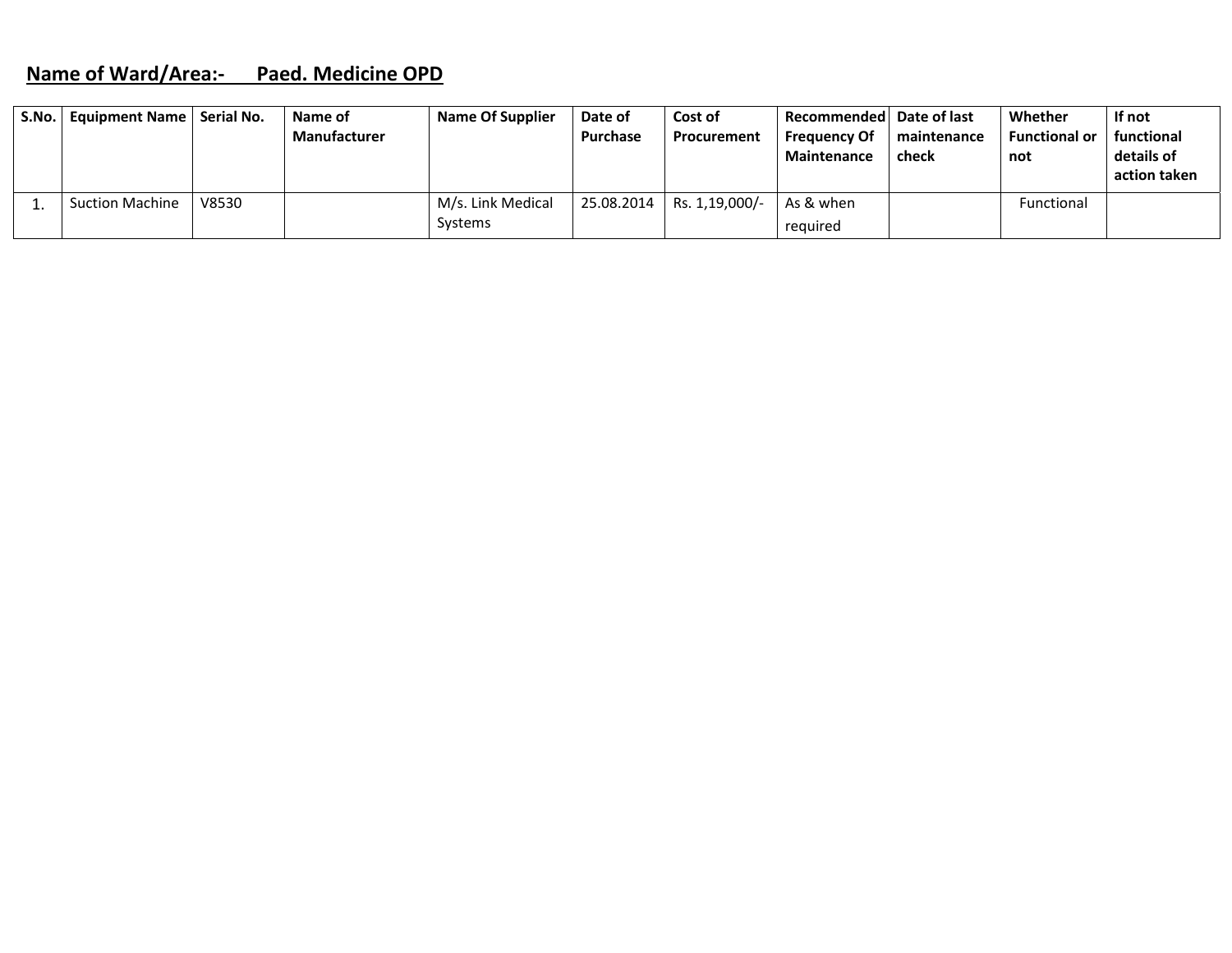#### **Name of Ward/Area:‐ Paed. Medicine OPD**

| S.No.   Equipment Name   Serial No. |       | Name of             | Name Of Supplier  | Date of    | Cost of        | Recommended   Date of last |             | Whether              | If not       |
|-------------------------------------|-------|---------------------|-------------------|------------|----------------|----------------------------|-------------|----------------------|--------------|
|                                     |       | <b>Manufacturer</b> |                   | Purchase   | Procurement    | <b>Frequency Of</b>        | maintenance | <b>Functional or</b> | functional   |
|                                     |       |                     |                   |            |                | <b>Maintenance</b>         | check       | not                  | details of   |
|                                     |       |                     |                   |            |                |                            |             |                      | action taken |
| <b>Suction Machine</b>              | V8530 |                     | M/s. Link Medical | 25.08.2014 | Rs. 1,19,000/- | As & when                  |             | Functional           |              |
|                                     |       |                     | Systems           |            |                | reguired                   |             |                      |              |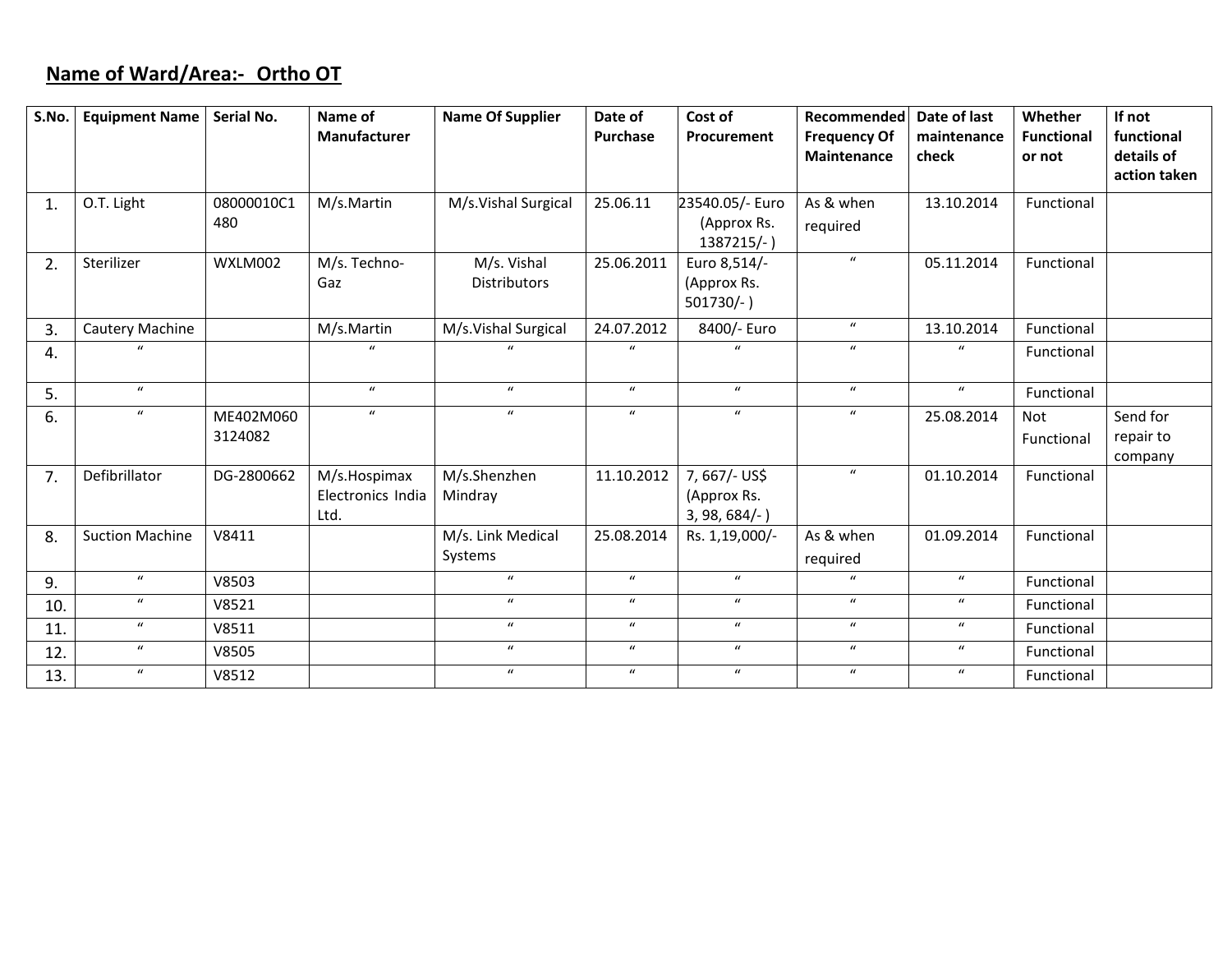# **Name of Ward/Area:‐ Ortho OT**

| S.No. | <b>Equipment Name</b>  | Serial No.           | Name of                                   | <b>Name Of Supplier</b>            | Date of          | Cost of                                         | Recommended                               | Date of last         | Whether                     | If not                           |
|-------|------------------------|----------------------|-------------------------------------------|------------------------------------|------------------|-------------------------------------------------|-------------------------------------------|----------------------|-----------------------------|----------------------------------|
|       |                        |                      | <b>Manufacturer</b>                       |                                    | <b>Purchase</b>  | Procurement                                     | <b>Frequency Of</b><br><b>Maintenance</b> | maintenance<br>check | <b>Functional</b><br>or not | functional<br>details of         |
|       |                        |                      |                                           |                                    |                  |                                                 |                                           |                      |                             | action taken                     |
| 1.    | O.T. Light             | 08000010C1<br>480    | M/s.Martin                                | M/s.Vishal Surgical                | 25.06.11         | 23540.05/- Euro<br>(Approx Rs.<br>1387215/-)    | As & when<br>required                     | 13.10.2014           | Functional                  |                                  |
| 2.    | Sterilizer             | WXLM002              | M/s. Techno-<br>Gaz                       | M/s. Vishal<br><b>Distributors</b> | 25.06.2011       | Euro 8,514/-<br>(Approx Rs.<br>$501730/-$ )     | $\boldsymbol{u}$                          | 05.11.2014           | Functional                  |                                  |
| 3.    | Cautery Machine        |                      | M/s.Martin                                | M/s.Vishal Surgical                | 24.07.2012       | 8400/- Euro                                     | $\boldsymbol{u}$                          | 13.10.2014           | Functional                  |                                  |
| 4.    |                        |                      | $\mathbf{u}$                              | $\mathbf{u}$                       | $\boldsymbol{u}$ |                                                 | $\boldsymbol{u}$                          | $\mathbf u$          | Functional                  |                                  |
| 5.    | $\boldsymbol{u}$       |                      | $\boldsymbol{u}$                          | $\boldsymbol{u}$                   | $\boldsymbol{u}$ | $\mathbf{u}$                                    | $\boldsymbol{u}$                          | $\boldsymbol{u}$     | Functional                  |                                  |
| 6.    | $\boldsymbol{u}$       | ME402M060<br>3124082 | $\mathbf{u}$                              | $\boldsymbol{u}$                   | $\boldsymbol{u}$ | $\boldsymbol{u}$                                | $\boldsymbol{u}$                          | 25.08.2014           | <b>Not</b><br>Functional    | Send for<br>repair to<br>company |
| 7.    | Defibrillator          | DG-2800662           | M/s.Hospimax<br>Electronics India<br>Ltd. | M/s.Shenzhen<br>Mindray            | 11.10.2012       | 7,667/- US\$<br>(Approx Rs.<br>$3, 98, 684/-$ ) | $\boldsymbol{u}$                          | 01.10.2014           | Functional                  |                                  |
| 8.    | <b>Suction Machine</b> | V8411                |                                           | M/s. Link Medical                  | 25.08.2014       | Rs. 1,19,000/-                                  | As & when                                 | 01.09.2014           | Functional                  |                                  |
|       |                        |                      |                                           | Systems                            |                  |                                                 | required                                  |                      |                             |                                  |
| 9.    | $\boldsymbol{u}$       | V8503                |                                           | $\boldsymbol{u}$                   | $\boldsymbol{u}$ | $\boldsymbol{u}$                                | $\boldsymbol{u}$                          | $\boldsymbol{u}$     | Functional                  |                                  |
| 10.   | $\boldsymbol{u}$       | V8521                |                                           | $\boldsymbol{u}$                   | $\boldsymbol{u}$ | $\boldsymbol{u}$                                | $\boldsymbol{u}$                          | $\boldsymbol{u}$     | Functional                  |                                  |
| 11.   | $\boldsymbol{u}$       | V8511                |                                           | $\boldsymbol{u}$                   | $\boldsymbol{u}$ | $\boldsymbol{u}$                                | $\boldsymbol{u}$                          | $\boldsymbol{u}$     | Functional                  |                                  |
| 12.   | $\boldsymbol{u}$       | V8505                |                                           | $\boldsymbol{u}$                   | $\boldsymbol{u}$ | $\boldsymbol{u}$                                | $\boldsymbol{u}$                          | $\boldsymbol{u}$     | Functional                  |                                  |
| 13.   | $\boldsymbol{u}$       | V8512                |                                           | $\boldsymbol{u}$                   | $\boldsymbol{u}$ | $\mathbf{u}$                                    | $\boldsymbol{u}$                          | $\boldsymbol{u}$     | Functional                  |                                  |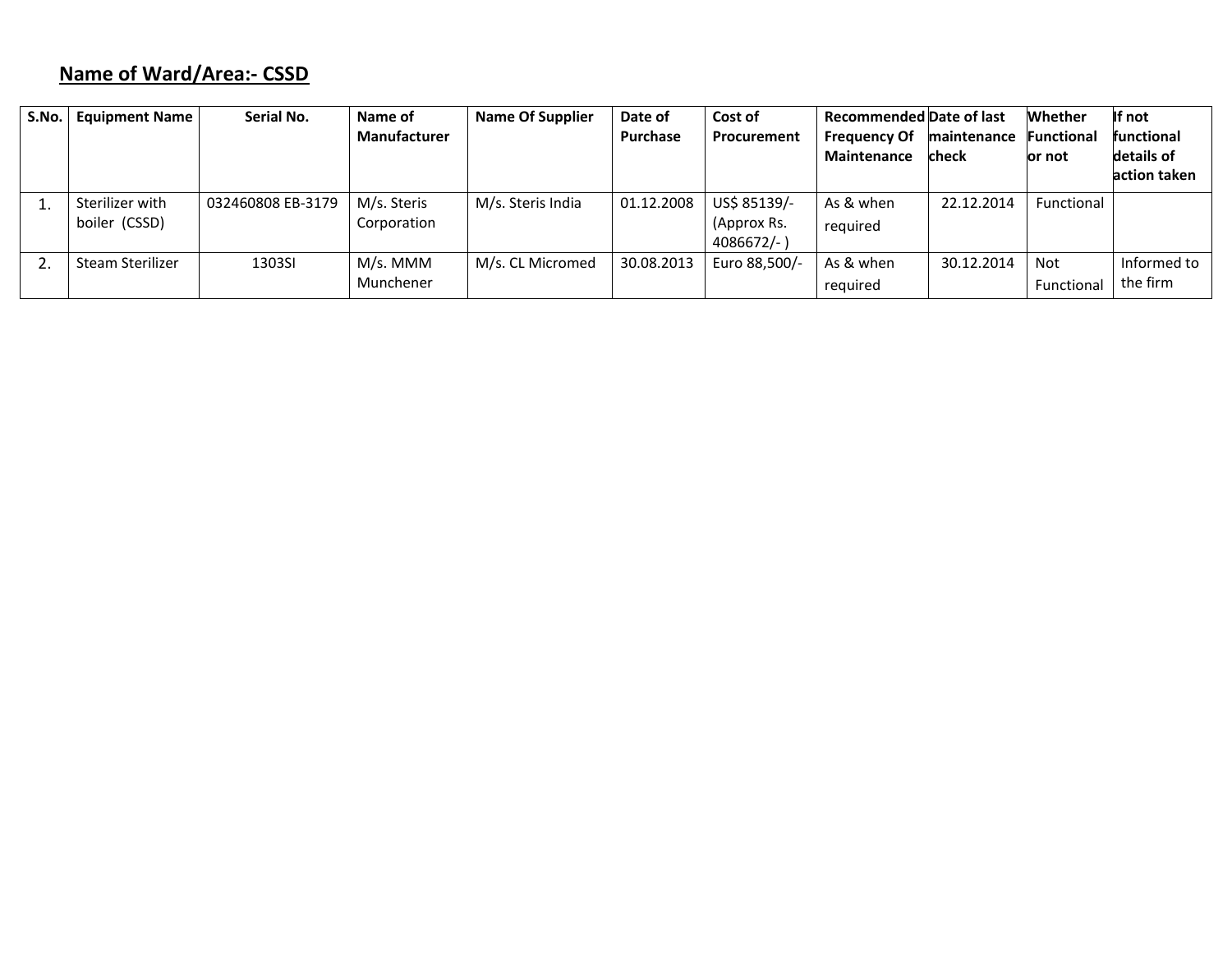# **Name of Ward/Area:‐ CSSD**

| S.No. | <b>Equipment Name</b> | Serial No.        | Name of             | <b>Name Of Supplier</b> | Date of    | Cost of       | <b>Recommended Date of last</b> |             | <b>Whether</b>    | If not            |
|-------|-----------------------|-------------------|---------------------|-------------------------|------------|---------------|---------------------------------|-------------|-------------------|-------------------|
|       |                       |                   | <b>Manufacturer</b> |                         | Purchase   | Procurement   | <b>Frequency Of</b>             | maintenance | <b>Functional</b> | <b>functional</b> |
|       |                       |                   |                     |                         |            |               | Maintenance                     | check       | or not            | details of        |
|       |                       |                   |                     |                         |            |               |                                 |             |                   | action taken      |
|       | Sterilizer with       | 032460808 EB-3179 | M/s. Steris         | M/s. Steris India       | 01.12.2008 | US\$ 85139/-  | As & when                       | 22.12.2014  | Functional        |                   |
|       | boiler (CSSD)         |                   | Corporation         |                         |            | (Approx Rs.   | required                        |             |                   |                   |
|       |                       |                   |                     |                         |            | $4086672/-$ ) |                                 |             |                   |                   |
|       | Steam Sterilizer      | 1303SI            | M/s. MMM            | M/s. CL Micromed        | 30.08.2013 | Euro 88,500/- | As & when                       | 30.12.2014  | Not               | Informed to       |
|       |                       |                   | Munchener           |                         |            |               | required                        |             | Functional        | the firm          |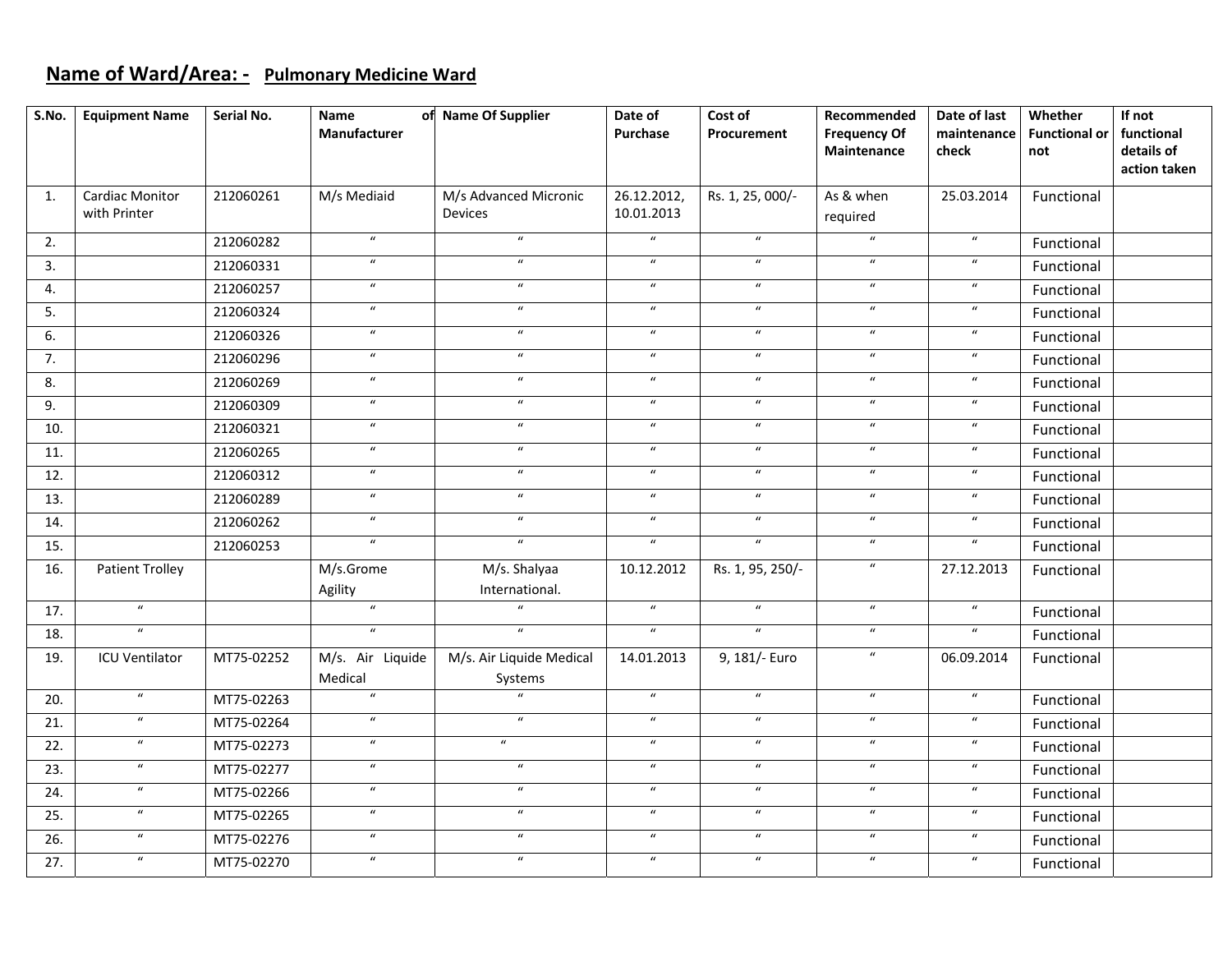#### **Name of Ward/Area: ‐ Pulmonary Medicine Ward**

| S.No. | <b>Equipment Name</b>           | Serial No. | Name<br>Manufacturer        | of Name Of Supplier                     | Date of<br>Purchase         | Cost of<br>Procurement     | Recommended<br><b>Frequency Of</b><br>Maintenance | Date of last<br>maintenance<br>check | Whether<br><b>Functional or</b><br>not | If not<br>functional<br>details of<br>action taken |
|-------|---------------------------------|------------|-----------------------------|-----------------------------------------|-----------------------------|----------------------------|---------------------------------------------------|--------------------------------------|----------------------------------------|----------------------------------------------------|
| 1.    | Cardiac Monitor<br>with Printer | 212060261  | M/s Mediaid                 | M/s Advanced Micronic<br><b>Devices</b> | 26.12.2012,<br>10.01.2013   | Rs. 1, 25, 000/-           | As & when<br>required                             | 25.03.2014                           | Functional                             |                                                    |
| 2.    |                                 | 212060282  | $\boldsymbol{u}$            | $\overline{u}$                          | $\mathbf{u}$                | $\boldsymbol{u}$           | $\mathbf{u}$                                      | $\boldsymbol{u}$                     | Functional                             |                                                    |
| 3.    |                                 | 212060331  | $\overline{u}$              | $\overline{u}$                          | $\mathbf{u}$                | $\overline{u}$             | $\overline{u}$                                    | $\boldsymbol{\mathcal{U}}$           | Functional                             |                                                    |
| 4.    |                                 | 212060257  | $\boldsymbol{u}$            | $\overline{u}$                          | $\mathbf{u}$                | $\overline{u}$             | $\overline{u}$                                    | $\boldsymbol{u}$                     | Functional                             |                                                    |
| 5.    |                                 | 212060324  | $\overline{u}$              | $\overline{u}$                          | $\overline{u}$              | $\overline{u}$             | $\overline{u}$                                    | $\overline{u}$                       | Functional                             |                                                    |
| 6.    |                                 | 212060326  | $\overline{u}$              | $\overline{u}$                          | $\overline{u}$              | $\boldsymbol{u}$           | $\overline{u}$                                    | $\boldsymbol{\mathcal{U}}$           | Functional                             |                                                    |
| 7.    |                                 | 212060296  | $\boldsymbol{\mathcal{U}}$  | $\overline{u}$                          | $\overline{\boldsymbol{u}}$ | $\overline{u}$             | $\overline{u}$                                    | $\boldsymbol{u}$                     | Functional                             |                                                    |
| 8.    |                                 | 212060269  | $\overline{u}$              | $\overline{u}$                          | $\overline{u}$              | $\overline{u}$             | $\overline{u}$                                    | $\boldsymbol{u}$                     | Functional                             |                                                    |
| 9.    |                                 | 212060309  | $\boldsymbol{u}$            | $\boldsymbol{u}$                        | $\overline{u}$              | $\boldsymbol{u}$           | $\overline{u}$                                    | $\boldsymbol{\mathcal{U}}$           | Functional                             |                                                    |
| 10.   |                                 | 212060321  | $\overline{u}$              | $\overline{u}$                          | $\overline{u}$              | $\overline{u}$             | $\overline{u}$                                    | $\boldsymbol{u}$                     | Functional                             |                                                    |
| 11.   |                                 | 212060265  | $\boldsymbol{u}$            | $\boldsymbol{u}$                        | $\overline{u}$              | $\overline{u}$             | $\overline{u}$                                    | $\boldsymbol{u}$                     | Functional                             |                                                    |
| 12.   |                                 | 212060312  | $\boldsymbol{u}$            | $\overline{u}$                          | $\overline{u}$              | $\overline{u}$             | $\overline{u}$                                    | $\boldsymbol{u}$                     | Functional                             |                                                    |
| 13.   |                                 | 212060289  | $\overline{u}$              | $\overline{u}$                          | $\mathbf{u}$                | $\overline{u}$             | $\overline{u}$                                    | $\boldsymbol{u}$                     | Functional                             |                                                    |
| 14.   |                                 | 212060262  | $\boldsymbol{\mathcal{U}}$  | $\boldsymbol{u}$                        | $\overline{u}$              | $\boldsymbol{u}$           | $\overline{u}$                                    | $\boldsymbol{u}$                     | Functional                             |                                                    |
| 15.   |                                 | 212060253  | $\overline{u}$              | $\overline{u}$                          | $\overline{u}$              | $\mathbf{u}$               | $\overline{u}$                                    | $\boldsymbol{u}$                     | Functional                             |                                                    |
| 16.   | <b>Patient Trolley</b>          |            | M/s.Grome<br>Agility        | M/s. Shalyaa<br>International.          | 10.12.2012                  | Rs. 1, 95, 250/-           | $\boldsymbol{u}$                                  | 27.12.2013                           | Functional                             |                                                    |
| 17.   | $\mathbf{u}$                    |            | $\mathbf{u}$                | $\overline{u}$                          | $\boldsymbol{u}$            | $\mathbf{u}$               | $\overline{u}$                                    | $\boldsymbol{u}$                     | Functional                             |                                                    |
| 18.   | $\mathbf{u}$                    |            | $\overline{u}$              | $\overline{u}$                          | $\overline{u}$              | $\boldsymbol{u}$           | $\boldsymbol{u}$                                  | $\boldsymbol{u}$                     | Functional                             |                                                    |
| 19.   | <b>ICU Ventilator</b>           | MT75-02252 | M/s. Air Liquide<br>Medical | M/s. Air Liquide Medical<br>Systems     | 14.01.2013                  | 9, 181/- Euro              | $\boldsymbol{\mathcal{U}}$                        | 06.09.2014                           | Functional                             |                                                    |
| 20.   | $\boldsymbol{u}$                | MT75-02263 | $\boldsymbol{u}$            | $\boldsymbol{u}$                        | $\boldsymbol{u}$            | $\boldsymbol{u}$           | $\boldsymbol{u}$                                  | $\boldsymbol{u}$                     | Functional                             |                                                    |
| 21.   | $\boldsymbol{u}$                | MT75-02264 | $\boldsymbol{u}$            | $\boldsymbol{u}$                        | $\boldsymbol{u}$            | $\boldsymbol{u}$           | $\boldsymbol{u}$                                  | $\boldsymbol{\mathcal{U}}$           | Functional                             |                                                    |
| 22.   | $\boldsymbol{u}$                | MT75-02273 | $\boldsymbol{u}$            | $\boldsymbol{u}$                        | $\boldsymbol{u}$            | $\boldsymbol{u}$           | $\boldsymbol{u}$                                  | $\boldsymbol{u}$                     | Functional                             |                                                    |
| 23.   | $\boldsymbol{u}$                | MT75-02277 | $\boldsymbol{u}$            | $\boldsymbol{u}$                        | $\boldsymbol{u}$            | $\boldsymbol{u}$           | $\boldsymbol{u}$                                  | $\boldsymbol{u}$                     | Functional                             |                                                    |
| 24.   | $\boldsymbol{\mathcal{U}}$      | MT75-02266 | $\boldsymbol{\mathcal{U}}$  | $\boldsymbol{u}$                        | $\boldsymbol{u}$            | $\boldsymbol{u}$           | $\boldsymbol{u}$                                  | $\boldsymbol{u}$                     | Functional                             |                                                    |
| 25.   | $\boldsymbol{u}$                | MT75-02265 | $\boldsymbol{u}$            | $\boldsymbol{u}$                        | $\overline{u}$              | $\boldsymbol{u}$           | $\boldsymbol{\mathcal{U}}$                        | $\boldsymbol{u}$                     | Functional                             |                                                    |
| 26.   | $\boldsymbol{u}$                | MT75-02276 | $\boldsymbol{u}$            | $\boldsymbol{\mathcal{U}}$              | $\boldsymbol{u}$            | $\boldsymbol{\mathcal{U}}$ | $\boldsymbol{u}$                                  | $\boldsymbol{u}$                     | Functional                             |                                                    |
| 27.   | $\boldsymbol{u}$                | MT75-02270 | $\boldsymbol{u}$            | $\boldsymbol{u}$                        | $\boldsymbol{u}$            | $\boldsymbol{\mathcal{U}}$ | $\boldsymbol{u}$                                  | $\boldsymbol{u}$                     | Functional                             |                                                    |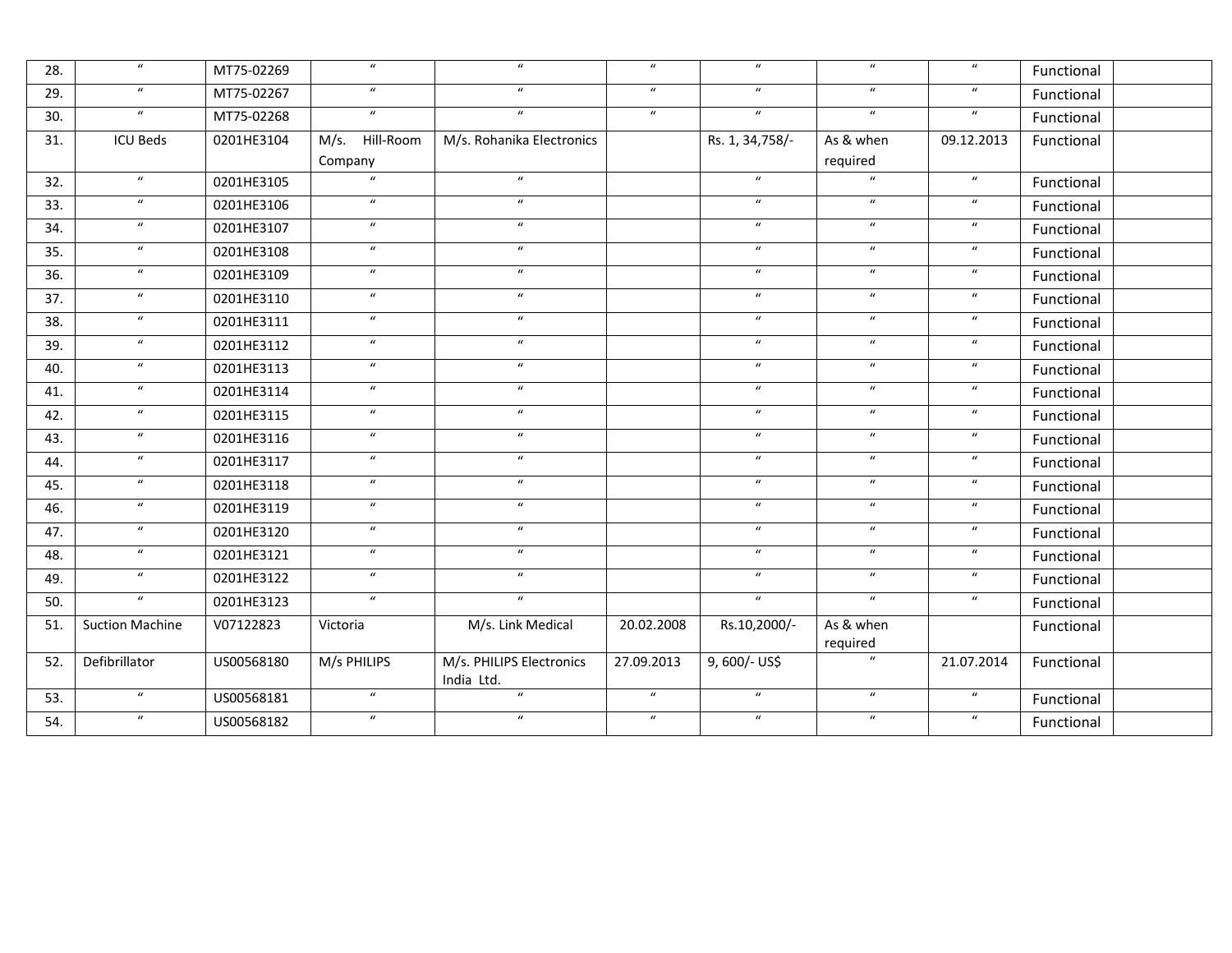| 28. | $\boldsymbol{\mathcal{U}}$ | MT75-02269 | $\boldsymbol{u}$  | $\mathbf{u}$                           | $\boldsymbol{u}$ | $\boldsymbol{u}$           | $\boldsymbol{u}$      | $\boldsymbol{\mathcal{U}}$  | Functional |
|-----|----------------------------|------------|-------------------|----------------------------------------|------------------|----------------------------|-----------------------|-----------------------------|------------|
| 29. | $\overline{u}$             | MT75-02267 | $\boldsymbol{u}$  | $\overline{u}$                         | $\overline{u}$   | $\overline{u}$             | $\overline{u}$        | $\overline{\boldsymbol{u}}$ | Functional |
| 30. | $\boldsymbol{u}$           | MT75-02268 | $\boldsymbol{u}$  | $\boldsymbol{u}$                       | $\boldsymbol{u}$ | $\boldsymbol{u}$           | $\boldsymbol{u}$      | $\boldsymbol{u}$            | Functional |
| 31. | <b>ICU Beds</b>            | 0201HE3104 | M/s.<br>Hill-Room | M/s. Rohanika Electronics              |                  | Rs. 1, 34, 758/-           | As & when             | 09.12.2013                  | Functional |
|     |                            |            | Company           |                                        |                  |                            | required              |                             |            |
| 32. | $\boldsymbol{u}$           | 0201HE3105 | $\boldsymbol{u}$  | $\overline{u}$                         |                  | $\boldsymbol{u}$           | $\boldsymbol{u}$      | $\boldsymbol{u}$            | Functional |
| 33. | $\boldsymbol{u}$           | 0201HE3106 | $\boldsymbol{u}$  | $\boldsymbol{u}$                       |                  | $\boldsymbol{u}$           | $\boldsymbol{u}$      | $\boldsymbol{\mathcal{U}}$  | Functional |
| 34. | $\boldsymbol{u}$           | 0201HE3107 | $\boldsymbol{u}$  | $\boldsymbol{u}$                       |                  | $\boldsymbol{\mathcal{U}}$ | $\boldsymbol{u}$      | $\boldsymbol{\mathcal{U}}$  | Functional |
| 35. | $\boldsymbol{u}$           | 0201HE3108 | $\boldsymbol{u}$  | $\boldsymbol{u}$                       |                  | $\boldsymbol{\mathcal{U}}$ | $\boldsymbol{u}$      | $\boldsymbol{u}$            | Functional |
| 36. | $\boldsymbol{u}$           | 0201HE3109 | $\boldsymbol{u}$  | $\boldsymbol{u}$                       |                  | $\boldsymbol{u}$           | $\boldsymbol{u}$      | $\boldsymbol{u}$            | Functional |
| 37. | $\boldsymbol{u}$           | 0201HE3110 | $\boldsymbol{u}$  | $\boldsymbol{u}$                       |                  | $\boldsymbol{u}$           | $\boldsymbol{u}$      | $\boldsymbol{\mathcal{U}}$  | Functional |
| 38. | $\boldsymbol{u}$           | 0201HE3111 | $\boldsymbol{u}$  | $\boldsymbol{u}$                       |                  | $\boldsymbol{u}$           | $\boldsymbol{u}$      | $\boldsymbol{u}$            | Functional |
| 39. | $\boldsymbol{u}$           | 0201HE3112 | $\boldsymbol{u}$  | $\boldsymbol{u}$                       |                  | $\boldsymbol{u}$           | $\boldsymbol{u}$      | $\boldsymbol{u}$            | Functional |
| 40. | $\boldsymbol{u}$           | 0201HE3113 | $\boldsymbol{u}$  | $\boldsymbol{\mathcal{U}}$             |                  | $\boldsymbol{u}$           | $\boldsymbol{u}$      | $\boldsymbol{\mathcal{U}}$  | Functional |
| 41. | $\boldsymbol{u}$           | 0201HE3114 | $\boldsymbol{u}$  | $\boldsymbol{u}$                       |                  | $\boldsymbol{\mathcal{U}}$ | $\boldsymbol{u}$      | $\boldsymbol{u}$            | Functional |
| 42. | $\boldsymbol{u}$           | 0201HE3115 | $\boldsymbol{u}$  | $\boldsymbol{u}$                       |                  | $\boldsymbol{u}$           | $\boldsymbol{u}$      | $\boldsymbol{u}$            | Functional |
| 43. | $\boldsymbol{u}$           | 0201HE3116 | $\boldsymbol{u}$  | $\boldsymbol{u}$                       |                  | $\boldsymbol{u}$           | $\boldsymbol{u}$      | $\boldsymbol{\mathcal{U}}$  | Functional |
| 44. | $\boldsymbol{u}$           | 0201HE3117 | $\boldsymbol{u}$  | $\boldsymbol{u}$                       |                  | $\boldsymbol{u}$           | $\boldsymbol{u}$      | $\boldsymbol{\mathcal{U}}$  | Functional |
| 45. | $\boldsymbol{u}$           | 0201HE3118 | $\boldsymbol{u}$  | $\boldsymbol{u}$                       |                  | $\boldsymbol{u}$           | $\boldsymbol{u}$      | $\boldsymbol{u}$            | Functional |
| 46. | $\boldsymbol{u}$           | 0201HE3119 | $\boldsymbol{u}$  | $\boldsymbol{u}$                       |                  | $\boldsymbol{u}$           | $\boldsymbol{u}$      | $\boldsymbol{\mathcal{U}}$  | Functional |
| 47. | $\boldsymbol{u}$           | 0201HE3120 | $\boldsymbol{u}$  | $\boldsymbol{u}$                       |                  | $\boldsymbol{\mathcal{U}}$ | $\boldsymbol{u}$      | $\boldsymbol{u}$            | Functional |
| 48. | $\boldsymbol{u}$           | 0201HE3121 | $\boldsymbol{u}$  | $\boldsymbol{u}$                       |                  | $\boldsymbol{u}$           | $\boldsymbol{u}$      | $\boldsymbol{u}$            | Functional |
| 49. | $\boldsymbol{u}$           | 0201HE3122 | $\boldsymbol{u}$  | $\boldsymbol{\mathcal{U}}$             |                  | $\boldsymbol{u}$           | $\boldsymbol{u}$      | $\boldsymbol{\mathcal{U}}$  | Functional |
| 50. | $\boldsymbol{u}$           | 0201HE3123 | $\boldsymbol{u}$  | $\overline{u}$                         |                  | $\boldsymbol{u}$           | $\boldsymbol{u}$      | $\boldsymbol{\mathcal{U}}$  | Functional |
| 51. | <b>Suction Machine</b>     | V07122823  | Victoria          | M/s. Link Medical                      | 20.02.2008       | Rs.10,2000/-               | As & when<br>required |                             | Functional |
| 52. | Defibrillator              | US00568180 | M/s PHILIPS       | M/s. PHILIPS Electronics<br>India Ltd. | 27.09.2013       | 9,600/- US\$               | $\overline{u}$        | 21.07.2014                  | Functional |
| 53. | $\boldsymbol{u}$           | US00568181 | $\boldsymbol{u}$  | $\boldsymbol{u}$                       | $\boldsymbol{u}$ | $\boldsymbol{u}$           | $\boldsymbol{u}$      | $\boldsymbol{\mathcal{U}}$  | Functional |
| 54. | $\boldsymbol{u}$           | US00568182 | $\boldsymbol{u}$  | $\boldsymbol{u}$                       | $\boldsymbol{u}$ | $\boldsymbol{u}$           | $\boldsymbol{u}$      | $\boldsymbol{u}$            | Functional |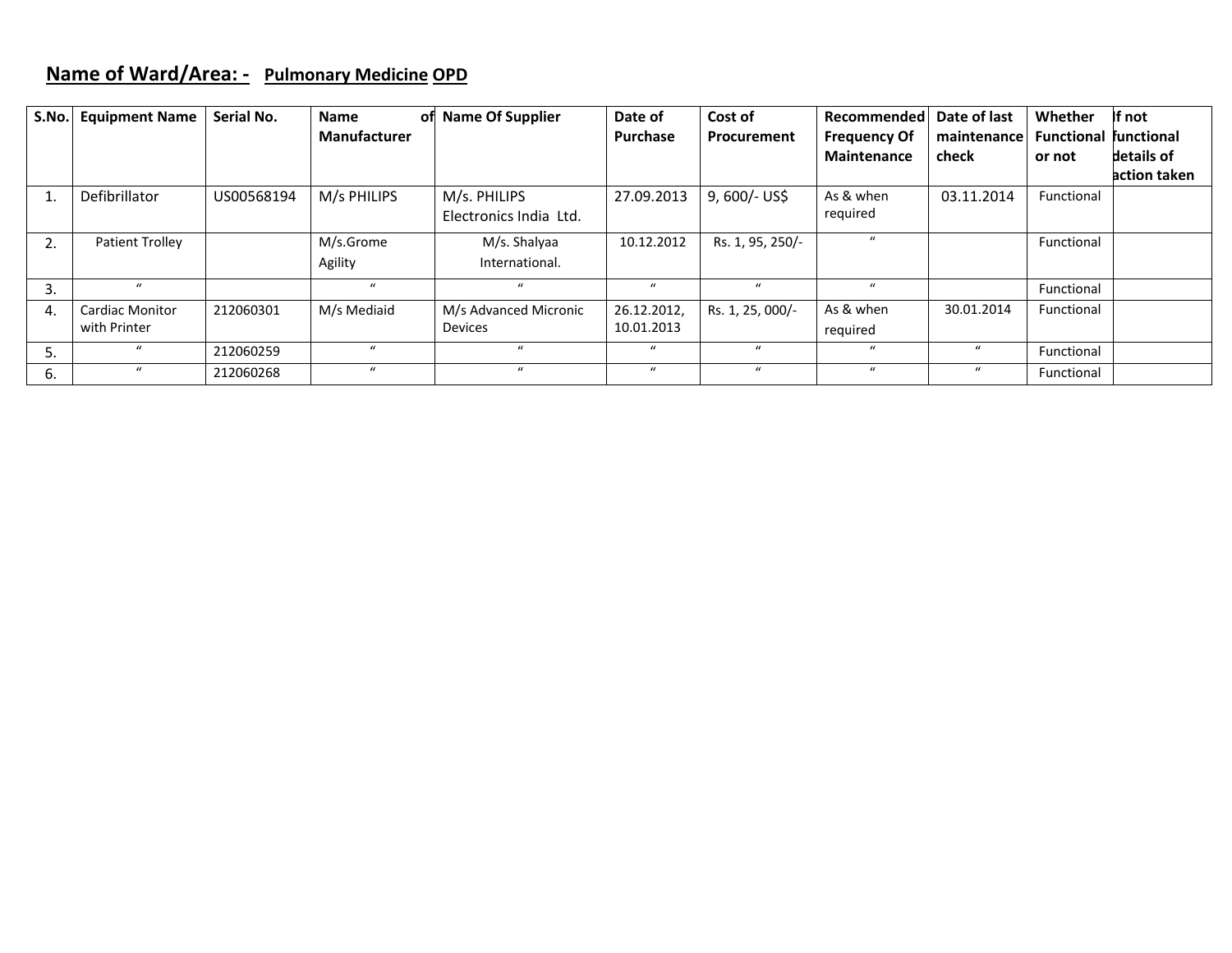#### **Name of Ward/Area: ‐ Pulmonary Medicine OPD**

| S.No. | <b>Equipment Name</b>  | Serial No. | <b>Name</b><br>оfі  | <b>Name Of Supplier</b> | Date of         | Cost of          | Recommended         | Date of last | Whether                      | If not       |
|-------|------------------------|------------|---------------------|-------------------------|-----------------|------------------|---------------------|--------------|------------------------------|--------------|
|       |                        |            | <b>Manufacturer</b> |                         | <b>Purchase</b> | Procurement      | <b>Frequency Of</b> | maintenance  | <b>Functional functional</b> |              |
|       |                        |            |                     |                         |                 |                  | <b>Maintenance</b>  | check        | or not                       | details of   |
|       |                        |            |                     |                         |                 |                  |                     |              |                              | action taken |
| 1.    | <b>Defibrillator</b>   | US00568194 | M/s PHILIPS         | M/s. PHILIPS            | 27.09.2013      | $9,600/-$ US\$   | As & when           | 03.11.2014   | Functional                   |              |
|       |                        |            |                     | Electronics India Ltd.  |                 |                  | required            |              |                              |              |
| 2.    | Patient Trolley        |            | M/s.Grome           | M/s. Shalyaa            | 10.12.2012      | Rs. 1, 95, 250/- | $\mathbf{u}$        |              | Functional                   |              |
|       |                        |            | Agility             | International.          |                 |                  |                     |              |                              |              |
| 3.    | $\mathbf{u}$           |            | $\mathbf{u}$        | $\mathbf{u}$            | $\mathbf{u}$    | $\mathbf{u}$     | $\mathbf{u}$        |              | Functional                   |              |
| 4.    | <b>Cardiac Monitor</b> | 212060301  | M/s Mediaid         | M/s Advanced Micronic   | 26.12.2012,     | Rs. 1, 25, 000/- | As & when           | 30.01.2014   | Functional                   |              |
|       | with Printer           |            |                     | <b>Devices</b>          | 10.01.2013      |                  | required            |              |                              |              |
| 5.    | $\mathbf{u}$           | 212060259  | $\mathbf{u}$        | $\mathbf{u}$            | $\mathbf{u}$    | $\mathbf{u}$     | $\mathbf{u}$        | $\mathbf{u}$ | Functional                   |              |
| 6.    | $\mathbf{u}$           | 212060268  | $\mathbf{u}$        | $\mathbf{u}$            | $\bf{u}$        | $\mathbf{u}$     | $\boldsymbol{u}$    | $\bf{u}$     | Functional                   |              |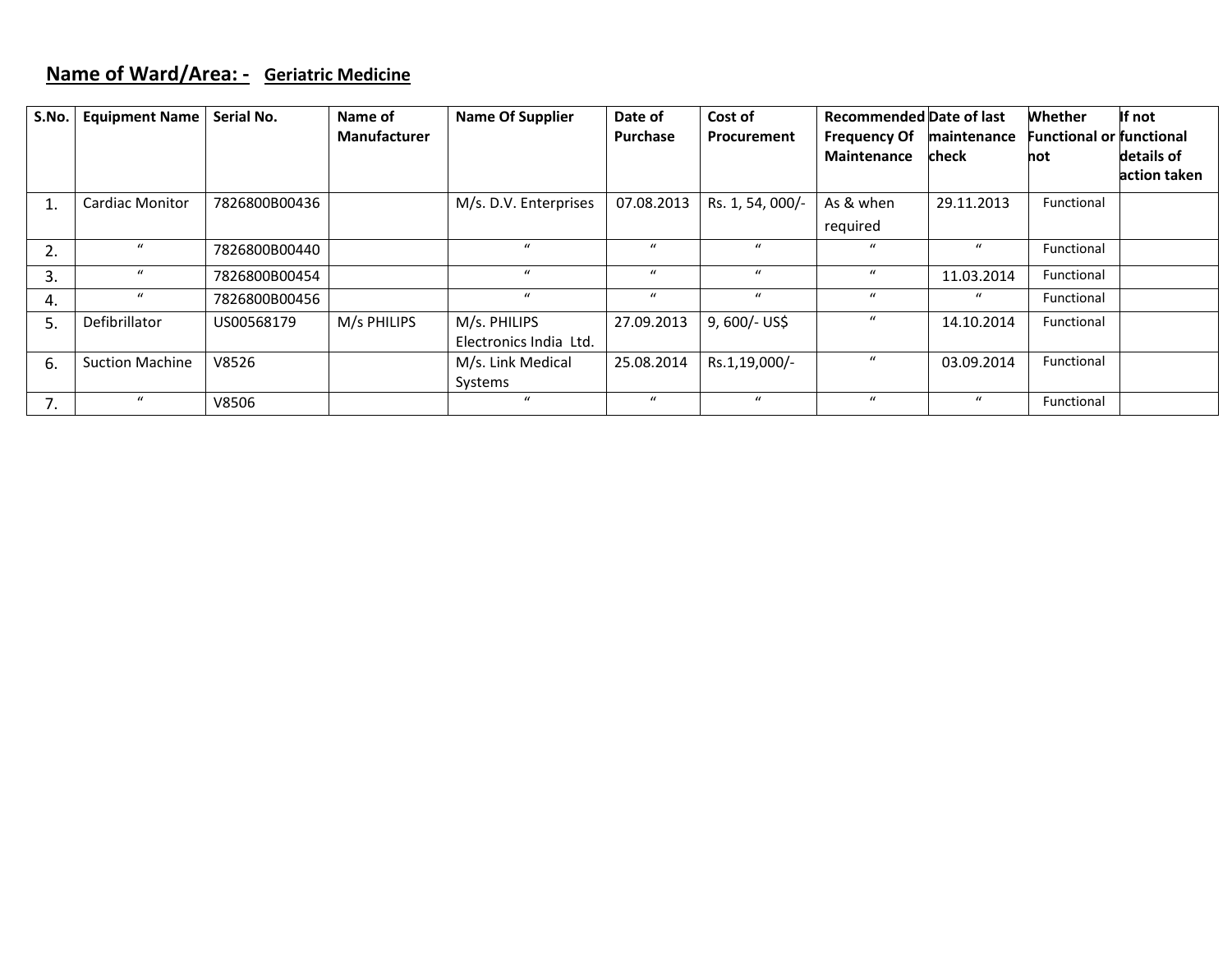#### **Name of Ward/Area: ‐ Geriatric Medicine**

| S.No. | <b>Equipment Name</b>  | Serial No.    | Name of             | <b>Name Of Supplier</b> | Date of          | Cost of          | <b>Recommended Date of last</b> |                  | <b>Whether</b>                  | If not       |
|-------|------------------------|---------------|---------------------|-------------------------|------------------|------------------|---------------------------------|------------------|---------------------------------|--------------|
|       |                        |               | <b>Manufacturer</b> |                         | <b>Purchase</b>  | Procurement      | <b>Frequency Of</b>             | maintenance      | <b>Functional or functional</b> |              |
|       |                        |               |                     |                         |                  |                  | <b>Maintenance</b>              | check            | hot                             | details of   |
|       |                        |               |                     |                         |                  |                  |                                 |                  |                                 | action taken |
| 1.    | <b>Cardiac Monitor</b> | 7826800B00436 |                     | M/s. D.V. Enterprises   | 07.08.2013       | Rs. 1, 54, 000/- | As & when                       | 29.11.2013       | Functional                      |              |
|       |                        |               |                     |                         |                  |                  | required                        |                  |                                 |              |
| 2.    | $\boldsymbol{u}$       | 7826800B00440 |                     | $\mathbf{u}$            | $\boldsymbol{u}$ | $\mathbf{u}$     | $\boldsymbol{u}$                | $\boldsymbol{u}$ | Functional                      |              |
| 3.    | $\boldsymbol{u}$       | 7826800B00454 |                     | $\mathbf{u}$            | $\mathbf{u}$     | $\mathbf{u}$     | $\bf{u}$                        | 11.03.2014       | Functional                      |              |
| 4.    | $\bf{u}$               | 7826800B00456 |                     | $\boldsymbol{u}$        | $\boldsymbol{u}$ | $\boldsymbol{u}$ | $\boldsymbol{u}$                | $\boldsymbol{u}$ | Functional                      |              |
| 5.    | Defibrillator          | US00568179    | M/s PHILIPS         | M/s. PHILIPS            | 27.09.2013       | 9,600/- US\$     | $\bf{u}$                        | 14.10.2014       | Functional                      |              |
|       |                        |               |                     | Electronics India Ltd.  |                  |                  |                                 |                  |                                 |              |
| 6.    | <b>Suction Machine</b> | V8526         |                     | M/s. Link Medical       | 25.08.2014       | Rs.1,19,000/-    | $\mathcal{U}$                   | 03.09.2014       | Functional                      |              |
|       |                        |               |                     | Systems                 |                  |                  |                                 |                  |                                 |              |
| 7.    | $\boldsymbol{u}$       | V8506         |                     | $\mathbf{u}$            | $\mathcal{U}$    | $\mathbf{u}$     | $\mathbf{u}$                    | $\boldsymbol{u}$ | Functional                      |              |